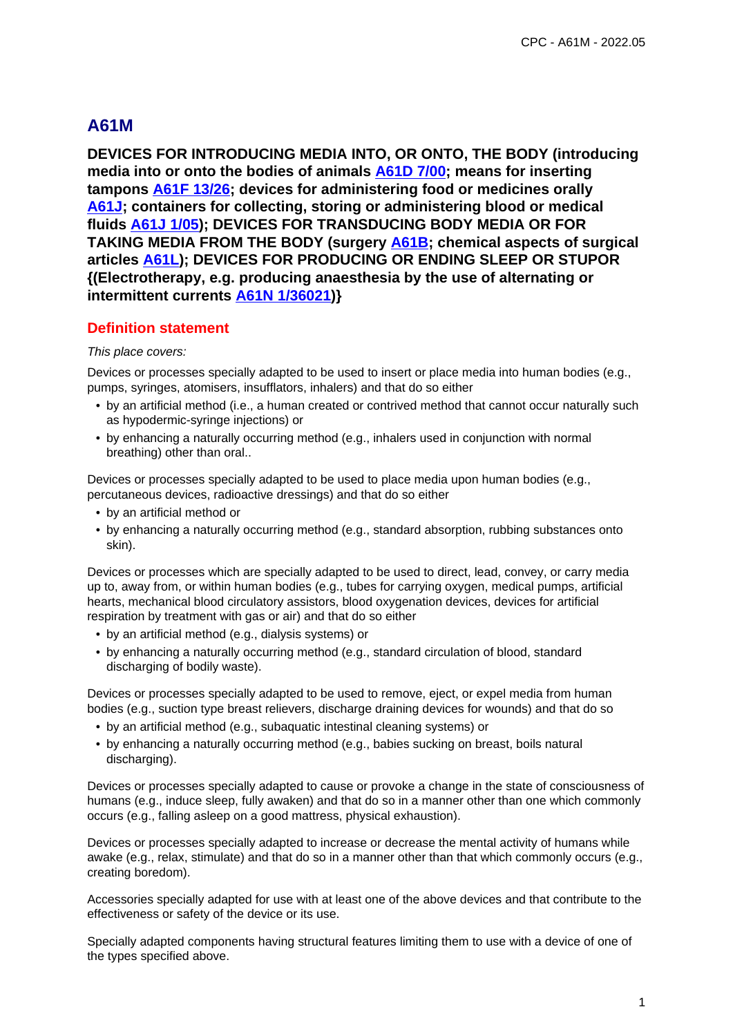# **A61M**

**DEVICES FOR INTRODUCING MEDIA INTO, OR ONTO, THE BODY (introducing media into or onto the bodies of animals A61D 7/00; means for inserting tampons A61F 13/26; devices for administering food or medicines orally A61J; containers for collecting, storing or administering blood or medical fluids A61J 1/05); DEVICES FOR TRANSDUCING BODY MEDIA OR FOR TAKING MEDIA FROM THE BODY (surgery A61B; chemical aspects of surgical articles A61L); DEVICES FOR PRODUCING OR ENDING SLEEP OR STUPOR {(Electrotherapy, e.g. producing anaesthesia by the use of alternating or intermittent currents A61N 1/36021)}**

# **Definition statement**

#### This place covers:

Devices or processes specially adapted to be used to insert or place media into human bodies (e.g., pumps, syringes, atomisers, insufflators, inhalers) and that do so either

- by an artificial method (i.e., a human created or contrived method that cannot occur naturally such as hypodermic-syringe injections) or
- by enhancing a naturally occurring method (e.g., inhalers used in conjunction with normal breathing) other than oral..

Devices or processes specially adapted to be used to place media upon human bodies (e.g., percutaneous devices, radioactive dressings) and that do so either

- by an artificial method or
- by enhancing a naturally occurring method (e.g., standard absorption, rubbing substances onto skin).

Devices or processes which are specially adapted to be used to direct, lead, convey, or carry media up to, away from, or within human bodies (e.g., tubes for carrying oxygen, medical pumps, artificial hearts, mechanical blood circulatory assistors, blood oxygenation devices, devices for artificial respiration by treatment with gas or air) and that do so either

- by an artificial method (e.g., dialysis systems) or
- by enhancing a naturally occurring method (e.g., standard circulation of blood, standard discharging of bodily waste).

Devices or processes specially adapted to be used to remove, eject, or expel media from human bodies (e.g., suction type breast relievers, discharge draining devices for wounds) and that do so

- by an artificial method (e.g., subaquatic intestinal cleaning systems) or
- by enhancing a naturally occurring method (e.g., babies sucking on breast, boils natural discharging).

Devices or processes specially adapted to cause or provoke a change in the state of consciousness of humans (e.g., induce sleep, fully awaken) and that do so in a manner other than one which commonly occurs (e.g., falling asleep on a good mattress, physical exhaustion).

Devices or processes specially adapted to increase or decrease the mental activity of humans while awake (e.g., relax, stimulate) and that do so in a manner other than that which commonly occurs (e.g., creating boredom).

Accessories specially adapted for use with at least one of the above devices and that contribute to the effectiveness or safety of the device or its use.

Specially adapted components having structural features limiting them to use with a device of one of the types specified above.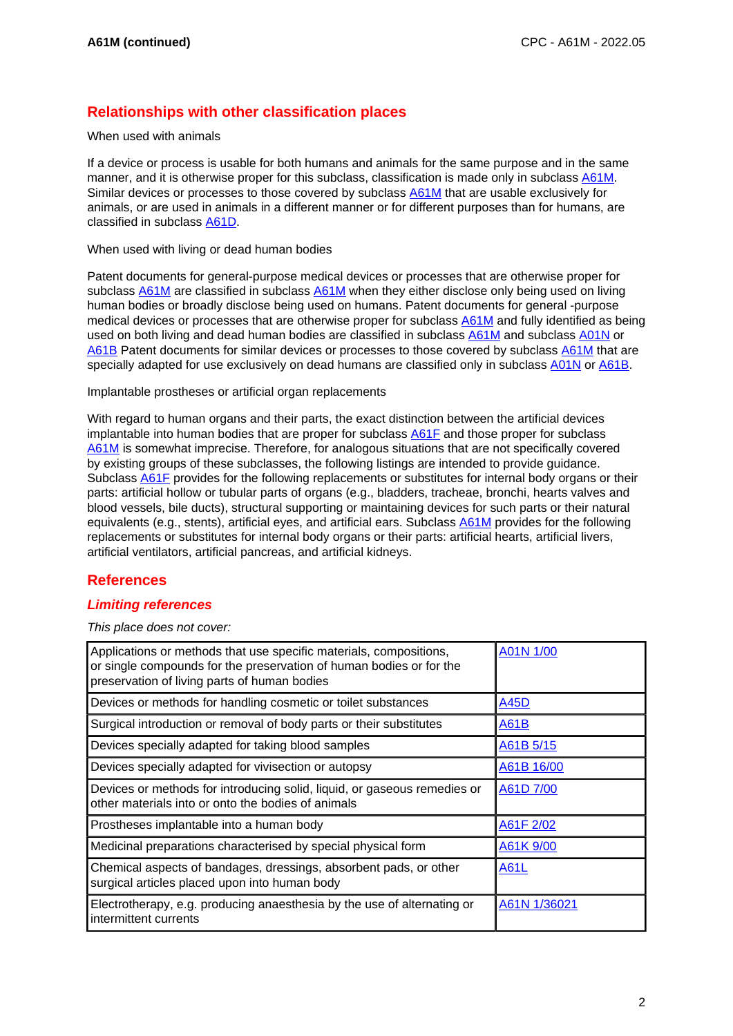# **Relationships with other classification places**

#### When used with animals

If a device or process is usable for both humans and animals for the same purpose and in the same manner, and it is otherwise proper for this subclass, classification is made only in subclass A61M. Similar devices or processes to those covered by subclass A61M that are usable exclusively for animals, or are used in animals in a different manner or for different purposes than for humans, are classified in subclass A61D.

When used with living or dead human bodies

Patent documents for general-purpose medical devices or processes that are otherwise proper for subclass A61M are classified in subclass A61M when they either disclose only being used on living human bodies or broadly disclose being used on humans. Patent documents for general -purpose medical devices or processes that are otherwise proper for subclass A61M and fully identified as being used on both living and dead human bodies are classified in subclass A61M and subclass A01N or A61B Patent documents for similar devices or processes to those covered by subclass A61M that are specially adapted for use exclusively on dead humans are classified only in subclass A01N or A61B.

Implantable prostheses or artificial organ replacements

With regard to human organs and their parts, the exact distinction between the artificial devices implantable into human bodies that are proper for subclass A61F and those proper for subclass A61M is somewhat imprecise. Therefore, for analogous situations that are not specifically covered by existing groups of these subclasses, the following listings are intended to provide guidance. Subclass A61F provides for the following replacements or substitutes for internal body organs or their parts: artificial hollow or tubular parts of organs (e.g., bladders, tracheae, bronchi, hearts valves and blood vessels, bile ducts), structural supporting or maintaining devices for such parts or their natural equivalents (e.g., stents), artificial eyes, and artificial ears. Subclass A61M provides for the following replacements or substitutes for internal body organs or their parts: artificial hearts, artificial livers, artificial ventilators, artificial pancreas, and artificial kidneys.

# **References**

### **Limiting references**

This place does not cover:

| Applications or methods that use specific materials, compositions,<br>or single compounds for the preservation of human bodies or for the<br>preservation of living parts of human bodies | A01N 1/00    |
|-------------------------------------------------------------------------------------------------------------------------------------------------------------------------------------------|--------------|
| Devices or methods for handling cosmetic or toilet substances                                                                                                                             | A45D         |
| Surgical introduction or removal of body parts or their substitutes                                                                                                                       | A61B         |
| Devices specially adapted for taking blood samples                                                                                                                                        | A61B 5/15    |
| Devices specially adapted for vivisection or autopsy                                                                                                                                      | A61B 16/00   |
| Devices or methods for introducing solid, liquid, or gaseous remedies or<br>other materials into or onto the bodies of animals                                                            | A61D 7/00    |
| Prostheses implantable into a human body                                                                                                                                                  | A61F 2/02    |
| Medicinal preparations characterised by special physical form                                                                                                                             | A61K 9/00    |
| Chemical aspects of bandages, dressings, absorbent pads, or other<br>surgical articles placed upon into human body                                                                        | A61L         |
| Electrotherapy, e.g. producing anaesthesia by the use of alternating or<br>intermittent currents                                                                                          | A61N 1/36021 |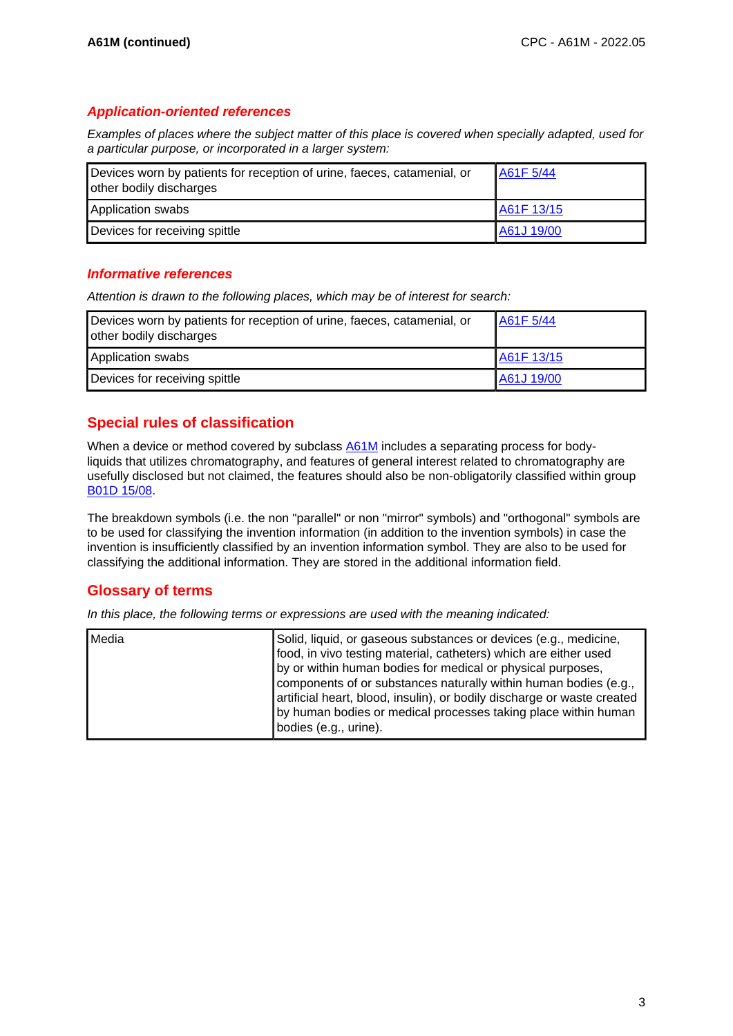#### **Application-oriented references**

Examples of places where the subject matter of this place is covered when specially adapted, used for a particular purpose, or incorporated in a larger system:

| Devices worn by patients for reception of urine, faeces, catamenial, or<br>other bodily discharges | A61F 5/44  |
|----------------------------------------------------------------------------------------------------|------------|
| Application swabs                                                                                  | A61F 13/15 |
| Devices for receiving spittle                                                                      | A61J 19/00 |

### **Informative references**

Attention is drawn to the following places, which may be of interest for search:

| Devices worn by patients for reception of urine, faeces, catamenial, or<br>other bodily discharges | A61F 5/44  |
|----------------------------------------------------------------------------------------------------|------------|
| Application swabs                                                                                  | A61F 13/15 |
| Devices for receiving spittle                                                                      | A61J 19/00 |

# **Special rules of classification**

When a device or method covered by subclass A61M includes a separating process for bodyliquids that utilizes chromatography, and features of general interest related to chromatography are usefully disclosed but not claimed, the features should also be non-obligatorily classified within group B01D 15/08.

The breakdown symbols (i.e. the non "parallel" or non "mirror" symbols) and "orthogonal" symbols are to be used for classifying the invention information (in addition to the invention symbols) in case the invention is insufficiently classified by an invention information symbol. They are also to be used for classifying the additional information. They are stored in the additional information field.

# **Glossary of terms**

In this place, the following terms or expressions are used with the meaning indicated:

| Media | Solid, liquid, or gaseous substances or devices (e.g., medicine,<br>food, in vivo testing material, catheters) which are either used<br>by or within human bodies for medical or physical purposes,<br>components of or substances naturally within human bodies (e.g.,<br>artificial heart, blood, insulin), or bodily discharge or waste created |
|-------|----------------------------------------------------------------------------------------------------------------------------------------------------------------------------------------------------------------------------------------------------------------------------------------------------------------------------------------------------|
|       | by human bodies or medical processes taking place within human<br>bodies (e.g., urine).                                                                                                                                                                                                                                                            |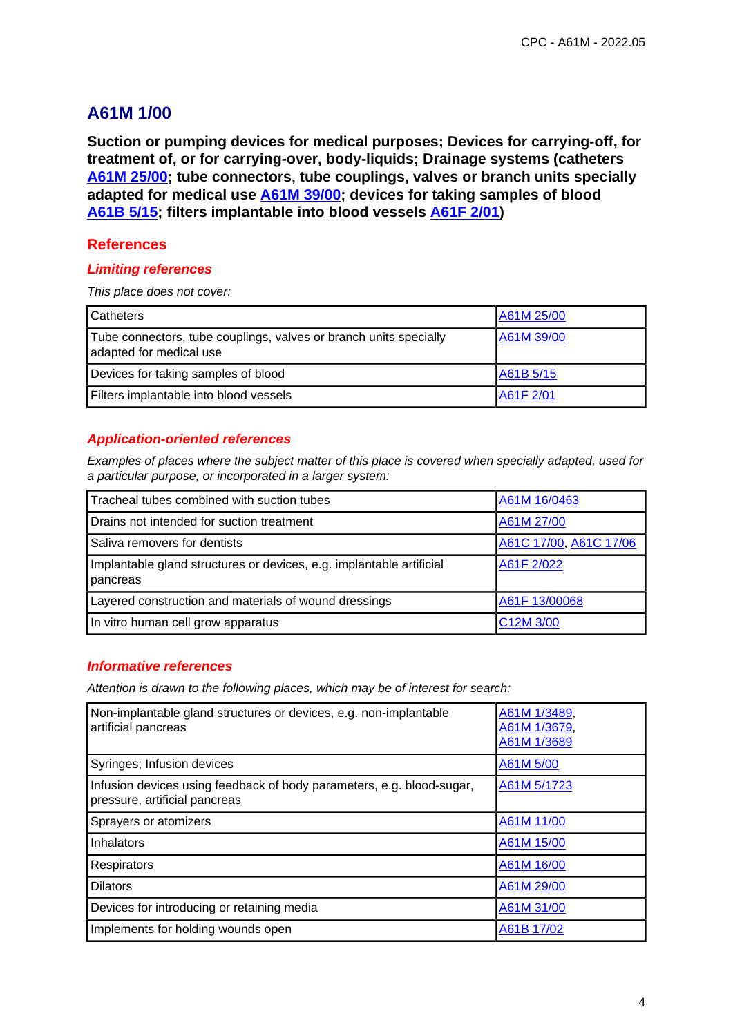**Suction or pumping devices for medical purposes; Devices for carrying-off, for treatment of, or for carrying-over, body-liquids; Drainage systems (catheters A61M 25/00; tube connectors, tube couplings, valves or branch units specially adapted for medical use A61M 39/00; devices for taking samples of blood A61B 5/15; filters implantable into blood vessels A61F 2/01)**

## **References**

#### **Limiting references**

This place does not cover:

| <b>Catheters</b>                                                                             | A61M 25/00 |
|----------------------------------------------------------------------------------------------|------------|
| Tube connectors, tube couplings, valves or branch units specially<br>adapted for medical use | A61M 39/00 |
| Devices for taking samples of blood                                                          | A61B 5/15  |
| Filters implantable into blood vessels                                                       | A61F 2/01  |

## **Application-oriented references**

Examples of places where the subject matter of this place is covered when specially adapted, used for a particular purpose, or incorporated in a larger system:

| Tracheal tubes combined with suction tubes                                       | A61M 16/0463           |
|----------------------------------------------------------------------------------|------------------------|
| Drains not intended for suction treatment                                        | A61M 27/00             |
| Saliva removers for dentists                                                     | A61C 17/00, A61C 17/06 |
| Implantable gland structures or devices, e.g. implantable artificial<br>pancreas | A61F 2/022             |
| Layered construction and materials of wound dressings                            | A61F 13/00068          |
| In vitro human cell grow apparatus                                               | C12M 3/00              |

## **Informative references**

| Non-implantable gland structures or devices, e.g. non-implantable<br>artificial pancreas               | A61M 1/3489,<br>A61M 1/3679,<br>A61M 1/3689 |
|--------------------------------------------------------------------------------------------------------|---------------------------------------------|
| Syringes; Infusion devices                                                                             | A61M 5/00                                   |
| Infusion devices using feedback of body parameters, e.g. blood-sugar,<br>pressure, artificial pancreas | A61M 5/1723                                 |
| Sprayers or atomizers                                                                                  | A61M 11/00                                  |
| Inhalators                                                                                             | A61M 15/00                                  |
| <b>Respirators</b>                                                                                     | A61M 16/00                                  |
| <b>Dilators</b>                                                                                        | A61M 29/00                                  |
| Devices for introducing or retaining media                                                             | A61M 31/00                                  |
| Implements for holding wounds open                                                                     | A61B 17/02                                  |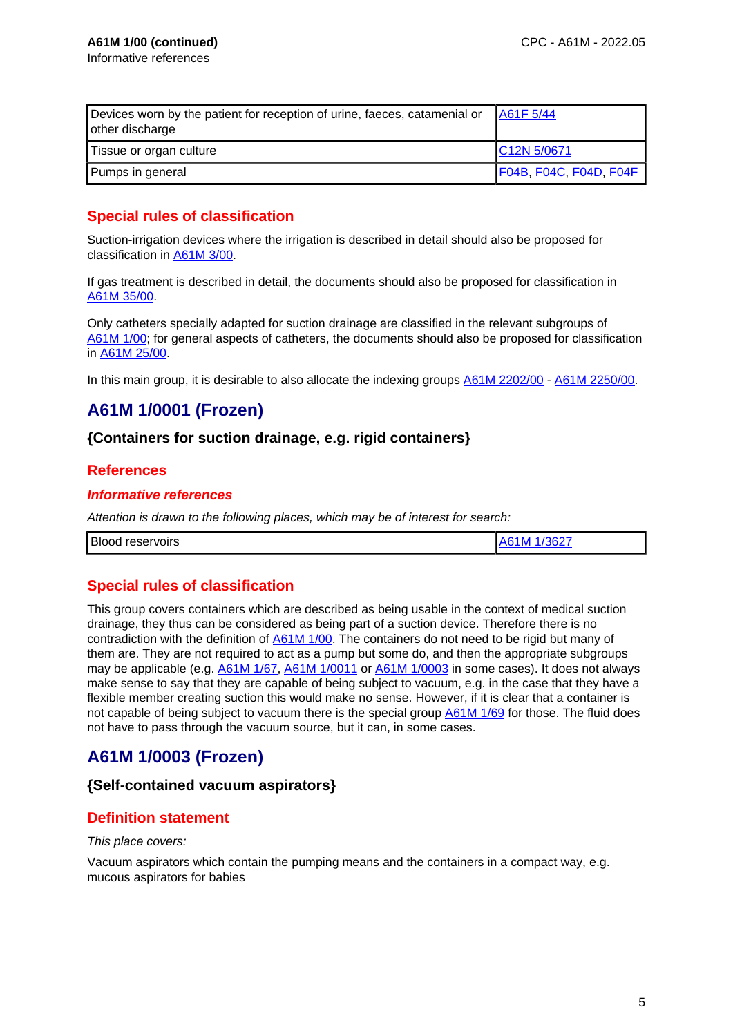| Devices worn by the patient for reception of urine, faeces, catamenial or<br>other discharge | A61F 5/44                |
|----------------------------------------------------------------------------------------------|--------------------------|
| Tissue or organ culture                                                                      | C <sub>12</sub> N 5/0671 |
| Pumps in general                                                                             | F04B, F04C, F04D, F04F   |

# **Special rules of classification**

Suction-irrigation devices where the irrigation is described in detail should also be proposed for classification in A61M 3/00.

If gas treatment is described in detail, the documents should also be proposed for classification in A61M 35/00.

Only catheters specially adapted for suction drainage are classified in the relevant subgroups of A61M 1/00; for general aspects of catheters, the documents should also be proposed for classification in A61M 25/00.

In this main group, it is desirable to also allocate the indexing groups  $A61M 2202/00 - A61M 2250/00$ .

# **A61M 1/0001 (Frozen)**

# **{Containers for suction drainage, e.g. rigid containers}**

## **References**

#### **Informative references**

Attention is drawn to the following places, which may be of interest for search:

|--|

# **Special rules of classification**

This group covers containers which are described as being usable in the context of medical suction drainage, they thus can be considered as being part of a suction device. Therefore there is no contradiction with the definition of A61M 1/00. The containers do not need to be rigid but many of them are. They are not required to act as a pump but some do, and then the appropriate subgroups may be applicable (e.g. A61M 1/67, A61M 1/0011 or A61M 1/0003 in some cases). It does not always make sense to say that they are capable of being subject to vacuum, e.g. in the case that they have a flexible member creating suction this would make no sense. However, if it is clear that a container is not capable of being subject to vacuum there is the special group A61M 1/69 for those. The fluid does not have to pass through the vacuum source, but it can, in some cases.

# **A61M 1/0003 (Frozen)**

### **{Self-contained vacuum aspirators}**

# **Definition statement**

#### This place covers:

Vacuum aspirators which contain the pumping means and the containers in a compact way, e.g. mucous aspirators for babies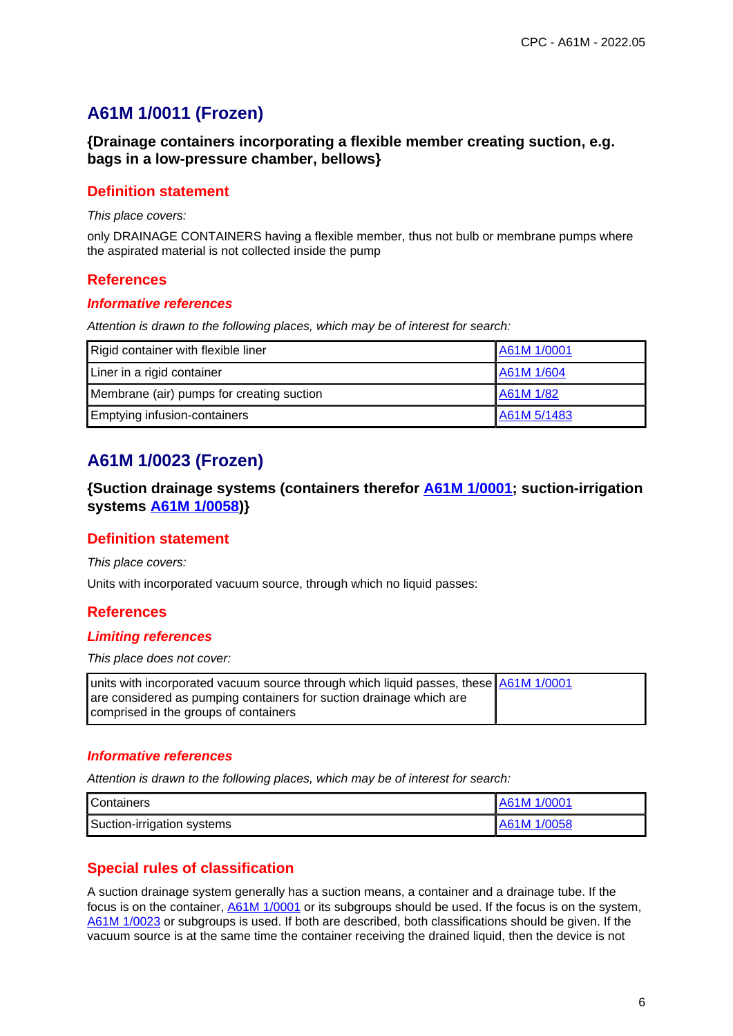# **A61M 1/0011 (Frozen)**

**{Drainage containers incorporating a flexible member creating suction, e.g. bags in a low-pressure chamber, bellows}**

## **Definition statement**

This place covers:

only DRAINAGE CONTAINERS having a flexible member, thus not bulb or membrane pumps where the aspirated material is not collected inside the pump

### **References**

#### **Informative references**

Attention is drawn to the following places, which may be of interest for search:

| Rigid container with flexible liner       | A61M 1/0001 |
|-------------------------------------------|-------------|
| Liner in a rigid container                | A61M 1/604  |
| Membrane (air) pumps for creating suction | A61M 1/82   |
| <b>Emptying infusion-containers</b>       | A61M 5/1483 |

# **A61M 1/0023 (Frozen)**

**{Suction drainage systems (containers therefor A61M 1/0001; suction-irrigation systems A61M 1/0058)}**

### **Definition statement**

This place covers:

Units with incorporated vacuum source, through which no liquid passes:

### **References**

#### **Limiting references**

This place does not cover:

| units with incorporated vacuum source through which liquid passes, these A61M 1/0001 |  |
|--------------------------------------------------------------------------------------|--|
| are considered as pumping containers for suction drainage which are                  |  |
| comprised in the groups of containers                                                |  |

### **Informative references**

Attention is drawn to the following places, which may be of interest for search:

| <b>Containers</b>          | <b>A61M 1/0001</b> |
|----------------------------|--------------------|
| Suction-irrigation systems | A61M 1/0058        |

# **Special rules of classification**

A suction drainage system generally has a suction means, a container and a drainage tube. If the focus is on the container, A61M 1/0001 or its subgroups should be used. If the focus is on the system, A61M 1/0023 or subgroups is used. If both are described, both classifications should be given. If the vacuum source is at the same time the container receiving the drained liquid, then the device is not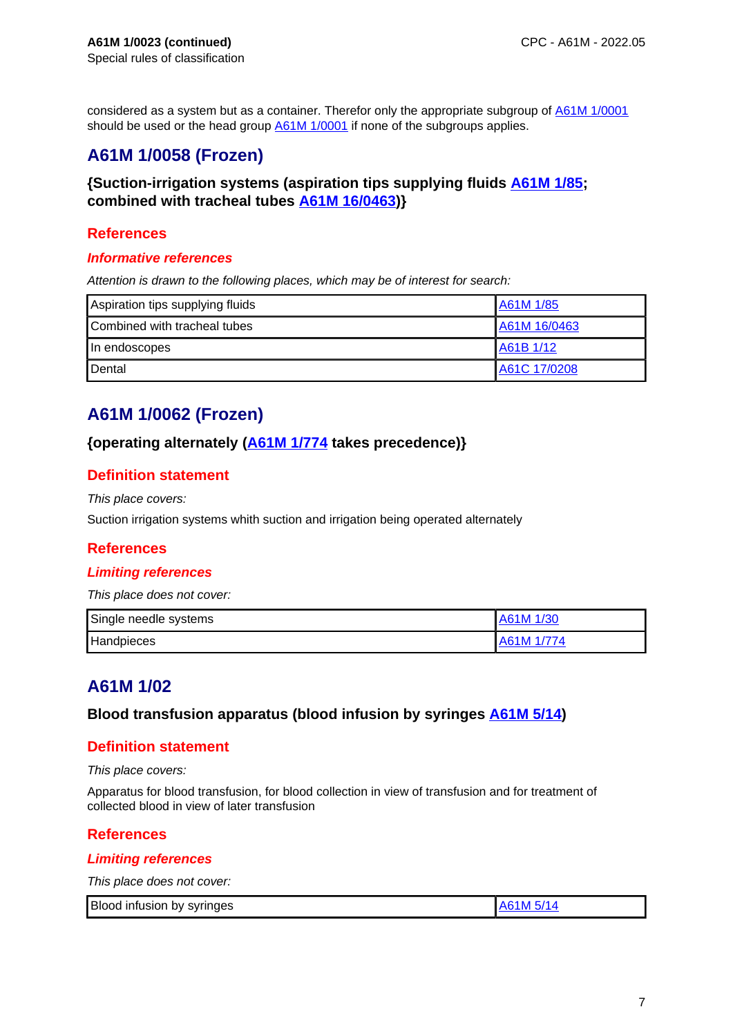considered as a system but as a container. Therefor only the appropriate subgroup of A61M 1/0001 should be used or the head group **A61M 1/0001** if none of the subgroups applies.

# **A61M 1/0058 (Frozen)**

# **{Suction-irrigation systems (aspiration tips supplying fluids A61M 1/85; combined with tracheal tubes A61M 16/0463)}**

## **References**

#### **Informative references**

Attention is drawn to the following places, which may be of interest for search:

| Aspiration tips supplying fluids | A61M 1/85    |
|----------------------------------|--------------|
| Combined with tracheal tubes     | A61M 16/0463 |
| In endoscopes                    | A61B 1/12    |
| Dental                           | A61C 17/0208 |

# **A61M 1/0062 (Frozen)**

## **{operating alternately (A61M 1/774 takes precedence)}**

# **Definition statement**

This place covers:

Suction irrigation systems whith suction and irrigation being operated alternately

# **References**

### **Limiting references**

This place does not cover:

| Single needle systems | A61M 1/30  |
|-----------------------|------------|
| Handpieces            | A61M 1/774 |

# **A61M 1/02**

### **Blood transfusion apparatus (blood infusion by syringes A61M 5/14)**

## **Definition statement**

This place covers:

Apparatus for blood transfusion, for blood collection in view of transfusion and for treatment of collected blood in view of later transfusion

### **References**

### **Limiting references**

This place does not cover:

| <b>Blood</b><br>svringes<br>infusion by |  |  |
|-----------------------------------------|--|--|
|-----------------------------------------|--|--|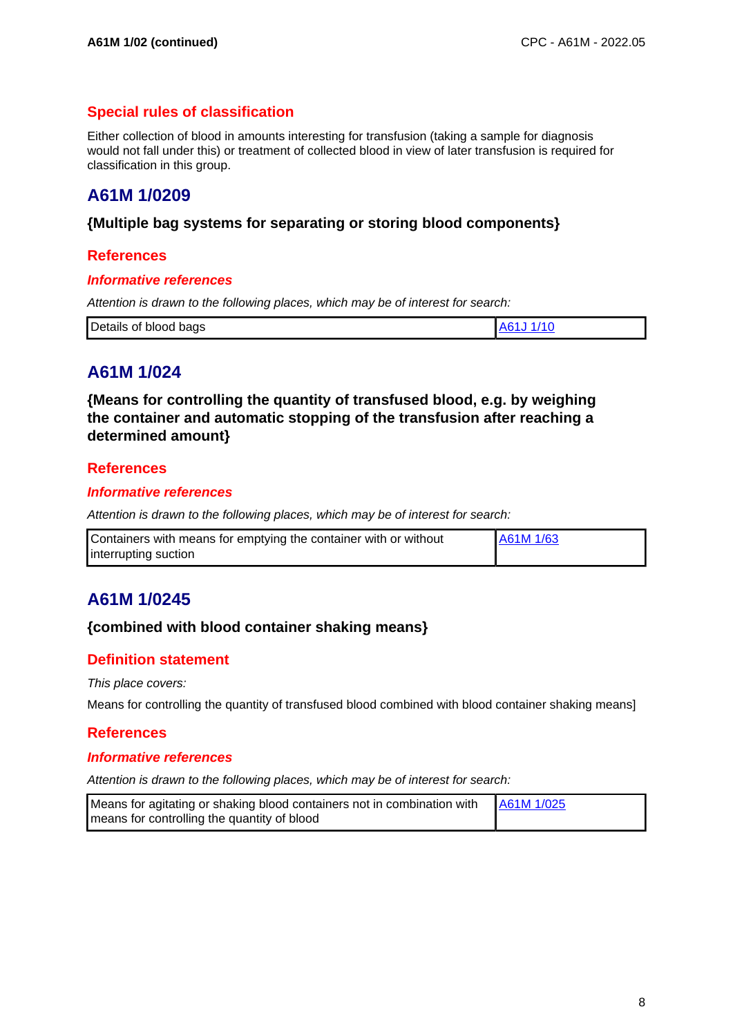# **Special rules of classification**

Either collection of blood in amounts interesting for transfusion (taking a sample for diagnosis would not fall under this) or treatment of collected blood in view of later transfusion is required for classification in this group.

# **A61M 1/0209**

## **{Multiple bag systems for separating or storing blood components}**

### **References**

#### **Informative references**

Attention is drawn to the following places, which may be of interest for search:

| Details<br>bags<br>. of<br>blood |  |
|----------------------------------|--|
|----------------------------------|--|

# **A61M 1/024**

**{Means for controlling the quantity of transfused blood, e.g. by weighing the container and automatic stopping of the transfusion after reaching a determined amount}**

### **References**

#### **Informative references**

Attention is drawn to the following places, which may be of interest for search:

| Containers with means for emptying the container with or without | A61M 1/63 |
|------------------------------------------------------------------|-----------|
| interrupting suction                                             |           |

# **A61M 1/0245**

## **{combined with blood container shaking means}**

### **Definition statement**

This place covers:

Means for controlling the quantity of transfused blood combined with blood container shaking means]

#### **References**

#### **Informative references**

| Means for agitating or shaking blood containers not in combination with   A61M 1/025 |  |
|--------------------------------------------------------------------------------------|--|
| means for controlling the quantity of blood                                          |  |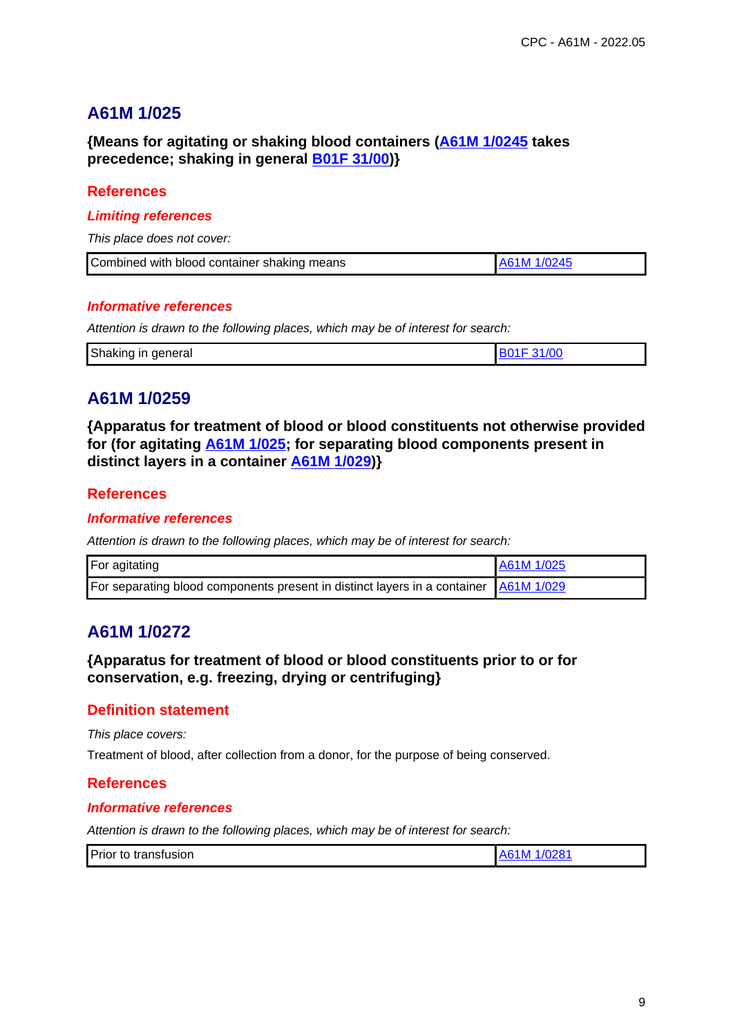**{Means for agitating or shaking blood containers (A61M 1/0245 takes precedence; shaking in general B01F 31/00)}**

## **References**

#### **Limiting references**

This place does not cover:

| Combined with blood container shaking means | A61M 1/0245 |
|---------------------------------------------|-------------|

#### **Informative references**

Attention is drawn to the following places, which may be of interest for search:

| Shaking<br>general<br>ın |  |
|--------------------------|--|
|                          |  |

# **A61M 1/0259**

**{Apparatus for treatment of blood or blood constituents not otherwise provided for (for agitating A61M 1/025; for separating blood components present in distinct layers in a container A61M 1/029)}**

## **References**

#### **Informative references**

Attention is drawn to the following places, which may be of interest for search:

| For agitating                                                                        | A61M 1/025 |
|--------------------------------------------------------------------------------------|------------|
| For separating blood components present in distinct layers in a container A61M 1/029 |            |

# **A61M 1/0272**

# **{Apparatus for treatment of blood or blood constituents prior to or for conservation, e.g. freezing, drying or centrifuging}**

### **Definition statement**

This place covers:

Treatment of blood, after collection from a donor, for the purpose of being conserved.

### **References**

#### **Informative references**

| Prior to transfusion | 1/0281<br>A6<br>.1M |
|----------------------|---------------------|
|----------------------|---------------------|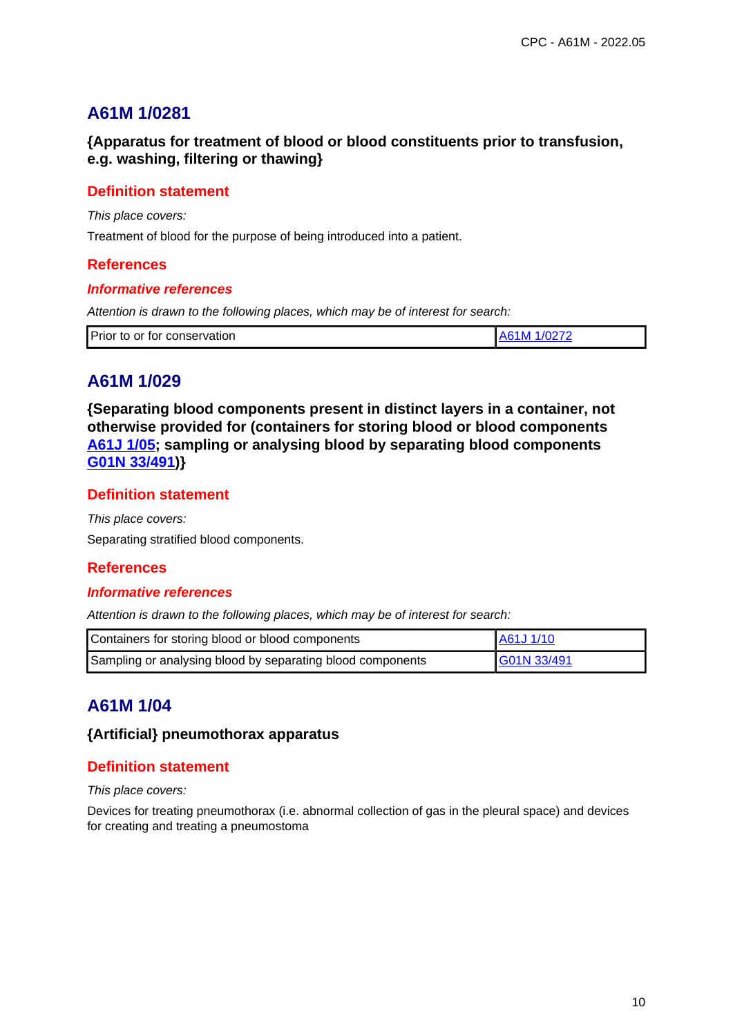**{Apparatus for treatment of blood or blood constituents prior to transfusion, e.g. washing, filtering or thawing}**

## **Definition statement**

This place covers:

Treatment of blood for the purpose of being introduced into a patient.

#### **References**

#### **Informative references**

Attention is drawn to the following places, which may be of interest for search:

| Prior to or for conservation | A61M 1/0272 |
|------------------------------|-------------|
|------------------------------|-------------|

# **A61M 1/029**

**{Separating blood components present in distinct layers in a container, not otherwise provided for (containers for storing blood or blood components A61J 1/05; sampling or analysing blood by separating blood components G01N 33/491)}**

## **Definition statement**

This place covers: Separating stratified blood components.

### **References**

#### **Informative references**

Attention is drawn to the following places, which may be of interest for search:

| Containers for storing blood or blood components           | A61J 1/10   |
|------------------------------------------------------------|-------------|
| Sampling or analysing blood by separating blood components | G01N 33/491 |

# **A61M 1/04**

## **{Artificial} pneumothorax apparatus**

### **Definition statement**

This place covers:

Devices for treating pneumothorax (i.e. abnormal collection of gas in the pleural space) and devices for creating and treating a pneumostoma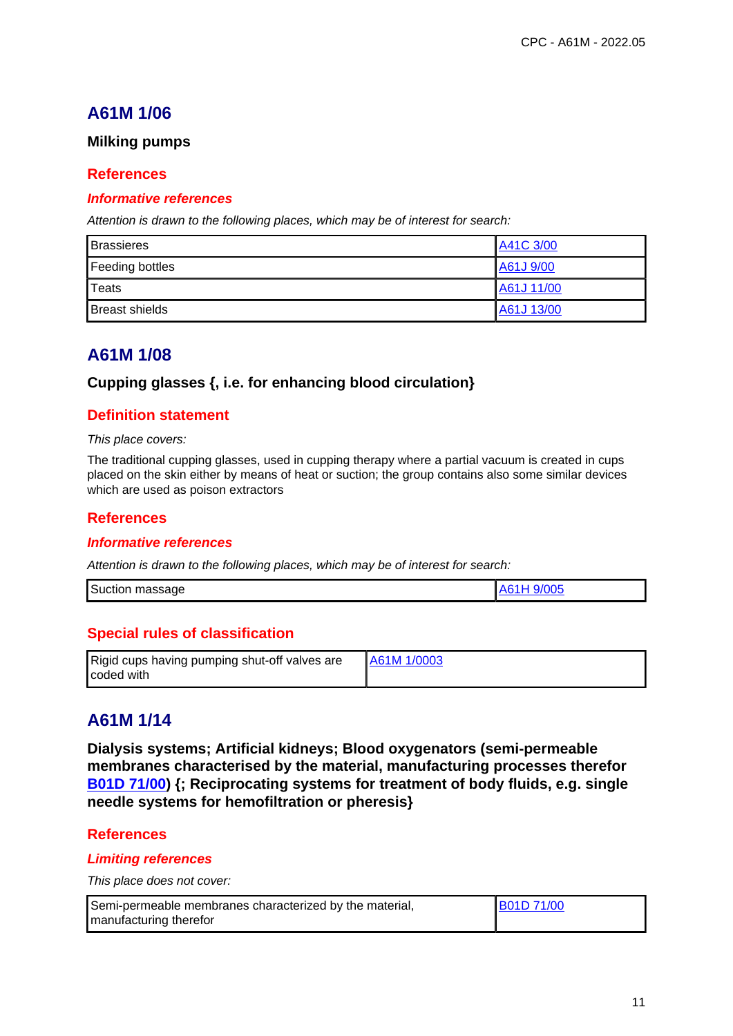## **Milking pumps**

## **References**

#### **Informative references**

Attention is drawn to the following places, which may be of interest for search:

| <b>Brassieres</b>     | A41C 3/00  |
|-----------------------|------------|
| Feeding bottles       | A61J 9/00  |
| Teats                 | A61J 11/00 |
| <b>Breast shields</b> | A61J 13/00 |

# **A61M 1/08**

## **Cupping glasses {, i.e. for enhancing blood circulation}**

# **Definition statement**

This place covers:

The traditional cupping glasses, used in cupping therapy where a partial vacuum is created in cups placed on the skin either by means of heat or suction; the group contains also some similar devices which are used as poison extractors

## **References**

#### **Informative references**

Attention is drawn to the following places, which may be of interest for search:

| Suction<br>9/005<br>massage |
|-----------------------------|
|-----------------------------|

# **Special rules of classification**

| Rigid cups having pumping shut-off valves are | <b>A61M 1/0003</b> |
|-----------------------------------------------|--------------------|
| coded with                                    |                    |

# **A61M 1/14**

**Dialysis systems; Artificial kidneys; Blood oxygenators (semi-permeable membranes characterised by the material, manufacturing processes therefor B01D 71/00) {; Reciprocating systems for treatment of body fluids, e.g. single needle systems for hemofiltration or pheresis}**

### **References**

### **Limiting references**

This place does not cover:

| Semi-permeable membranes characterized by the material, | <b>B01D 71/00</b> |
|---------------------------------------------------------|-------------------|
| manufacturing therefor                                  |                   |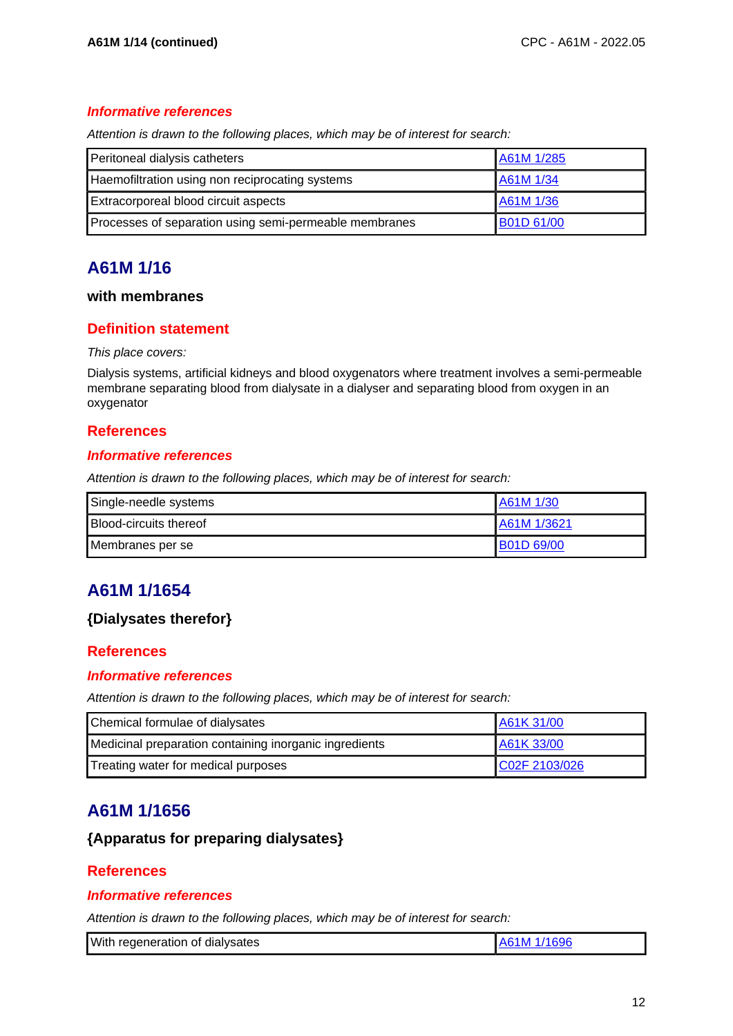## **Informative references**

Attention is drawn to the following places, which may be of interest for search:

| Peritoneal dialysis catheters                          | A61M 1/285        |
|--------------------------------------------------------|-------------------|
| Haemofiltration using non reciprocating systems        | A61M 1/34         |
| Extracorporeal blood circuit aspects                   | A61M 1/36         |
| Processes of separation using semi-permeable membranes | <b>B01D 61/00</b> |

# **A61M 1/16**

## **with membranes**

# **Definition statement**

#### This place covers:

Dialysis systems, artificial kidneys and blood oxygenators where treatment involves a semi-permeable membrane separating blood from dialysate in a dialyser and separating blood from oxygen in an oxygenator

## **References**

### **Informative references**

Attention is drawn to the following places, which may be of interest for search:

| Single-needle systems         | A61M 1/30         |
|-------------------------------|-------------------|
| <b>Blood-circuits thereof</b> | LA61M 1/3621      |
| Membranes per se              | <b>B01D 69/00</b> |

# **A61M 1/1654**

# **{Dialysates therefor}**

### **References**

### **Informative references**

Attention is drawn to the following places, which may be of interest for search:

| Chemical formulae of dialysates                        | A61K 31/00    |
|--------------------------------------------------------|---------------|
| Medicinal preparation containing inorganic ingredients | A61K 33/00    |
| Treating water for medical purposes                    | C02F 2103/026 |

# **A61M 1/1656**

# **{Apparatus for preparing dialysates}**

### **References**

#### **Informative references**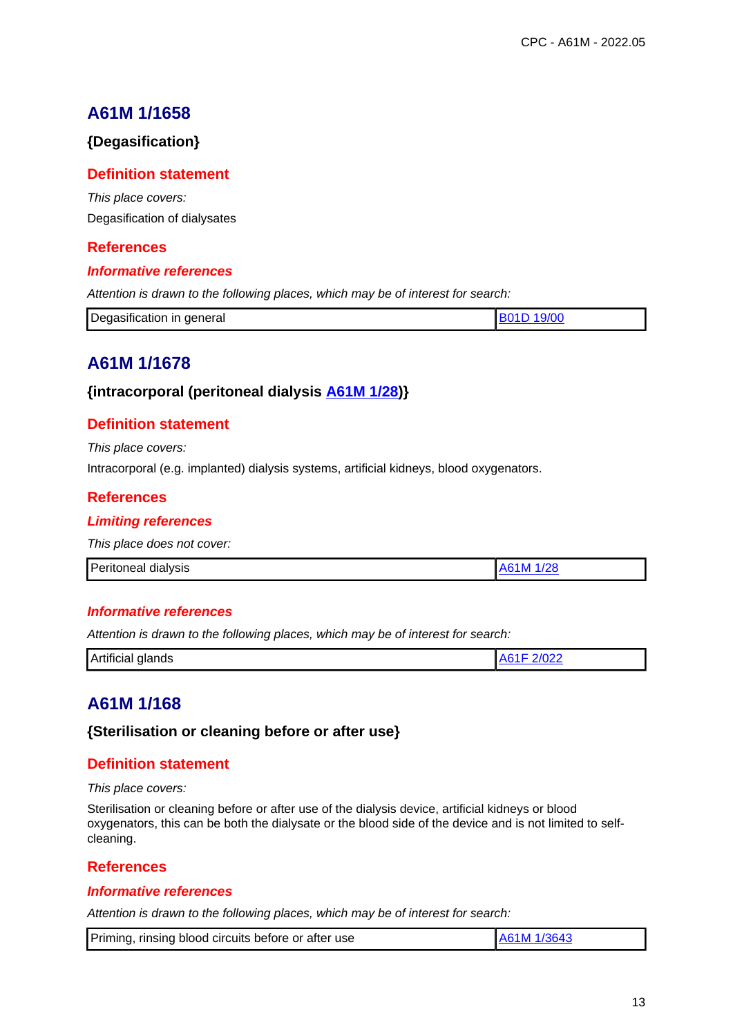# **{Degasification}**

## **Definition statement**

This place covers: Degasification of dialysates

# **References**

### **Informative references**

Attention is drawn to the following places, which may be of interest for search:

| Ð<br>in general<br>Degasification |  |
|-----------------------------------|--|
|                                   |  |

# **A61M 1/1678**

### **{intracorporal (peritoneal dialysis A61M 1/28)}**

## **Definition statement**

This place covers:

Intracorporal (e.g. implanted) dialysis systems, artificial kidneys, blood oxygenators.

### **References**

#### **Limiting references**

This place does not cover:

| Peritoneal dialysis | /28<br>ΛL<br>N |
|---------------------|----------------|

#### **Informative references**

Attention is drawn to the following places, which may be of interest for search:

| .<br>Artificial<br>glands | --- |
|---------------------------|-----|

# **A61M 1/168**

**{Sterilisation or cleaning before or after use}**

### **Definition statement**

This place covers:

Sterilisation or cleaning before or after use of the dialysis device, artificial kidneys or blood oxygenators, this can be both the dialysate or the blood side of the device and is not limited to selfcleaning.

### **References**

#### **Informative references**

| Priming, rinsing blood circuits before or after use | A61M 1/3643 |
|-----------------------------------------------------|-------------|
|-----------------------------------------------------|-------------|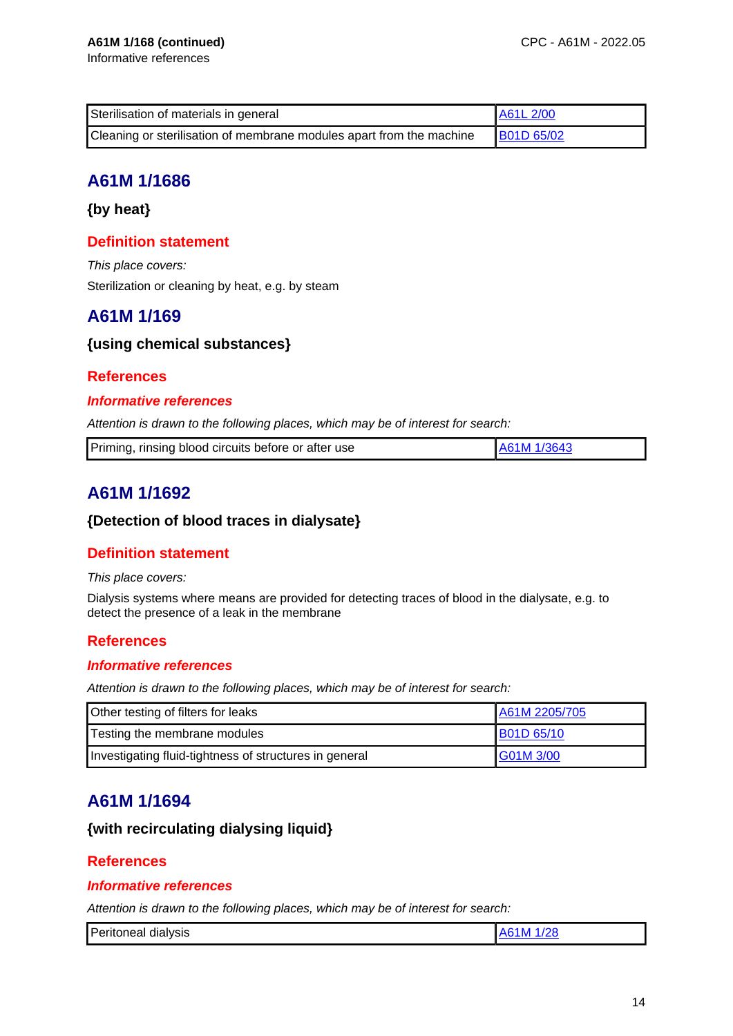| Sterilisation of materials in general                                | A61L 2/00         |
|----------------------------------------------------------------------|-------------------|
| Cleaning or sterilisation of membrane modules apart from the machine | <b>B01D 65/02</b> |

**{by heat}**

# **Definition statement**

This place covers: Sterilization or cleaning by heat, e.g. by steam

# **A61M 1/169**

# **{using chemical substances}**

# **References**

### **Informative references**

Attention is drawn to the following places, which may be of interest for search:

| Priming, rinsing blood circuits before or after use |  |
|-----------------------------------------------------|--|
|                                                     |  |

# **A61M 1/1692**

## **{Detection of blood traces in dialysate}**

# **Definition statement**

#### This place covers:

Dialysis systems where means are provided for detecting traces of blood in the dialysate, e.g. to detect the presence of a leak in the membrane

# **References**

### **Informative references**

Attention is drawn to the following places, which may be of interest for search:

| Other testing of filters for leaks                     | A61M 2205/705     |
|--------------------------------------------------------|-------------------|
| Testing the membrane modules                           | <b>B01D 65/10</b> |
| Investigating fluid-tightness of structures in general | G01M 3/00         |

# **A61M 1/1694**

# **{with recirculating dialysing liquid}**

### **References**

## **Informative references**

| Peritoneal dialysis |
|---------------------|
|---------------------|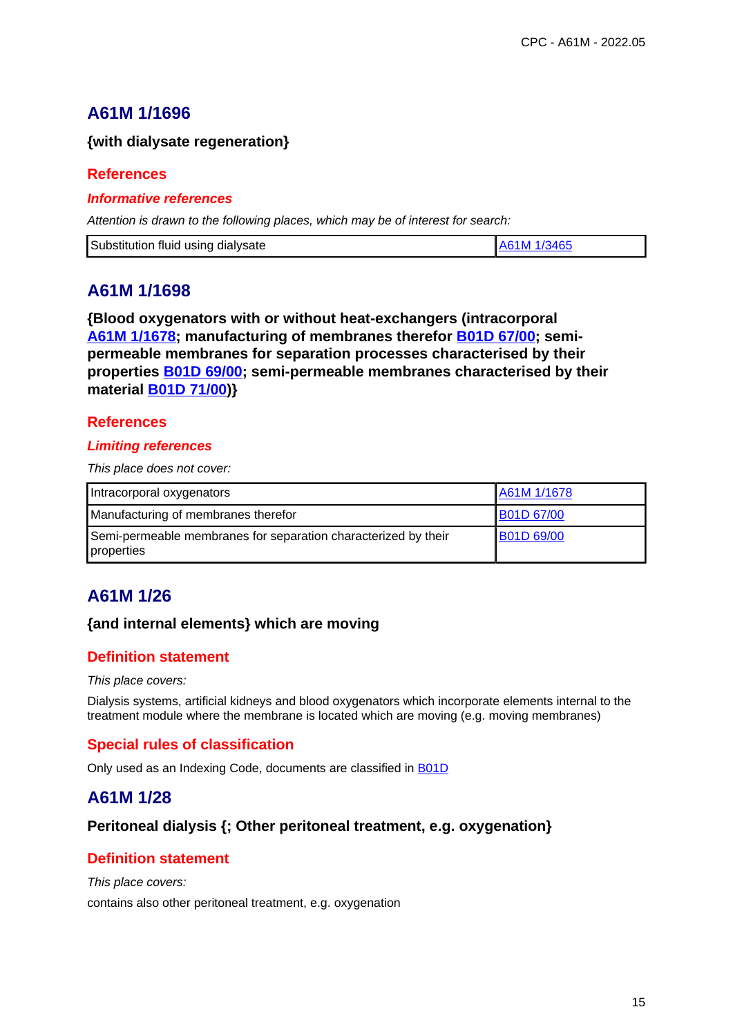## **{with dialysate regeneration}**

### **References**

#### **Informative references**

Attention is drawn to the following places, which may be of interest for search:

| Substitution fluid using dialysate<br>LA61M 1/3465 |
|----------------------------------------------------|
|----------------------------------------------------|

# **A61M 1/1698**

**{Blood oxygenators with or without heat-exchangers (intracorporal A61M 1/1678; manufacturing of membranes therefor B01D 67/00; semipermeable membranes for separation processes characterised by their properties B01D 69/00; semi-permeable membranes characterised by their material B01D 71/00)}**

## **References**

#### **Limiting references**

This place does not cover:

| Intracorporal oxygenators                                                    | A61M 1/1678       |
|------------------------------------------------------------------------------|-------------------|
| Manufacturing of membranes therefor                                          | <b>B01D 67/00</b> |
| Semi-permeable membranes for separation characterized by their<br>properties | <b>B01D 69/00</b> |

# **A61M 1/26**

### **{and internal elements} which are moving**

# **Definition statement**

#### This place covers:

Dialysis systems, artificial kidneys and blood oxygenators which incorporate elements internal to the treatment module where the membrane is located which are moving (e.g. moving membranes)

# **Special rules of classification**

Only used as an Indexing Code, documents are classified in B01D

# **A61M 1/28**

### **Peritoneal dialysis {; Other peritoneal treatment, e.g. oxygenation}**

# **Definition statement**

This place covers:

contains also other peritoneal treatment, e.g. oxygenation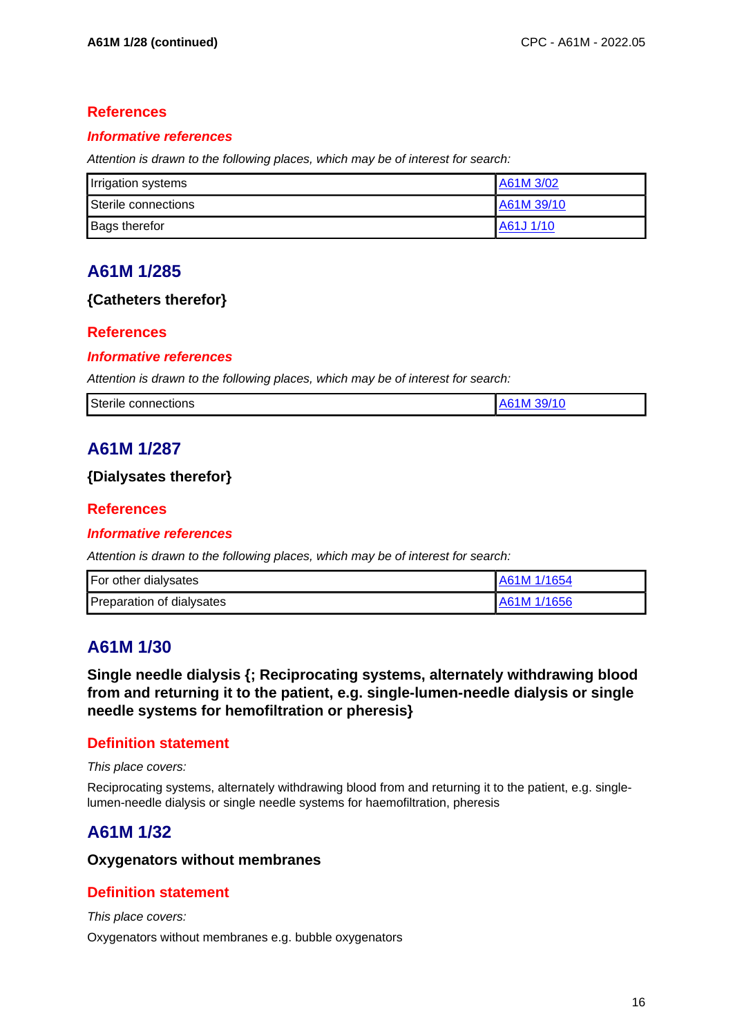# **References**

### **Informative references**

Attention is drawn to the following places, which may be of interest for search:

| Irrigation systems   | A61M 3/02  |
|----------------------|------------|
| Sterile connections  | A61M 39/10 |
| <b>Bags therefor</b> | A61J 1/10  |

# **A61M 1/285**

# **{Catheters therefor}**

# **References**

### **Informative references**

Attention is drawn to the following places, which may be of interest for search:

| <b>Sterile</b><br>connections | 39/17<br>$\Delta$ 6<br>-n |
|-------------------------------|---------------------------|
|                               |                           |

# **A61M 1/287**

## **{Dialysates therefor}**

# **References**

### **Informative references**

Attention is drawn to the following places, which may be of interest for search:

| For other dialysates      | A61M 1/1654 |
|---------------------------|-------------|
| Preparation of dialysates | A61M 1/1656 |

# **A61M 1/30**

**Single needle dialysis {; Reciprocating systems, alternately withdrawing blood from and returning it to the patient, e.g. single-lumen-needle dialysis or single needle systems for hemofiltration or pheresis}**

# **Definition statement**

This place covers:

Reciprocating systems, alternately withdrawing blood from and returning it to the patient, e.g. singlelumen-needle dialysis or single needle systems for haemofiltration, pheresis

# **A61M 1/32**

### **Oxygenators without membranes**

# **Definition statement**

This place covers:

Oxygenators without membranes e.g. bubble oxygenators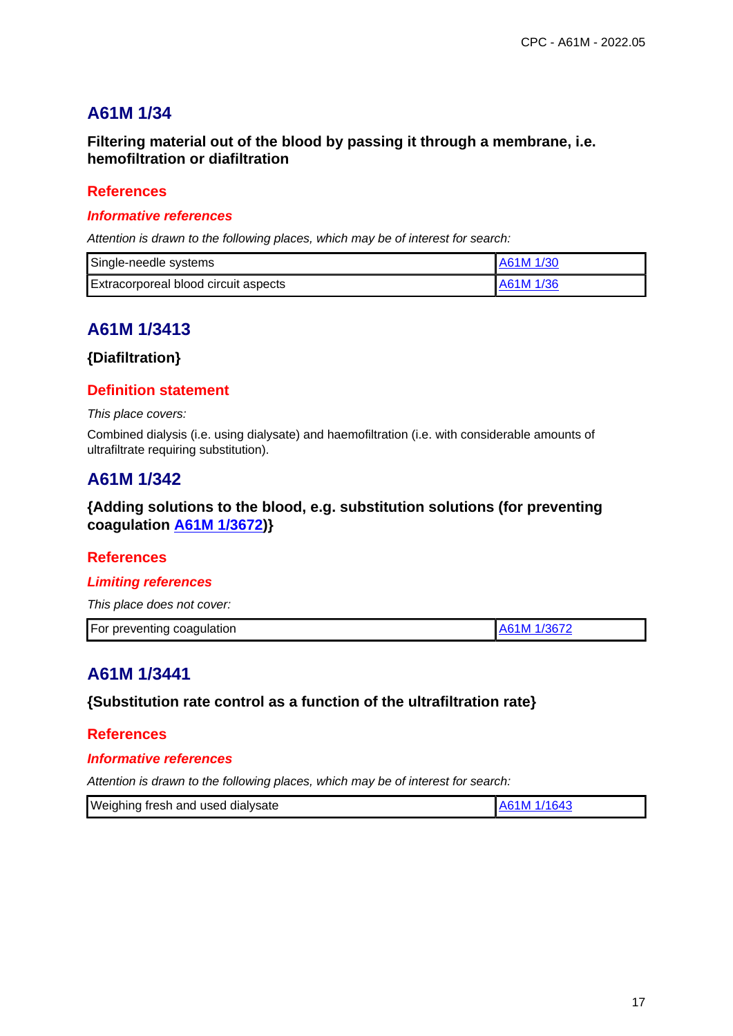**Filtering material out of the blood by passing it through a membrane, i.e. hemofiltration or diafiltration**

## **References**

#### **Informative references**

Attention is drawn to the following places, which may be of interest for search:

| Single-needle systems                       | A61M 1/30 |
|---------------------------------------------|-----------|
| <b>Extracorporeal blood circuit aspects</b> | A61M 1/36 |

# **A61M 1/3413**

## **{Diafiltration}**

### **Definition statement**

This place covers:

Combined dialysis (i.e. using dialysate) and haemofiltration (i.e. with considerable amounts of ultrafiltrate requiring substitution).

# **A61M 1/342**

## **{Adding solutions to the blood, e.g. substitution solutions (for preventing coagulation A61M 1/3672)}**

### **References**

#### **Limiting references**

This place does not cover:

| For preventing coagulation<br>/l 1/3672 |
|-----------------------------------------|
|-----------------------------------------|

# **A61M 1/3441**

### **{Substitution rate control as a function of the ultrafiltration rate}**

#### **References**

#### **Informative references**

| Weighing fresh and used dialysate | A61M 1/1643 |
|-----------------------------------|-------------|
|                                   |             |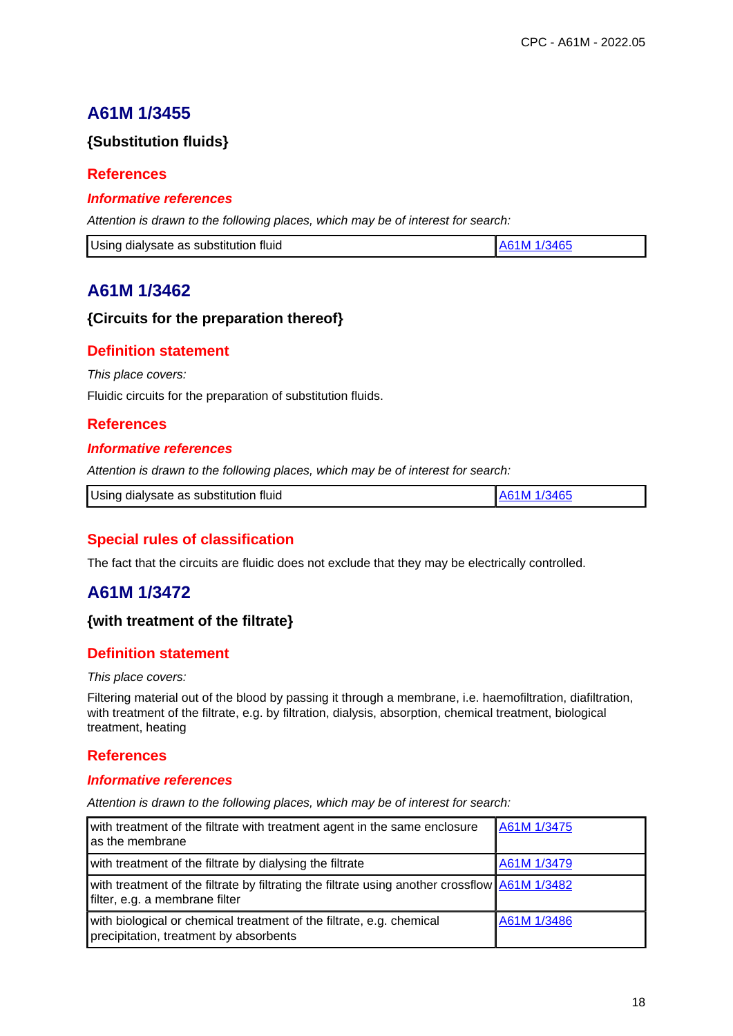# **{Substitution fluids}**

## **References**

#### **Informative references**

Attention is drawn to the following places, which may be of interest for search:

| A61M 1/3465<br>Using dialysate as substitution fluid |
|------------------------------------------------------|
|------------------------------------------------------|

# **A61M 1/3462**

## **{Circuits for the preparation thereof}**

# **Definition statement**

This place covers:

Fluidic circuits for the preparation of substitution fluids.

## **References**

#### **Informative references**

Attention is drawn to the following places, which may be of interest for search:

| Using dialysate as substitution fluid<br>1M 1/3465 |
|----------------------------------------------------|
|----------------------------------------------------|

# **Special rules of classification**

The fact that the circuits are fluidic does not exclude that they may be electrically controlled.

# **A61M 1/3472**

## **{with treatment of the filtrate}**

### **Definition statement**

#### This place covers:

Filtering material out of the blood by passing it through a membrane, i.e. haemofiltration, diafiltration, with treatment of the filtrate, e.g. by filtration, dialysis, absorption, chemical treatment, biological treatment, heating

### **References**

#### **Informative references**

| with treatment of the filtrate with treatment agent in the same enclosure<br>as the membrane                                    | A61M 1/3475 |
|---------------------------------------------------------------------------------------------------------------------------------|-------------|
| with treatment of the filtrate by dialysing the filtrate                                                                        | A61M 1/3479 |
| with treatment of the filtrate by filtrating the filtrate using another crossflow A61M 1/3482<br>filter, e.g. a membrane filter |             |
| with biological or chemical treatment of the filtrate, e.g. chemical<br>precipitation, treatment by absorbents                  | A61M 1/3486 |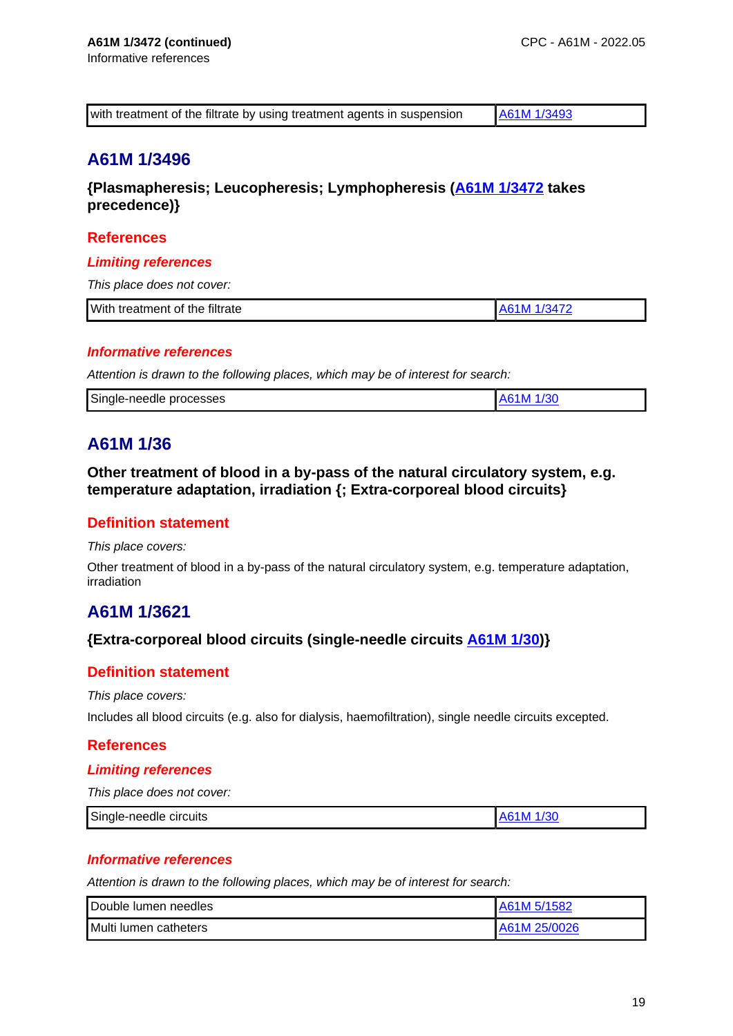| with treatment of the filtrate by using treatment agents in suspension | A61M 1/3493 |
|------------------------------------------------------------------------|-------------|

**{Plasmapheresis; Leucopheresis; Lymphopheresis (A61M 1/3472 takes precedence)}**

# **References**

### **Limiting references**

This place does not cover:

| <b>With</b><br>treatment of the filtrate |  |
|------------------------------------------|--|

### **Informative references**

Attention is drawn to the following places, which may be of interest for search:

# **A61M 1/36**

**Other treatment of blood in a by-pass of the natural circulatory system, e.g. temperature adaptation, irradiation {; Extra-corporeal blood circuits}**

### **Definition statement**

This place covers:

Other treatment of blood in a by-pass of the natural circulatory system, e.g. temperature adaptation, irradiation

# **A61M 1/3621**

### **{Extra-corporeal blood circuits (single-needle circuits A61M 1/30)}**

### **Definition statement**

This place covers:

Includes all blood circuits (e.g. also for dialysis, haemofiltration), single needle circuits excepted.

### **References**

#### **Limiting references**

This place does not cover:

| Single-needle<br>circuits |  |
|---------------------------|--|
|                           |  |

### **Informative references**

| Double lumen needles  | A61M 5/1582    |
|-----------------------|----------------|
| Multi lumen catheters | I A61M 25/0026 |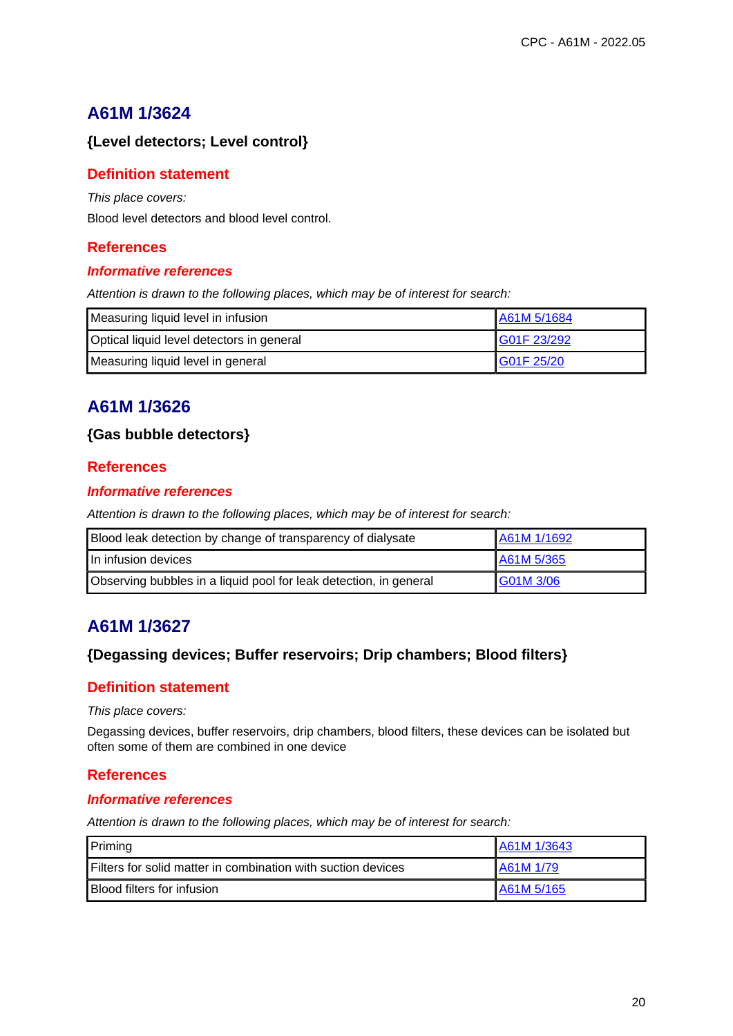# **{Level detectors; Level control}**

## **Definition statement**

This place covers:

Blood level detectors and blood level control.

# **References**

#### **Informative references**

Attention is drawn to the following places, which may be of interest for search:

| Measuring liquid level in infusion        | A61M 5/1684 |
|-------------------------------------------|-------------|
| Optical liquid level detectors in general | G01F 23/292 |
| Measuring liquid level in general         | G01F 25/20  |

# **A61M 1/3626**

## **{Gas bubble detectors}**

## **References**

### **Informative references**

Attention is drawn to the following places, which may be of interest for search:

| Blood leak detection by change of transparency of dialysate       | A61M 1/1692 |
|-------------------------------------------------------------------|-------------|
| In infusion devices                                               | A61M 5/365  |
| Observing bubbles in a liquid pool for leak detection, in general | G01M 3/06   |

# **A61M 1/3627**

## **{Degassing devices; Buffer reservoirs; Drip chambers; Blood filters}**

### **Definition statement**

This place covers:

Degassing devices, buffer reservoirs, drip chambers, blood filters, these devices can be isolated but often some of them are combined in one device

## **References**

#### **Informative references**

| Priming                                                               | A61M 1/3643 |
|-----------------------------------------------------------------------|-------------|
| <b>I</b> Filters for solid matter in combination with suction devices | IA61M 1/79  |
| <b>Blood filters for infusion</b>                                     | A61M 5/165  |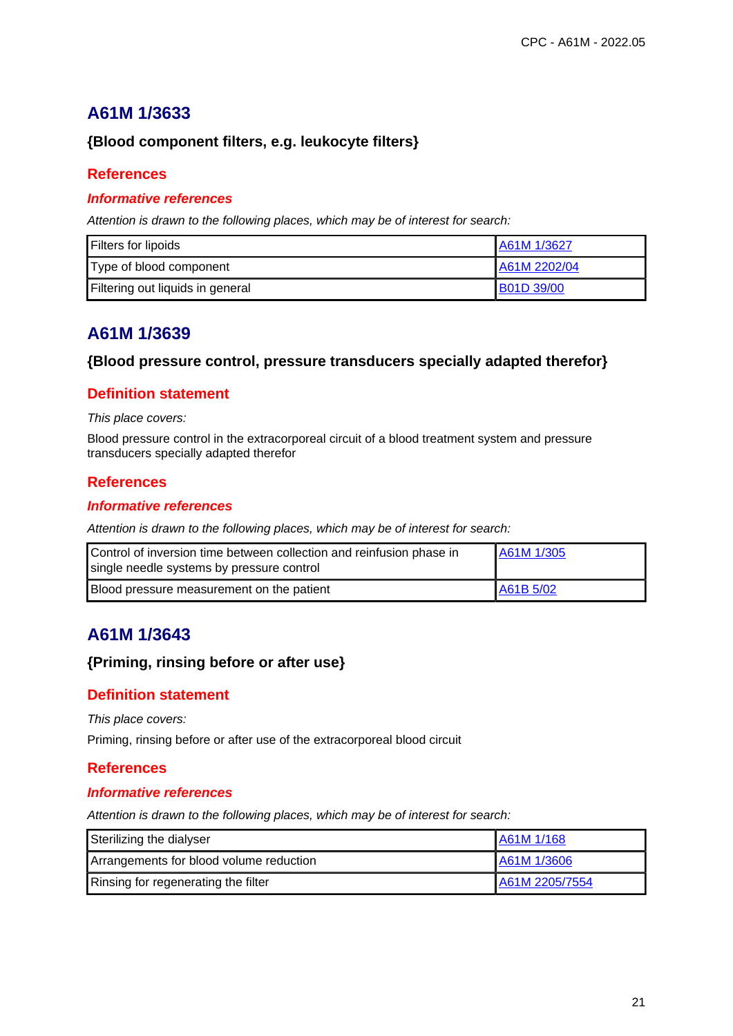## **{Blood component filters, e.g. leukocyte filters}**

## **References**

## **Informative references**

Attention is drawn to the following places, which may be of interest for search:

| Filters for lipoids              | A61M 1/3627       |
|----------------------------------|-------------------|
| Type of blood component          | A61M 2202/04      |
| Filtering out liquids in general | <b>B01D 39/00</b> |

# **A61M 1/3639**

### **{Blood pressure control, pressure transducers specially adapted therefor}**

## **Definition statement**

#### This place covers:

Blood pressure control in the extracorporeal circuit of a blood treatment system and pressure transducers specially adapted therefor

### **References**

#### **Informative references**

Attention is drawn to the following places, which may be of interest for search:

| Control of inversion time between collection and reinfusion phase in<br>single needle systems by pressure control | A61M 1/305 |
|-------------------------------------------------------------------------------------------------------------------|------------|
| Blood pressure measurement on the patient                                                                         | A61B 5/02  |

# **A61M 1/3643**

## **{Priming, rinsing before or after use}**

### **Definition statement**

This place covers:

Priming, rinsing before or after use of the extracorporeal blood circuit

### **References**

#### **Informative references**

| Sterilizing the dialyser                | A61M 1/168     |
|-----------------------------------------|----------------|
| Arrangements for blood volume reduction | A61M 1/3606    |
| Rinsing for regenerating the filter     | A61M 2205/7554 |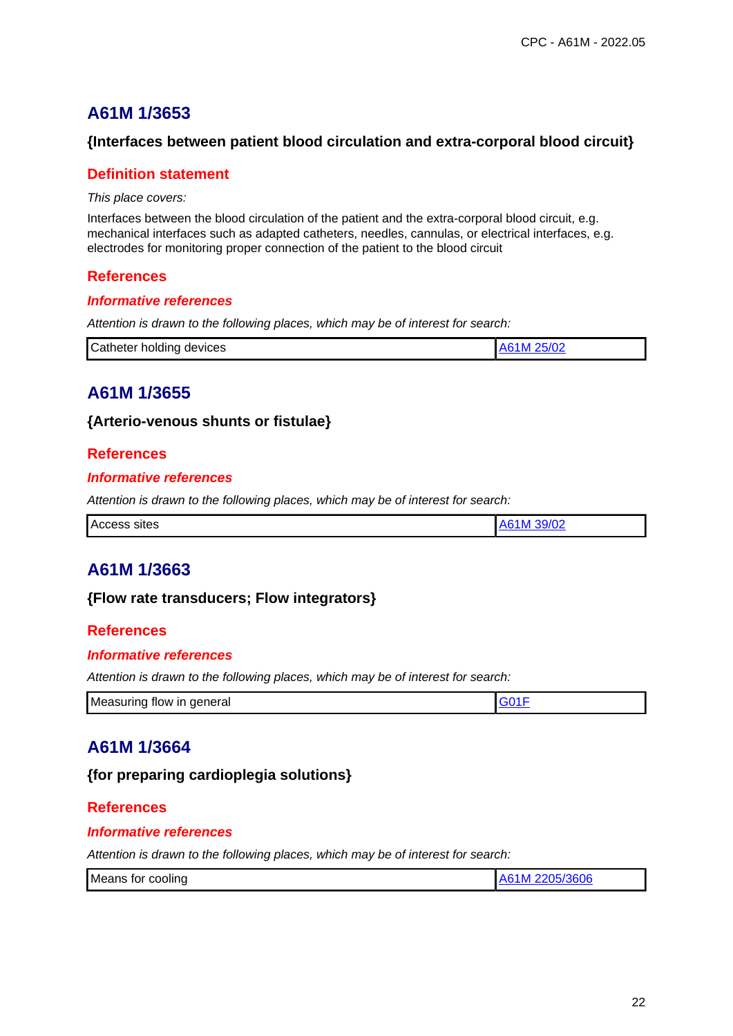## **{Interfaces between patient blood circulation and extra-corporal blood circuit}**

## **Definition statement**

This place covers:

Interfaces between the blood circulation of the patient and the extra-corporal blood circuit, e.g. mechanical interfaces such as adapted catheters, needles, cannulas, or electrical interfaces, e.g. electrodes for monitoring proper connection of the patient to the blood circuit

### **References**

#### **Informative references**

Attention is drawn to the following places, which may be of interest for search:

| Catheter holding devices | 25/02<br>A61M |
|--------------------------|---------------|
|--------------------------|---------------|

# **A61M 1/3655**

### **{Arterio-venous shunts or fistulae}**

### **References**

### **Informative references**

Attention is drawn to the following places, which may be of interest for search:

|--|

# **A61M 1/3663**

### **{Flow rate transducers; Flow integrators}**

### **References**

#### **Informative references**

Attention is drawn to the following places, which may be of interest for search:

| Measuring flow in general |  |
|---------------------------|--|

# **A61M 1/3664**

### **{for preparing cardioplegia solutions}**

### **References**

#### **Informative references**

| Means for cooling | 5/3606<br>ı<br>. |
|-------------------|------------------|
|                   |                  |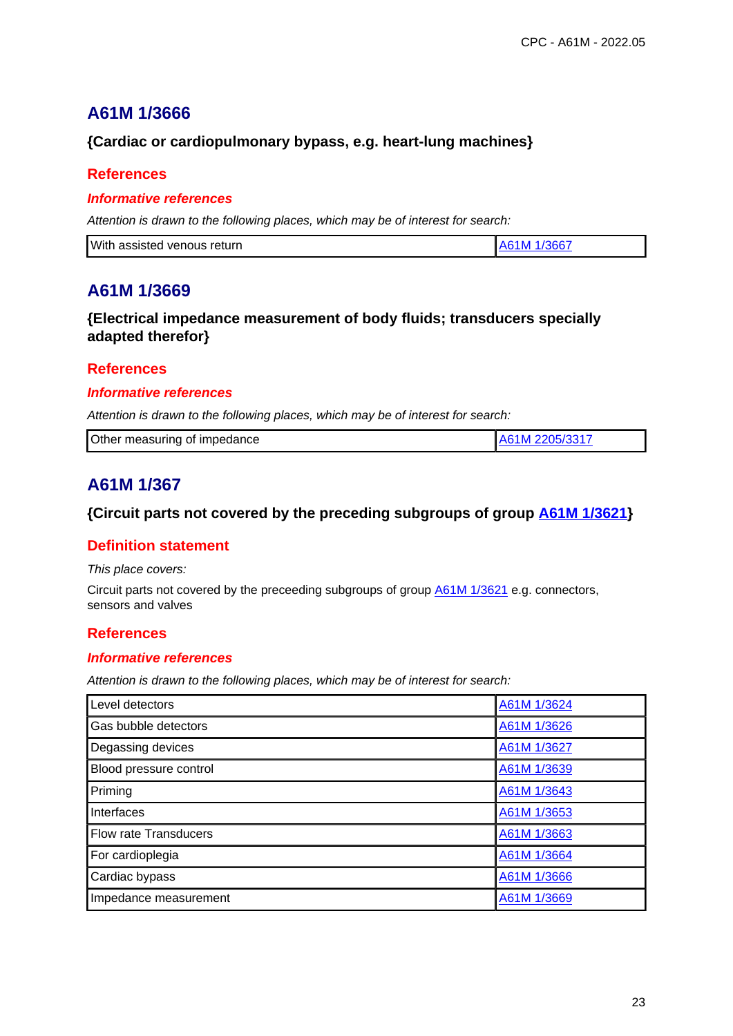# **{Cardiac or cardiopulmonary bypass, e.g. heart-lung machines}**

## **References**

#### **Informative references**

Attention is drawn to the following places, which may be of interest for search:

| With assisted venous return | 1/3667<br>M |
|-----------------------------|-------------|
|                             |             |

# **A61M 1/3669**

## **{Electrical impedance measurement of body fluids; transducers specially adapted therefor}**

### **References**

#### **Informative references**

Attention is drawn to the following places, which may be of interest for search:

| Other measuring of impedance |  |
|------------------------------|--|

# **A61M 1/367**

## **{Circuit parts not covered by the preceding subgroups of group A61M 1/3621}**

# **Definition statement**

This place covers:

Circuit parts not covered by the preceeding subgroups of group **A61M 1/3621** e.g. connectors, sensors and valves

### **References**

#### **Informative references**

| Level detectors              | A61M 1/3624 |
|------------------------------|-------------|
| Gas bubble detectors         | A61M 1/3626 |
| Degassing devices            | A61M 1/3627 |
| Blood pressure control       | A61M 1/3639 |
| Priming                      | A61M 1/3643 |
| Interfaces                   | A61M 1/3653 |
| <b>Flow rate Transducers</b> | A61M 1/3663 |
| For cardioplegia             | A61M 1/3664 |
| Cardiac bypass               | A61M 1/3666 |
| Impedance measurement        | A61M 1/3669 |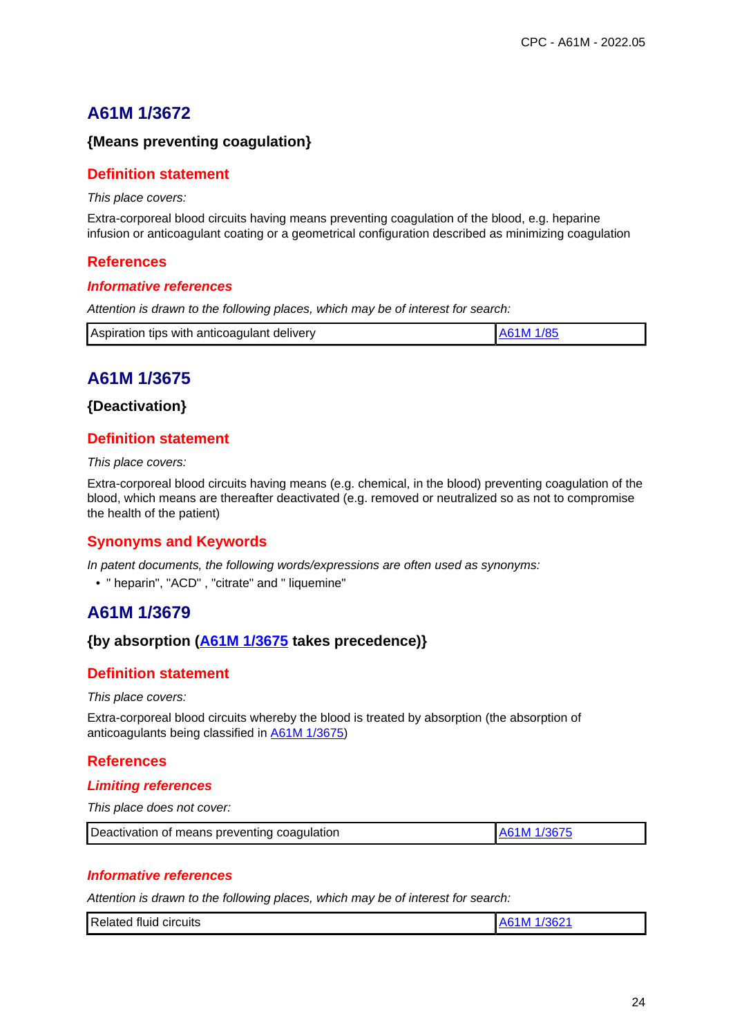# **{Means preventing coagulation}**

## **Definition statement**

This place covers:

Extra-corporeal blood circuits having means preventing coagulation of the blood, e.g. heparine infusion or anticoagulant coating or a geometrical configuration described as minimizing coagulation

### **References**

#### **Informative references**

Attention is drawn to the following places, which may be of interest for search:

|  | Aspiration tips with anticoagulant delivery | A61M 1/85 |
|--|---------------------------------------------|-----------|
|--|---------------------------------------------|-----------|

# **A61M 1/3675**

#### **{Deactivation}**

# **Definition statement**

This place covers:

Extra-corporeal blood circuits having means (e.g. chemical, in the blood) preventing coagulation of the blood, which means are thereafter deactivated (e.g. removed or neutralized so as not to compromise the health of the patient)

### **Synonyms and Keywords**

In patent documents, the following words/expressions are often used as synonyms:

• " heparin", "ACD" , "citrate" and " liquemine"

# **A61M 1/3679**

### **{by absorption (A61M 1/3675 takes precedence)}**

### **Definition statement**

This place covers:

Extra-corporeal blood circuits whereby the blood is treated by absorption (the absorption of anticoagulants being classified in A61M 1/3675)

# **References**

#### **Limiting references**

This place does not cover:

| Deactivation of means preventing coagulation | LA61M 1/3675 |
|----------------------------------------------|--------------|
|----------------------------------------------|--------------|

#### **Informative references**

| Related<br>ാമല<br>circuits<br>tluıq<br>l IV<br>$\sim$ |  |
|-------------------------------------------------------|--|
|-------------------------------------------------------|--|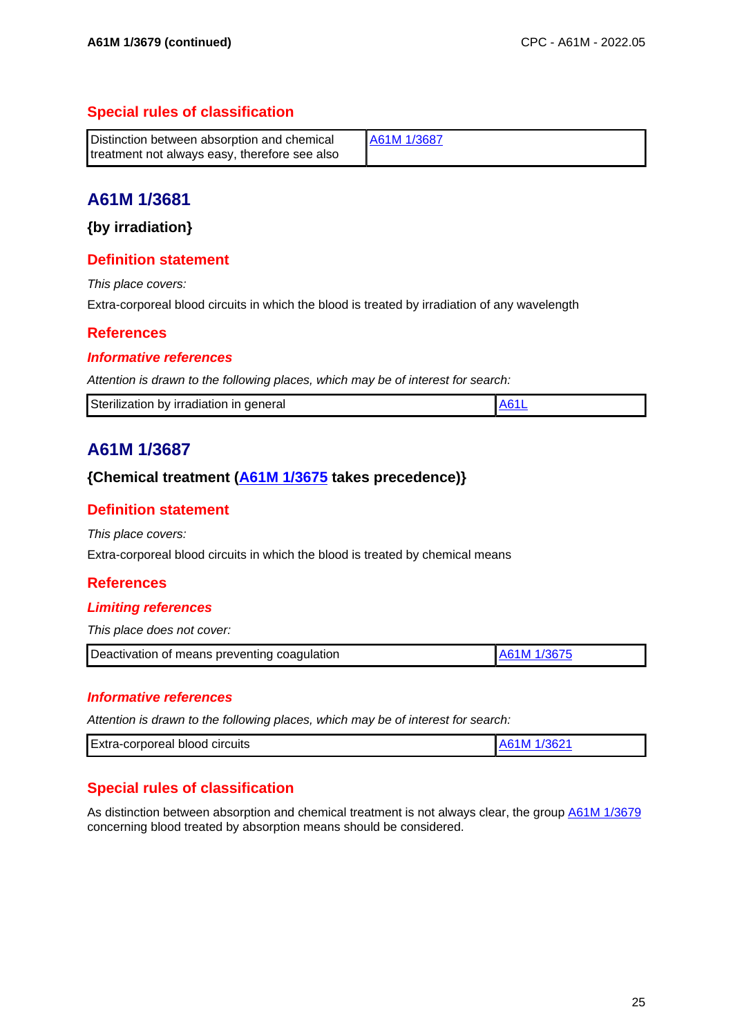# **Special rules of classification**

| Distinction between absorption and chemical   | A61M 1/3687 |
|-----------------------------------------------|-------------|
| treatment not always easy, therefore see also |             |

# **A61M 1/3681**

**{by irradiation}**

## **Definition statement**

This place covers:

Extra-corporeal blood circuits in which the blood is treated by irradiation of any wavelength

# **References**

### **Informative references**

Attention is drawn to the following places, which may be of interest for search:

| Sterilization by irradiation in general |  |  |
|-----------------------------------------|--|--|
|-----------------------------------------|--|--|

# **A61M 1/3687**

## **{Chemical treatment (A61M 1/3675 takes precedence)}**

# **Definition statement**

This place covers:

Extra-corporeal blood circuits in which the blood is treated by chemical means

### **References**

#### **Limiting references**

This place does not cover:

| Deactivation of means preventing coagulation | LA61M 1/3675 |
|----------------------------------------------|--------------|
|                                              |              |

#### **Informative references**

Attention is drawn to the following places, which may be of interest for search:

| Extra-corporeal<br>circuits<br>blood |  |
|--------------------------------------|--|

# **Special rules of classification**

As distinction between absorption and chemical treatment is not always clear, the group A61M 1/3679 concerning blood treated by absorption means should be considered.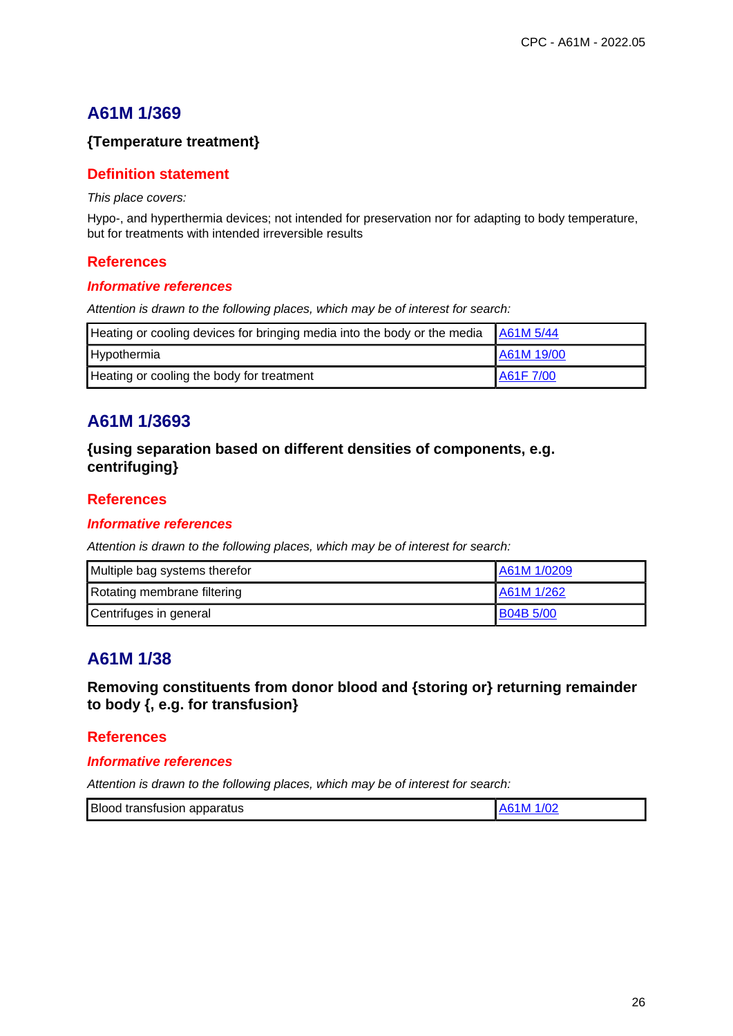# **{Temperature treatment}**

## **Definition statement**

This place covers:

Hypo-, and hyperthermia devices; not intended for preservation nor for adapting to body temperature, but for treatments with intended irreversible results

### **References**

#### **Informative references**

Attention is drawn to the following places, which may be of interest for search:

| Heating or cooling devices for bringing media into the body or the media A61M 5/44 |            |
|------------------------------------------------------------------------------------|------------|
| Hypothermia                                                                        | A61M 19/00 |
| Heating or cooling the body for treatment                                          | A61F 7/00  |

# **A61M 1/3693**

**{using separation based on different densities of components, e.g. centrifuging}**

### **References**

#### **Informative references**

Attention is drawn to the following places, which may be of interest for search:

| Multiple bag systems therefor | A61M 1/0209      |
|-------------------------------|------------------|
| Rotating membrane filtering   | A61M 1/262       |
| Centrifuges in general        | <b>B04B 5/00</b> |

# **A61M 1/38**

**Removing constituents from donor blood and {storing or} returning remainder to body {, e.g. for transfusion}**

### **References**

#### **Informative references**

| Blood transfusion apparatus | A61M 1/02 |
|-----------------------------|-----------|
|-----------------------------|-----------|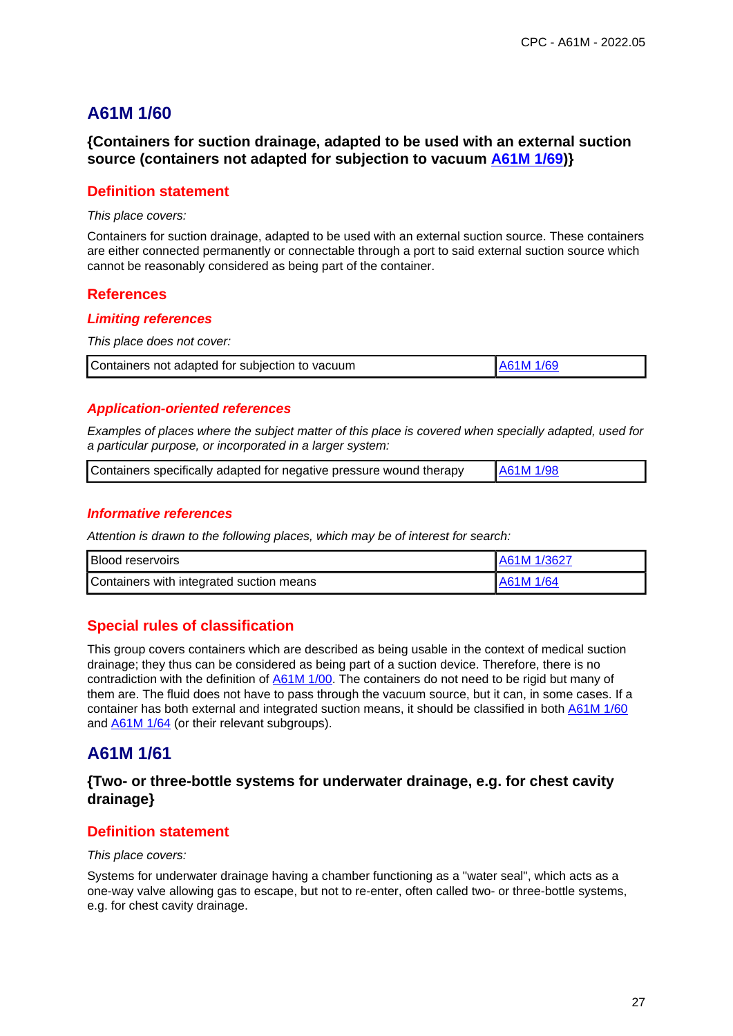## **{Containers for suction drainage, adapted to be used with an external suction source (containers not adapted for subjection to vacuum A61M 1/69)}**

### **Definition statement**

#### This place covers:

Containers for suction drainage, adapted to be used with an external suction source. These containers are either connected permanently or connectable through a port to said external suction source which cannot be reasonably considered as being part of the container.

### **References**

#### **Limiting references**

This place does not cover:

| Containers not adapted for subjection to vacuum | <b>A61M 1/69</b> |
|-------------------------------------------------|------------------|
|                                                 |                  |

#### **Application-oriented references**

Examples of places where the subject matter of this place is covered when specially adapted, used for a particular purpose, or incorporated in a larger system:

| Containers specifically adapted for negative pressure wound therapy | A61M 1/98 |
|---------------------------------------------------------------------|-----------|
|                                                                     |           |

#### **Informative references**

Attention is drawn to the following places, which may be of interest for search:

| <b>Blood reservoirs</b>                  | A61M 1/3627 |
|------------------------------------------|-------------|
| Containers with integrated suction means | IA61M 1/64  |

# **Special rules of classification**

This group covers containers which are described as being usable in the context of medical suction drainage; they thus can be considered as being part of a suction device. Therefore, there is no contradiction with the definition of A61M 1/00. The containers do not need to be rigid but many of them are. The fluid does not have to pass through the vacuum source, but it can, in some cases. If a container has both external and integrated suction means, it should be classified in both A61M 1/60 and **A61M 1/64** (or their relevant subgroups).

# **A61M 1/61**

## **{Two- or three-bottle systems for underwater drainage, e.g. for chest cavity drainage}**

### **Definition statement**

#### This place covers:

Systems for underwater drainage having a chamber functioning as a "water seal", which acts as a one-way valve allowing gas to escape, but not to re-enter, often called two- or three-bottle systems, e.g. for chest cavity drainage.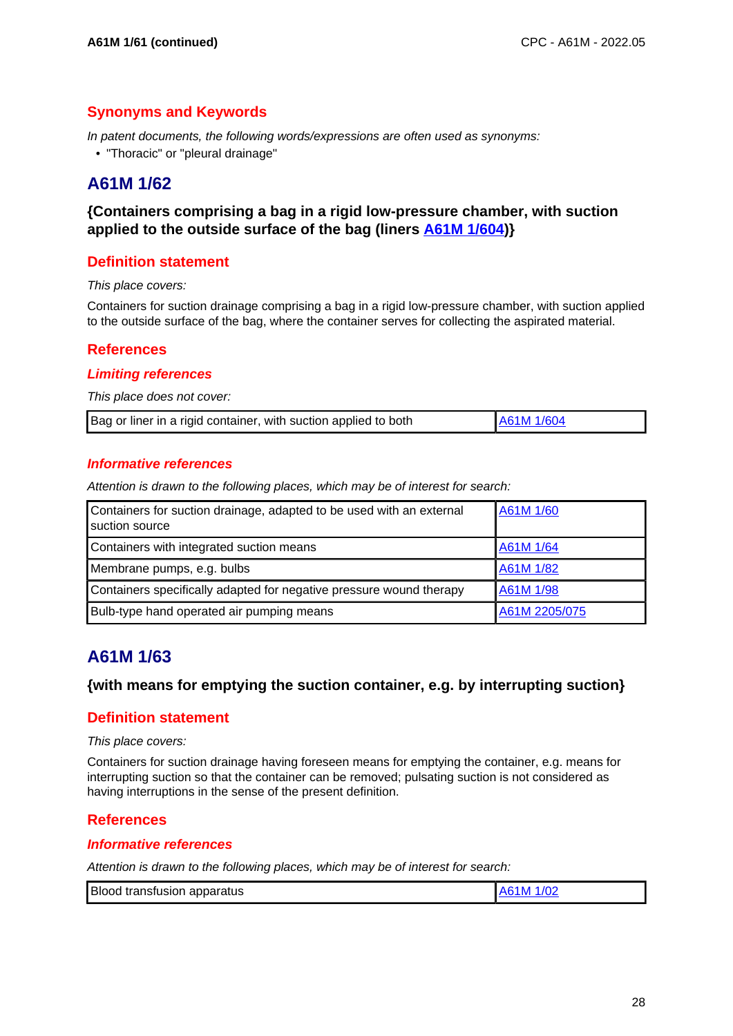# **Synonyms and Keywords**

In patent documents, the following words/expressions are often used as synonyms:

• "Thoracic" or "pleural drainage"

# **A61M 1/62**

## **{Containers comprising a bag in a rigid low-pressure chamber, with suction applied to the outside surface of the bag (liners A61M 1/604)}**

## **Definition statement**

This place covers:

Containers for suction drainage comprising a bag in a rigid low-pressure chamber, with suction applied to the outside surface of the bag, where the container serves for collecting the aspirated material.

### **References**

#### **Limiting references**

This place does not cover:

| Bag or liner in a rigid container, with suction applied to both | A61M 1/604 |
|-----------------------------------------------------------------|------------|
|-----------------------------------------------------------------|------------|

#### **Informative references**

Attention is drawn to the following places, which may be of interest for search:

| Containers for suction drainage, adapted to be used with an external<br>suction source | A61M 1/60     |
|----------------------------------------------------------------------------------------|---------------|
| Containers with integrated suction means                                               | A61M 1/64     |
| Membrane pumps, e.g. bulbs                                                             | A61M 1/82     |
| Containers specifically adapted for negative pressure wound therapy                    | A61M 1/98     |
| Bulb-type hand operated air pumping means                                              | A61M 2205/075 |

# **A61M 1/63**

### **{with means for emptying the suction container, e.g. by interrupting suction}**

### **Definition statement**

This place covers:

Containers for suction drainage having foreseen means for emptying the container, e.g. means for interrupting suction so that the container can be removed; pulsating suction is not considered as having interruptions in the sense of the present definition.

### **References**

#### **Informative references**

| Blood transfusion apparatus | A61M 1/02 |
|-----------------------------|-----------|
|-----------------------------|-----------|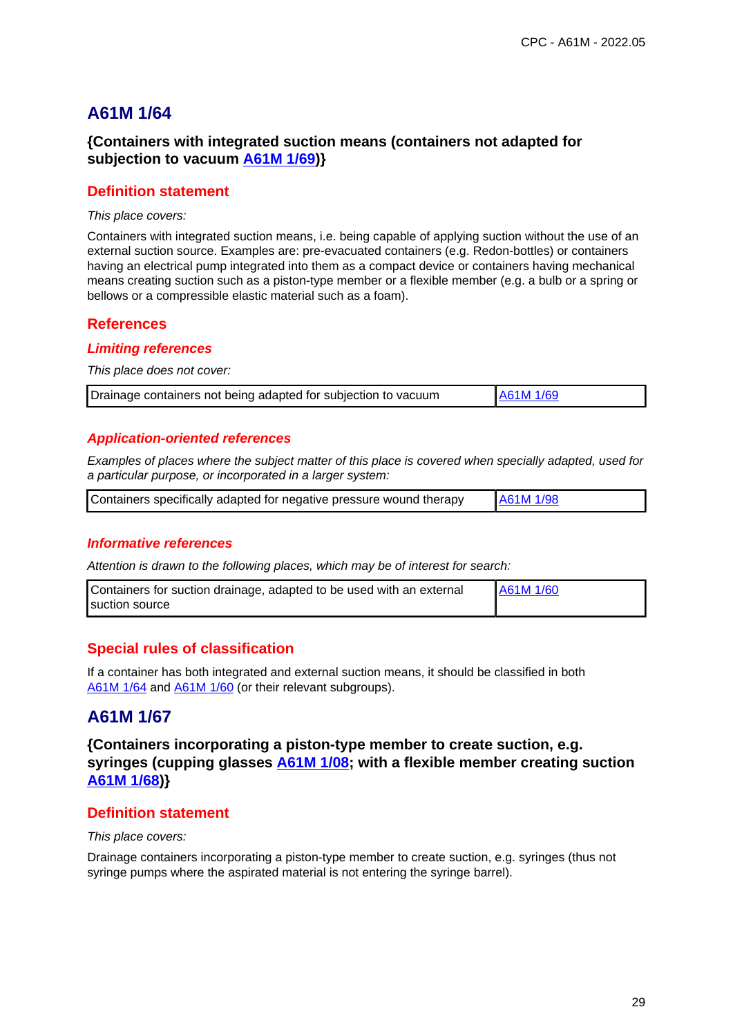# **{Containers with integrated suction means (containers not adapted for subjection to vacuum A61M 1/69)}**

### **Definition statement**

#### This place covers:

Containers with integrated suction means, i.e. being capable of applying suction without the use of an external suction source. Examples are: pre-evacuated containers (e.g. Redon-bottles) or containers having an electrical pump integrated into them as a compact device or containers having mechanical means creating suction such as a piston-type member or a flexible member (e.g. a bulb or a spring or bellows or a compressible elastic material such as a foam).

#### **References**

#### **Limiting references**

This place does not cover:

| Drainage containers not being adapted for subjection to vacuum | A61M 1/69 |  |
|----------------------------------------------------------------|-----------|--|
|----------------------------------------------------------------|-----------|--|

#### **Application-oriented references**

Examples of places where the subject matter of this place is covered when specially adapted, used for a particular purpose, or incorporated in a larger system:

| Containers specifically adapted for negative pressure wound therapy | A61M 1/98 |
|---------------------------------------------------------------------|-----------|
|                                                                     |           |

#### **Informative references**

Attention is drawn to the following places, which may be of interest for search:

| Containers for suction drainage, adapted to be used with an external | <b>A61M 1/60</b> |
|----------------------------------------------------------------------|------------------|
| <b>I</b> suction source                                              |                  |

### **Special rules of classification**

If a container has both integrated and external suction means, it should be classified in both A61M 1/64 and A61M 1/60 (or their relevant subgroups).

# **A61M 1/67**

**{Containers incorporating a piston-type member to create suction, e.g. syringes (cupping glasses A61M 1/08; with a flexible member creating suction A61M 1/68)}**

# **Definition statement**

#### This place covers:

Drainage containers incorporating a piston-type member to create suction, e.g. syringes (thus not syringe pumps where the aspirated material is not entering the syringe barrel).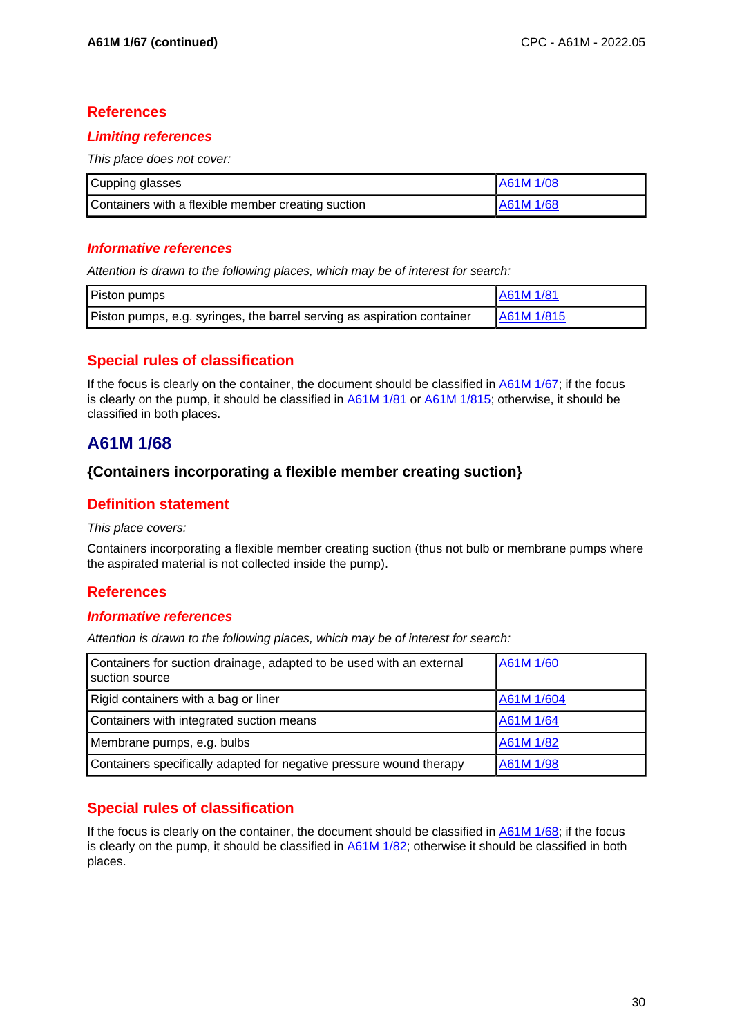## **References**

## **Limiting references**

This place does not cover:

| Cupping glasses                                    | <b>A61M 1/08</b> |
|----------------------------------------------------|------------------|
| Containers with a flexible member creating suction | A61M 1/68        |

### **Informative references**

Attention is drawn to the following places, which may be of interest for search:

| Piston pumps                                                            | A61M 1/81  |
|-------------------------------------------------------------------------|------------|
| Piston pumps, e.g. syringes, the barrel serving as aspiration container | A61M 1/815 |

# **Special rules of classification**

If the focus is clearly on the container, the document should be classified in A61M 1/67; if the focus is clearly on the pump, it should be classified in A61M 1/81 or A61M 1/815; otherwise, it should be classified in both places.

# **A61M 1/68**

# **{Containers incorporating a flexible member creating suction}**

# **Definition statement**

#### This place covers:

Containers incorporating a flexible member creating suction (thus not bulb or membrane pumps where the aspirated material is not collected inside the pump).

# **References**

### **Informative references**

Attention is drawn to the following places, which may be of interest for search:

| Containers for suction drainage, adapted to be used with an external<br>suction source | A61M 1/60  |
|----------------------------------------------------------------------------------------|------------|
| Rigid containers with a bag or liner                                                   | A61M 1/604 |
| Containers with integrated suction means                                               | A61M 1/64  |
| Membrane pumps, e.g. bulbs                                                             | A61M 1/82  |
| Containers specifically adapted for negative pressure wound therapy                    | A61M 1/98  |

# **Special rules of classification**

If the focus is clearly on the container, the document should be classified in A61M 1/68; if the focus is clearly on the pump, it should be classified in A61M 1/82; otherwise it should be classified in both places.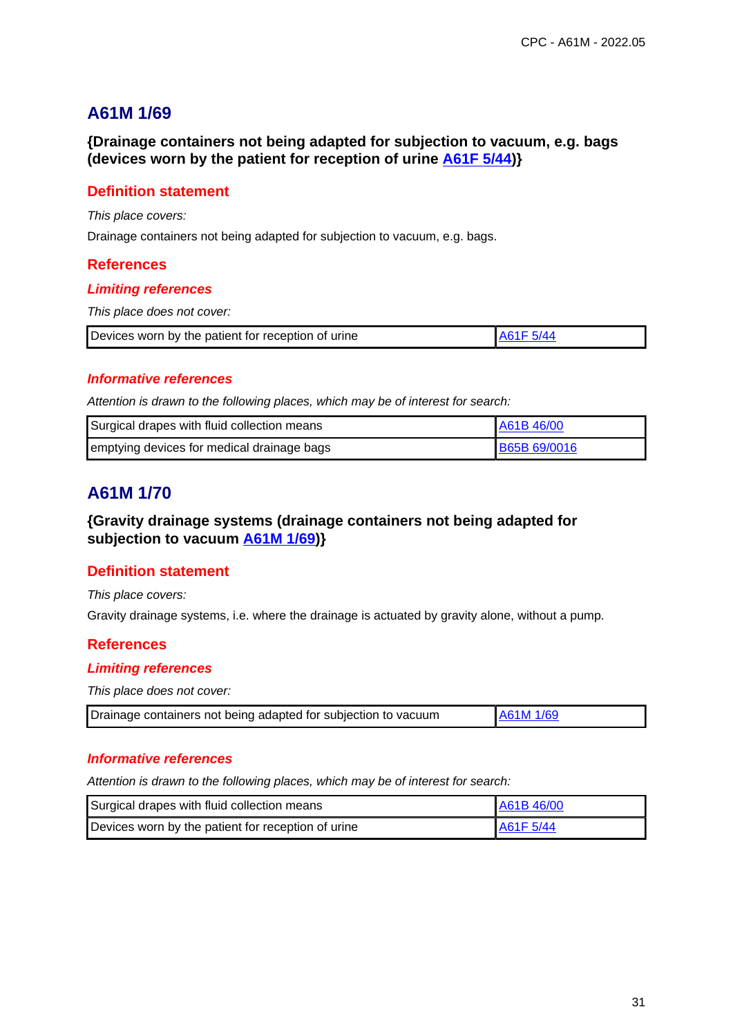**{Drainage containers not being adapted for subjection to vacuum, e.g. bags (devices worn by the patient for reception of urine A61F 5/44)}**

## **Definition statement**

This place covers:

Drainage containers not being adapted for subjection to vacuum, e.g. bags.

#### **References**

#### **Limiting references**

This place does not cover:

| Devices worn by the patient for reception of urine |  |
|----------------------------------------------------|--|
|----------------------------------------------------|--|

#### **Informative references**

Attention is drawn to the following places, which may be of interest for search:

| Surgical drapes with fluid collection means | LA61B 46/00         |
|---------------------------------------------|---------------------|
| emptying devices for medical drainage bags  | <b>B65B 69/0016</b> |

# **A61M 1/70**

## **{Gravity drainage systems (drainage containers not being adapted for subjection to vacuum A61M 1/69)}**

### **Definition statement**

This place covers:

Gravity drainage systems, i.e. where the drainage is actuated by gravity alone, without a pump.

### **References**

#### **Limiting references**

This place does not cover:

|  | Drainage containers not being adapted for subjection to vacuum | <b>A61M 1/69</b> |
|--|----------------------------------------------------------------|------------------|
|--|----------------------------------------------------------------|------------------|

#### **Informative references**

| Surgical drapes with fluid collection means        | <b>LA61B46/00</b>     |
|----------------------------------------------------|-----------------------|
| Devices worn by the patient for reception of urine | A61F <sub>5</sub> /44 |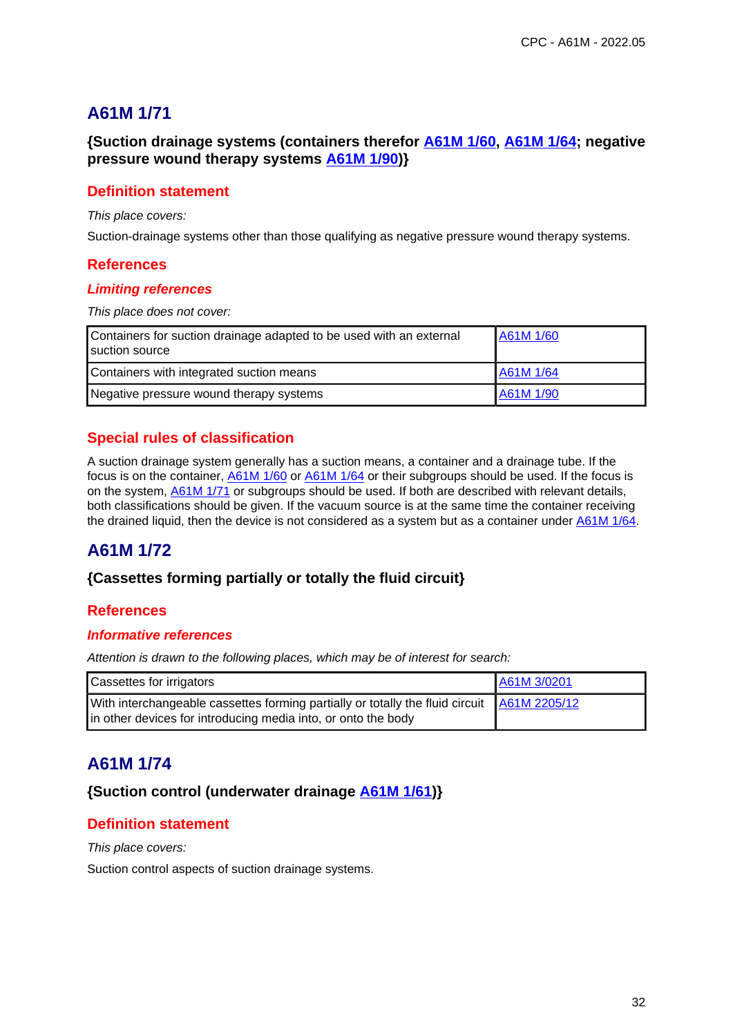**{Suction drainage systems (containers therefor A61M 1/60, A61M 1/64; negative pressure wound therapy systems A61M 1/90)}**

# **Definition statement**

This place covers:

Suction-drainage systems other than those qualifying as negative pressure wound therapy systems.

## **References**

#### **Limiting references**

This place does not cover:

| Containers for suction drainage adapted to be used with an external<br>suction source | A61M 1/60 |
|---------------------------------------------------------------------------------------|-----------|
| Containers with integrated suction means                                              | A61M 1/64 |
| Negative pressure wound therapy systems                                               | A61M 1/90 |

# **Special rules of classification**

A suction drainage system generally has a suction means, a container and a drainage tube. If the focus is on the container, A61M 1/60 or A61M 1/64 or their subgroups should be used. If the focus is on the system,  $\frac{A61M}{1/71}$  or subgroups should be used. If both are described with relevant details, both classifications should be given. If the vacuum source is at the same time the container receiving the drained liquid, then the device is not considered as a system but as a container under A61M 1/64.

# **A61M 1/72**

### **{Cassettes forming partially or totally the fluid circuit}**

### **References**

### **Informative references**

Attention is drawn to the following places, which may be of interest for search:

| <b>Cassettes for irrigators</b>                                                                                                                             | A61M 3/0201 |
|-------------------------------------------------------------------------------------------------------------------------------------------------------------|-------------|
| With interchangeable cassettes forming partially or totally the fluid circuit A61M 2205/12<br>in other devices for introducing media into, or onto the body |             |

# **A61M 1/74**

# **{Suction control (underwater drainage A61M 1/61)}**

# **Definition statement**

This place covers:

Suction control aspects of suction drainage systems.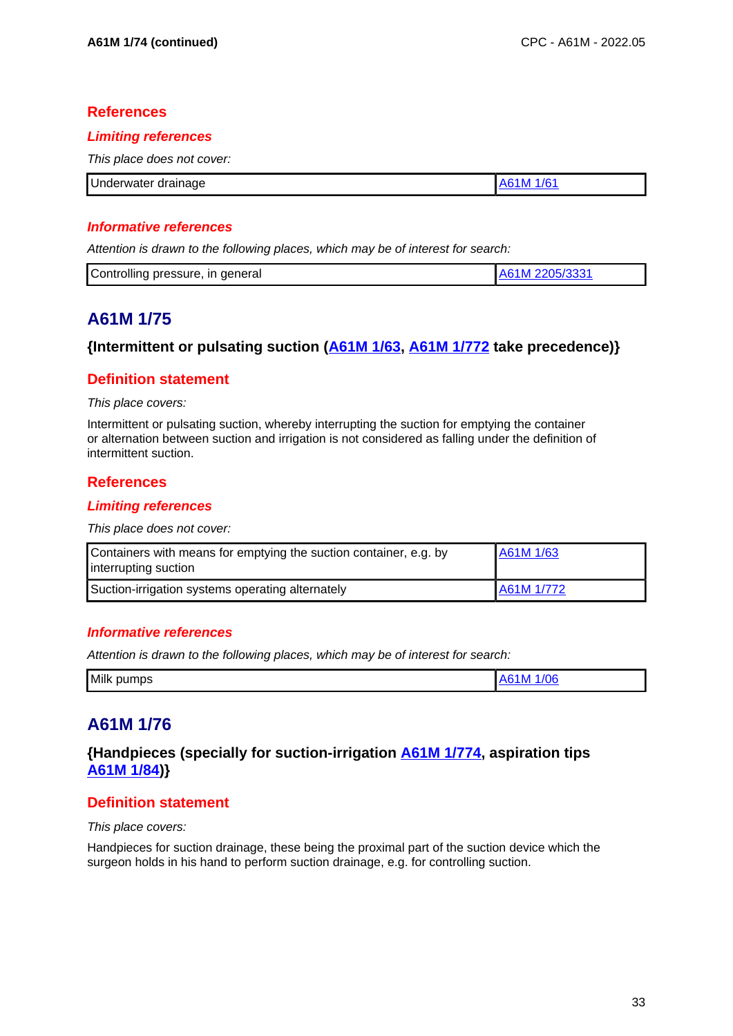## **References**

#### **Limiting references**

This place does not cover:

| Underwater drainage |  |
|---------------------|--|

### **Informative references**

Attention is drawn to the following places, which may be of interest for search:

| Controlling pressure, in general<br>2205/333 |
|----------------------------------------------|
|----------------------------------------------|

# **A61M 1/75**

## **{Intermittent or pulsating suction (A61M 1/63, A61M 1/772 take precedence)}**

## **Definition statement**

#### This place covers:

Intermittent or pulsating suction, whereby interrupting the suction for emptying the container or alternation between suction and irrigation is not considered as falling under the definition of intermittent suction.

### **References**

### **Limiting references**

This place does not cover:

| Containers with means for emptying the suction container, e.g. by<br>interrupting suction | A61M 1/63  |
|-------------------------------------------------------------------------------------------|------------|
| Suction-irrigation systems operating alternately                                          | A61M 1/772 |

### **Informative references**

Attention is drawn to the following places, which may be of interest for search:

| Milk<br>pumps | VK. |
|---------------|-----|
|               |     |

# **A61M 1/76**

# **{Handpieces (specially for suction-irrigation A61M 1/774, aspiration tips A61M 1/84)}**

# **Definition statement**

This place covers:

Handpieces for suction drainage, these being the proximal part of the suction device which the surgeon holds in his hand to perform suction drainage, e.g. for controlling suction.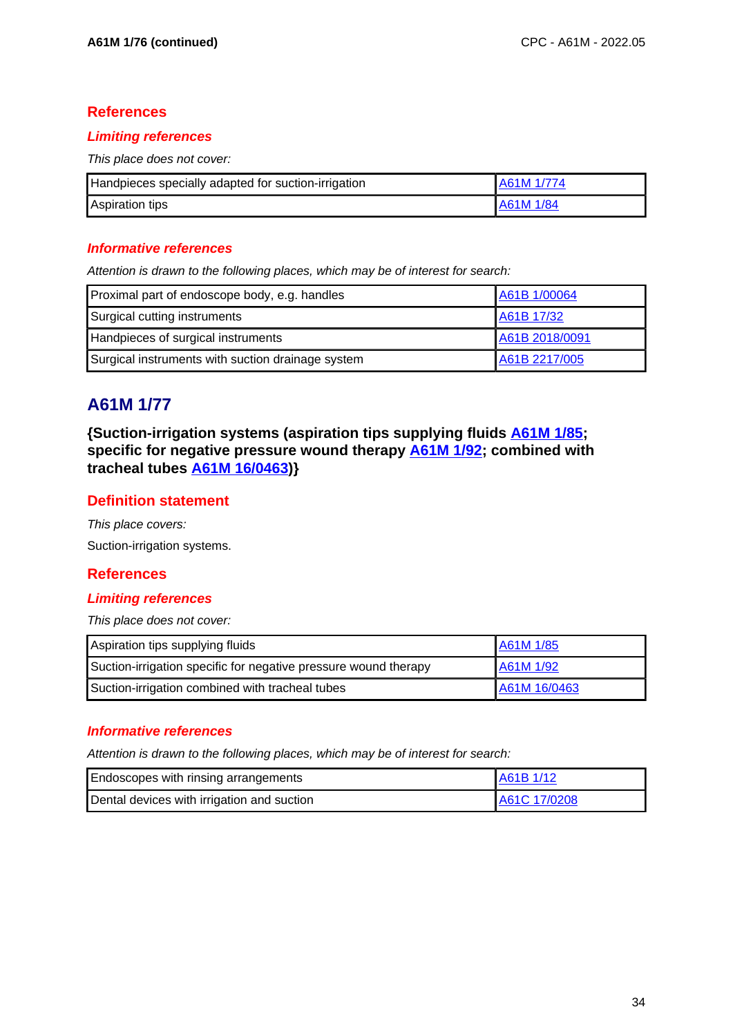# **References**

## **Limiting references**

This place does not cover:

| Handpieces specially adapted for suction-irrigation | A61M 1/774       |
|-----------------------------------------------------|------------------|
| <b>Aspiration tips</b>                              | <b>A61M 1/84</b> |

### **Informative references**

Attention is drawn to the following places, which may be of interest for search:

| Proximal part of endoscope body, e.g. handles     | A61B 1/00064   |
|---------------------------------------------------|----------------|
| Surgical cutting instruments                      | A61B 17/32     |
| Handpieces of surgical instruments                | A61B 2018/0091 |
| Surgical instruments with suction drainage system | A61B 2217/005  |

# **A61M 1/77**

**{Suction-irrigation systems (aspiration tips supplying fluids A61M 1/85; specific for negative pressure wound therapy A61M 1/92; combined with tracheal tubes A61M 16/0463)}**

# **Definition statement**

This place covers: Suction-irrigation systems.

# **References**

### **Limiting references**

This place does not cover:

| Aspiration tips supplying fluids                                | A61M 1/85    |
|-----------------------------------------------------------------|--------------|
| Suction-irrigation specific for negative pressure wound therapy | A61M 1/92    |
| Suction-irrigation combined with tracheal tubes                 | A61M 16/0463 |

### **Informative references**

| Endoscopes with rinsing arrangements       | A61B 1/12    |
|--------------------------------------------|--------------|
| Dental devices with irrigation and suction | A61C 17/0208 |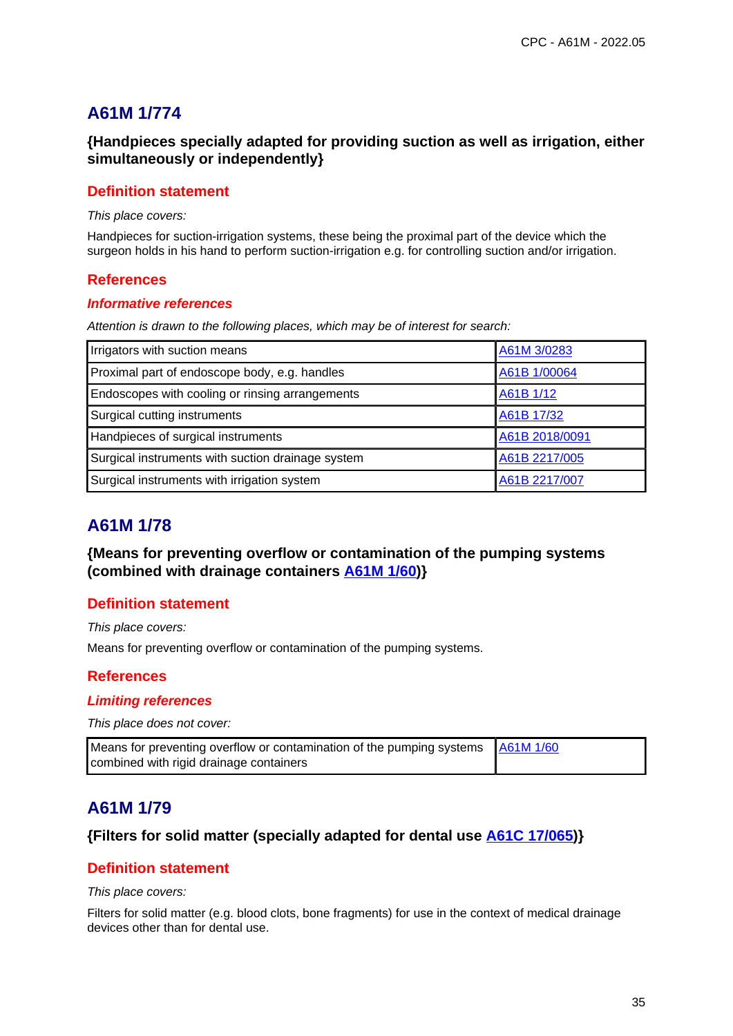# **{Handpieces specially adapted for providing suction as well as irrigation, either simultaneously or independently}**

### **Definition statement**

This place covers:

Handpieces for suction-irrigation systems, these being the proximal part of the device which the surgeon holds in his hand to perform suction-irrigation e.g. for controlling suction and/or irrigation.

### **References**

#### **Informative references**

Attention is drawn to the following places, which may be of interest for search:

| Irrigators with suction means                     | A61M 3/0283    |
|---------------------------------------------------|----------------|
| Proximal part of endoscope body, e.g. handles     | A61B 1/00064   |
| Endoscopes with cooling or rinsing arrangements   | A61B 1/12      |
| Surgical cutting instruments                      | A61B 17/32     |
| Handpieces of surgical instruments                | A61B 2018/0091 |
| Surgical instruments with suction drainage system | A61B 2217/005  |
| Surgical instruments with irrigation system       | A61B 2217/007  |

# **A61M 1/78**

**{Means for preventing overflow or contamination of the pumping systems (combined with drainage containers A61M 1/60)}**

### **Definition statement**

This place covers:

Means for preventing overflow or contamination of the pumping systems.

# **References**

#### **Limiting references**

This place does not cover:

| Means for preventing overflow or contamination of the pumping systems   A61M 1/60 |  |
|-----------------------------------------------------------------------------------|--|
| combined with rigid drainage containers                                           |  |

# **A61M 1/79**

### **{Filters for solid matter (specially adapted for dental use A61C 17/065)}**

### **Definition statement**

#### This place covers:

Filters for solid matter (e.g. blood clots, bone fragments) for use in the context of medical drainage devices other than for dental use.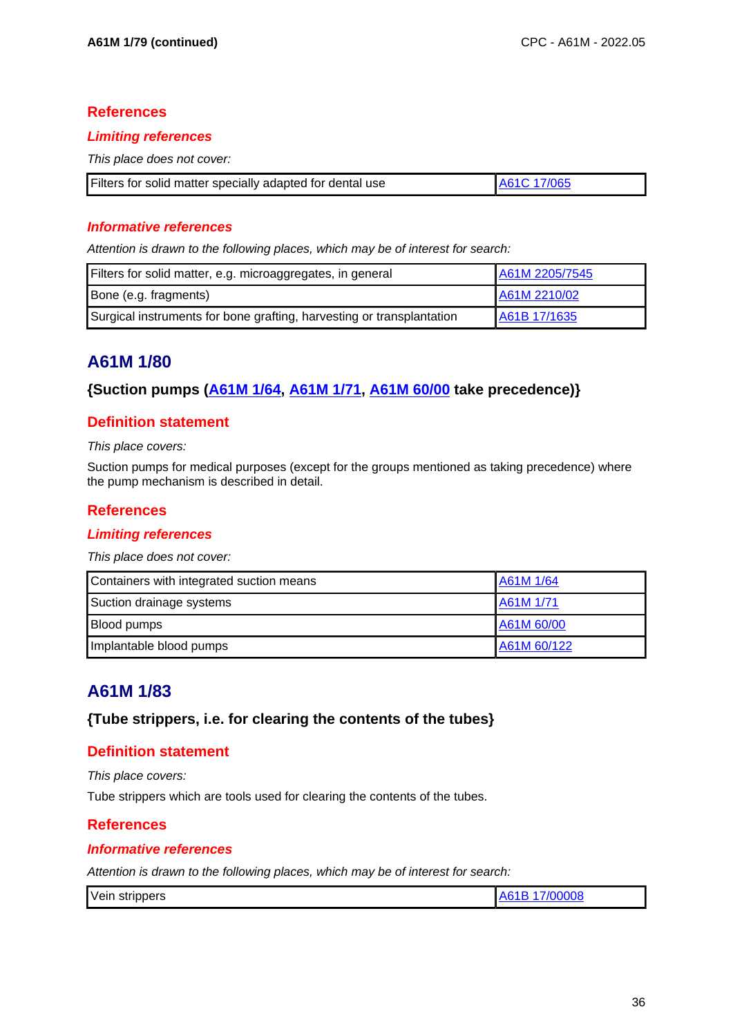## **References**

### **Limiting references**

This place does not cover:

| Filters for solid matter specially adapted for dental use | A61C 17/065 |
|-----------------------------------------------------------|-------------|
|                                                           |             |

## **Informative references**

Attention is drawn to the following places, which may be of interest for search:

| Filters for solid matter, e.g. microaggregates, in general            | A61M 2205/7545 |
|-----------------------------------------------------------------------|----------------|
| Bone (e.g. fragments)                                                 | A61M 2210/02   |
| Surgical instruments for bone grafting, harvesting or transplantation | A61B 17/1635   |

# **A61M 1/80**

# **{Suction pumps (A61M 1/64, A61M 1/71, A61M 60/00 take precedence)}**

# **Definition statement**

This place covers:

Suction pumps for medical purposes (except for the groups mentioned as taking precedence) where the pump mechanism is described in detail.

## **References**

### **Limiting references**

This place does not cover:

| Containers with integrated suction means | A61M 1/64   |
|------------------------------------------|-------------|
| Suction drainage systems                 | A61M 1/71   |
| <b>Blood pumps</b>                       | A61M 60/00  |
| Implantable blood pumps                  | A61M 60/122 |

# **A61M 1/83**

### **{Tube strippers, i.e. for clearing the contents of the tubes}**

### **Definition statement**

This place covers:

Tube strippers which are tools used for clearing the contents of the tubes.

### **References**

### **Informative references**

| Vein strippers | 7/00008<br>A61B 1 |
|----------------|-------------------|
|----------------|-------------------|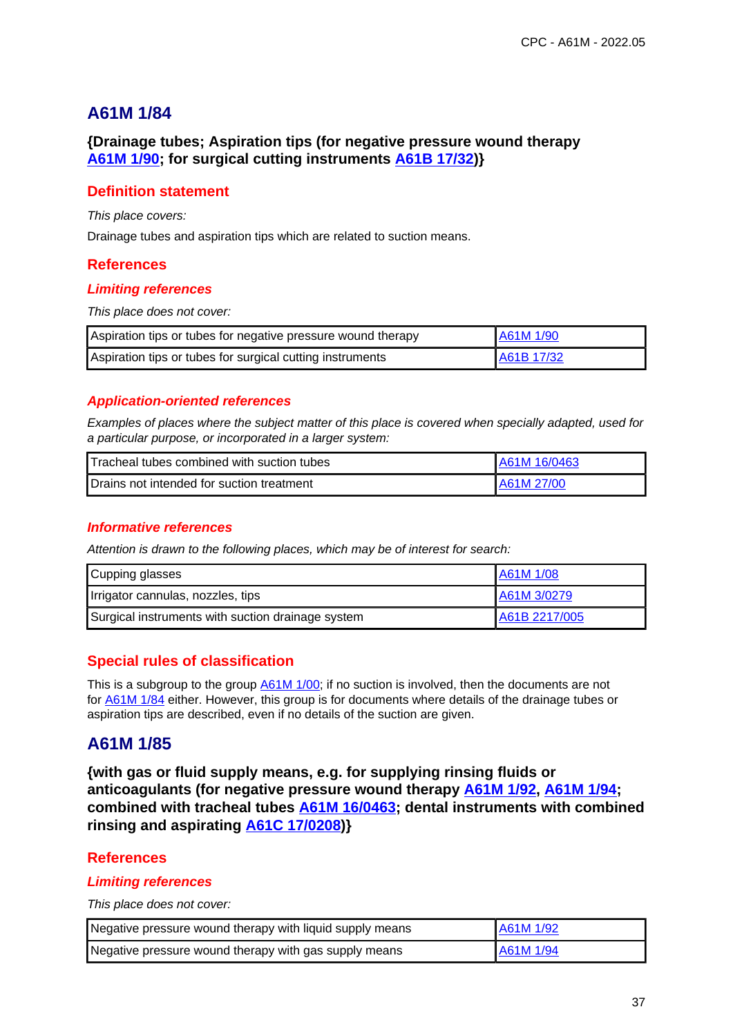## **{Drainage tubes; Aspiration tips (for negative pressure wound therapy A61M 1/90; for surgical cutting instruments A61B 17/32)}**

## **Definition statement**

This place covers:

Drainage tubes and aspiration tips which are related to suction means.

### **References**

#### **Limiting references**

This place does not cover:

| Aspiration tips or tubes for negative pressure wound therapy | A61M 1/90  |
|--------------------------------------------------------------|------------|
| Aspiration tips or tubes for surgical cutting instruments    | A61B 17/32 |

### **Application-oriented references**

Examples of places where the subject matter of this place is covered when specially adapted, used for a particular purpose, or incorporated in a larger system:

| Tracheal tubes combined with suction tubes | LA61M 16/0463 |
|--------------------------------------------|---------------|
| Drains not intended for suction treatment  | LA61M 27/00.  |

### **Informative references**

Attention is drawn to the following places, which may be of interest for search:

| Cupping glasses                                   | A61M 1/08     |
|---------------------------------------------------|---------------|
| Irrigator cannulas, nozzles, tips                 | A61M 3/0279   |
| Surgical instruments with suction drainage system | A61B 2217/005 |

## **Special rules of classification**

This is a subgroup to the group  $\underline{A61M 1/00}$ ; if no suction is involved, then the documents are not for A61M 1/84 either. However, this group is for documents where details of the drainage tubes or aspiration tips are described, even if no details of the suction are given.

## **A61M 1/85**

**{with gas or fluid supply means, e.g. for supplying rinsing fluids or anticoagulants (for negative pressure wound therapy A61M 1/92, A61M 1/94; combined with tracheal tubes A61M 16/0463; dental instruments with combined rinsing and aspirating A61C 17/0208)}**

## **References**

#### **Limiting references**

This place does not cover:

| Negative pressure wound therapy with liquid supply means | A61M 1/92 |
|----------------------------------------------------------|-----------|
| Negative pressure wound therapy with gas supply means    | A61M 1/94 |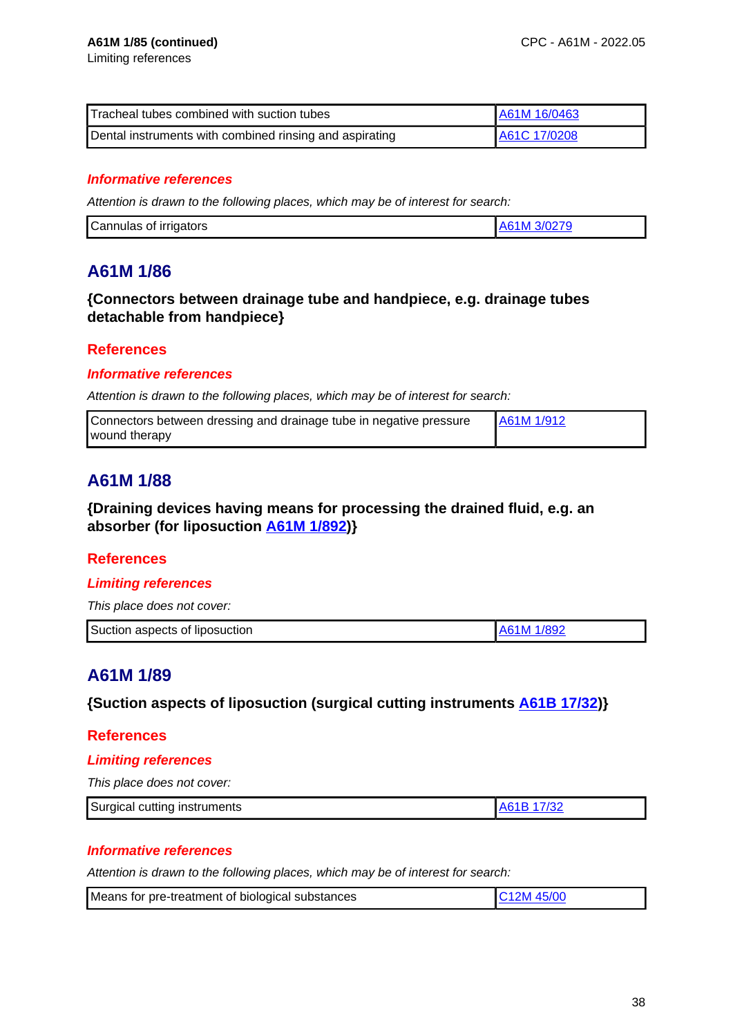| Tracheal tubes combined with suction tubes              | A61M 16/0463 |
|---------------------------------------------------------|--------------|
| Dental instruments with combined rinsing and aspirating | A61C 17/0208 |

### **Informative references**

Attention is drawn to the following places, which may be of interest for search:

| 'Cannulas of irrigators |  |
|-------------------------|--|

# **A61M 1/86**

## **{Connectors between drainage tube and handpiece, e.g. drainage tubes detachable from handpiece}**

### **References**

#### **Informative references**

Attention is drawn to the following places, which may be of interest for search:

| Connectors between dressing and drainage tube in negative pressure | A61M 1/912 |
|--------------------------------------------------------------------|------------|
| wound therapy                                                      |            |

# **A61M 1/88**

**{Draining devices having means for processing the drained fluid, e.g. an absorber (for liposuction A61M 1/892)}**

### **References**

### **Limiting references**

This place does not cover:

| Suction aspects of liposuction<br>1/892<br>a NA |  |
|-------------------------------------------------|--|
|-------------------------------------------------|--|

# **A61M 1/89**

**{Suction aspects of liposuction (surgical cutting instruments A61B 17/32)}**

#### **References**

#### **Limiting references**

This place does not cover:

| Surgical cutting instruments | 732 |
|------------------------------|-----|
|------------------------------|-----|

### **Informative references**

| Means for pre-treatment of biological substances | C <sub>12</sub> M 45/00 |
|--------------------------------------------------|-------------------------|
|--------------------------------------------------|-------------------------|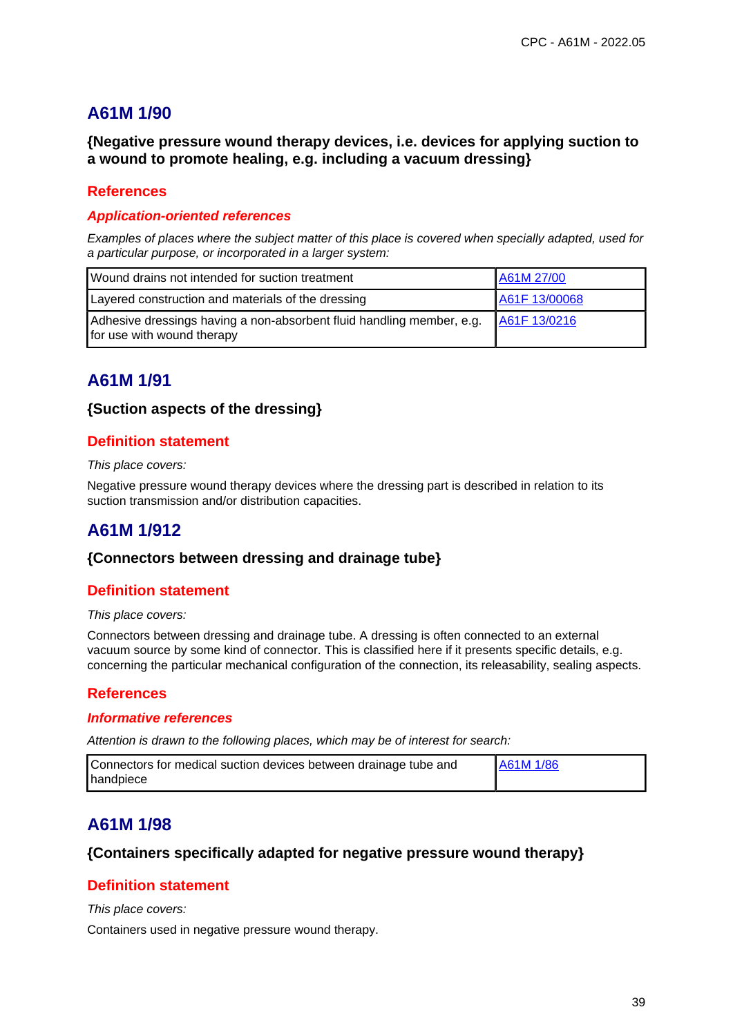**{Negative pressure wound therapy devices, i.e. devices for applying suction to a wound to promote healing, e.g. including a vacuum dressing}**

## **References**

#### **Application-oriented references**

Examples of places where the subject matter of this place is covered when specially adapted, used for a particular purpose, or incorporated in a larger system:

| Wound drains not intended for suction treatment                                                     | A61M 27/00    |
|-----------------------------------------------------------------------------------------------------|---------------|
| Layered construction and materials of the dressing                                                  | A61F 13/00068 |
| Adhesive dressings having a non-absorbent fluid handling member, e.g.<br>for use with wound therapy | A61F 13/0216  |

# **A61M 1/91**

### **{Suction aspects of the dressing}**

### **Definition statement**

#### This place covers:

Negative pressure wound therapy devices where the dressing part is described in relation to its suction transmission and/or distribution capacities.

# **A61M 1/912**

### **{Connectors between dressing and drainage tube}**

### **Definition statement**

#### This place covers:

Connectors between dressing and drainage tube. A dressing is often connected to an external vacuum source by some kind of connector. This is classified here if it presents specific details, e.g. concerning the particular mechanical configuration of the connection, its releasability, sealing aspects.

### **References**

#### **Informative references**

Attention is drawn to the following places, which may be of interest for search:

| Connectors for medical suction devices between drainage tube and | A61M 1/86 |
|------------------------------------------------------------------|-----------|
| handpiece                                                        |           |

# **A61M 1/98**

### **{Containers specifically adapted for negative pressure wound therapy}**

### **Definition statement**

This place covers:

Containers used in negative pressure wound therapy.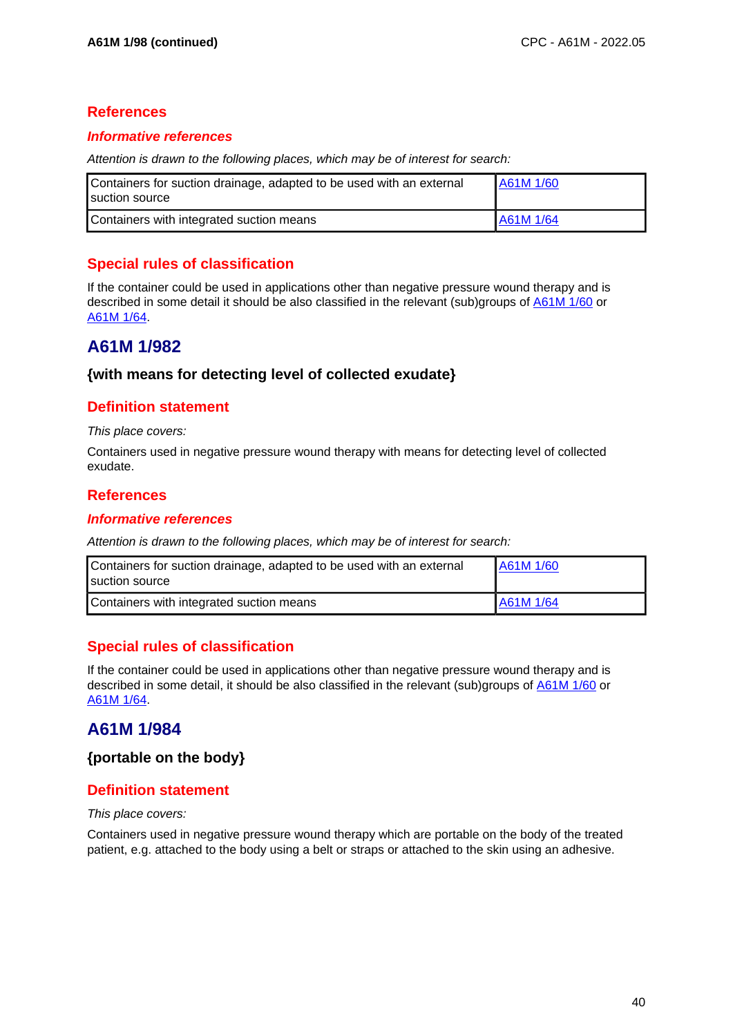### **Informative references**

Attention is drawn to the following places, which may be of interest for search:

| Containers for suction drainage, adapted to be used with an external<br>suction source | A61M 1/60 |
|----------------------------------------------------------------------------------------|-----------|
| Containers with integrated suction means                                               | A61M 1/64 |

## **Special rules of classification**

If the container could be used in applications other than negative pressure wound therapy and is described in some detail it should be also classified in the relevant (sub)groups of A61M 1/60 or A61M 1/64.

## **A61M 1/982**

### **{with means for detecting level of collected exudate}**

### **Definition statement**

This place covers:

Containers used in negative pressure wound therapy with means for detecting level of collected exudate.

### **References**

#### **Informative references**

Attention is drawn to the following places, which may be of interest for search:

| Containers for suction drainage, adapted to be used with an external<br>suction source | A61M 1/60 |
|----------------------------------------------------------------------------------------|-----------|
| Containers with integrated suction means                                               | A61M 1/64 |

## **Special rules of classification**

If the container could be used in applications other than negative pressure wound therapy and is described in some detail, it should be also classified in the relevant (sub)groups of A61M 1/60 or A61M 1/64.

# **A61M 1/984**

**{portable on the body}**

## **Definition statement**

#### This place covers:

Containers used in negative pressure wound therapy which are portable on the body of the treated patient, e.g. attached to the body using a belt or straps or attached to the skin using an adhesive.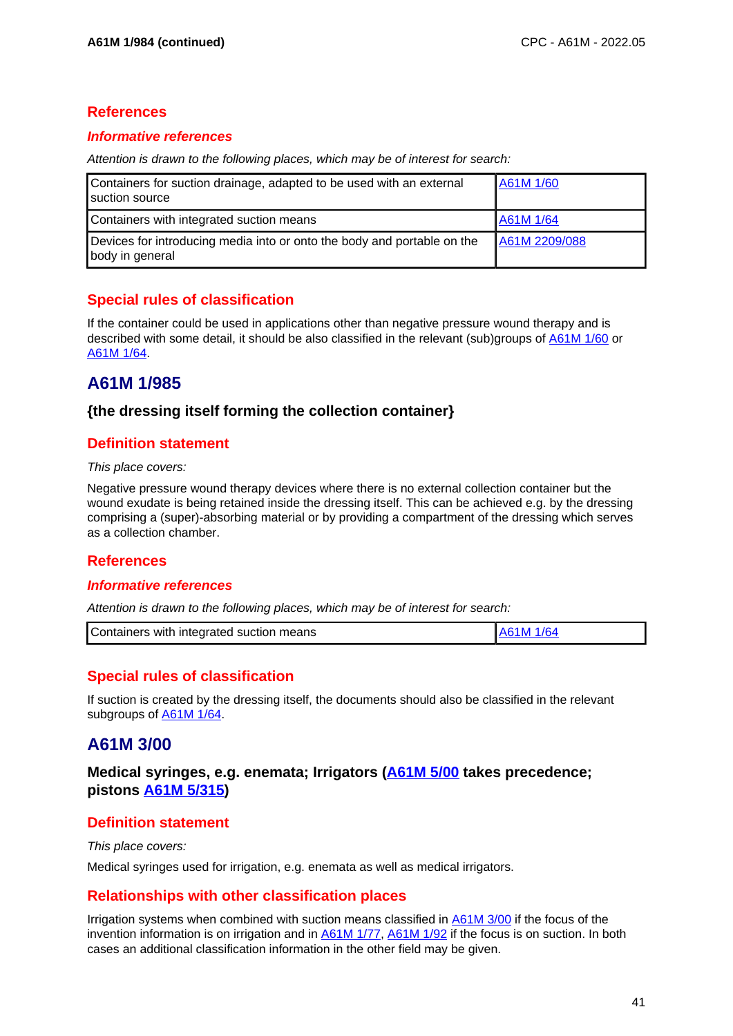#### **Informative references**

Attention is drawn to the following places, which may be of interest for search:

| Containers for suction drainage, adapted to be used with an external<br>suction source     | A61M 1/60     |
|--------------------------------------------------------------------------------------------|---------------|
| Containers with integrated suction means                                                   | A61M 1/64     |
| Devices for introducing media into or onto the body and portable on the<br>body in general | A61M 2209/088 |

## **Special rules of classification**

If the container could be used in applications other than negative pressure wound therapy and is described with some detail, it should be also classified in the relevant (sub)groups of A61M 1/60 or A61M 1/64.

# **A61M 1/985**

### **{the dressing itself forming the collection container}**

### **Definition statement**

#### This place covers:

Negative pressure wound therapy devices where there is no external collection container but the wound exudate is being retained inside the dressing itself. This can be achieved e.g. by the dressing comprising a (super)-absorbing material or by providing a compartment of the dressing which serves as a collection chamber.

### **References**

### **Informative references**

Attention is drawn to the following places, which may be of interest for search:

| Containers with integrated suction means | 1/64<br>. A61M |
|------------------------------------------|----------------|
|                                          |                |

## **Special rules of classification**

If suction is created by the dressing itself, the documents should also be classified in the relevant subgroups of A61M 1/64.

# **A61M 3/00**

**Medical syringes, e.g. enemata; Irrigators (A61M 5/00 takes precedence; pistons A61M 5/315)**

### **Definition statement**

This place covers:

Medical syringes used for irrigation, e.g. enemata as well as medical irrigators.

## **Relationships with other classification places**

Irrigation systems when combined with suction means classified in A61M 3/00 if the focus of the invention information is on irrigation and in **A61M 1/77, A61M 1/92** if the focus is on suction. In both cases an additional classification information in the other field may be given.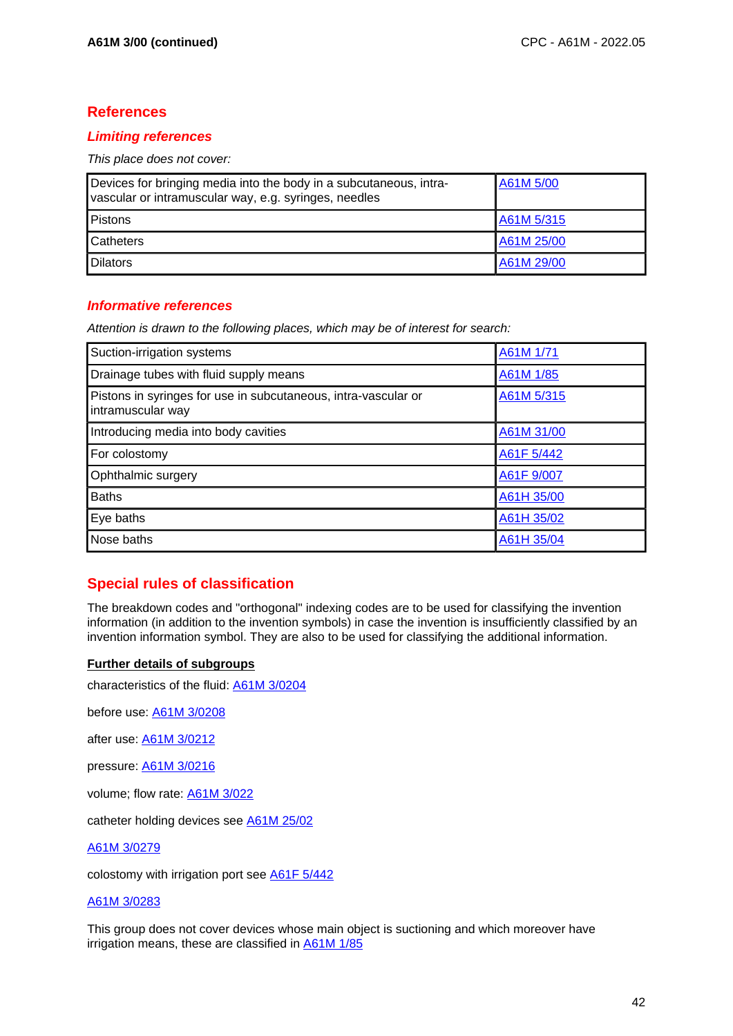### **Limiting references**

This place does not cover:

| Devices for bringing media into the body in a subcutaneous, intra-<br>vascular or intramuscular way, e.g. syringes, needles | A61M 5/00  |
|-----------------------------------------------------------------------------------------------------------------------------|------------|
| <b>Pistons</b>                                                                                                              | A61M 5/315 |
| <b>Catheters</b>                                                                                                            | A61M 25/00 |
| <b>I</b> Dilators                                                                                                           | A61M 29/00 |

### **Informative references**

Attention is drawn to the following places, which may be of interest for search:

| Suction-irrigation systems                                                          | A61M 1/71  |
|-------------------------------------------------------------------------------------|------------|
| Drainage tubes with fluid supply means                                              | A61M 1/85  |
| Pistons in syringes for use in subcutaneous, intra-vascular or<br>intramuscular way | A61M 5/315 |
| Introducing media into body cavities                                                | A61M 31/00 |
| For colostomy                                                                       | A61F 5/442 |
| Ophthalmic surgery                                                                  | A61F 9/007 |
| <b>Baths</b>                                                                        | A61H 35/00 |
| Eye baths                                                                           | A61H 35/02 |
| Nose baths                                                                          | A61H 35/04 |

## **Special rules of classification**

The breakdown codes and "orthogonal" indexing codes are to be used for classifying the invention information (in addition to the invention symbols) in case the invention is insufficiently classified by an invention information symbol. They are also to be used for classifying the additional information.

#### **Further details of subgroups**

characteristics of the fluid: A61M 3/0204

before use: A61M 3/0208

after use: A61M 3/0212

pressure: A61M 3/0216

volume; flow rate: A61M 3/022

catheter holding devices see A61M 25/02

A61M 3/0279

colostomy with irrigation port see **A61F 5/442** 

#### A61M 3/0283

This group does not cover devices whose main object is suctioning and which moreover have irrigation means, these are classified in A61M 1/85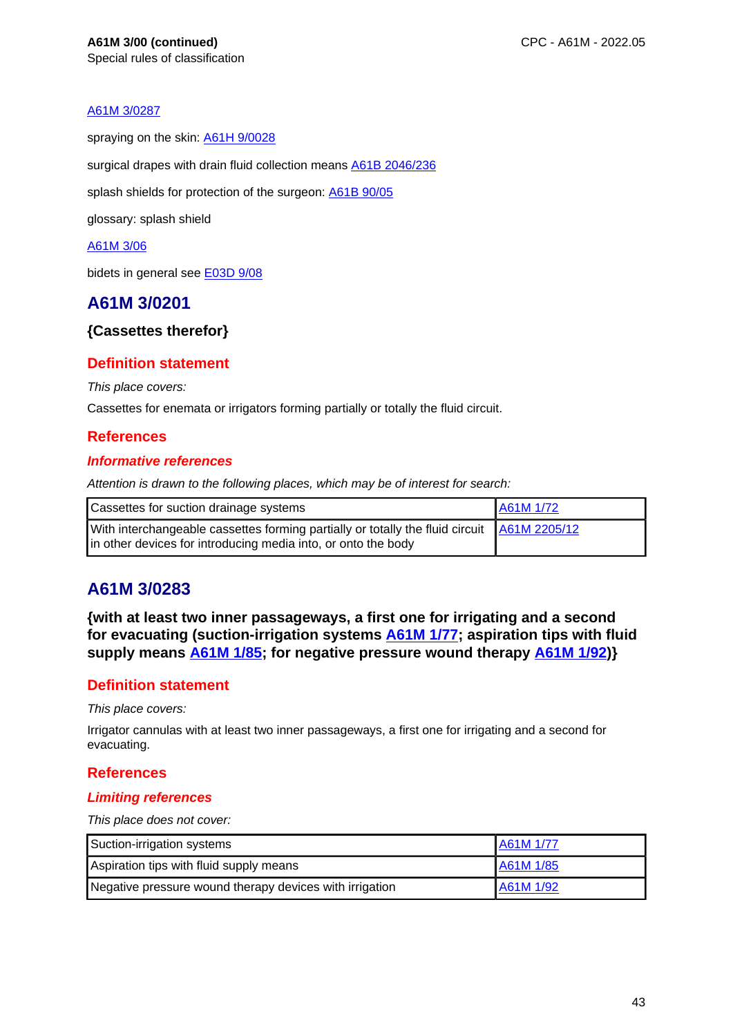#### A61M 3/0287

spraying on the skin: **A61H 9/0028** 

surgical drapes with drain fluid collection means **A61B 2046/236** 

splash shields for protection of the surgeon: A61B 90/05

glossary: splash shield

#### A61M 3/06

bidets in general see E03D 9/08

## **A61M 3/0201**

### **{Cassettes therefor}**

### **Definition statement**

This place covers:

Cassettes for enemata or irrigators forming partially or totally the fluid circuit.

### **References**

#### **Informative references**

Attention is drawn to the following places, which may be of interest for search:

|                                                                                                                                                             | A61M 1/72 |
|-------------------------------------------------------------------------------------------------------------------------------------------------------------|-----------|
| With interchangeable cassettes forming partially or totally the fluid circuit A61M 2205/12<br>in other devices for introducing media into, or onto the body |           |

# **A61M 3/0283**

**{with at least two inner passageways, a first one for irrigating and a second for evacuating (suction-irrigation systems A61M 1/77; aspiration tips with fluid supply means A61M 1/85; for negative pressure wound therapy A61M 1/92)}**

## **Definition statement**

This place covers:

Irrigator cannulas with at least two inner passageways, a first one for irrigating and a second for evacuating.

### **References**

#### **Limiting references**

This place does not cover:

| Suction-irrigation systems                              | A61M 1/77 |
|---------------------------------------------------------|-----------|
| Aspiration tips with fluid supply means                 | A61M 1/85 |
| Negative pressure wound therapy devices with irrigation | A61M 1/92 |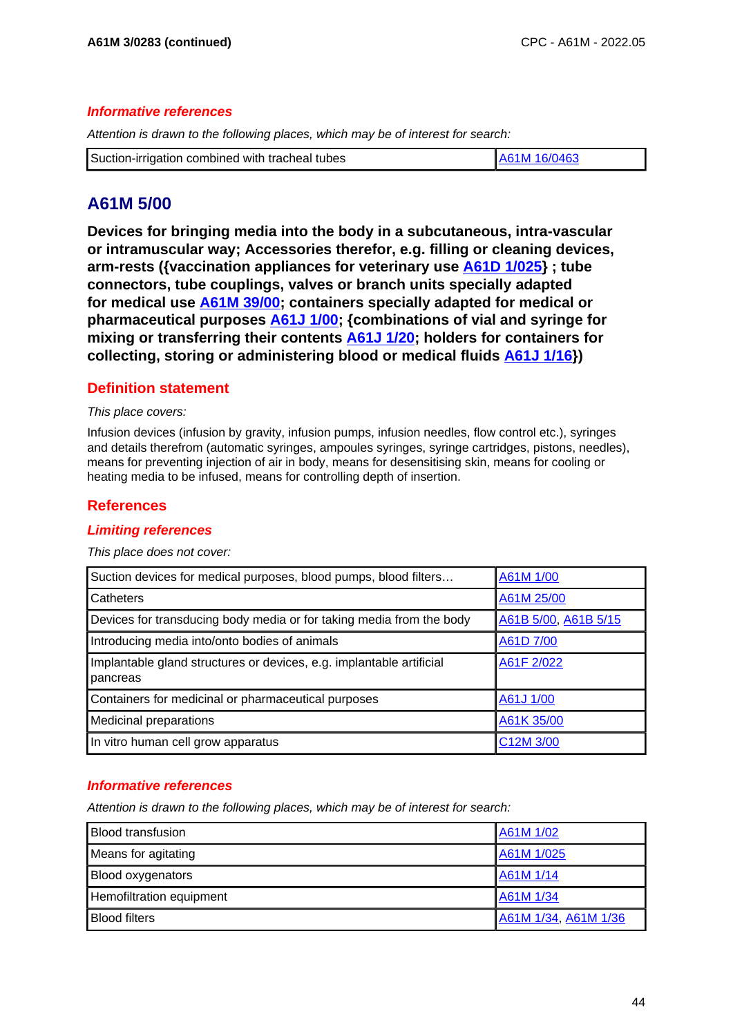#### **Informative references**

Attention is drawn to the following places, which may be of interest for search:

| Suction-irrigation combined with tracheal tubes<br>A61M 16/0463 |
|-----------------------------------------------------------------|
|-----------------------------------------------------------------|

# **A61M 5/00**

**Devices for bringing media into the body in a subcutaneous, intra-vascular or intramuscular way; Accessories therefor, e.g. filling or cleaning devices, arm-rests ({vaccination appliances for veterinary use A61D 1/025} ; tube connectors, tube couplings, valves or branch units specially adapted for medical use A61M 39/00; containers specially adapted for medical or pharmaceutical purposes A61J 1/00; {combinations of vial and syringe for mixing or transferring their contents A61J 1/20; holders for containers for collecting, storing or administering blood or medical fluids A61J 1/16})**

### **Definition statement**

#### This place covers:

Infusion devices (infusion by gravity, infusion pumps, infusion needles, flow control etc.), syringes and details therefrom (automatic syringes, ampoules syringes, syringe cartridges, pistons, needles), means for preventing injection of air in body, means for desensitising skin, means for cooling or heating media to be infused, means for controlling depth of insertion.

## **References**

### **Limiting references**

#### This place does not cover:

| Suction devices for medical purposes, blood pumps, blood filters                 | A61M 1/00            |
|----------------------------------------------------------------------------------|----------------------|
| Catheters                                                                        | A61M 25/00           |
| Devices for transducing body media or for taking media from the body             | A61B 5/00, A61B 5/15 |
| Introducing media into/onto bodies of animals                                    | A61D 7/00            |
| Implantable gland structures or devices, e.g. implantable artificial<br>pancreas | A61F 2/022           |
| Containers for medicinal or pharmaceutical purposes                              | A61J 1/00            |
| <b>Medicinal preparations</b>                                                    | A61K 35/00           |
| In vitro human cell grow apparatus                                               | C12M 3/00            |

### **Informative references**

| <b>Blood transfusion</b> | A61M 1/02            |
|--------------------------|----------------------|
| Means for agitating      | A61M 1/025           |
| <b>Blood oxygenators</b> | A61M 1/14            |
| Hemofiltration equipment | A61M 1/34            |
| <b>Blood filters</b>     | A61M 1/34, A61M 1/36 |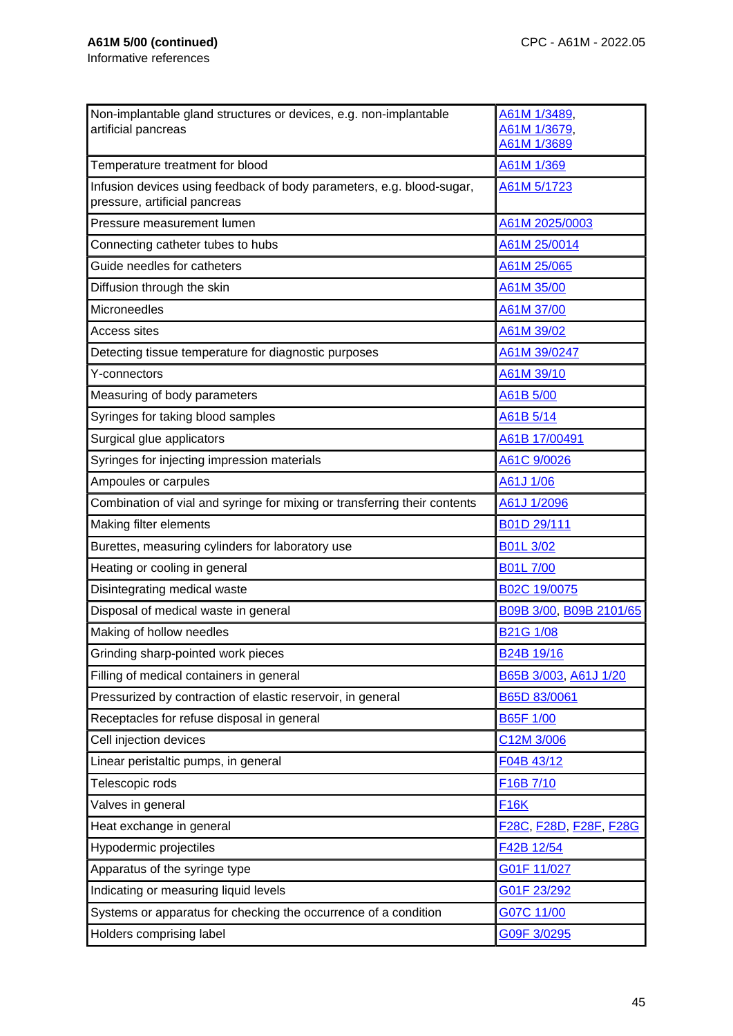| Non-implantable gland structures or devices, e.g. non-implantable                                      | A61M 1/3489,                  |
|--------------------------------------------------------------------------------------------------------|-------------------------------|
| artificial pancreas                                                                                    | A61M 1/3679,<br>A61M 1/3689   |
| Temperature treatment for blood                                                                        | A61M 1/369                    |
| Infusion devices using feedback of body parameters, e.g. blood-sugar,<br>pressure, artificial pancreas | A61M 5/1723                   |
| Pressure measurement lumen                                                                             | A61M 2025/0003                |
| Connecting catheter tubes to hubs                                                                      | A61M 25/0014                  |
| Guide needles for catheters                                                                            | A61M 25/065                   |
| Diffusion through the skin                                                                             | A61M 35/00                    |
| Microneedles                                                                                           | A61M 37/00                    |
| <b>Access sites</b>                                                                                    | A61M 39/02                    |
| Detecting tissue temperature for diagnostic purposes                                                   | A61M 39/0247                  |
| Y-connectors                                                                                           | A61M 39/10                    |
| Measuring of body parameters                                                                           | A61B 5/00                     |
| Syringes for taking blood samples                                                                      | A61B 5/14                     |
| Surgical glue applicators                                                                              | A61B 17/00491                 |
| Syringes for injecting impression materials                                                            | A61C 9/0026                   |
| Ampoules or carpules                                                                                   | A61J 1/06                     |
| Combination of vial and syringe for mixing or transferring their contents                              | A61J 1/2096                   |
| Making filter elements                                                                                 | B01D 29/111                   |
| Burettes, measuring cylinders for laboratory use                                                       | B01L 3/02                     |
| Heating or cooling in general                                                                          | <b>B01L7/00</b>               |
| Disintegrating medical waste                                                                           | B02C 19/0075                  |
| Disposal of medical waste in general                                                                   | B09B 3/00, B09B 2101/65       |
| Making of hollow needles                                                                               | <b>B21G 1/08</b>              |
| Grinding sharp-pointed work pieces                                                                     | B24B 19/16                    |
| Filling of medical containers in general                                                               | B65B 3/003, A61J 1/20         |
| Pressurized by contraction of elastic reservoir, in general                                            | B65D 83/0061                  |
| Receptacles for refuse disposal in general                                                             | <b>B65F 1/00</b>              |
| Cell injection devices                                                                                 | C12M 3/006                    |
| Linear peristaltic pumps, in general                                                                   | F04B 43/12                    |
| Telescopic rods                                                                                        | F16B 7/10                     |
| Valves in general                                                                                      | <b>F16K</b>                   |
| Heat exchange in general                                                                               | <u>F28C, F28D, F28F, F28G</u> |
| Hypodermic projectiles                                                                                 | F42B 12/54                    |
| Apparatus of the syringe type                                                                          | G01F 11/027                   |
| Indicating or measuring liquid levels                                                                  | G01F 23/292                   |
| Systems or apparatus for checking the occurrence of a condition                                        | G07C 11/00                    |
| Holders comprising label                                                                               | G09F 3/0295                   |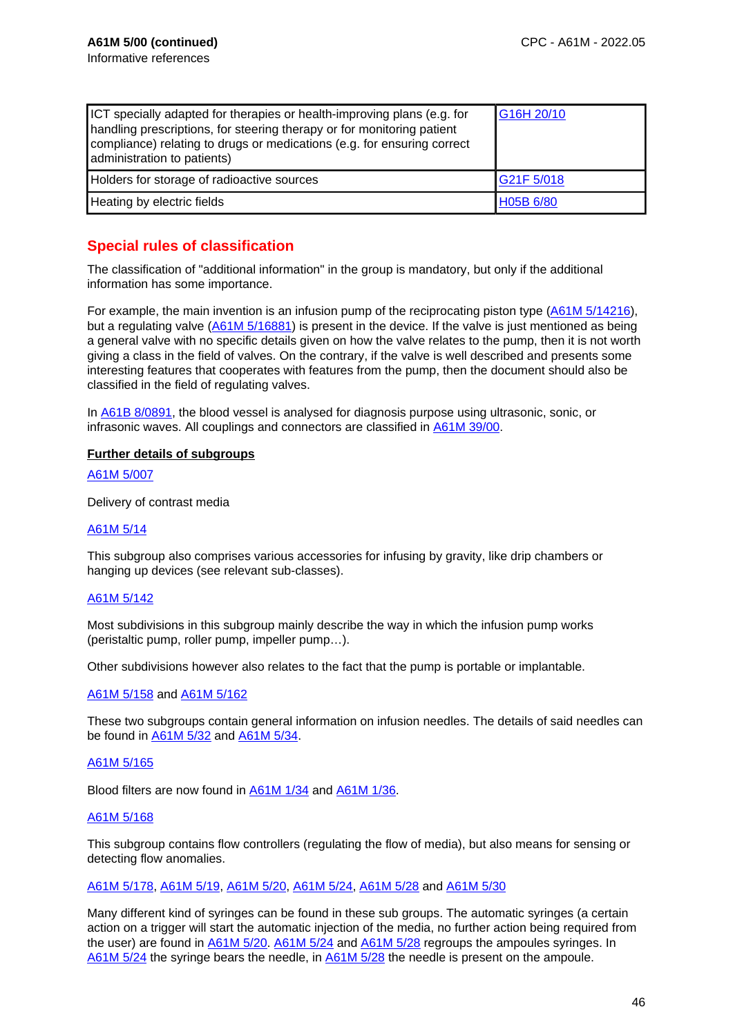| ICT specially adapted for therapies or health-improving plans (e.g. for<br>handling prescriptions, for steering therapy or for monitoring patient<br>compliance) relating to drugs or medications (e.g. for ensuring correct<br>administration to patients) | G16H 20/10 |
|-------------------------------------------------------------------------------------------------------------------------------------------------------------------------------------------------------------------------------------------------------------|------------|
| Holders for storage of radioactive sources                                                                                                                                                                                                                  | G21F 5/018 |
| Heating by electric fields                                                                                                                                                                                                                                  | H05B 6/80  |

## **Special rules of classification**

The classification of "additional information" in the group is mandatory, but only if the additional information has some importance.

For example, the main invention is an infusion pump of the reciprocating piston type (A61M 5/14216), but a regulating valve (A61M 5/16881) is present in the device. If the valve is just mentioned as being a general valve with no specific details given on how the valve relates to the pump, then it is not worth giving a class in the field of valves. On the contrary, if the valve is well described and presents some interesting features that cooperates with features from the pump, then the document should also be classified in the field of regulating valves.

In A61B 8/0891, the blood vessel is analysed for diagnosis purpose using ultrasonic, sonic, or infrasonic waves. All couplings and connectors are classified in A61M 39/00.

#### **Further details of subgroups**

A61M 5/007

Delivery of contrast media

#### A61M 5/14

This subgroup also comprises various accessories for infusing by gravity, like drip chambers or hanging up devices (see relevant sub-classes).

#### A61M 5/142

Most subdivisions in this subgroup mainly describe the way in which the infusion pump works (peristaltic pump, roller pump, impeller pump…).

Other subdivisions however also relates to the fact that the pump is portable or implantable.

#### A61M 5/158 and A61M 5/162

These two subgroups contain general information on infusion needles. The details of said needles can be found in A61M 5/32 and A61M 5/34.

#### A61M 5/165

Blood filters are now found in A61M 1/34 and A61M 1/36.

#### A61M 5/168

This subgroup contains flow controllers (regulating the flow of media), but also means for sensing or detecting flow anomalies.

#### A61M 5/178, A61M 5/19, A61M 5/20, A61M 5/24, A61M 5/28 and A61M 5/30

Many different kind of syringes can be found in these sub groups. The automatic syringes (a certain action on a trigger will start the automatic injection of the media, no further action being required from the user) are found in A61M 5/20. A61M 5/24 and A61M 5/28 regroups the ampoules syringes. In A61M 5/24 the syringe bears the needle, in A61M 5/28 the needle is present on the ampoule.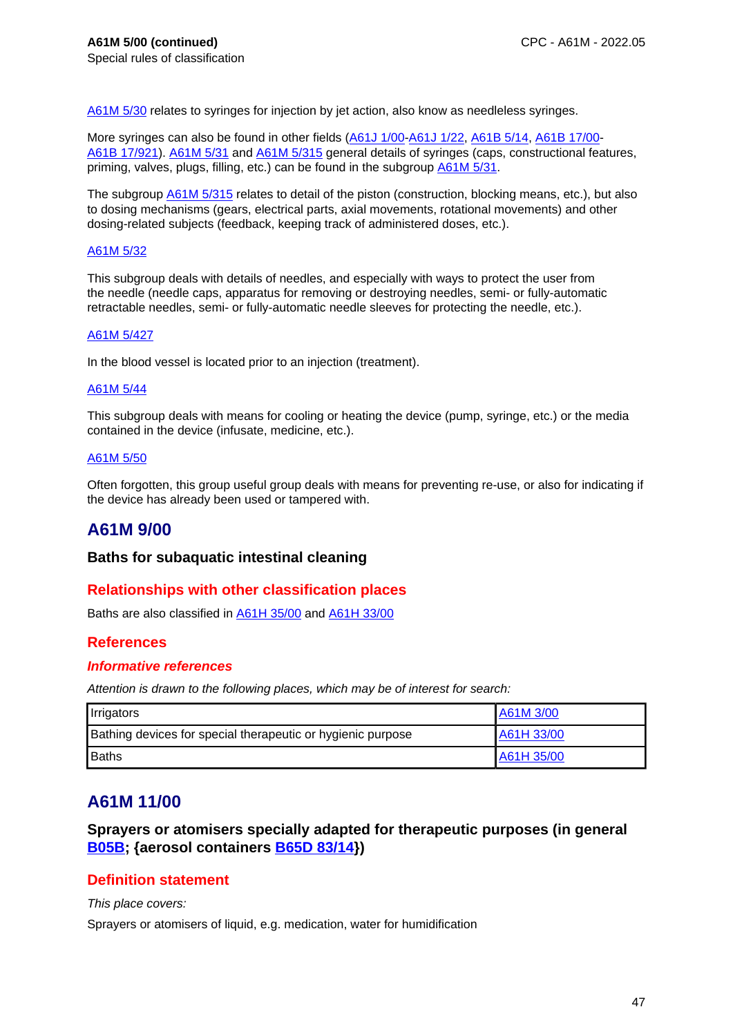A61M 5/30 relates to syringes for injection by jet action, also know as needleless syringes.

More syringes can also be found in other fields (A61J 1/00-A61J 1/22, A61B 5/14, A61B 17/00- A61B 17/921). A61M 5/31 and A61M 5/315 general details of syringes (caps, constructional features, priming, valves, plugs, filling, etc.) can be found in the subgroup A61M 5/31.

The subgroup **A61M 5/315** relates to detail of the piston (construction, blocking means, etc.), but also to dosing mechanisms (gears, electrical parts, axial movements, rotational movements) and other dosing-related subjects (feedback, keeping track of administered doses, etc.).

#### A61M 5/32

This subgroup deals with details of needles, and especially with ways to protect the user from the needle (needle caps, apparatus for removing or destroying needles, semi- or fully-automatic retractable needles, semi- or fully-automatic needle sleeves for protecting the needle, etc.).

#### A61M 5/427

In the blood vessel is located prior to an injection (treatment).

#### A61M 5/44

This subgroup deals with means for cooling or heating the device (pump, syringe, etc.) or the media contained in the device (infusate, medicine, etc.).

#### A61M 5/50

Often forgotten, this group useful group deals with means for preventing re-use, or also for indicating if the device has already been used or tampered with.

## **A61M 9/00**

#### **Baths for subaquatic intestinal cleaning**

### **Relationships with other classification places**

Baths are also classified in A61H 35/00 and A61H 33/00

### **References**

#### **Informative references**

Attention is drawn to the following places, which may be of interest for search:

| Irrigators                                                  | A61M 3/00  |
|-------------------------------------------------------------|------------|
| Bathing devices for special therapeutic or hygienic purpose | A61H 33/00 |
| Baths                                                       | A61H 35/00 |

## **A61M 11/00**

**Sprayers or atomisers specially adapted for therapeutic purposes (in general B05B; {aerosol containers B65D 83/14})**

#### **Definition statement**

This place covers:

Sprayers or atomisers of liquid, e.g. medication, water for humidification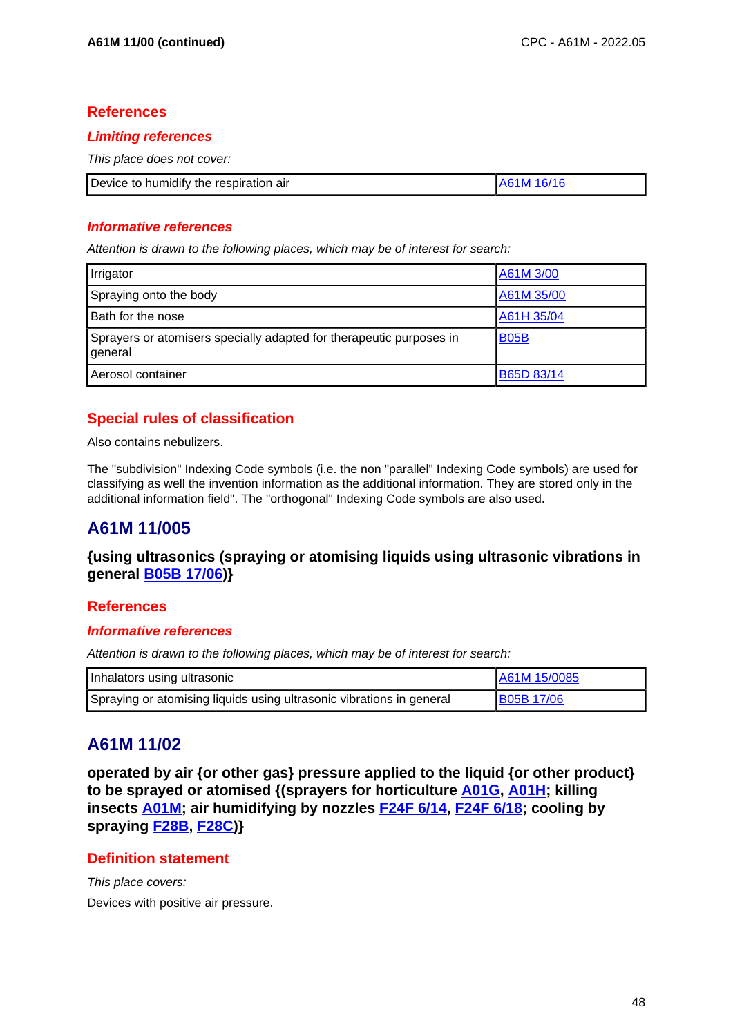### **Limiting references**

This place does not cover:

| Device to humidify the respiration air | IA61M 16/16 |
|----------------------------------------|-------------|

### **Informative references**

Attention is drawn to the following places, which may be of interest for search:

| Irrigator                                                                      | A61M 3/00         |
|--------------------------------------------------------------------------------|-------------------|
| Spraying onto the body                                                         | A61M 35/00        |
| Bath for the nose                                                              | A61H 35/04        |
| Sprayers or atomisers specially adapted for therapeutic purposes in<br>general | <b>B05B</b>       |
| Aerosol container                                                              | <b>B65D 83/14</b> |

# **Special rules of classification**

Also contains nebulizers.

The "subdivision" Indexing Code symbols (i.e. the non "parallel" Indexing Code symbols) are used for classifying as well the invention information as the additional information. They are stored only in the additional information field". The "orthogonal" Indexing Code symbols are also used.

# **A61M 11/005**

**{using ultrasonics (spraying or atomising liquids using ultrasonic vibrations in general B05B 17/06)}**

### **References**

### **Informative references**

Attention is drawn to the following places, which may be of interest for search:

| Inhalators using ultrasonic                                          | A61M 15/0085      |
|----------------------------------------------------------------------|-------------------|
| Spraying or atomising liquids using ultrasonic vibrations in general | <b>B05B 17/06</b> |

# **A61M 11/02**

**operated by air {or other gas} pressure applied to the liquid {or other product} to be sprayed or atomised {(sprayers for horticulture A01G, A01H; killing insects A01M; air humidifying by nozzles F24F 6/14, F24F 6/18; cooling by spraying F28B, F28C)}**

## **Definition statement**

This place covers: Devices with positive air pressure.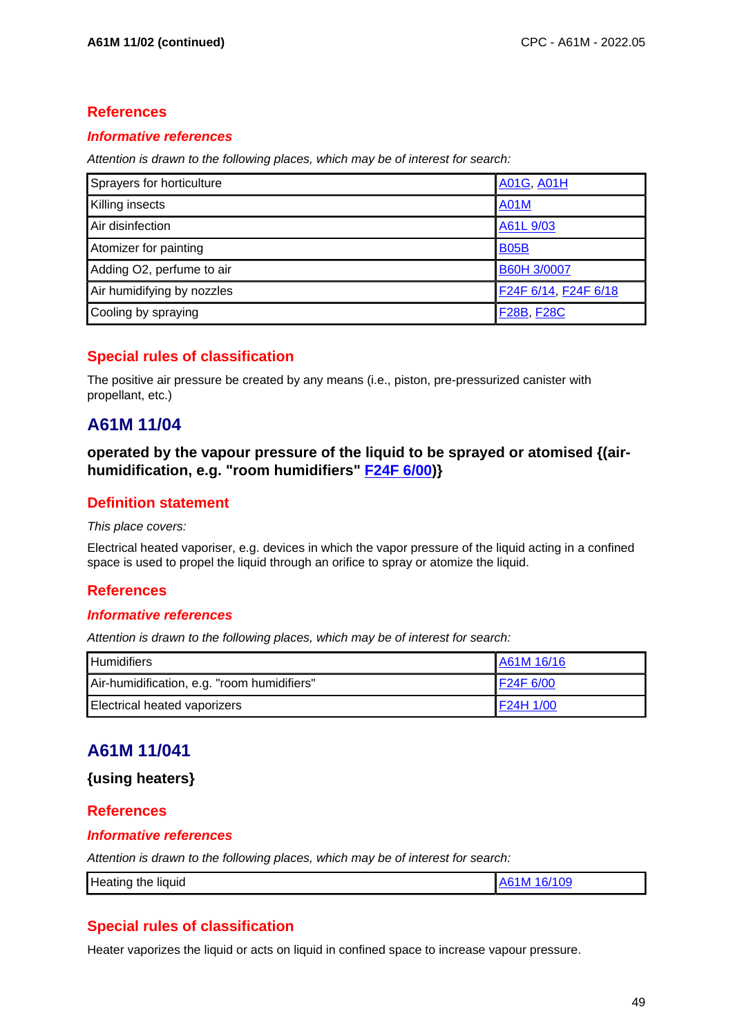### **Informative references**

Attention is drawn to the following places, which may be of interest for search:

| Sprayers for horticulture  | <b>A01G, A01H</b>    |
|----------------------------|----------------------|
| Killing insects            | <b>A01M</b>          |
| Air disinfection           | A61L 9/03            |
| Atomizer for painting      | <b>B05B</b>          |
| Adding O2, perfume to air  | B60H 3/0007          |
| Air humidifying by nozzles | F24F 6/14, F24F 6/18 |
| Cooling by spraying        | <b>F28B, F28C</b>    |

## **Special rules of classification**

The positive air pressure be created by any means (i.e., piston, pre-pressurized canister with propellant, etc.)

## **A61M 11/04**

**operated by the vapour pressure of the liquid to be sprayed or atomised {(airhumidification, e.g. "room humidifiers" F24F 6/00)}**

## **Definition statement**

#### This place covers:

Electrical heated vaporiser, e.g. devices in which the vapor pressure of the liquid acting in a confined space is used to propel the liquid through an orifice to spray or atomize the liquid.

## **References**

### **Informative references**

Attention is drawn to the following places, which may be of interest for search:

| <b>Humidifiers</b>                          | A61M 16/16 |
|---------------------------------------------|------------|
| Air-humidification, e.g. "room humidifiers" | F24F 6/00  |
| Electrical heated vaporizers                | F24H 1/00  |

## **A61M 11/041**

### **{using heaters}**

### **References**

#### **Informative references**

Attention is drawn to the following places, which may be of interest for search:

|  | Heating<br>the<br>liquid | 16/109<br>$\sqrt{2}$<br><b>IM</b> |
|--|--------------------------|-----------------------------------|
|--|--------------------------|-----------------------------------|

## **Special rules of classification**

Heater vaporizes the liquid or acts on liquid in confined space to increase vapour pressure.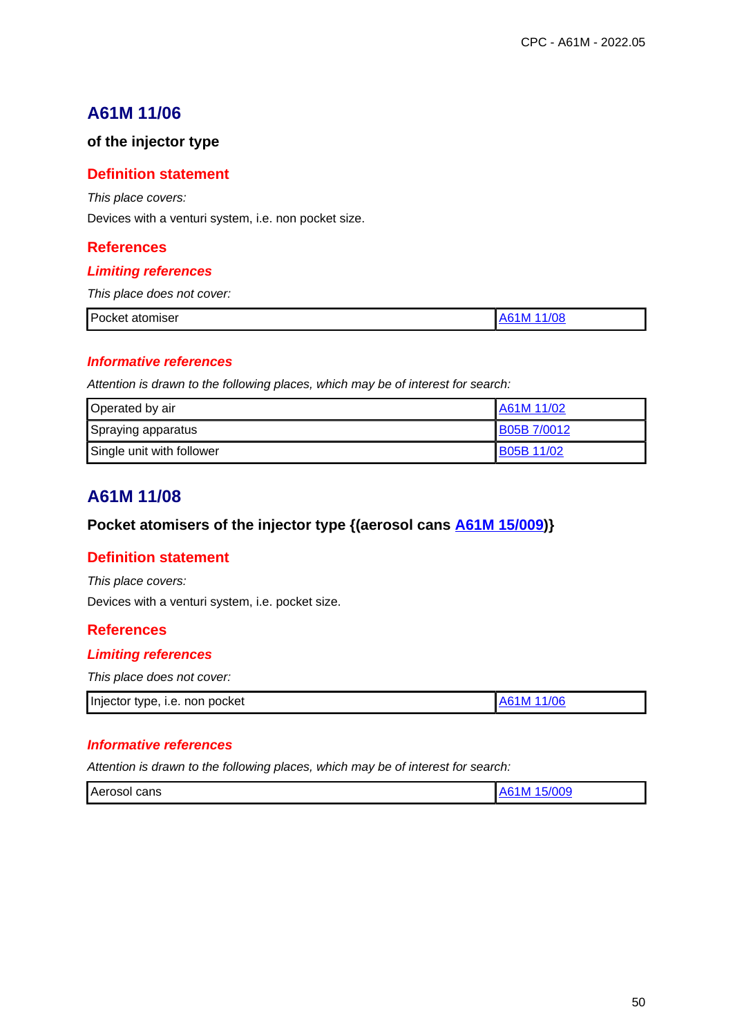# **A61M 11/06**

### **of the injector type**

### **Definition statement**

This place covers:

Devices with a venturi system, i.e. non pocket size.

## **References**

### **Limiting references**

This place does not cover:

| P <sub>0</sub><br>.<br>-----<br>оскет<br>omisei<br>$   -$ |  |
|-----------------------------------------------------------|--|
|                                                           |  |

#### **Informative references**

Attention is drawn to the following places, which may be of interest for search:

| Operated by air           | IA61M 11/02  |
|---------------------------|--------------|
| Spraying apparatus        | IB05B 7/0012 |
| Single unit with follower | B05B 11/02   |

# **A61M 11/08**

## **Pocket atomisers of the injector type {(aerosol cans A61M 15/009)}**

### **Definition statement**

This place covers:

Devices with a venturi system, i.e. pocket size.

### **References**

### **Limiting references**

This place does not cover:

| Injector type, i.e. non pocket | A61M 11/06 |
|--------------------------------|------------|

#### **Informative references**

| - -<br>cans |                      |  |
|-------------|----------------------|--|
|             | <b>Aero</b><br>.osor |  |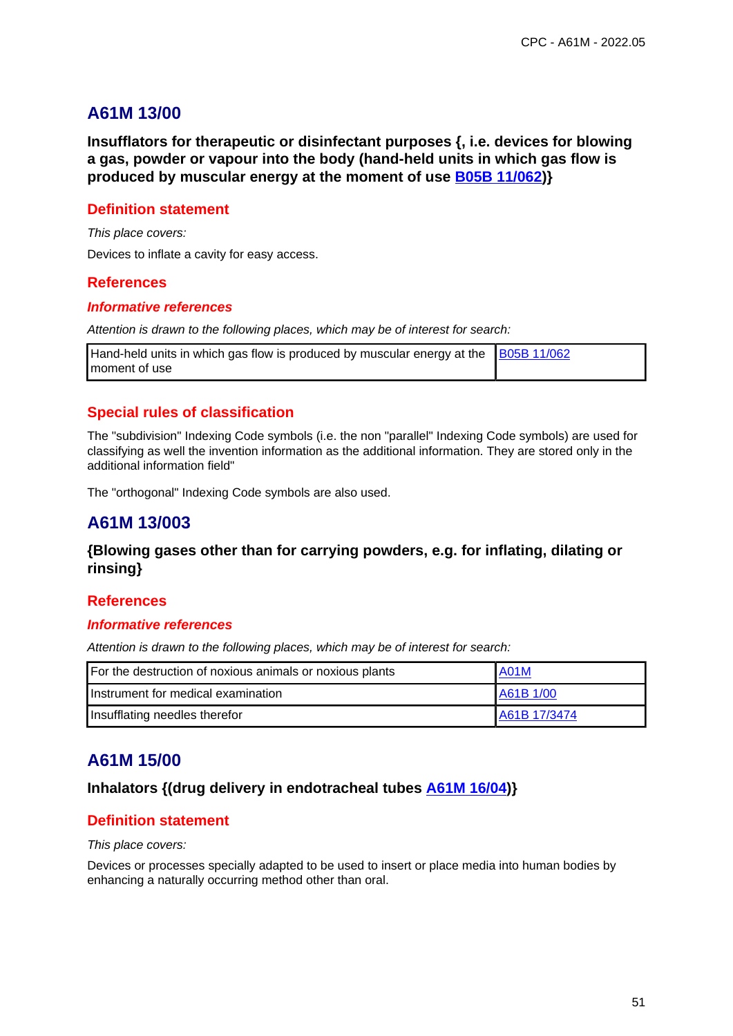# **A61M 13/00**

**Insufflators for therapeutic or disinfectant purposes {, i.e. devices for blowing a gas, powder or vapour into the body (hand-held units in which gas flow is produced by muscular energy at the moment of use B05B 11/062)}**

### **Definition statement**

This place covers:

Devices to inflate a cavity for easy access.

#### **References**

#### **Informative references**

Attention is drawn to the following places, which may be of interest for search:

| Hand-held units in which gas flow is produced by muscular energy at the $\left  \frac{\text{B05B 11/062}}{\text{B05B 11}} \right $ |  |
|------------------------------------------------------------------------------------------------------------------------------------|--|
| moment of use                                                                                                                      |  |

## **Special rules of classification**

The "subdivision" Indexing Code symbols (i.e. the non "parallel" Indexing Code symbols) are used for classifying as well the invention information as the additional information. They are stored only in the additional information field"

The "orthogonal" Indexing Code symbols are also used.

## **A61M 13/003**

### **{Blowing gases other than for carrying powders, e.g. for inflating, dilating or rinsing}**

### **References**

#### **Informative references**

Attention is drawn to the following places, which may be of interest for search:

| For the destruction of noxious animals or noxious plants | <b>A01M</b>  |
|----------------------------------------------------------|--------------|
| Instrument for medical examination                       | A61B 1/00    |
| Insufflating needles therefor                            | A61B 17/3474 |

## **A61M 15/00**

### **Inhalators {(drug delivery in endotracheal tubes A61M 16/04)}**

### **Definition statement**

This place covers:

Devices or processes specially adapted to be used to insert or place media into human bodies by enhancing a naturally occurring method other than oral.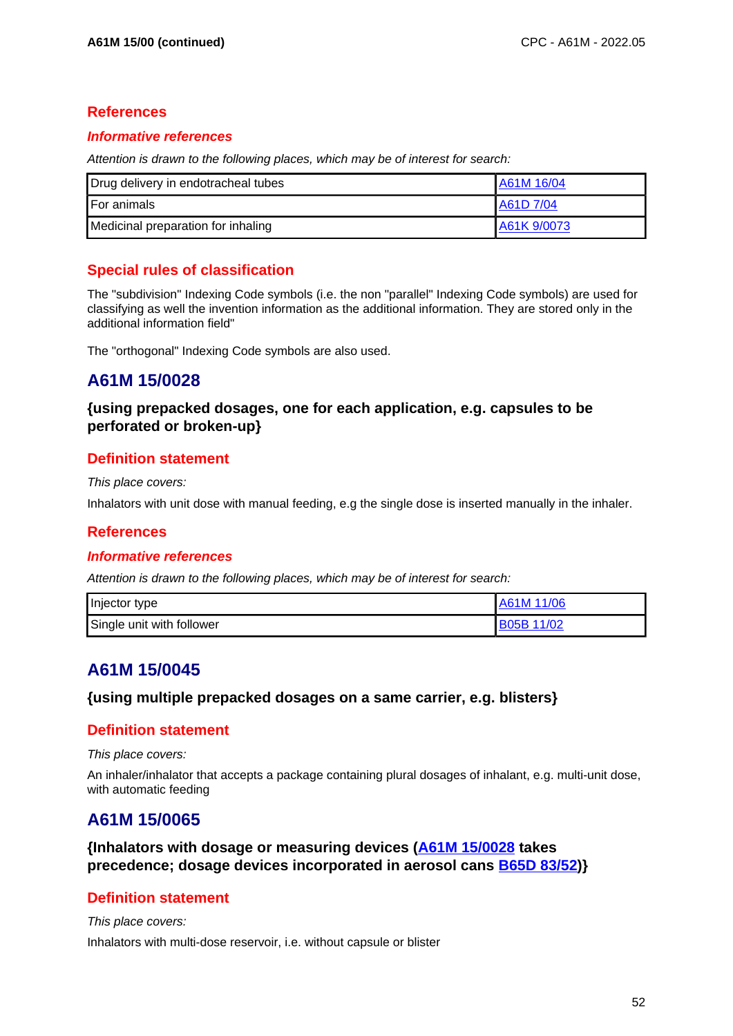### **Informative references**

Attention is drawn to the following places, which may be of interest for search:

| Drug delivery in endotracheal tubes | A61M 16/04  |
|-------------------------------------|-------------|
| <b>I</b> For animals                | A61D 7/04   |
| Medicinal preparation for inhaling  | A61K 9/0073 |

## **Special rules of classification**

The "subdivision" Indexing Code symbols (i.e. the non "parallel" Indexing Code symbols) are used for classifying as well the invention information as the additional information. They are stored only in the additional information field"

The "orthogonal" Indexing Code symbols are also used.

# **A61M 15/0028**

## **{using prepacked dosages, one for each application, e.g. capsules to be perforated or broken-up}**

## **Definition statement**

#### This place covers:

Inhalators with unit dose with manual feeding, e.g the single dose is inserted manually in the inhaler.

### **References**

### **Informative references**

Attention is drawn to the following places, which may be of interest for search:

| Injector type             | A61M 11/06 |
|---------------------------|------------|
| Single unit with follower | B05B 11/02 |

# **A61M 15/0045**

### **{using multiple prepacked dosages on a same carrier, e.g. blisters}**

### **Definition statement**

This place covers:

An inhaler/inhalator that accepts a package containing plural dosages of inhalant, e.g. multi-unit dose, with automatic feeding

## **A61M 15/0065**

**{Inhalators with dosage or measuring devices (A61M 15/0028 takes precedence; dosage devices incorporated in aerosol cans B65D 83/52)}**

## **Definition statement**

#### This place covers:

Inhalators with multi-dose reservoir, i.e. without capsule or blister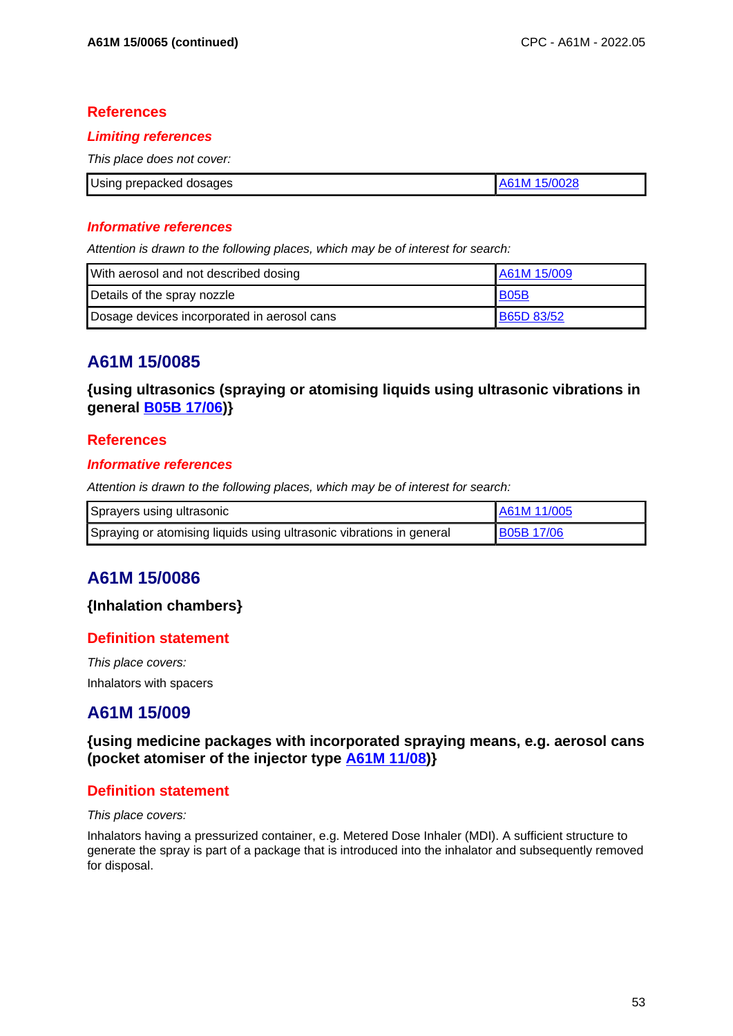#### **Limiting references**

This place does not cover:

| Using prepacked dosages | 15/0028<br>61M |
|-------------------------|----------------|

#### **Informative references**

Attention is drawn to the following places, which may be of interest for search:

| With aerosol and not described dosing       | A61M 15/009       |
|---------------------------------------------|-------------------|
| Details of the spray nozzle                 | <b>B05B</b>       |
| Dosage devices incorporated in aerosol cans | <b>B65D 83/52</b> |

## **A61M 15/0085**

**{using ultrasonics (spraying or atomising liquids using ultrasonic vibrations in general B05B 17/06)}**

### **References**

#### **Informative references**

Attention is drawn to the following places, which may be of interest for search:

| Sprayers using ultrasonic                                            | A61M 11/005       |
|----------------------------------------------------------------------|-------------------|
| Spraying or atomising liquids using ultrasonic vibrations in general | <b>B05B 17/06</b> |

# **A61M 15/0086**

### **{Inhalation chambers}**

### **Definition statement**

This place covers: Inhalators with spacers

## **A61M 15/009**

**{using medicine packages with incorporated spraying means, e.g. aerosol cans (pocket atomiser of the injector type A61M 11/08)}**

### **Definition statement**

#### This place covers:

Inhalators having a pressurized container, e.g. Metered Dose Inhaler (MDI). A sufficient structure to generate the spray is part of a package that is introduced into the inhalator and subsequently removed for disposal.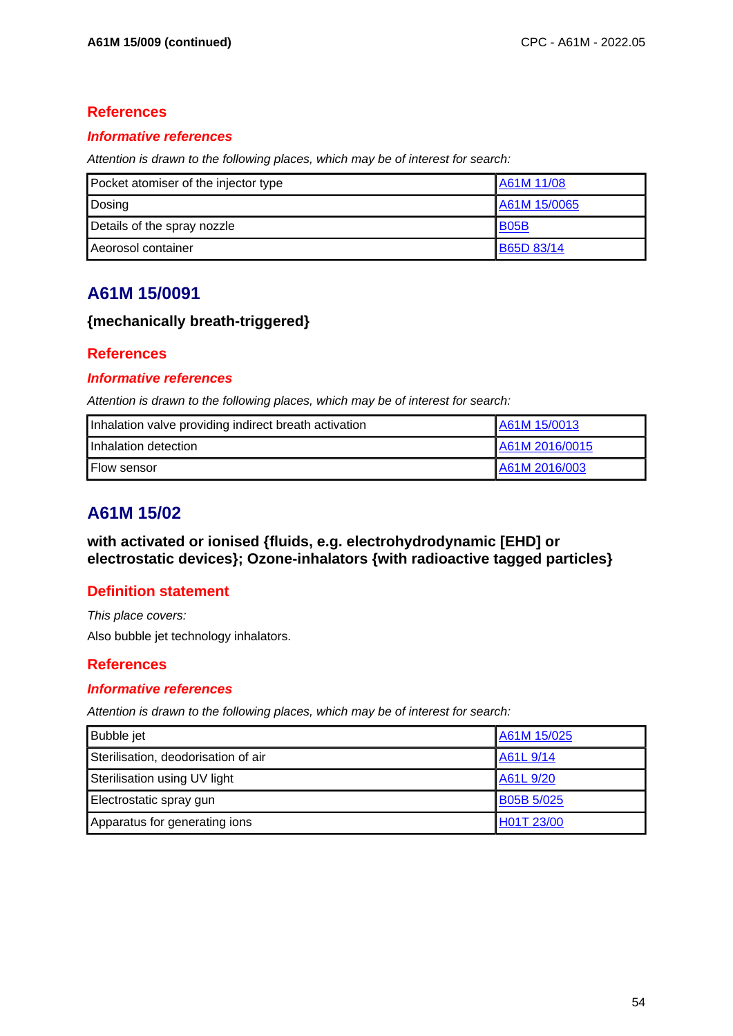## **Informative references**

Attention is drawn to the following places, which may be of interest for search:

| Pocket atomiser of the injector type | A61M 11/08        |
|--------------------------------------|-------------------|
| Dosing                               | A61M 15/0065      |
| Details of the spray nozzle          | B05B              |
| Aeorosol container                   | <b>B65D 83/14</b> |

# **A61M 15/0091**

## **{mechanically breath-triggered}**

## **References**

## **Informative references**

Attention is drawn to the following places, which may be of interest for search:

| Inhalation valve providing indirect breath activation | A61M 15/0013   |
|-------------------------------------------------------|----------------|
| Inhalation detection                                  | A61M 2016/0015 |
| <b>Flow sensor</b>                                    | LA61M 2016/003 |

# **A61M 15/02**

**with activated or ionised {fluids, e.g. electrohydrodynamic [EHD] or electrostatic devices}; Ozone-inhalators {with radioactive tagged particles}**

## **Definition statement**

This place covers: Also bubble jet technology inhalators.

## **References**

### **Informative references**

| <b>Bubble</b> jet                   | A61M 15/025       |
|-------------------------------------|-------------------|
| Sterilisation, deodorisation of air | A61L 9/14         |
| Sterilisation using UV light        | A61L 9/20         |
| Electrostatic spray gun             | <b>B05B 5/025</b> |
| Apparatus for generating ions       | H01T 23/00        |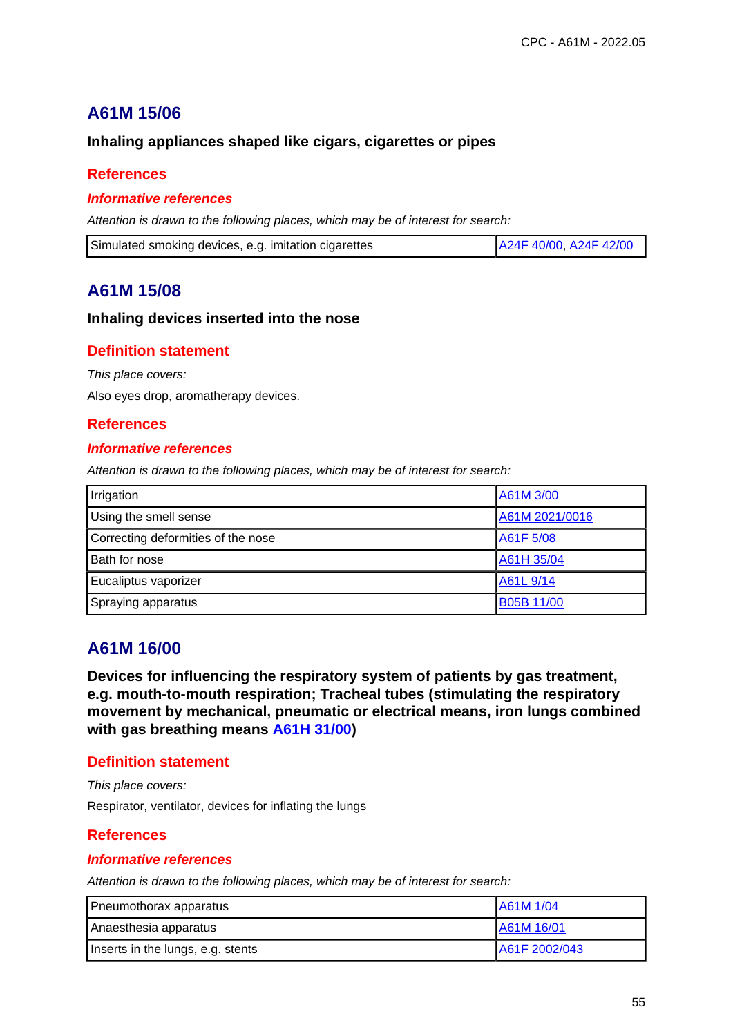# **A61M 15/06**

### **Inhaling appliances shaped like cigars, cigarettes or pipes**

### **References**

#### **Informative references**

Attention is drawn to the following places, which may be of interest for search:

| Simulated smoking devices, e.g. imitation cigarettes | A24F 40/00, A24F 42/00 |
|------------------------------------------------------|------------------------|
|------------------------------------------------------|------------------------|

## **A61M 15/08**

#### **Inhaling devices inserted into the nose**

### **Definition statement**

This place covers:

Also eyes drop, aromatherapy devices.

### **References**

#### **Informative references**

Attention is drawn to the following places, which may be of interest for search:

| Irrigation                         | A61M 3/00      |
|------------------------------------|----------------|
| Using the smell sense              | A61M 2021/0016 |
| Correcting deformities of the nose | A61F 5/08      |
| Bath for nose                      | A61H 35/04     |
| Eucaliptus vaporizer               | A61L 9/14      |
| Spraying apparatus                 | B05B 11/00     |

## **A61M 16/00**

**Devices for influencing the respiratory system of patients by gas treatment, e.g. mouth-to-mouth respiration; Tracheal tubes (stimulating the respiratory movement by mechanical, pneumatic or electrical means, iron lungs combined with gas breathing means A61H 31/00)**

### **Definition statement**

This place covers: Respirator, ventilator, devices for inflating the lungs

### **References**

#### **Informative references**

| Pneumothorax apparatus            | A61M 1/04     |
|-----------------------------------|---------------|
| Anaesthesia apparatus             | A61M 16/01    |
| Inserts in the lungs, e.g. stents | A61F 2002/043 |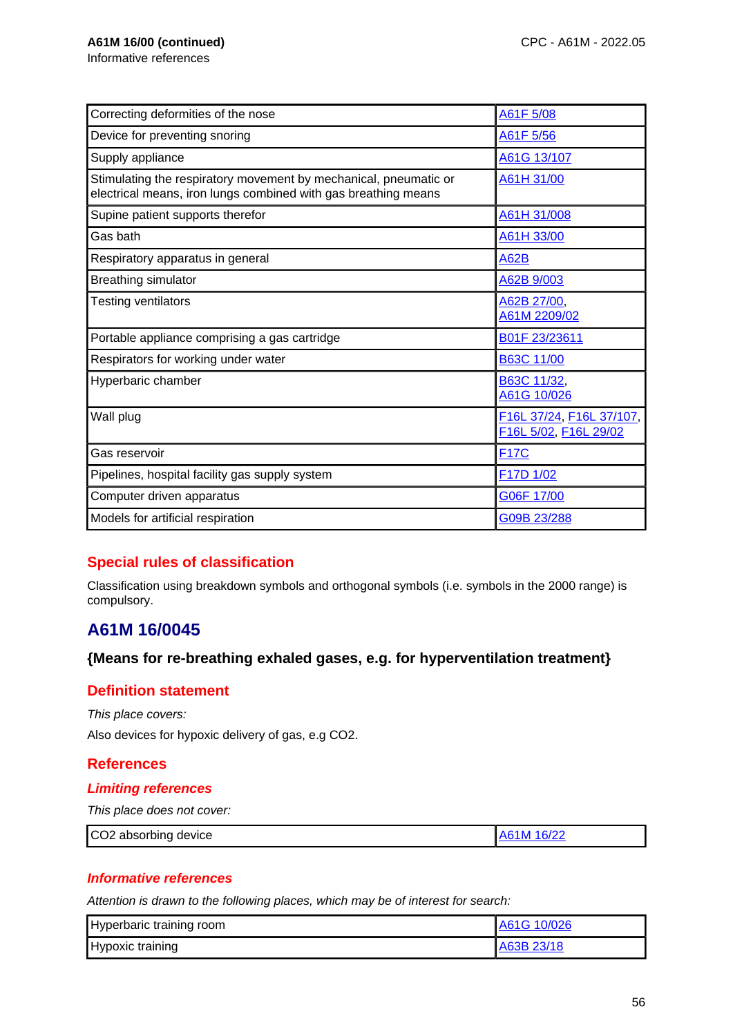Informative references

| Correcting deformities of the nose                                                                                                 | A61F 5/08                                         |
|------------------------------------------------------------------------------------------------------------------------------------|---------------------------------------------------|
| Device for preventing snoring                                                                                                      | A61F 5/56                                         |
| Supply appliance                                                                                                                   | A61G 13/107                                       |
| Stimulating the respiratory movement by mechanical, pneumatic or<br>electrical means, iron lungs combined with gas breathing means | A61H 31/00                                        |
| Supine patient supports therefor                                                                                                   | A61H 31/008                                       |
| Gas bath                                                                                                                           | A61H 33/00                                        |
| Respiratory apparatus in general                                                                                                   | <b>A62B</b>                                       |
| <b>Breathing simulator</b>                                                                                                         | A62B 9/003                                        |
| <b>Testing ventilators</b>                                                                                                         | A62B 27/00,<br>A61M 2209/02                       |
| Portable appliance comprising a gas cartridge                                                                                      | B01F 23/23611                                     |
| Respirators for working under water                                                                                                | <b>B63C 11/00</b>                                 |
| Hyperbaric chamber                                                                                                                 | B63C 11/32,<br>A61G 10/026                        |
| Wall plug                                                                                                                          | F16L 37/24, F16L 37/107,<br>F16L 5/02, F16L 29/02 |
| Gas reservoir                                                                                                                      | <b>F17C</b>                                       |
| Pipelines, hospital facility gas supply system                                                                                     | F17D 1/02                                         |
| Computer driven apparatus                                                                                                          | G06F 17/00                                        |
| Models for artificial respiration                                                                                                  | G09B 23/288                                       |

## **Special rules of classification**

Classification using breakdown symbols and orthogonal symbols (i.e. symbols in the 2000 range) is compulsory.

# **A61M 16/0045**

### **{Means for re-breathing exhaled gases, e.g. for hyperventilation treatment}**

### **Definition statement**

This place covers:

Also devices for hypoxic delivery of gas, e.g CO2.

## **References**

#### **Limiting references**

This place does not cover:

| CO2 absorbing device<br>A61M 16/22 |
|------------------------------------|
|------------------------------------|

### **Informative references**

| Hyperbaric training room | A61G 10/026 |
|--------------------------|-------------|
| Hypoxic training         | A63B 23/18  |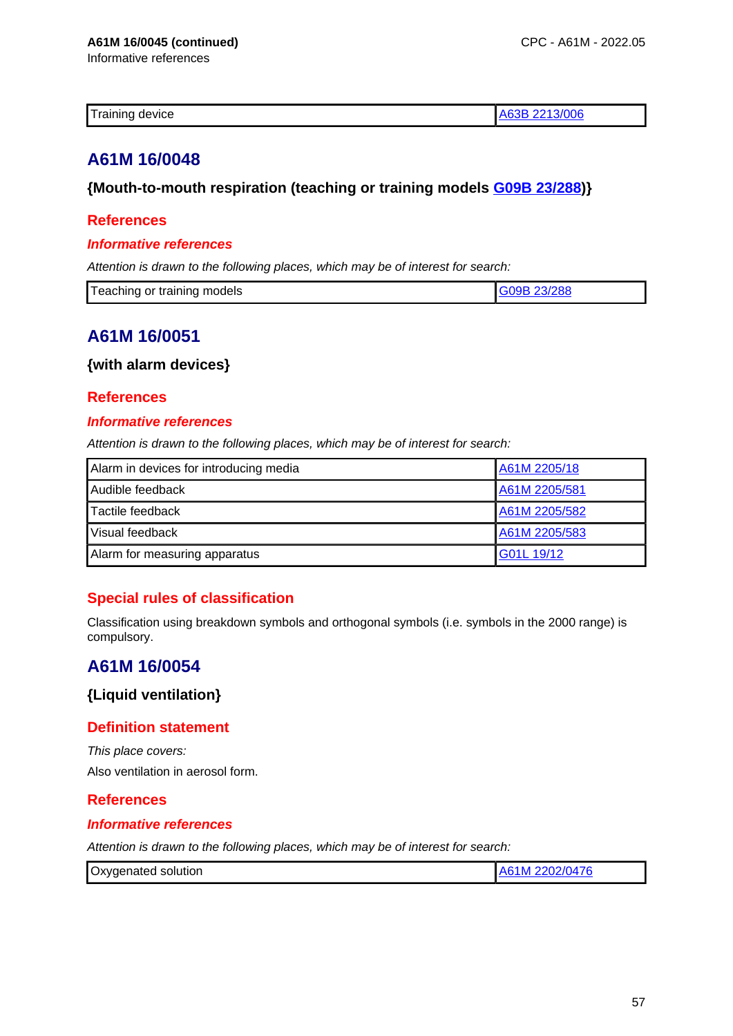Informative references

| Training<br>device<br>uut |  |  |
|---------------------------|--|--|
|---------------------------|--|--|

# **A61M 16/0048**

## **{Mouth-to-mouth respiration (teaching or training models G09B 23/288)}**

### **References**

#### **Informative references**

Attention is drawn to the following places, which may be of interest for search:

| Teaching or training models | 3/288 |
|-----------------------------|-------|
|                             |       |

# **A61M 16/0051**

**{with alarm devices}**

### **References**

#### **Informative references**

Attention is drawn to the following places, which may be of interest for search:

| Alarm in devices for introducing media | A61M 2205/18  |
|----------------------------------------|---------------|
| Audible feedback                       | A61M 2205/581 |
| Tactile feedback                       | A61M 2205/582 |
| Visual feedback                        | A61M 2205/583 |
| Alarm for measuring apparatus          | G01L 19/12    |

## **Special rules of classification**

Classification using breakdown symbols and orthogonal symbols (i.e. symbols in the 2000 range) is compulsory.

# **A61M 16/0054**

### **{Liquid ventilation}**

## **Definition statement**

This place covers: Also ventilation in aerosol form.

### **References**

### **Informative references**

| Oxygenated solution | A61M 2202/0476 |
|---------------------|----------------|
|---------------------|----------------|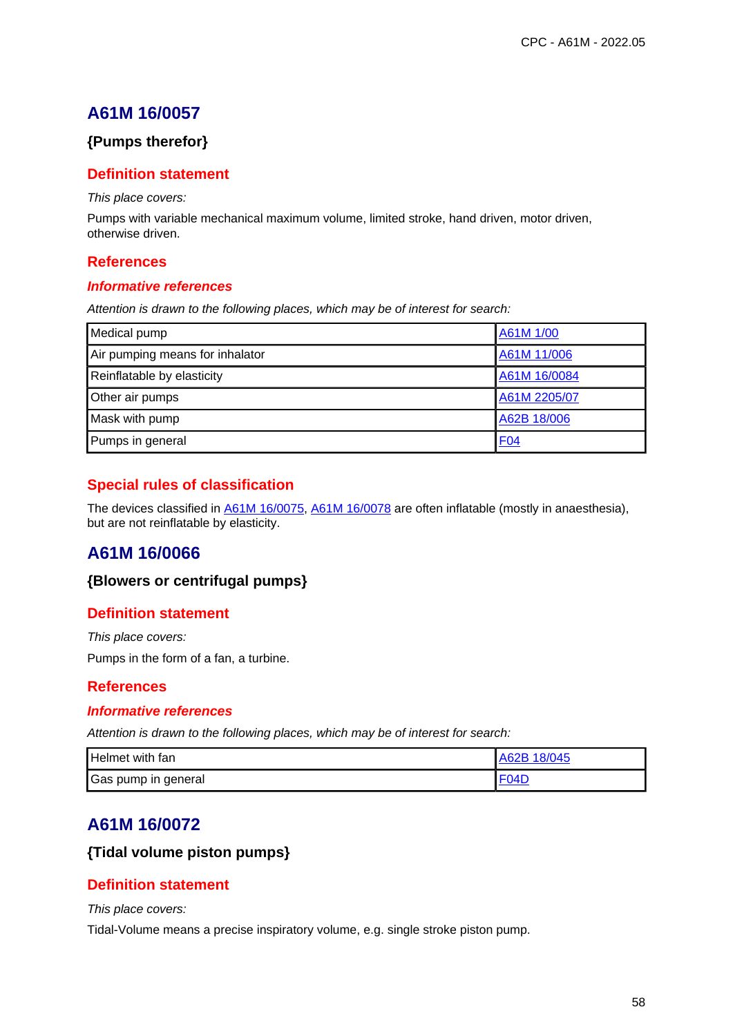## **{Pumps therefor}**

### **Definition statement**

This place covers:

Pumps with variable mechanical maximum volume, limited stroke, hand driven, motor driven, otherwise driven.

### **References**

#### **Informative references**

Attention is drawn to the following places, which may be of interest for search:

| Medical pump                    | A61M 1/00    |
|---------------------------------|--------------|
| Air pumping means for inhalator | A61M 11/006  |
| Reinflatable by elasticity      | A61M 16/0084 |
| Other air pumps                 | A61M 2205/07 |
| Mask with pump                  | A62B 18/006  |
| Pumps in general                | <b>F04</b>   |

## **Special rules of classification**

The devices classified in A61M 16/0075, A61M 16/0078 are often inflatable (mostly in anaesthesia), but are not reinflatable by elasticity.

## **A61M 16/0066**

### **{Blowers or centrifugal pumps}**

### **Definition statement**

This place covers:

Pumps in the form of a fan, a turbine.

### **References**

#### **Informative references**

Attention is drawn to the following places, which may be of interest for search:

| Helmet with fan     | A62B 18/045 |
|---------------------|-------------|
| Gas pump in general | F04D        |

## **A61M 16/0072**

### **{Tidal volume piston pumps}**

### **Definition statement**

#### This place covers:

Tidal-Volume means a precise inspiratory volume, e.g. single stroke piston pump.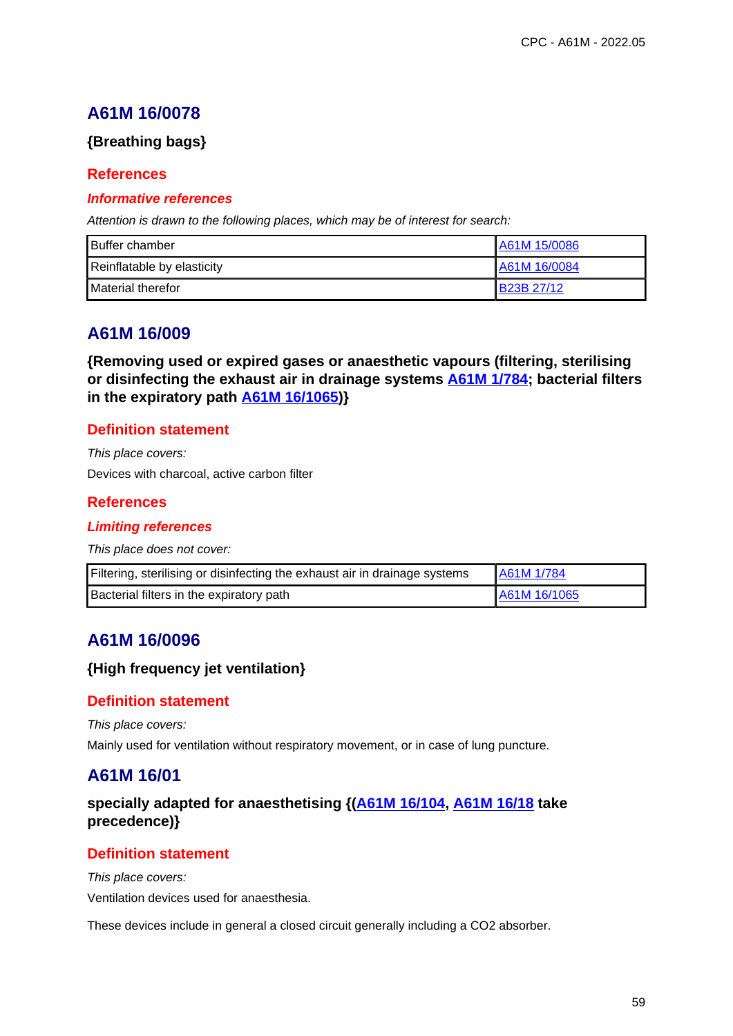## **{Breathing bags}**

## **References**

### **Informative references**

Attention is drawn to the following places, which may be of interest for search:

| <b>Buffer chamber</b>      | A61M 15/0086 |
|----------------------------|--------------|
| Reinflatable by elasticity | A61M 16/0084 |
| <b>I</b> Material therefor | B23B 27/12   |

# **A61M 16/009**

**{Removing used or expired gases or anaesthetic vapours (filtering, sterilising or disinfecting the exhaust air in drainage systems A61M 1/784; bacterial filters in the expiratory path A61M 16/1065)}**

### **Definition statement**

This place covers: Devices with charcoal, active carbon filter

### **References**

### **Limiting references**

This place does not cover:

| Filtering, sterilising or disinfecting the exhaust air in drainage systems | A61M 1/784   |
|----------------------------------------------------------------------------|--------------|
| Bacterial filters in the expiratory path                                   | A61M 16/1065 |

# **A61M 16/0096**

### **{High frequency jet ventilation}**

### **Definition statement**

This place covers:

Mainly used for ventilation without respiratory movement, or in case of lung puncture.

## **A61M 16/01**

## **specially adapted for anaesthetising {(A61M 16/104, A61M 16/18 take precedence)}**

## **Definition statement**

This place covers: Ventilation devices used for anaesthesia.

These devices include in general a closed circuit generally including a CO2 absorber.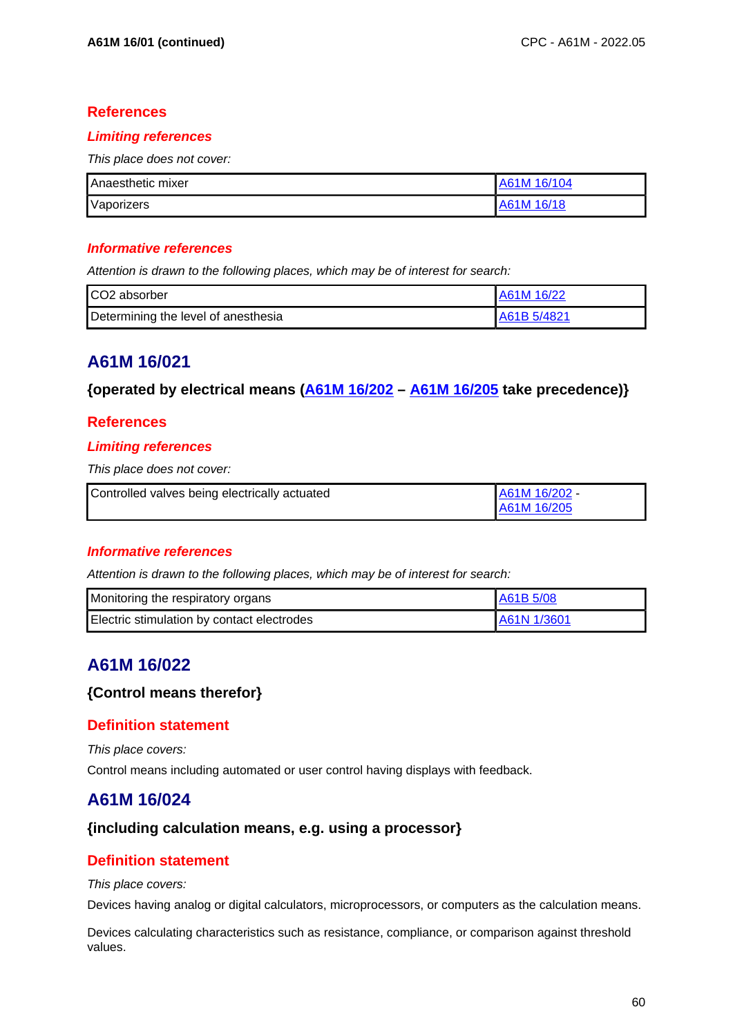### **Limiting references**

This place does not cover:

| <b>Anaesthetic mixer</b> | A61M 16/104 |
|--------------------------|-------------|
| Vaporizers               | A61M 16/18  |

#### **Informative references**

Attention is drawn to the following places, which may be of interest for search:

| CO2 absorber                        | 1A61M 16/22 |
|-------------------------------------|-------------|
| Determining the level of anesthesia | A61B 5/4821 |

# **A61M 16/021**

### **{operated by electrical means (A61M 16/202 – A61M 16/205 take precedence)}**

## **References**

### **Limiting references**

This place does not cover:

| Controlled valves being electrically actuated | A61M 16/202 - |
|-----------------------------------------------|---------------|
|                                               | A61M 16/205   |

### **Informative references**

Attention is drawn to the following places, which may be of interest for search:

| Monitoring the respiratory organs          | I A61B 5/08  |
|--------------------------------------------|--------------|
| Electric stimulation by contact electrodes | LA61N 1/3601 |

## **A61M 16/022**

### **{Control means therefor}**

### **Definition statement**

This place covers:

Control means including automated or user control having displays with feedback.

## **A61M 16/024**

### **{including calculation means, e.g. using a processor}**

## **Definition statement**

#### This place covers:

Devices having analog or digital calculators, microprocessors, or computers as the calculation means.

Devices calculating characteristics such as resistance, compliance, or comparison against threshold values.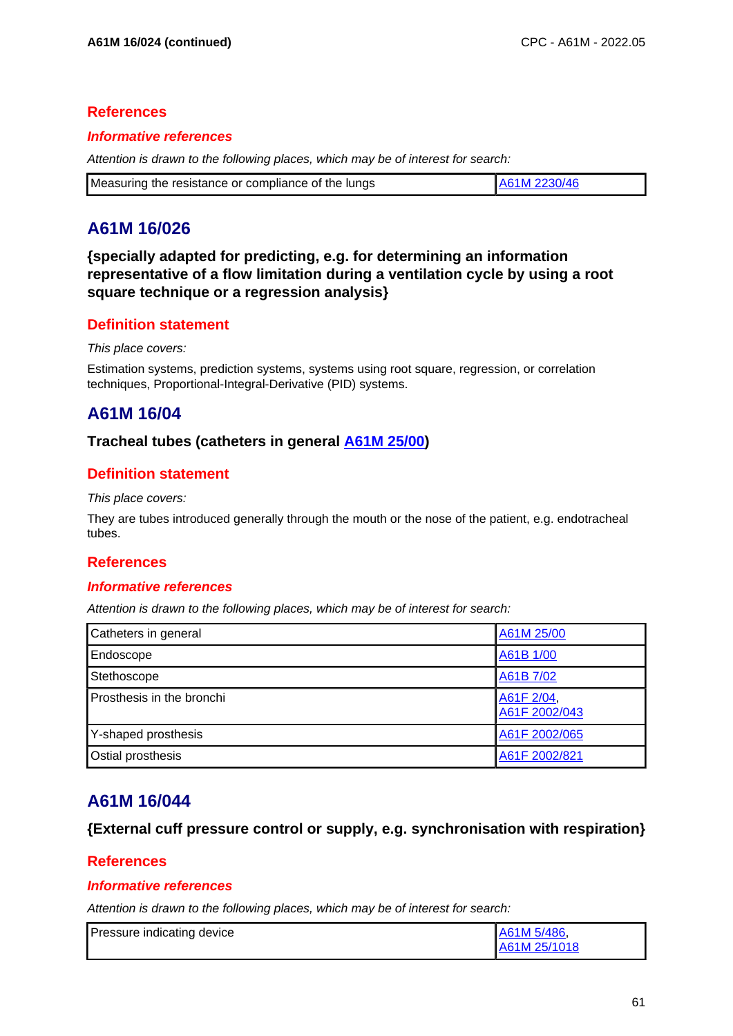### **Informative references**

Attention is drawn to the following places, which may be of interest for search:

| Measuring the resistance or compliance of the lungs | A61M 2230/46 |
|-----------------------------------------------------|--------------|
|-----------------------------------------------------|--------------|

# **A61M 16/026**

**{specially adapted for predicting, e.g. for determining an information representative of a flow limitation during a ventilation cycle by using a root square technique or a regression analysis}**

### **Definition statement**

#### This place covers:

Estimation systems, prediction systems, systems using root square, regression, or correlation techniques, Proportional-Integral-Derivative (PID) systems.

## **A61M 16/04**

### **Tracheal tubes (catheters in general A61M 25/00)**

### **Definition statement**

This place covers:

They are tubes introduced generally through the mouth or the nose of the patient, e.g. endotracheal tubes.

### **References**

#### **Informative references**

Attention is drawn to the following places, which may be of interest for search:

| Catheters in general      | A61M 25/00                  |
|---------------------------|-----------------------------|
| Endoscope                 | A61B 1/00                   |
| Stethoscope               | A61B 7/02                   |
| Prosthesis in the bronchi | A61F 2/04,<br>A61F 2002/043 |
| Y-shaped prosthesis       | A61F 2002/065               |
| Ostial prosthesis         | A61F 2002/821               |

## **A61M 16/044**

**{External cuff pressure control or supply, e.g. synchronisation with respiration}**

### **References**

#### **Informative references**

| Pressure indicating device | A61M 5/486,  |
|----------------------------|--------------|
|                            | A61M 25/1018 |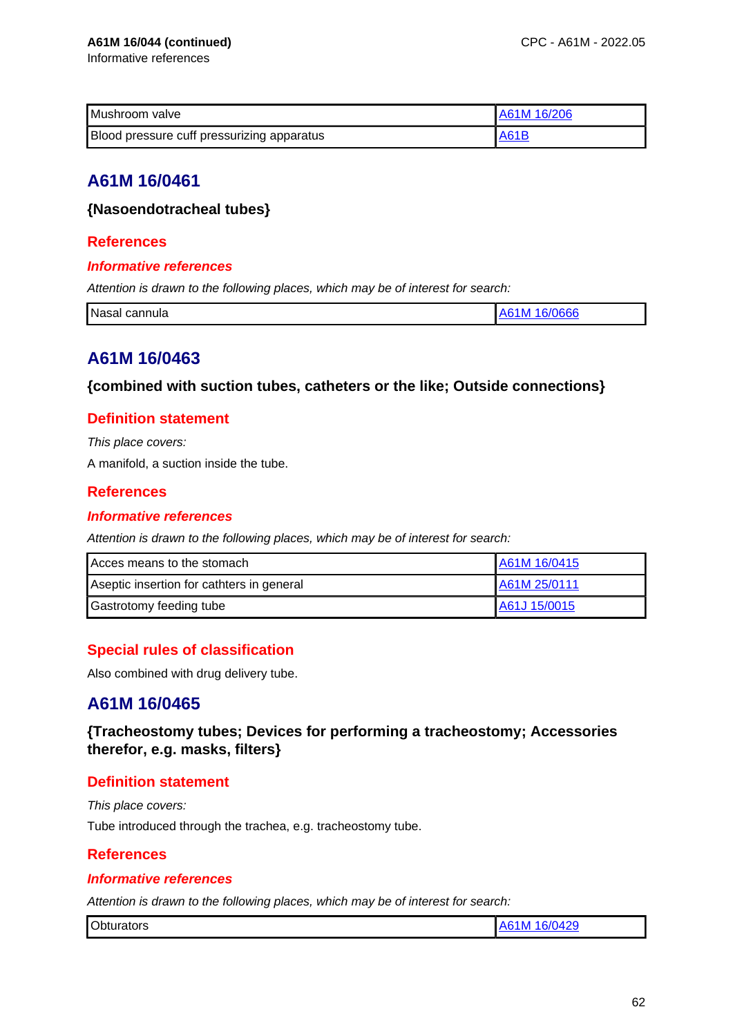Informative references

| Mushroom valve                             | A61M 16/206 |
|--------------------------------------------|-------------|
| Blood pressure cuff pressurizing apparatus | A61B        |

# **A61M 16/0461**

## **{Nasoendotracheal tubes}**

## **References**

### **Informative references**

Attention is drawn to the following places, which may be of interest for search:

| Nasal cannula | JOOC<br>M<br>.<br>vo |
|---------------|----------------------|

# **A61M 16/0463**

**{combined with suction tubes, catheters or the like; Outside connections}**

## **Definition statement**

This place covers:

A manifold, a suction inside the tube.

## **References**

#### **Informative references**

Attention is drawn to the following places, which may be of interest for search:

| Acces means to the stomach                | A61M 16/0415 |
|-------------------------------------------|--------------|
| Aseptic insertion for cathters in general | A61M 25/0111 |
| <b>Gastrotomy feeding tube</b>            | A61J 15/0015 |

## **Special rules of classification**

Also combined with drug delivery tube.

# **A61M 16/0465**

**{Tracheostomy tubes; Devices for performing a tracheostomy; Accessories therefor, e.g. masks, filters}**

## **Definition statement**

This place covers: Tube introduced through the trachea, e.g. tracheostomy tube.

## **References**

### **Informative references**

| <b>Obturators</b><br>6/0429<br>.S1M⊢ |  |
|--------------------------------------|--|
|--------------------------------------|--|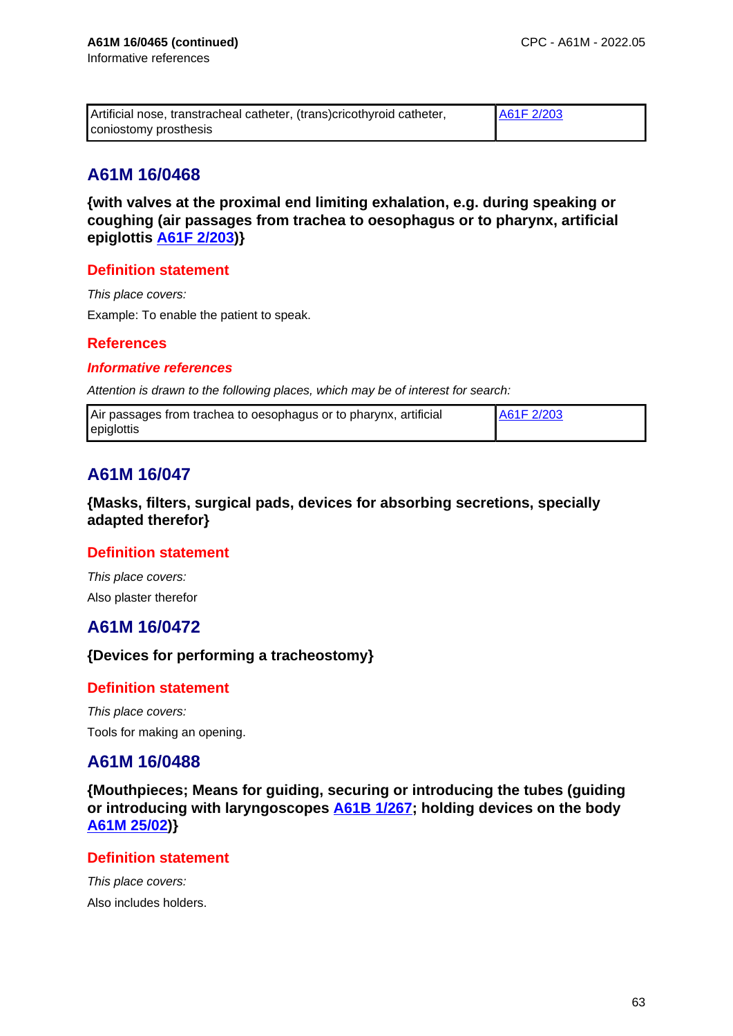| Artificial nose, transtracheal catheter, (trans) cricothyroid catheter, | A61F 2/203 |
|-------------------------------------------------------------------------|------------|
| coniostomy prosthesis                                                   |            |

**{with valves at the proximal end limiting exhalation, e.g. during speaking or coughing (air passages from trachea to oesophagus or to pharynx, artificial epiglottis A61F 2/203)}**

## **Definition statement**

This place covers:

Example: To enable the patient to speak.

### **References**

#### **Informative references**

Attention is drawn to the following places, which may be of interest for search:

| Air passages from trachea to oesophagus or to pharynx, artificial | A61F 2/203 |
|-------------------------------------------------------------------|------------|
| epiglottis                                                        |            |

# **A61M 16/047**

**{Masks, filters, surgical pads, devices for absorbing secretions, specially adapted therefor}**

### **Definition statement**

This place covers: Also plaster therefor

## **A61M 16/0472**

## **{Devices for performing a tracheostomy}**

### **Definition statement**

This place covers: Tools for making an opening.

## **A61M 16/0488**

**{Mouthpieces; Means for guiding, securing or introducing the tubes (guiding or introducing with laryngoscopes A61B 1/267; holding devices on the body A61M 25/02)}**

## **Definition statement**

This place covers: Also includes holders.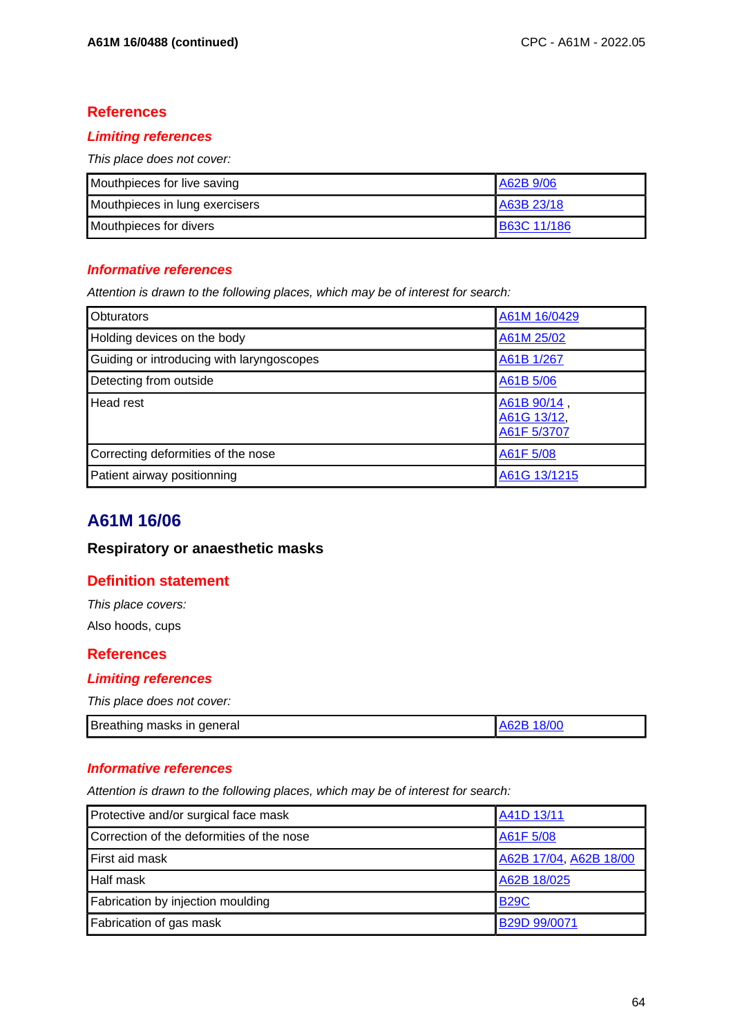### **Limiting references**

This place does not cover:

| Mouthpieces for live saving    | A62B 9/06          |
|--------------------------------|--------------------|
| Mouthpieces in lung exercisers | A63B 23/18         |
| Mouthpieces for divers         | <b>B63C 11/186</b> |

### **Informative references**

Attention is drawn to the following places, which may be of interest for search:

| <b>Obturators</b>                         | A61M 16/0429                              |
|-------------------------------------------|-------------------------------------------|
| Holding devices on the body               | A61M 25/02                                |
| Guiding or introducing with laryngoscopes | A61B 1/267                                |
| Detecting from outside                    | A61B 5/06                                 |
| Head rest                                 | A61B 90/14,<br>A61G 13/12,<br>A61F 5/3707 |
| Correcting deformities of the nose        | A61F 5/08                                 |
| Patient airway positionning               | A61G 13/1215                              |

# **A61M 16/06**

## **Respiratory or anaesthetic masks**

### **Definition statement**

This place covers: Also hoods, cups

### **References**

### **Limiting references**

This place does not cover:

|  | Breathing masks in general<br>A62B | 18/00 |
|--|------------------------------------|-------|
|--|------------------------------------|-------|

## **Informative references**

| Protective and/or surgical face mask      | A41D 13/11             |
|-------------------------------------------|------------------------|
| Correction of the deformities of the nose | A61F 5/08              |
| First aid mask                            | A62B 17/04, A62B 18/00 |
| <b>Half mask</b>                          | A62B 18/025            |
| Fabrication by injection moulding         | <b>B29C</b>            |
| Fabrication of gas mask                   | B29D 99/0071           |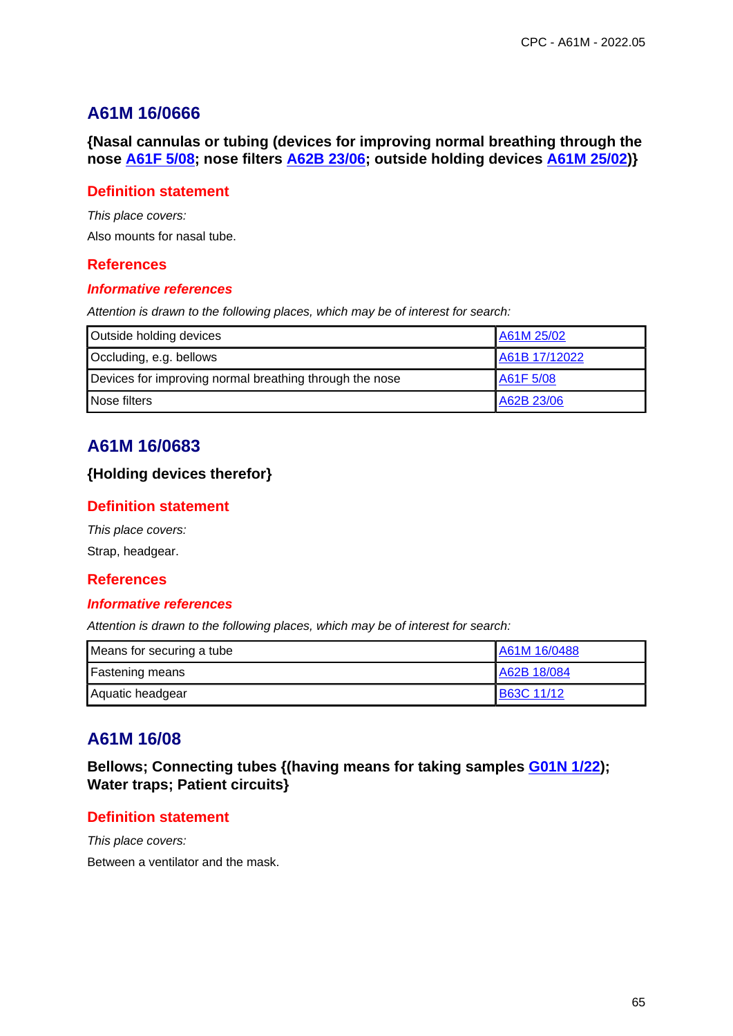**{Nasal cannulas or tubing (devices for improving normal breathing through the nose A61F 5/08; nose filters A62B 23/06; outside holding devices A61M 25/02)}**

### **Definition statement**

This place covers:

Also mounts for nasal tube.

### **References**

#### **Informative references**

Attention is drawn to the following places, which may be of interest for search:

| Outside holding devices                                 | A61M 25/02    |
|---------------------------------------------------------|---------------|
| Occluding, e.g. bellows                                 | A61B 17/12022 |
| Devices for improving normal breathing through the nose | A61F 5/08     |
| Nose filters                                            | A62B 23/06    |

# **A61M 16/0683**

### **{Holding devices therefor}**

### **Definition statement**

This place covers: Strap, headgear.

### **References**

#### **Informative references**

Attention is drawn to the following places, which may be of interest for search:

| Means for securing a tube | A61M 16/0488      |
|---------------------------|-------------------|
| <b>Fastening means</b>    | A62B 18/084       |
| Aquatic headgear          | <b>B63C 11/12</b> |

# **A61M 16/08**

**Bellows; Connecting tubes {(having means for taking samples G01N 1/22); Water traps; Patient circuits}**

### **Definition statement**

This place covers: Between a ventilator and the mask.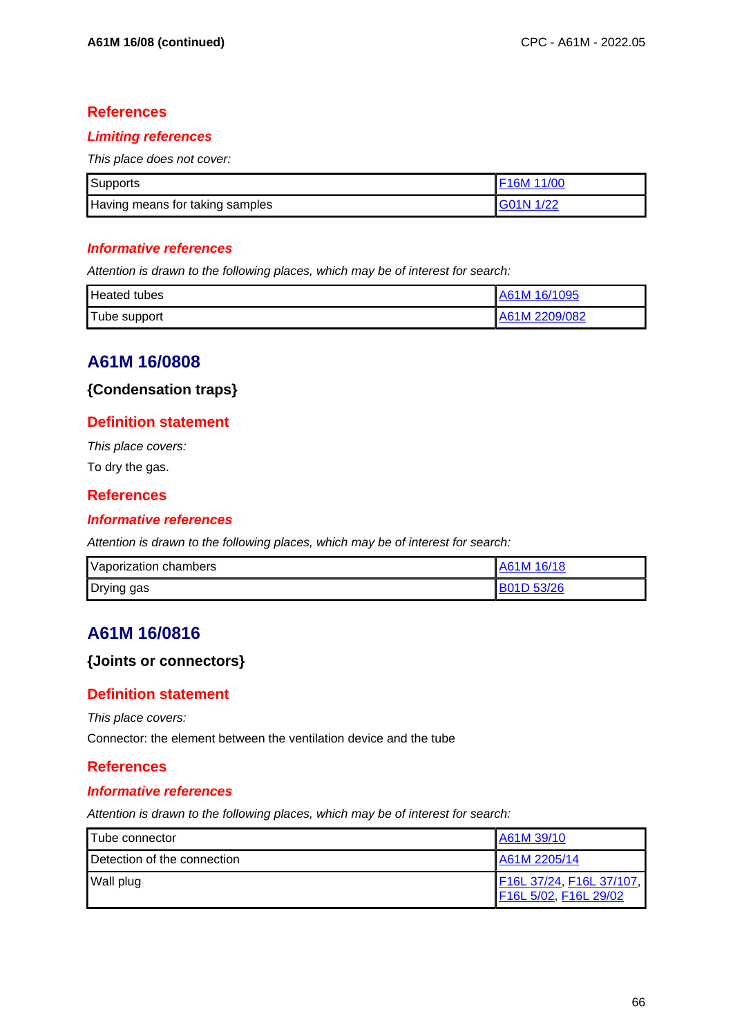### **Limiting references**

This place does not cover:

| <b>Supports</b>                 |           |
|---------------------------------|-----------|
| Having means for taking samples | G01N 1/22 |

### **Informative references**

Attention is drawn to the following places, which may be of interest for search:

| <b>Heated tubes</b> | A61M 16/1095  |
|---------------------|---------------|
| Tube support        | A61M 2209/082 |

# **A61M 16/0808**

### **{Condensation traps}**

### **Definition statement**

This place covers: To dry the gas.

### **References**

### **Informative references**

Attention is drawn to the following places, which may be of interest for search:

| Vaporization chambers | A61M 16/18        |
|-----------------------|-------------------|
| Drying gas            | <b>B01D 53/26</b> |

# **A61M 16/0816**

### **{Joints or connectors}**

### **Definition statement**

This place covers:

Connector: the element between the ventilation device and the tube

### **References**

#### **Informative references**

| Tube connector              | A61M 39/10                                        |
|-----------------------------|---------------------------------------------------|
| Detection of the connection | A61M 2205/14                                      |
| Wall plug                   | F16L 37/24, F16L 37/107,<br>F16L 5/02, F16L 29/02 |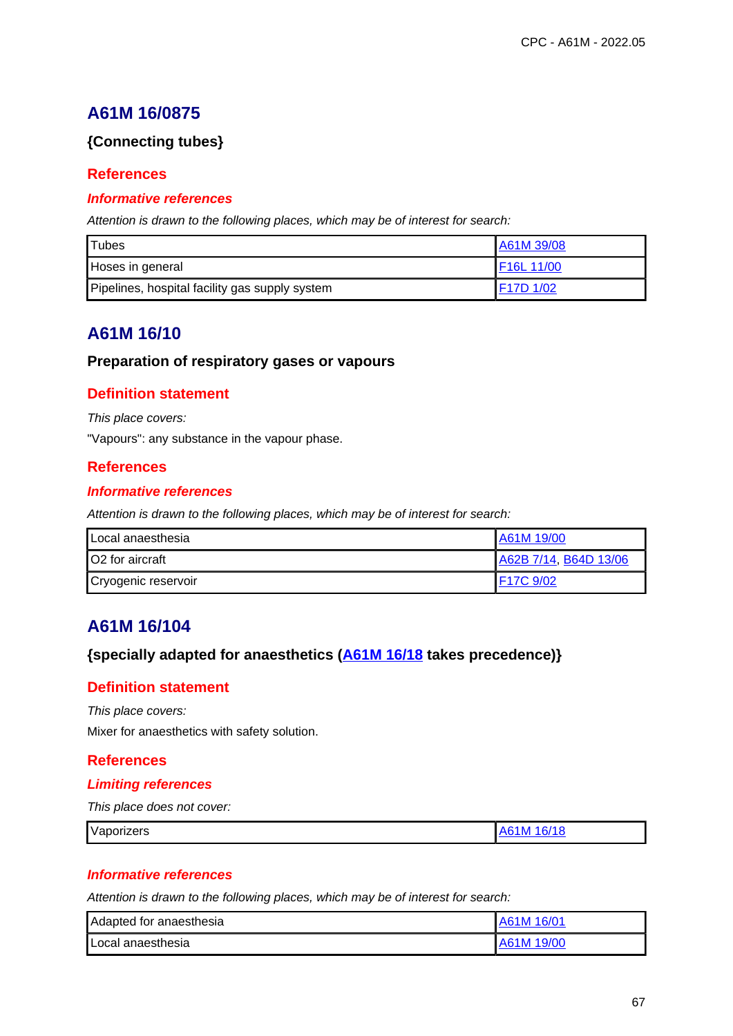## **{Connecting tubes}**

## **References**

### **Informative references**

Attention is drawn to the following places, which may be of interest for search:

| <b>Tubes</b>                                   | A61M 39/08                         |
|------------------------------------------------|------------------------------------|
| Hoses in general                               | F16L 11/00                         |
| Pipelines, hospital facility gas supply system | F <sub>17</sub> D <sub>1</sub> /02 |

# **A61M 16/10**

### **Preparation of respiratory gases or vapours**

## **Definition statement**

This place covers:

"Vapours": any substance in the vapour phase.

### **References**

#### **Informative references**

Attention is drawn to the following places, which may be of interest for search:

| Local anaesthesia      | A61M 19/00            |  |
|------------------------|-----------------------|--|
| <b>O2</b> for aircraft | A62B 7/14, B64D 13/06 |  |
| Cryogenic reservoir    | 1F17C 9/02            |  |

## **A61M 16/104**

## **{specially adapted for anaesthetics (A61M 16/18 takes precedence)}**

### **Definition statement**

This place covers:

Mixer for anaesthetics with safety solution.

### **References**

### **Limiting references**

This place does not cover:

| Vaporizers | --<br>1 I V<br>- 1 С<br>æ |
|------------|---------------------------|
|            |                           |

### **Informative references**

| l Adapted for anaesthesia | A61M 16/01 |
|---------------------------|------------|
| l Local anaesthesia       | A61M 19/00 |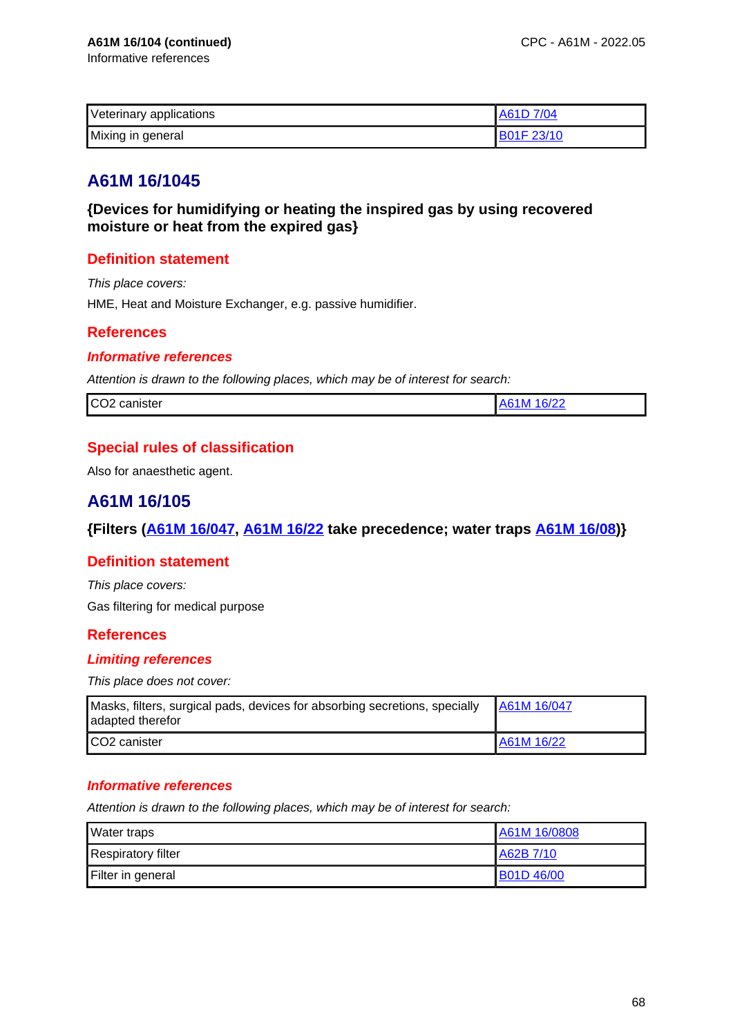| Veterinary applications | A61D 7/04         |
|-------------------------|-------------------|
| Mixing in general       | <b>B01F 23/10</b> |

**{Devices for humidifying or heating the inspired gas by using recovered moisture or heat from the expired gas}**

## **Definition statement**

This place covers: HME, Heat and Moisture Exchanger, e.g. passive humidifier.

## **References**

### **Informative references**

Attention is drawn to the following places, which may be of interest for search:

## **Special rules of classification**

Also for anaesthetic agent.

# **A61M 16/105**

## **{Filters (A61M 16/047, A61M 16/22 take precedence; water traps A61M 16/08)}**

### **Definition statement**

This place covers: Gas filtering for medical purpose

## **References**

### **Limiting references**

This place does not cover:

| Masks, filters, surgical pads, devices for absorbing secretions, specially<br>adapted therefor | A61M 16/047 |
|------------------------------------------------------------------------------------------------|-------------|
| CO <sub>2</sub> canister                                                                       | A61M 16/22  |

### **Informative references**

| Water traps               | A61M 16/0808     |
|---------------------------|------------------|
| <b>Respiratory filter</b> | A62B 7/10        |
| Filter in general         | <b>B01D46/00</b> |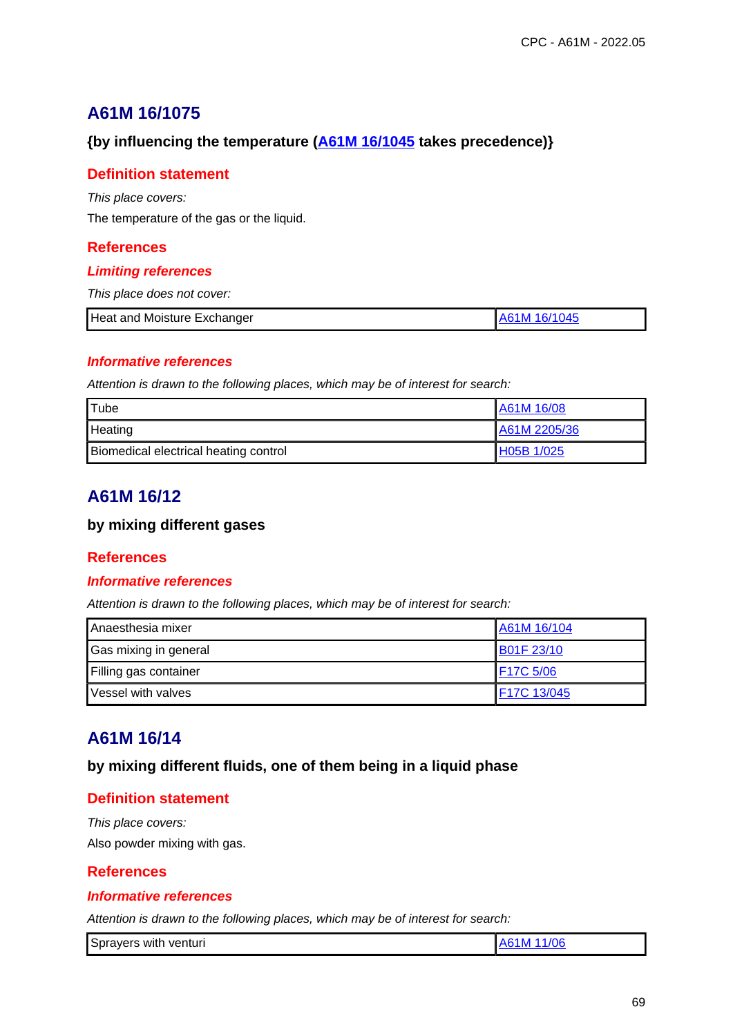## **{by influencing the temperature (A61M 16/1045 takes precedence)}**

## **Definition statement**

This place covers:

The temperature of the gas or the liquid.

## **References**

### **Limiting references**

This place does not cover:

| Heat and Moisture Exchanger | 4۱، |
|-----------------------------|-----|
|                             |     |

### **Informative references**

Attention is drawn to the following places, which may be of interest for search:

| <b>Tube</b>                           | A61M 16/08   |
|---------------------------------------|--------------|
| Heating                               | A61M 2205/36 |
| Biomedical electrical heating control | H05B 1/025   |

# **A61M 16/12**

### **by mixing different gases**

### **References**

#### **Informative references**

Attention is drawn to the following places, which may be of interest for search:

| Anaesthesia mixer     | A61M 16/104       |
|-----------------------|-------------------|
| Gas mixing in general | <b>B01F 23/10</b> |
| Filling gas container | F17C 5/06         |
| Vessel with valves    | F17C 13/045       |

# **A61M 16/14**

**by mixing different fluids, one of them being in a liquid phase**

## **Definition statement**

This place covers: Also powder mixing with gas.

## **References**

### **Informative references**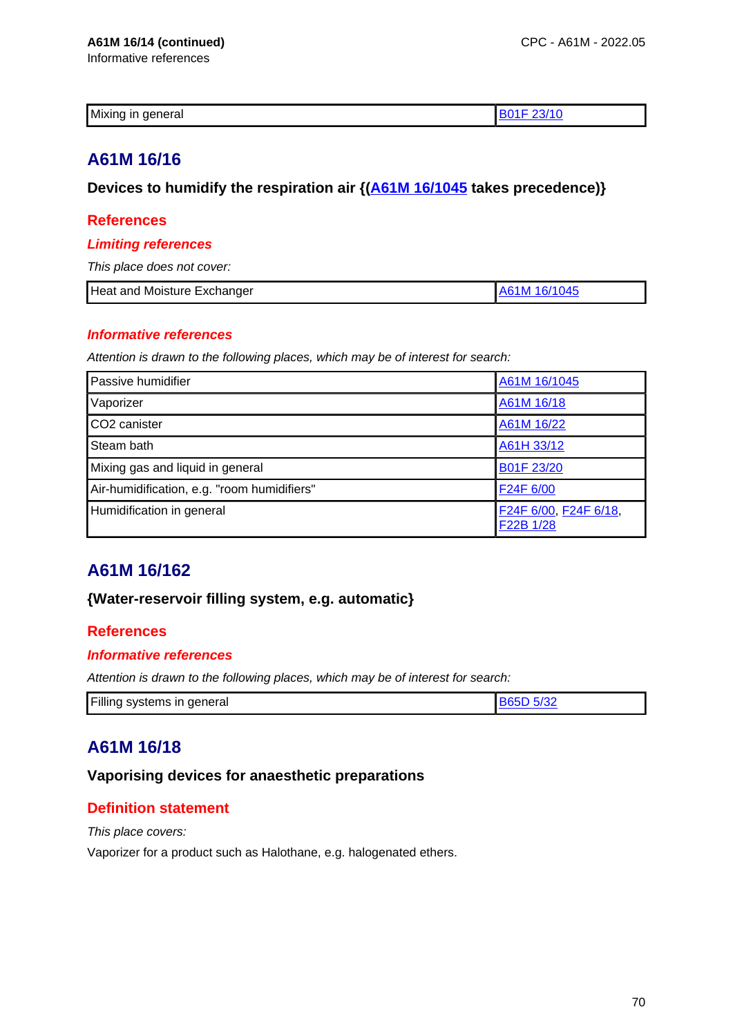| nformative references |  |
|-----------------------|--|
|                       |  |

| Mix.<br>- - -<br>า∈<br>10<br><br>чега.<br>~ |  |
|---------------------------------------------|--|
|                                             |  |

**Devices to humidify the respiration air {(A61M 16/1045 takes precedence)}**

### **References**

#### **Limiting references**

This place does not cover:

| Heat and Moisture Exchanger<br>A61M 16/1045 |
|---------------------------------------------|
|---------------------------------------------|

#### **Informative references**

Attention is drawn to the following places, which may be of interest for search:

| Passive humidifier                          | A61M 16/1045                       |
|---------------------------------------------|------------------------------------|
| Vaporizer                                   | A61M 16/18                         |
| CO <sub>2</sub> canister                    | A61M 16/22                         |
| Steam bath                                  | A61H 33/12                         |
| Mixing gas and liquid in general            | B01F 23/20                         |
| Air-humidification, e.g. "room humidifiers" | F24F 6/00                          |
| Humidification in general                   | F24F 6/00, F24F 6/18,<br>F22B 1/28 |

# **A61M 16/162**

### **{Water-reservoir filling system, e.g. automatic}**

### **References**

### **Informative references**

Attention is drawn to the following places, which may be of interest for search:

| Filling systems in general |  |
|----------------------------|--|
|                            |  |

# **A61M 16/18**

## **Vaporising devices for anaesthetic preparations**

## **Definition statement**

This place covers:

Vaporizer for a product such as Halothane, e.g. halogenated ethers.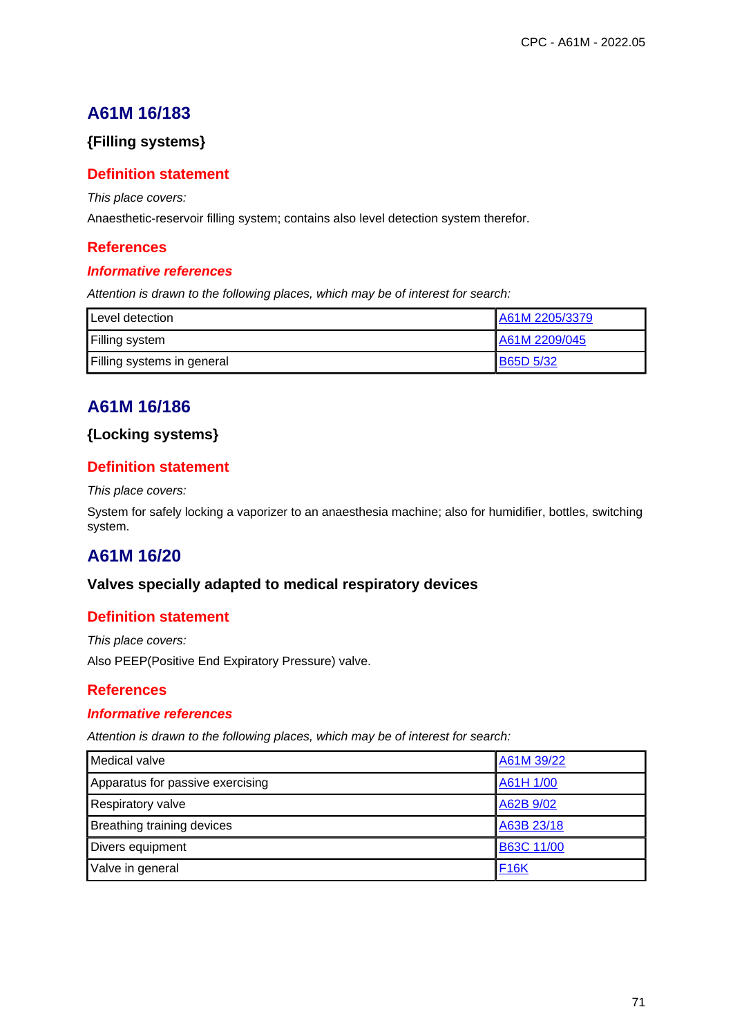## **{Filling systems}**

## **Definition statement**

This place covers:

Anaesthetic-reservoir filling system; contains also level detection system therefor.

## **References**

### **Informative references**

Attention is drawn to the following places, which may be of interest for search:

| Level detection            | A61M 2205/3379 |
|----------------------------|----------------|
| Filling system             | A61M 2209/045  |
| Filling systems in general | B65D 5/32      |

# **A61M 16/186**

## **{Locking systems}**

## **Definition statement**

#### This place covers:

System for safely locking a vaporizer to an anaesthesia machine; also for humidifier, bottles, switching system.

# **A61M 16/20**

### **Valves specially adapted to medical respiratory devices**

## **Definition statement**

This place covers: Also PEEP(Positive End Expiratory Pressure) valve.

## **References**

### **Informative references**

| Medical valve                     | A61M 39/22  |
|-----------------------------------|-------------|
| Apparatus for passive exercising  | A61H 1/00   |
| Respiratory valve                 | A62B 9/02   |
| <b>Breathing training devices</b> | A63B 23/18  |
| Divers equipment                  | B63C 11/00  |
| Valve in general                  | <b>F16K</b> |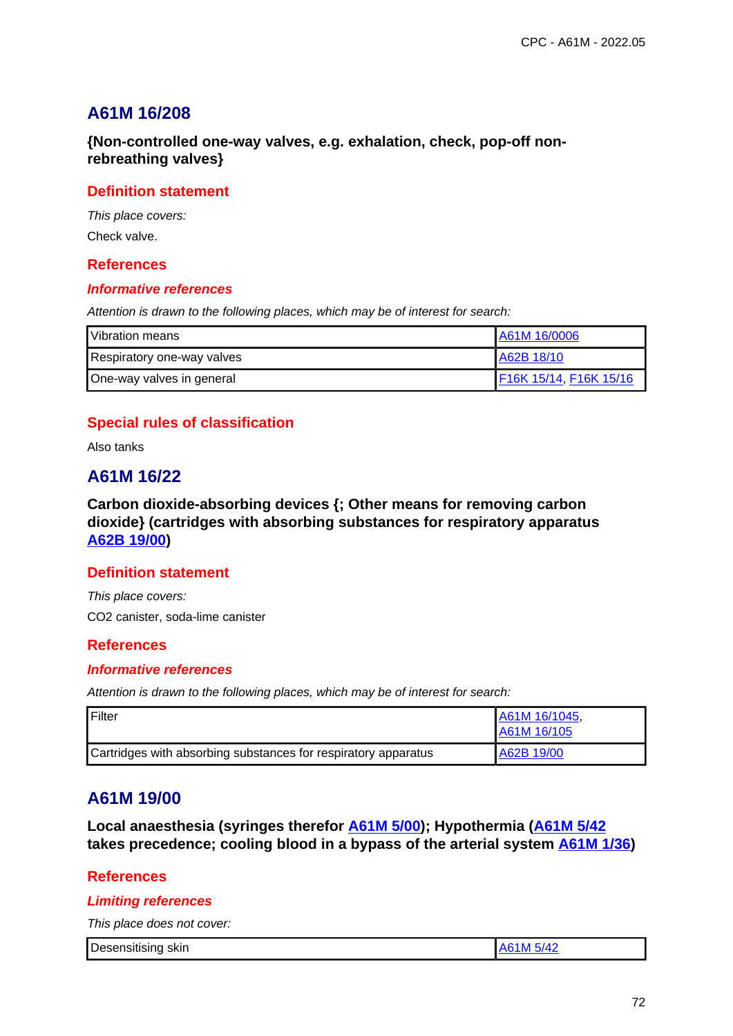**{Non-controlled one-way valves, e.g. exhalation, check, pop-off nonrebreathing valves}**

### **Definition statement**

This place covers: Check valve.

### **References**

#### **Informative references**

Attention is drawn to the following places, which may be of interest for search:

| Vibration means            | A61M 16/0006           |
|----------------------------|------------------------|
| Respiratory one-way valves | A62B 18/10             |
| One-way valves in general  | F16K 15/14, F16K 15/16 |

## **Special rules of classification**

Also tanks

## **A61M 16/22**

**Carbon dioxide-absorbing devices {; Other means for removing carbon dioxide} (cartridges with absorbing substances for respiratory apparatus A62B 19/00)**

### **Definition statement**

This place covers: CO2 canister, soda-lime canister

### **References**

#### **Informative references**

Attention is drawn to the following places, which may be of interest for search:

| Filter                                                         | A61M 16/1045,<br>A61M 16/105 |
|----------------------------------------------------------------|------------------------------|
| Cartridges with absorbing substances for respiratory apparatus | A62B 19/00                   |

## **A61M 19/00**

**Local anaesthesia (syringes therefor A61M 5/00); Hypothermia (A61M 5/42 takes precedence; cooling blood in a bypass of the arterial system A61M 1/36)**

### **References**

#### **Limiting references**

This place does not cover:

| Desensitising skin | A61M 5/42 |
|--------------------|-----------|
|--------------------|-----------|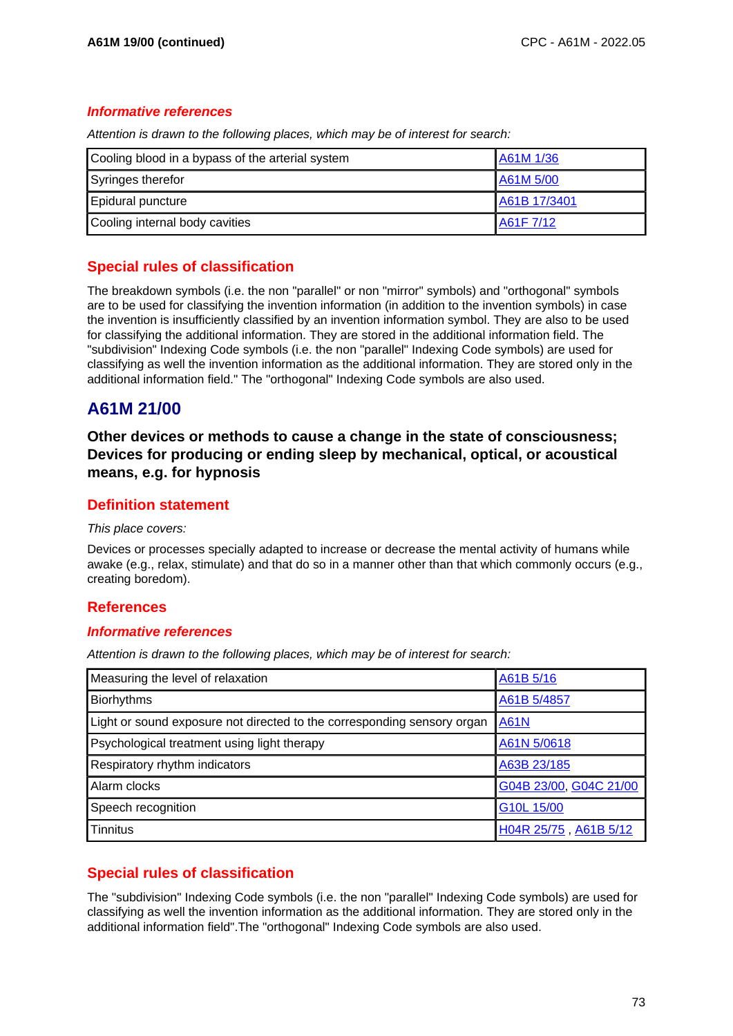#### **Informative references**

Attention is drawn to the following places, which may be of interest for search:

| Cooling blood in a bypass of the arterial system | A61M 1/36    |
|--------------------------------------------------|--------------|
| Syringes therefor                                | A61M 5/00    |
| Epidural puncture                                | A61B 17/3401 |
| Cooling internal body cavities                   | A61F 7/12    |

## **Special rules of classification**

The breakdown symbols (i.e. the non "parallel" or non "mirror" symbols) and "orthogonal" symbols are to be used for classifying the invention information (in addition to the invention symbols) in case the invention is insufficiently classified by an invention information symbol. They are also to be used for classifying the additional information. They are stored in the additional information field. The "subdivision" Indexing Code symbols (i.e. the non "parallel" Indexing Code symbols) are used for classifying as well the invention information as the additional information. They are stored only in the additional information field." The "orthogonal" Indexing Code symbols are also used.

# **A61M 21/00**

**Other devices or methods to cause a change in the state of consciousness; Devices for producing or ending sleep by mechanical, optical, or acoustical means, e.g. for hypnosis**

### **Definition statement**

#### This place covers:

Devices or processes specially adapted to increase or decrease the mental activity of humans while awake (e.g., relax, stimulate) and that do so in a manner other than that which commonly occurs (e.g., creating boredom).

### **References**

#### **Informative references**

Attention is drawn to the following places, which may be of interest for search:

| Measuring the level of relaxation                                       | A61B 5/16              |
|-------------------------------------------------------------------------|------------------------|
| <b>Biorhythms</b>                                                       | A61B 5/4857            |
| Light or sound exposure not directed to the corresponding sensory organ | <b>A61N</b>            |
| Psychological treatment using light therapy                             | A61N 5/0618            |
| Respiratory rhythm indicators                                           | A63B 23/185            |
| Alarm clocks                                                            | G04B 23/00, G04C 21/00 |
| Speech recognition                                                      | G10L 15/00             |
| <b>Tinnitus</b>                                                         | H04R 25/75, A61B 5/12  |

## **Special rules of classification**

The "subdivision" Indexing Code symbols (i.e. the non "parallel" Indexing Code symbols) are used for classifying as well the invention information as the additional information. They are stored only in the additional information field".The "orthogonal" Indexing Code symbols are also used.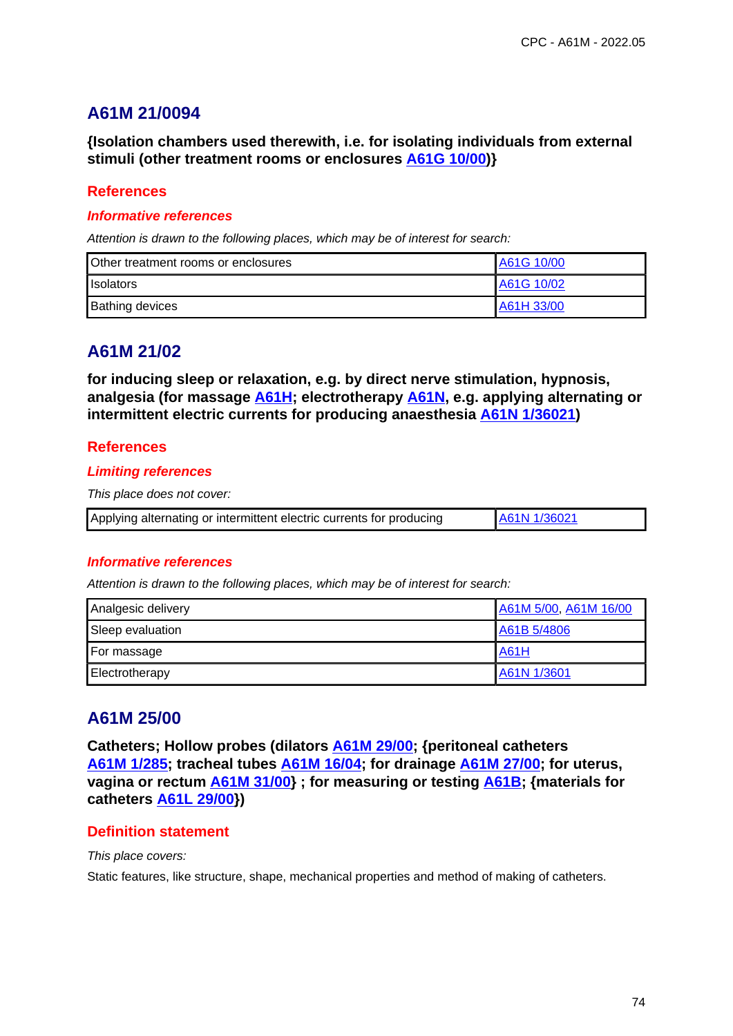# **A61M 21/0094**

**{Isolation chambers used therewith, i.e. for isolating individuals from external stimuli (other treatment rooms or enclosures A61G 10/00)}**

### **References**

#### **Informative references**

Attention is drawn to the following places, which may be of interest for search:

| Other treatment rooms or enclosures | A61G 10/00 |
|-------------------------------------|------------|
| <b>I</b> solators                   | A61G 10/02 |
| <b>Bathing devices</b>              | A61H 33/00 |

# **A61M 21/02**

**for inducing sleep or relaxation, e.g. by direct nerve stimulation, hypnosis, analgesia (for massage A61H; electrotherapy A61N, e.g. applying alternating or intermittent electric currents for producing anaesthesia A61N 1/36021)**

## **References**

#### **Limiting references**

This place does not cover:

|  | Applying alternating or intermittent electric currents for producing | A61N 1/36021 |
|--|----------------------------------------------------------------------|--------------|
|--|----------------------------------------------------------------------|--------------|

### **Informative references**

Attention is drawn to the following places, which may be of interest for search:

| Analgesic delivery | A61M 5/00, A61M 16/00 |
|--------------------|-----------------------|
| Sleep evaluation   | A61B 5/4806           |
| For massage        | <b>A61H</b>           |
| Electrotherapy     | A61N 1/3601           |

# **A61M 25/00**

**Catheters; Hollow probes (dilators A61M 29/00; {peritoneal catheters A61M 1/285; tracheal tubes A61M 16/04; for drainage A61M 27/00; for uterus, vagina or rectum A61M 31/00} ; for measuring or testing A61B; {materials for catheters A61L 29/00})**

### **Definition statement**

This place covers:

Static features, like structure, shape, mechanical properties and method of making of catheters.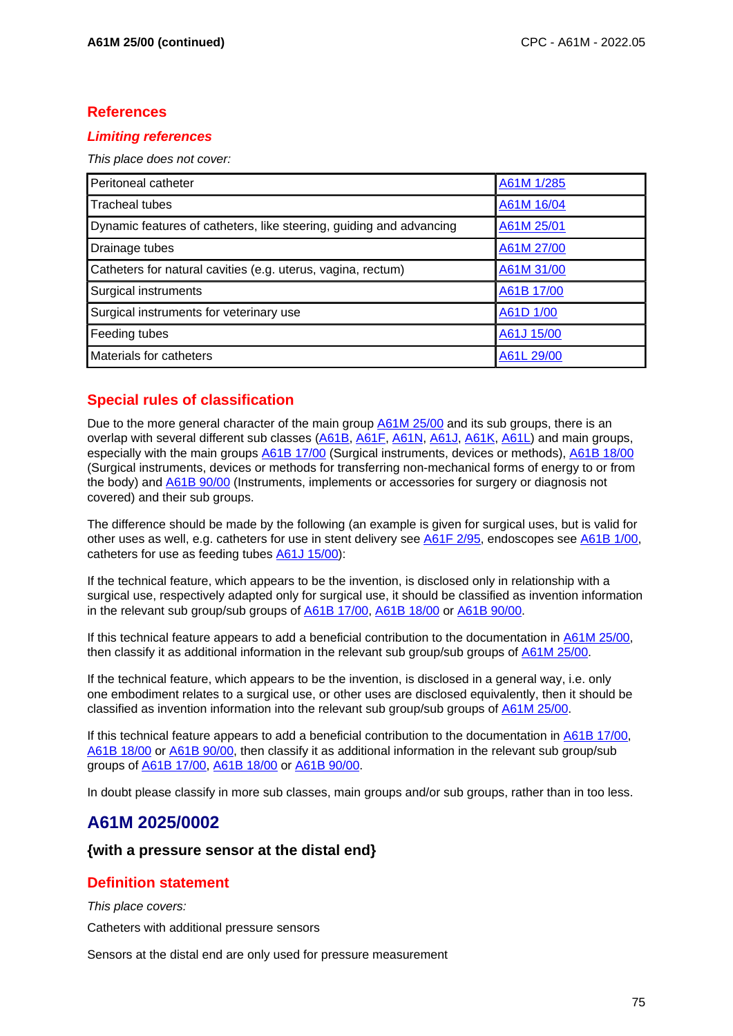### **References**

### **Limiting references**

This place does not cover:

| Peritoneal catheter                                                 | A61M 1/285 |
|---------------------------------------------------------------------|------------|
| <b>Tracheal tubes</b>                                               | A61M 16/04 |
| Dynamic features of catheters, like steering, guiding and advancing | A61M 25/01 |
| Drainage tubes                                                      | A61M 27/00 |
| Catheters for natural cavities (e.g. uterus, vagina, rectum)        | A61M 31/00 |
| Surgical instruments                                                | A61B 17/00 |
| Surgical instruments for veterinary use                             | A61D 1/00  |
| Feeding tubes                                                       | A61J 15/00 |
| Materials for catheters                                             | A61L 29/00 |

# **Special rules of classification**

Due to the more general character of the main group A61M 25/00 and its sub groups, there is an overlap with several different sub classes (A61B, A61F, A61N, A61J, A61K, A61L) and main groups, especially with the main groups A61B 17/00 (Surgical instruments, devices or methods), A61B 18/00 (Surgical instruments, devices or methods for transferring non-mechanical forms of energy to or from the body) and A61B 90/00 (Instruments, implements or accessories for surgery or diagnosis not covered) and their sub groups.

The difference should be made by the following (an example is given for surgical uses, but is valid for other uses as well, e.g. catheters for use in stent delivery see A61F 2/95, endoscopes see A61B 1/00, catheters for use as feeding tubes A61J 15/00):

If the technical feature, which appears to be the invention, is disclosed only in relationship with a surgical use, respectively adapted only for surgical use, it should be classified as invention information in the relevant sub group/sub groups of A61B 17/00, A61B 18/00 or A61B 90/00.

If this technical feature appears to add a beneficial contribution to the documentation in A61M 25/00, then classify it as additional information in the relevant sub group/sub groups of A61M 25/00.

If the technical feature, which appears to be the invention, is disclosed in a general way, i.e. only one embodiment relates to a surgical use, or other uses are disclosed equivalently, then it should be classified as invention information into the relevant sub group/sub groups of A61M 25/00.

If this technical feature appears to add a beneficial contribution to the documentation in A61B 17/00, A61B 18/00 or A61B 90/00, then classify it as additional information in the relevant sub group/sub groups of A61B 17/00, A61B 18/00 or A61B 90/00.

In doubt please classify in more sub classes, main groups and/or sub groups, rather than in too less.

# **A61M 2025/0002**

### **{with a pressure sensor at the distal end}**

### **Definition statement**

This place covers:

Catheters with additional pressure sensors

Sensors at the distal end are only used for pressure measurement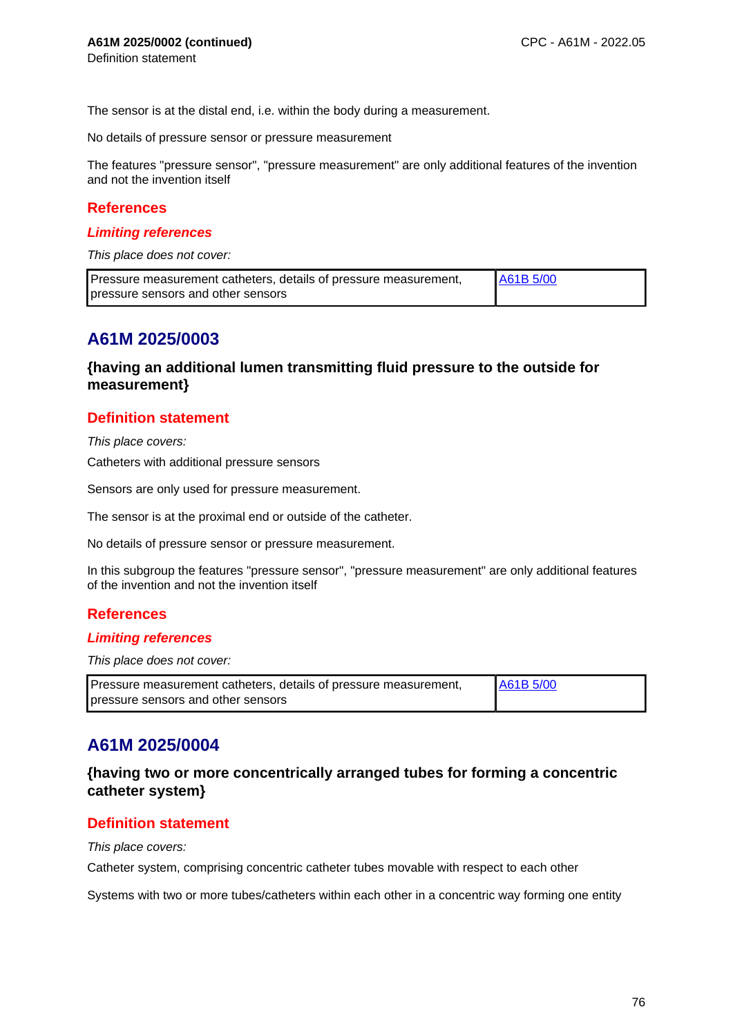The sensor is at the distal end, i.e. within the body during a measurement.

No details of pressure sensor or pressure measurement

The features "pressure sensor", "pressure measurement" are only additional features of the invention and not the invention itself

#### **References**

#### **Limiting references**

This place does not cover:

| Pressure measurement catheters, details of pressure measurement, | <b>LA61B 5/00</b> |
|------------------------------------------------------------------|-------------------|
| pressure sensors and other sensors                               |                   |

## **A61M 2025/0003**

### **{having an additional lumen transmitting fluid pressure to the outside for measurement}**

### **Definition statement**

This place covers:

Catheters with additional pressure sensors

Sensors are only used for pressure measurement.

The sensor is at the proximal end or outside of the catheter.

No details of pressure sensor or pressure measurement.

In this subgroup the features "pressure sensor", "pressure measurement" are only additional features of the invention and not the invention itself

### **References**

#### **Limiting references**

This place does not cover:

| Pressure measurement catheters, details of pressure measurement, | A61B 5/00 |
|------------------------------------------------------------------|-----------|
| pressure sensors and other sensors                               |           |

# **A61M 2025/0004**

### **{having two or more concentrically arranged tubes for forming a concentric catheter system}**

### **Definition statement**

This place covers:

Catheter system, comprising concentric catheter tubes movable with respect to each other

Systems with two or more tubes/catheters within each other in a concentric way forming one entity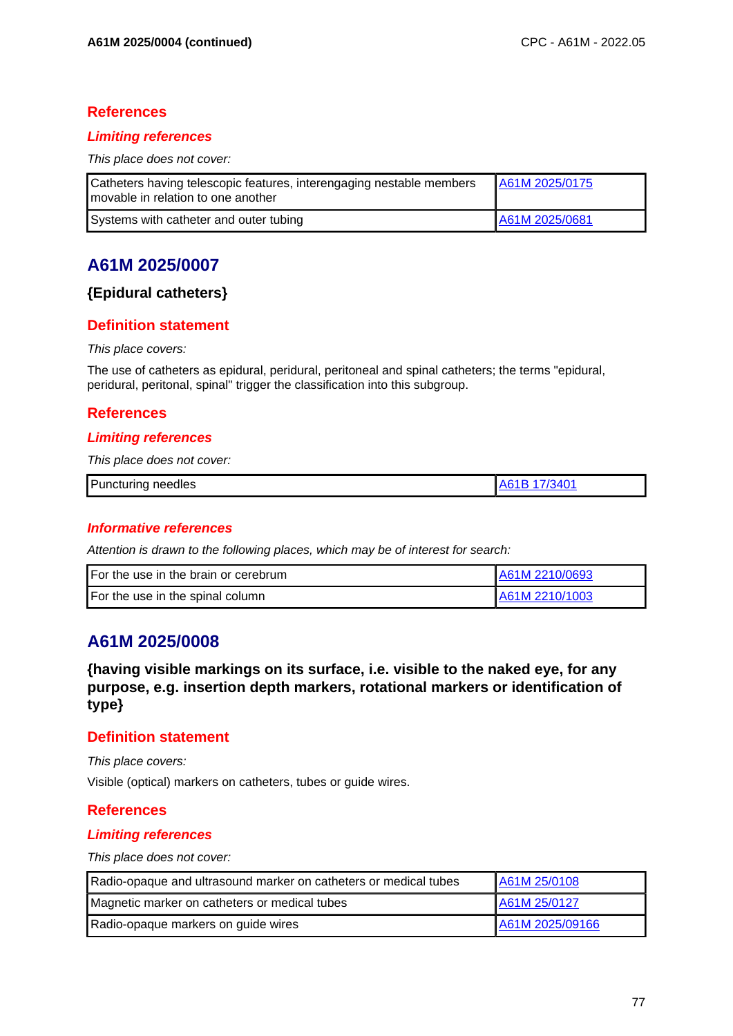### **References**

### **Limiting references**

This place does not cover:

| Catheters having telescopic features, interengaging nestable members<br>I movable in relation to one another | A61M 2025/0175 |
|--------------------------------------------------------------------------------------------------------------|----------------|
| Systems with catheter and outer tubing                                                                       | A61M 2025/0681 |

# **A61M 2025/0007**

### **{Epidural catheters}**

### **Definition statement**

#### This place covers:

The use of catheters as epidural, peridural, peritoneal and spinal catheters; the terms "epidural, peridural, peritonal, spinal" trigger the classification into this subgroup.

### **References**

### **Limiting references**

This place does not cover:

| Puncturing needles |  |
|--------------------|--|

### **Informative references**

Attention is drawn to the following places, which may be of interest for search:

| For the use in the brain or cerebrum | A61M 2210/0693 |
|--------------------------------------|----------------|
| For the use in the spinal column     | A61M 2210/1003 |

# **A61M 2025/0008**

**{having visible markings on its surface, i.e. visible to the naked eye, for any purpose, e.g. insertion depth markers, rotational markers or identification of type}**

### **Definition statement**

This place covers:

Visible (optical) markers on catheters, tubes or guide wires.

### **References**

#### **Limiting references**

| Radio-opaque and ultrasound marker on catheters or medical tubes | A61M 25/0108    |
|------------------------------------------------------------------|-----------------|
| Magnetic marker on catheters or medical tubes                    | A61M 25/0127    |
| Radio-opaque markers on guide wires                              | A61M 2025/09166 |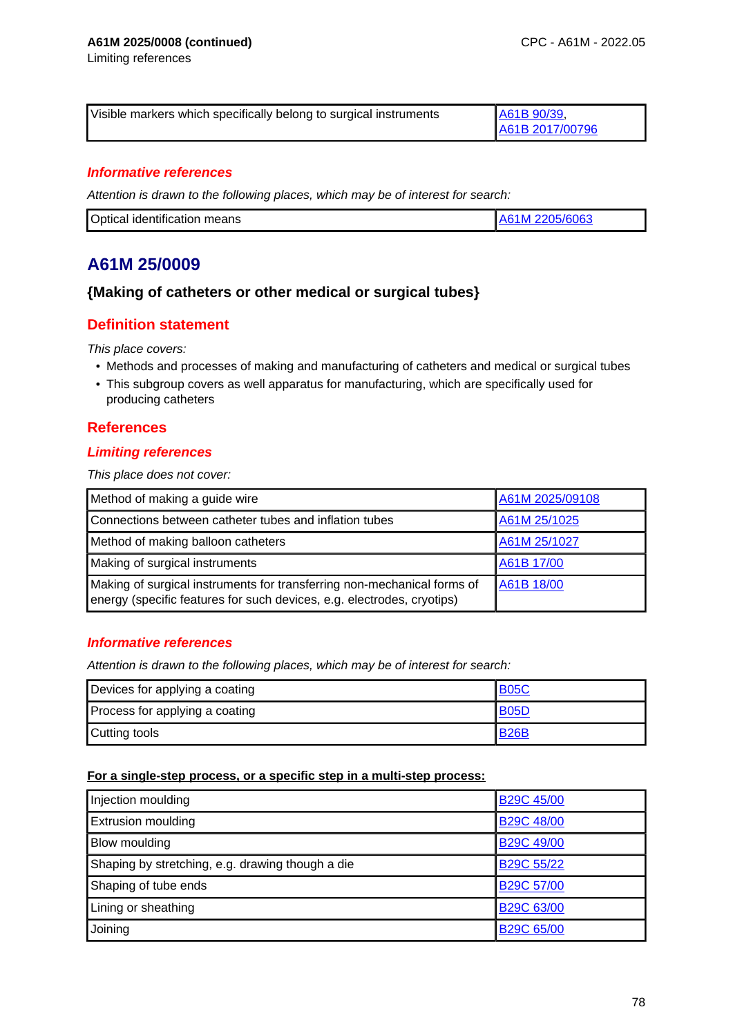Limiting references

| Visible markers which specifically belong to surgical instruments | A61B 90/39      |
|-------------------------------------------------------------------|-----------------|
|                                                                   | A61B 2017/00796 |

#### **Informative references**

Attention is drawn to the following places, which may be of interest for search:

| Optical identification means | 2205/6063<br>61M. |
|------------------------------|-------------------|

# **A61M 25/0009**

### **{Making of catheters or other medical or surgical tubes}**

### **Definition statement**

This place covers:

- Methods and processes of making and manufacturing of catheters and medical or surgical tubes
- This subgroup covers as well apparatus for manufacturing, which are specifically used for producing catheters

### **References**

#### **Limiting references**

This place does not cover:

| Method of making a guide wire                                                                                                                     | A61M 2025/09108 |
|---------------------------------------------------------------------------------------------------------------------------------------------------|-----------------|
| Connections between catheter tubes and inflation tubes                                                                                            | A61M 25/1025    |
| Method of making balloon catheters                                                                                                                | A61M 25/1027    |
| Making of surgical instruments                                                                                                                    | A61B 17/00      |
| Making of surgical instruments for transferring non-mechanical forms of<br>energy (specific features for such devices, e.g. electrodes, cryotips) | A61B 18/00      |

### **Informative references**

Attention is drawn to the following places, which may be of interest for search:

| Devices for applying a coating | <b>B05C</b> |
|--------------------------------|-------------|
| Process for applying a coating | B05D        |
| Cutting tools                  | <b>B26B</b> |

#### **For a single-step process, or a specific step in a multi-step process:**

| Injection moulding                               | <b>B29C 45/00</b> |
|--------------------------------------------------|-------------------|
| <b>Extrusion moulding</b>                        | <b>B29C 48/00</b> |
| Blow moulding                                    | <b>B29C 49/00</b> |
| Shaping by stretching, e.g. drawing though a die | B29C 55/22        |
| Shaping of tube ends                             | <b>B29C 57/00</b> |
| Lining or sheathing                              | B29C 63/00        |
| Joining                                          | B29C 65/00        |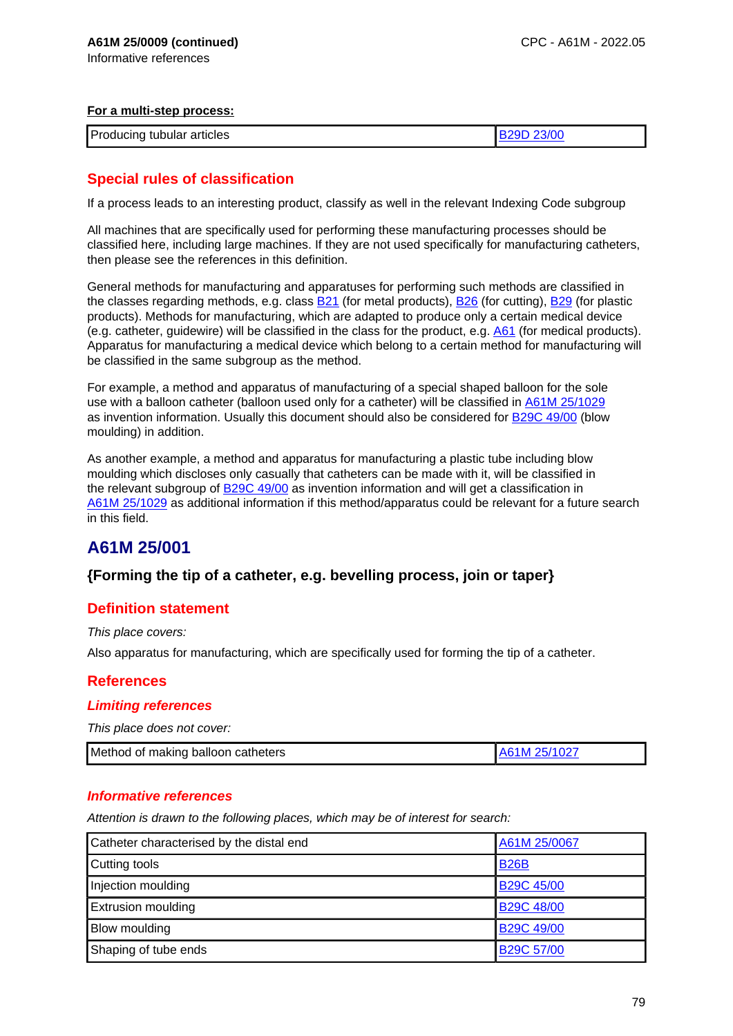#### **For a multi-step process:**

| Producing tubular articles |  |
|----------------------------|--|

# **Special rules of classification**

If a process leads to an interesting product, classify as well in the relevant Indexing Code subgroup

All machines that are specifically used for performing these manufacturing processes should be classified here, including large machines. If they are not used specifically for manufacturing catheters, then please see the references in this definition.

General methods for manufacturing and apparatuses for performing such methods are classified in the classes regarding methods, e.g. class B21 (for metal products), B26 (for cutting), B29 (for plastic products). Methods for manufacturing, which are adapted to produce only a certain medical device (e.g. catheter, guidewire) will be classified in the class for the product, e.g. A61 (for medical products). Apparatus for manufacturing a medical device which belong to a certain method for manufacturing will be classified in the same subgroup as the method.

For example, a method and apparatus of manufacturing of a special shaped balloon for the sole use with a balloon catheter (balloon used only for a catheter) will be classified in A61M 25/1029 as invention information. Usually this document should also be considered for B29C 49/00 (blow moulding) in addition.

As another example, a method and apparatus for manufacturing a plastic tube including blow moulding which discloses only casually that catheters can be made with it, will be classified in the relevant subgroup of B29C 49/00 as invention information and will get a classification in A61M 25/1029 as additional information if this method/apparatus could be relevant for a future search in this field.

# **A61M 25/001**

## **{Forming the tip of a catheter, e.g. bevelling process, join or taper}**

## **Definition statement**

This place covers:

Also apparatus for manufacturing, which are specifically used for forming the tip of a catheter.

## **References**

### **Limiting references**

This place does not cover:

| Method of making balloon catheters | A61M 25/1027 |
|------------------------------------|--------------|
|                                    |              |

#### **Informative references**

| Catheter characterised by the distal end | A61M 25/0067      |
|------------------------------------------|-------------------|
| Cutting tools                            | <b>B26B</b>       |
| Injection moulding                       | <b>B29C 45/00</b> |
| <b>Extrusion moulding</b>                | <b>B29C 48/00</b> |
| Blow moulding                            | <b>B29C 49/00</b> |
| Shaping of tube ends                     | <b>B29C 57/00</b> |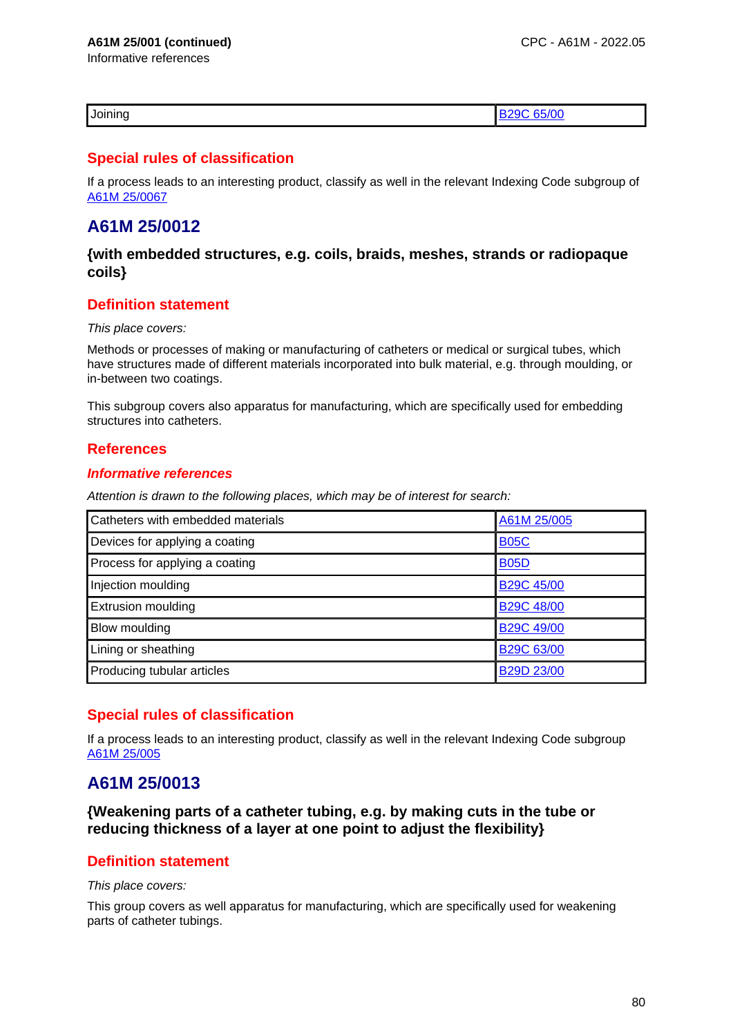Informative references

|--|

### **Special rules of classification**

If a process leads to an interesting product, classify as well in the relevant Indexing Code subgroup of A61M 25/0067

# **A61M 25/0012**

**{with embedded structures, e.g. coils, braids, meshes, strands or radiopaque coils}**

### **Definition statement**

#### This place covers:

Methods or processes of making or manufacturing of catheters or medical or surgical tubes, which have structures made of different materials incorporated into bulk material, e.g. through moulding, or in-between two coatings.

This subgroup covers also apparatus for manufacturing, which are specifically used for embedding structures into catheters.

### **References**

#### **Informative references**

Attention is drawn to the following places, which may be of interest for search:

| Catheters with embedded materials | A61M 25/005       |
|-----------------------------------|-------------------|
| Devices for applying a coating    | <b>B05C</b>       |
| Process for applying a coating    | <b>B05D</b>       |
| Injection moulding                | <b>B29C 45/00</b> |
| <b>Extrusion moulding</b>         | <b>B29C 48/00</b> |
| Blow moulding                     | <b>B29C 49/00</b> |
| Lining or sheathing               | B29C 63/00        |
| Producing tubular articles        | B29D 23/00        |

## **Special rules of classification**

If a process leads to an interesting product, classify as well in the relevant Indexing Code subgroup A61M 25/005

# **A61M 25/0013**

**{Weakening parts of a catheter tubing, e.g. by making cuts in the tube or reducing thickness of a layer at one point to adjust the flexibility}**

### **Definition statement**

#### This place covers:

This group covers as well apparatus for manufacturing, which are specifically used for weakening parts of catheter tubings.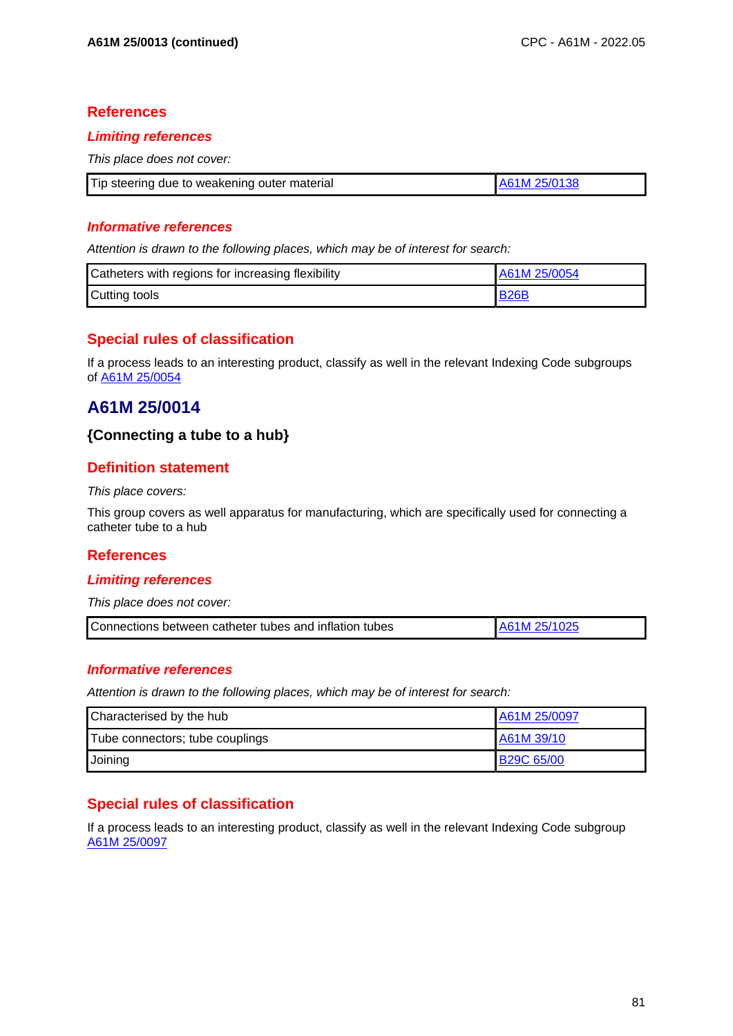### **References**

#### **Limiting references**

This place does not cover:

| Tip steering due to weakening outer material | A61M 25/0138 |
|----------------------------------------------|--------------|

### **Informative references**

Attention is drawn to the following places, which may be of interest for search:

| Catheters with regions for increasing flexibility | I A61M 25/0054 |
|---------------------------------------------------|----------------|
| Cutting tools                                     | <b>B26B</b>    |

# **Special rules of classification**

If a process leads to an interesting product, classify as well in the relevant Indexing Code subgroups of A61M 25/0054

# **A61M 25/0014**

### **{Connecting a tube to a hub}**

## **Definition statement**

#### This place covers:

This group covers as well apparatus for manufacturing, which are specifically used for connecting a catheter tube to a hub

## **References**

#### **Limiting references**

This place does not cover:

| Connections between catheter tubes and inflation tubes |  |
|--------------------------------------------------------|--|
|--------------------------------------------------------|--|

### **Informative references**

Attention is drawn to the following places, which may be of interest for search:

| Characterised by the hub        | A61M 25/0097      |
|---------------------------------|-------------------|
| Tube connectors; tube couplings | A61M 39/10        |
| Joining                         | <b>B29C 65/00</b> |

## **Special rules of classification**

If a process leads to an interesting product, classify as well in the relevant Indexing Code subgroup A61M 25/0097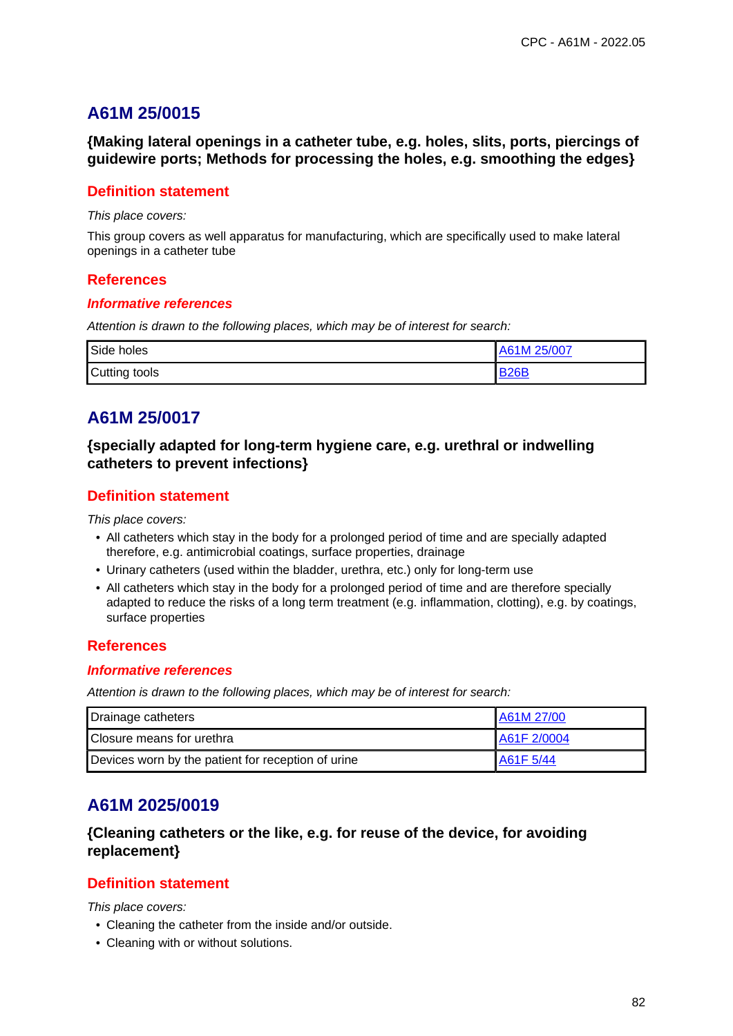**{Making lateral openings in a catheter tube, e.g. holes, slits, ports, piercings of guidewire ports; Methods for processing the holes, e.g. smoothing the edges}**

### **Definition statement**

This place covers:

This group covers as well apparatus for manufacturing, which are specifically used to make lateral openings in a catheter tube

### **References**

#### **Informative references**

Attention is drawn to the following places, which may be of interest for search:

| Side holes    | 25/007<br>A61M |
|---------------|----------------|
| Cutting tools | <b>DOGF</b>    |

# **A61M 25/0017**

**{specially adapted for long-term hygiene care, e.g. urethral or indwelling catheters to prevent infections}**

### **Definition statement**

This place covers:

- All catheters which stay in the body for a prolonged period of time and are specially adapted therefore, e.g. antimicrobial coatings, surface properties, drainage
- Urinary catheters (used within the bladder, urethra, etc.) only for long-term use
- All catheters which stay in the body for a prolonged period of time and are therefore specially adapted to reduce the risks of a long term treatment (e.g. inflammation, clotting), e.g. by coatings, surface properties

### **References**

#### **Informative references**

Attention is drawn to the following places, which may be of interest for search:

| Drainage catheters                                 | A61M 27/00  |
|----------------------------------------------------|-------------|
| Closure means for urethra                          | A61F 2/0004 |
| Devices worn by the patient for reception of urine | IA61F 5/44  |

# **A61M 2025/0019**

## **{Cleaning catheters or the like, e.g. for reuse of the device, for avoiding replacement}**

### **Definition statement**

This place covers:

- Cleaning the catheter from the inside and/or outside.
- Cleaning with or without solutions.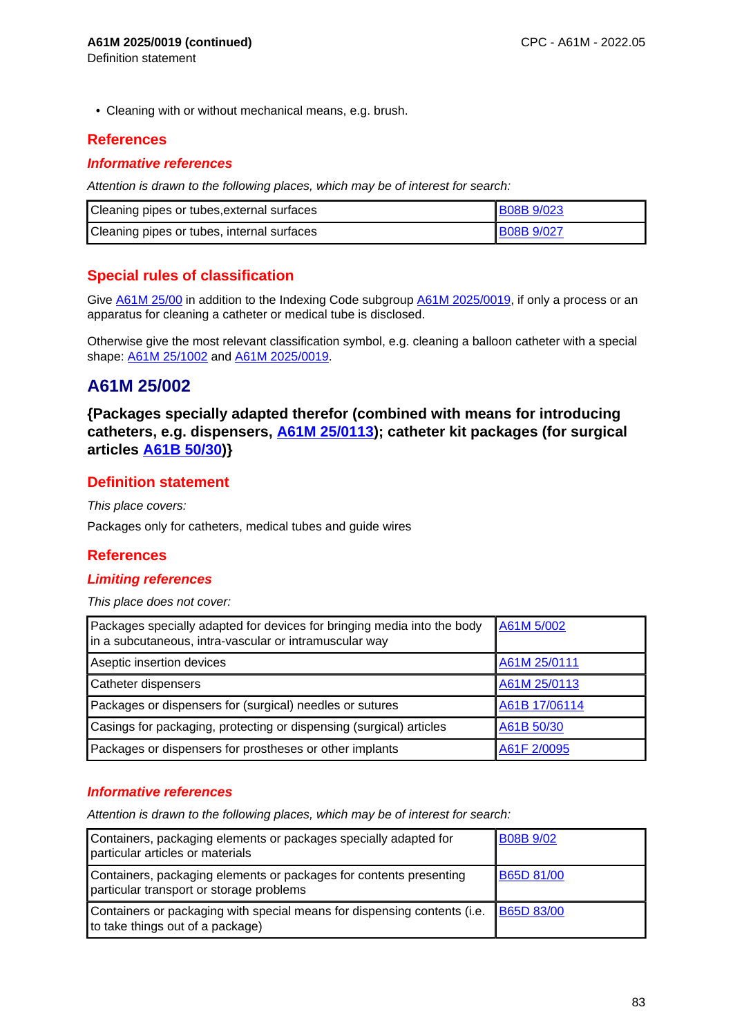• Cleaning with or without mechanical means, e.g. brush.

### **References**

Definition statement

#### **Informative references**

Attention is drawn to the following places, which may be of interest for search:

| Cleaning pipes or tubes, external surfaces | <b>B08B 9/023</b> |
|--------------------------------------------|-------------------|
| Cleaning pipes or tubes, internal surfaces | <b>B08B 9/027</b> |

## **Special rules of classification**

Give A61M 25/00 in addition to the Indexing Code subgroup A61M 2025/0019, if only a process or an apparatus for cleaning a catheter or medical tube is disclosed.

Otherwise give the most relevant classification symbol, e.g. cleaning a balloon catheter with a special shape: A61M 25/1002 and A61M 2025/0019.

# **A61M 25/002**

**{Packages specially adapted therefor (combined with means for introducing catheters, e.g. dispensers, A61M 25/0113); catheter kit packages (for surgical articles A61B 50/30)}**

### **Definition statement**

This place covers:

Packages only for catheters, medical tubes and guide wires

### **References**

### **Limiting references**

This place does not cover:

| Packages specially adapted for devices for bringing media into the body<br>in a subcutaneous, intra-vascular or intramuscular way | A61M 5/002    |
|-----------------------------------------------------------------------------------------------------------------------------------|---------------|
| Aseptic insertion devices                                                                                                         | A61M 25/0111  |
| Catheter dispensers                                                                                                               | A61M 25/0113  |
| Packages or dispensers for (surgical) needles or sutures                                                                          | A61B 17/06114 |
| Casings for packaging, protecting or dispensing (surgical) articles                                                               | A61B 50/30    |
| Packages or dispensers for prostheses or other implants                                                                           | A61F 2/0095   |

### **Informative references**

| Containers, packaging elements or packages specially adapted for<br>particular articles or materials           | <b>B08B 9/02</b>  |
|----------------------------------------------------------------------------------------------------------------|-------------------|
| Containers, packaging elements or packages for contents presenting<br>particular transport or storage problems | B65D 81/00        |
| Containers or packaging with special means for dispensing contents (i.e.<br>to take things out of a package)   | <b>B65D 83/00</b> |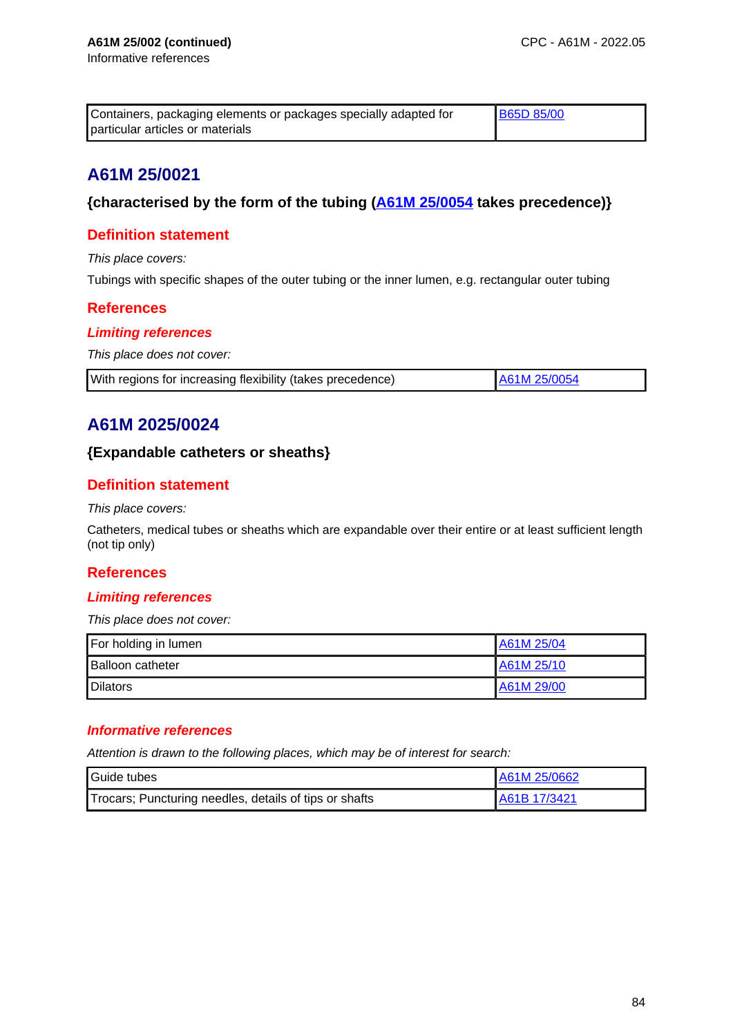| Containers, packaging elements or packages specially adapted for | <b>B65D 85/00</b> |
|------------------------------------------------------------------|-------------------|
| particular articles or materials                                 |                   |

## **{characterised by the form of the tubing (A61M 25/0054 takes precedence)}**

## **Definition statement**

This place covers:

Tubings with specific shapes of the outer tubing or the inner lumen, e.g. rectangular outer tubing

### **References**

### **Limiting references**

This place does not cover:

| With regions for increasing flexibility (takes precedence) | A61M 25/0054 |
|------------------------------------------------------------|--------------|
|------------------------------------------------------------|--------------|

# **A61M 2025/0024**

## **{Expandable catheters or sheaths}**

## **Definition statement**

#### This place covers:

Catheters, medical tubes or sheaths which are expandable over their entire or at least sufficient length (not tip only)

## **References**

### **Limiting references**

This place does not cover:

| For holding in lumen    | A61M 25/04 |
|-------------------------|------------|
| <b>Balloon catheter</b> | A61M 25/10 |
| <b>Dilators</b>         | A61M 29/00 |

### **Informative references**

| Guide tubes                                            | A61M 25/0662 |
|--------------------------------------------------------|--------------|
| Trocars; Puncturing needles, details of tips or shafts | A61B 17/3421 |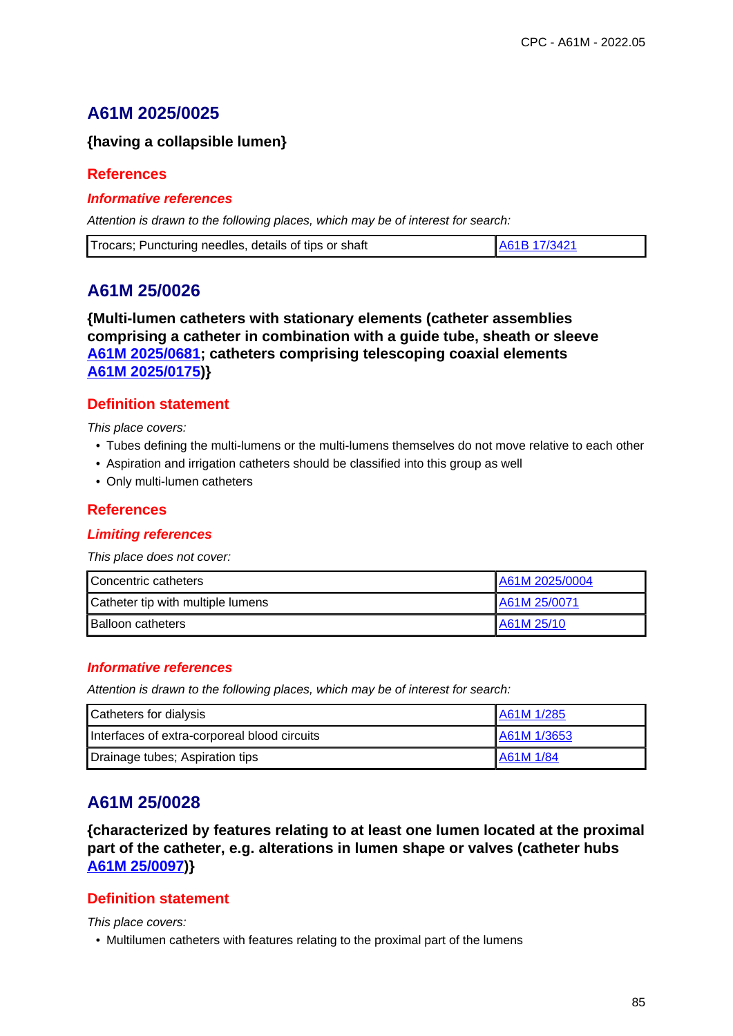# **A61M 2025/0025**

## **{having a collapsible lumen}**

### **References**

### **Informative references**

Attention is drawn to the following places, which may be of interest for search:

| Trocars; Puncturing needles, details of tips or shaft | A61B 17/3421 |
|-------------------------------------------------------|--------------|
|-------------------------------------------------------|--------------|

# **A61M 25/0026**

**{Multi-lumen catheters with stationary elements (catheter assemblies comprising a catheter in combination with a guide tube, sheath or sleeve A61M 2025/0681; catheters comprising telescoping coaxial elements A61M 2025/0175)}**

## **Definition statement**

This place covers:

- Tubes defining the multi-lumens or the multi-lumens themselves do not move relative to each other
- Aspiration and irrigation catheters should be classified into this group as well
- Only multi-lumen catheters

## **References**

### **Limiting references**

This place does not cover:

| Concentric catheters              | A61M 2025/0004 |
|-----------------------------------|----------------|
| Catheter tip with multiple lumens | A61M 25/0071   |
| <b>Balloon catheters</b>          | A61M 25/10     |

### **Informative references**

Attention is drawn to the following places, which may be of interest for search:

| Catheters for dialysis                       | A61M 1/285       |
|----------------------------------------------|------------------|
| Interfaces of extra-corporeal blood circuits | A61M 1/3653      |
| Drainage tubes; Aspiration tips              | <b>A61M 1/84</b> |

# **A61M 25/0028**

**{characterized by features relating to at least one lumen located at the proximal part of the catheter, e.g. alterations in lumen shape or valves (catheter hubs A61M 25/0097)}**

## **Definition statement**

This place covers:

• Multilumen catheters with features relating to the proximal part of the lumens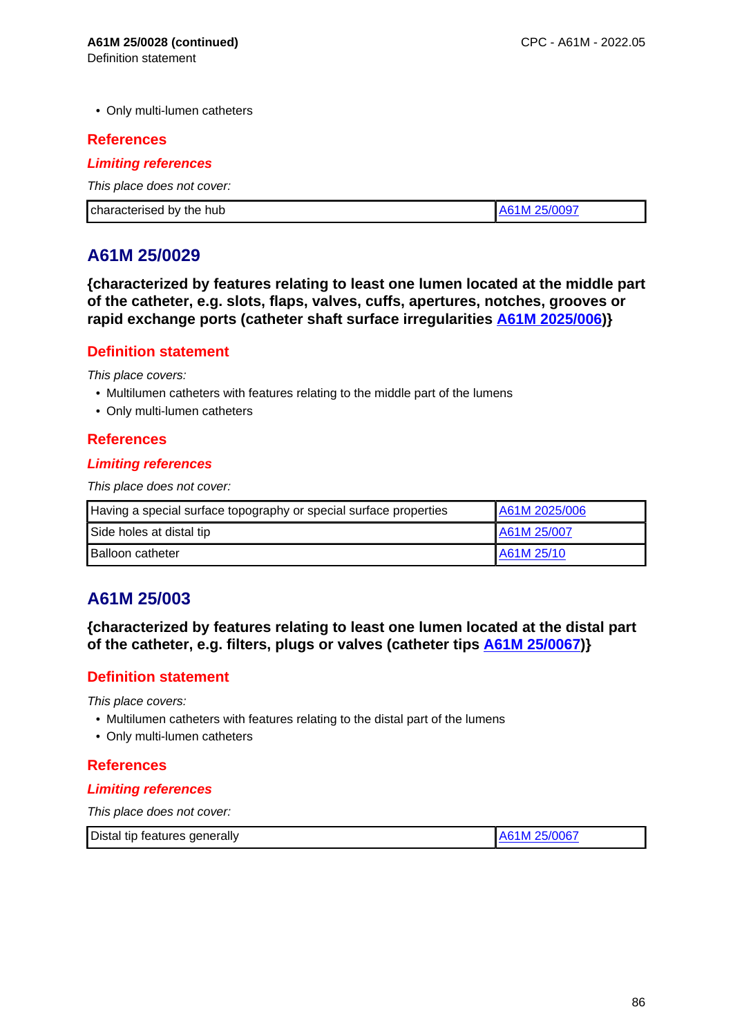• Only multi-lumen catheters

### **References**

#### **Limiting references**

This place does not cover:

| characterised by the hub | ĸл |
|--------------------------|----|

# **A61M 25/0029**

**{characterized by features relating to least one lumen located at the middle part of the catheter, e.g. slots, flaps, valves, cuffs, apertures, notches, grooves or rapid exchange ports (catheter shaft surface irregularities A61M 2025/006)}**

### **Definition statement**

This place covers:

- Multilumen catheters with features relating to the middle part of the lumens
- Only multi-lumen catheters

### **References**

### **Limiting references**

This place does not cover:

| Having a special surface topography or special surface properties | A61M 2025/006 |
|-------------------------------------------------------------------|---------------|
| Side holes at distal tip                                          | LA61M 25/007  |
| <b>Balloon catheter</b>                                           | LA61M 25/10   |

# **A61M 25/003**

**{characterized by features relating to least one lumen located at the distal part of the catheter, e.g. filters, plugs or valves (catheter tips A61M 25/0067)}**

## **Definition statement**

This place covers:

- Multilumen catheters with features relating to the distal part of the lumens
- Only multi-lumen catheters

## **References**

### **Limiting references**

| Distal tip features generally | A61M 25/0067 |
|-------------------------------|--------------|
|                               |              |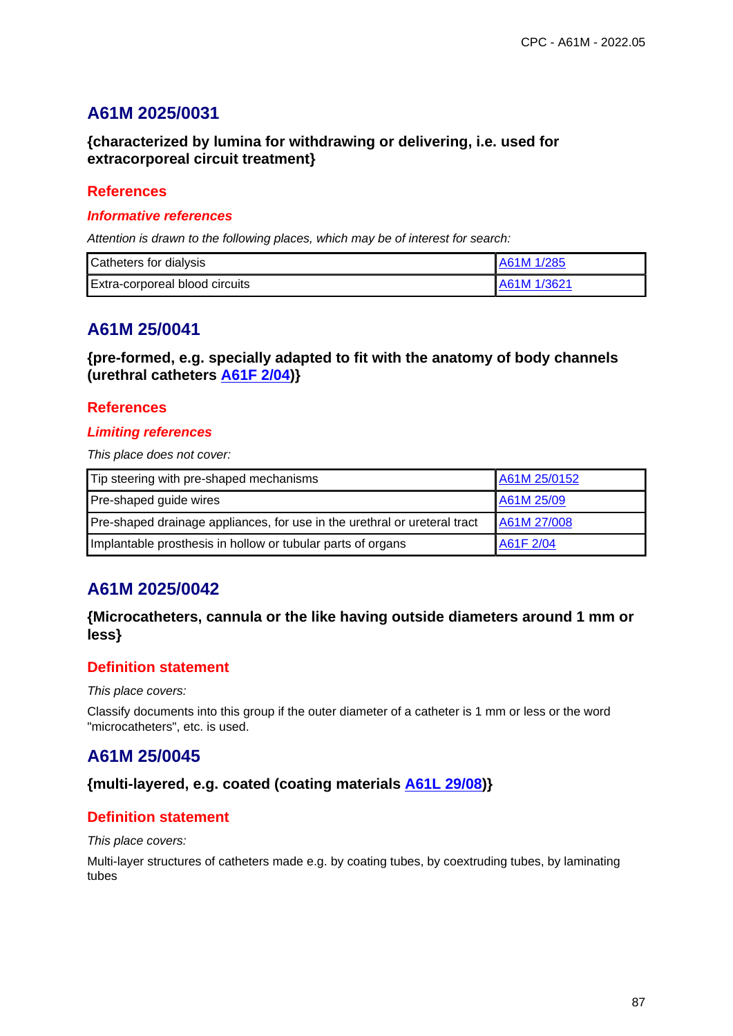# **A61M 2025/0031**

## **{characterized by lumina for withdrawing or delivering, i.e. used for extracorporeal circuit treatment}**

### **References**

#### **Informative references**

Attention is drawn to the following places, which may be of interest for search:

| Catheters for dialysis                | A61M 1/285   |
|---------------------------------------|--------------|
| <b>Extra-corporeal blood circuits</b> | LA61M 1/3621 |

# **A61M 25/0041**

**{pre-formed, e.g. specially adapted to fit with the anatomy of body channels (urethral catheters A61F 2/04)}**

### **References**

### **Limiting references**

This place does not cover:

| Tip steering with pre-shaped mechanisms                                   | A61M 25/0152 |
|---------------------------------------------------------------------------|--------------|
| Pre-shaped guide wires                                                    | A61M 25/09   |
| Pre-shaped drainage appliances, for use in the urethral or ureteral tract | A61M 27/008  |
| Implantable prosthesis in hollow or tubular parts of organs               | A61F 2/04    |

# **A61M 2025/0042**

## **{Microcatheters, cannula or the like having outside diameters around 1 mm or less}**

## **Definition statement**

#### This place covers:

Classify documents into this group if the outer diameter of a catheter is 1 mm or less or the word "microcatheters", etc. is used.

# **A61M 25/0045**

### **{multi-layered, e.g. coated (coating materials A61L 29/08)}**

## **Definition statement**

This place covers:

Multi-layer structures of catheters made e.g. by coating tubes, by coextruding tubes, by laminating tubes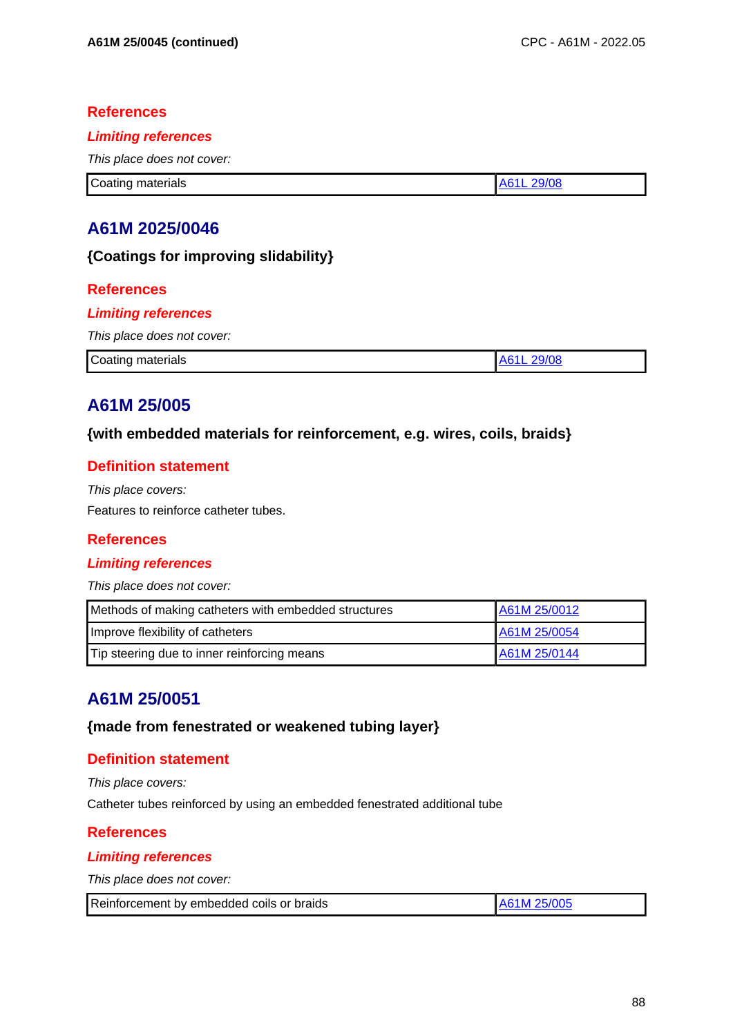### **References**

#### **Limiting references**

This place does not cover:

**Coating materials** A61L 29/08

# **A61M 2025/0046**

### **{Coatings for improving slidability}**

### **References**

### **Limiting references**

This place does not cover:

| Coating materials | הו ו<br>. . |
|-------------------|-------------|

# **A61M 25/005**

### **{with embedded materials for reinforcement, e.g. wires, coils, braids}**

## **Definition statement**

This place covers: Features to reinforce catheter tubes.

### **References**

### **Limiting references**

This place does not cover:

| Methods of making catheters with embedded structures | A61M 25/0012 |
|------------------------------------------------------|--------------|
| Improve flexibility of catheters                     | A61M 25/0054 |
| Tip steering due to inner reinforcing means          | A61M 25/0144 |

# **A61M 25/0051**

### **{made from fenestrated or weakened tubing layer}**

## **Definition statement**

This place covers:

Catheter tubes reinforced by using an embedded fenestrated additional tube

### **References**

### **Limiting references**

| Reinforcement by embedded coils or braids | A61M 25/005 |
|-------------------------------------------|-------------|
|-------------------------------------------|-------------|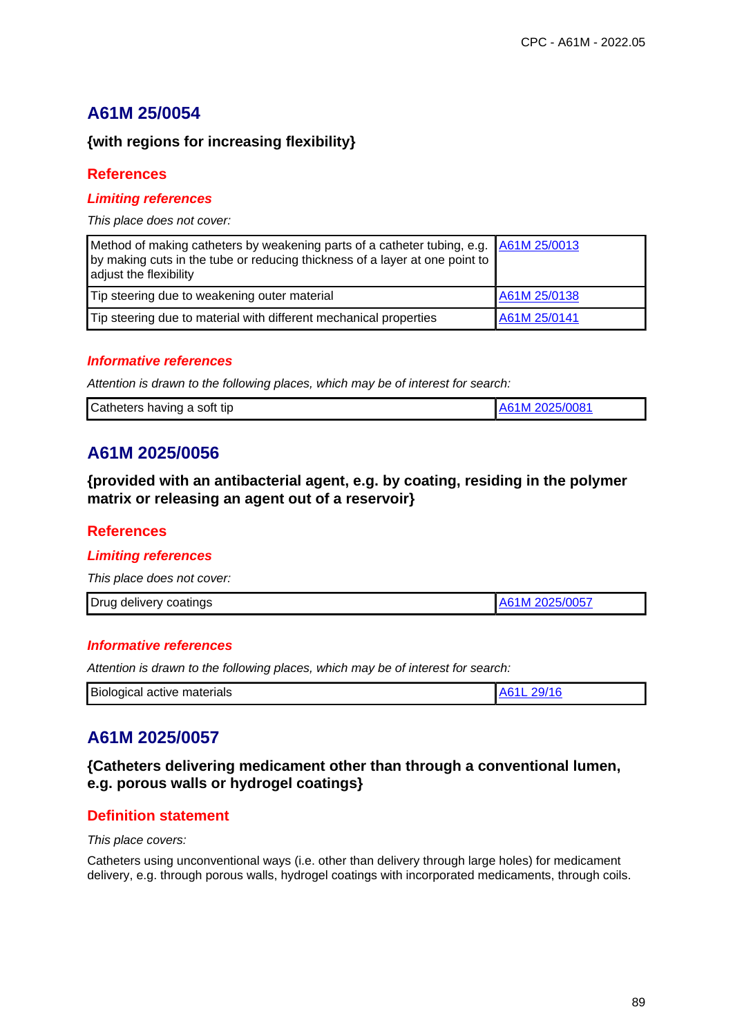## **{with regions for increasing flexibility}**

### **References**

### **Limiting references**

This place does not cover:

| Method of making catheters by weakening parts of a catheter tubing, e.g. A61M 25/0013<br>by making cuts in the tube or reducing thickness of a layer at one point to  <br>adjust the flexibility |              |
|--------------------------------------------------------------------------------------------------------------------------------------------------------------------------------------------------|--------------|
| Tip steering due to weakening outer material                                                                                                                                                     | A61M 25/0138 |
| Tip steering due to material with different mechanical properties                                                                                                                                | A61M 25/0141 |

### **Informative references**

Attention is drawn to the following places, which may be of interest for search:

| Catheters having a soft tip | A61M 2025/0081 |
|-----------------------------|----------------|
|                             |                |

# **A61M 2025/0056**

**{provided with an antibacterial agent, e.g. by coating, residing in the polymer matrix or releasing an agent out of a reservoir}**

### **References**

### **Limiting references**

This place does not cover:

| Drug delivery coatings | A61M 2025/0057 |
|------------------------|----------------|
|                        |                |

### **Informative references**

Attention is drawn to the following places, which may be of interest for search:

| Biological active materials<br>10/14 |
|--------------------------------------|
|--------------------------------------|

# **A61M 2025/0057**

**{Catheters delivering medicament other than through a conventional lumen, e.g. porous walls or hydrogel coatings}**

## **Definition statement**

This place covers:

Catheters using unconventional ways (i.e. other than delivery through large holes) for medicament delivery, e.g. through porous walls, hydrogel coatings with incorporated medicaments, through coils.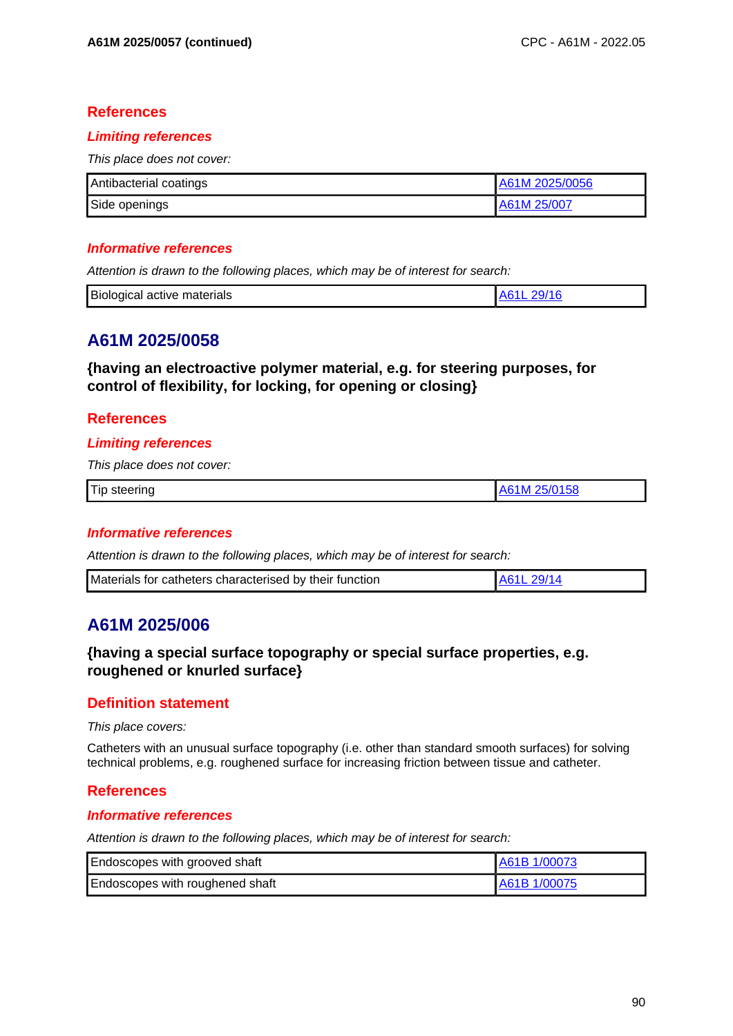### **References**

#### **Limiting references**

This place does not cover:

| Antibacterial coatings | A61M 2025/0056 |
|------------------------|----------------|
| Side openings          | A61M 25/007    |

#### **Informative references**

Attention is drawn to the following places, which may be of interest for search:

| <b>Biological active</b><br>materials |  |
|---------------------------------------|--|

## **A61M 2025/0058**

**{having an electroactive polymer material, e.g. for steering purposes, for control of flexibility, for locking, for opening or closing}**

### **References**

#### **Limiting references**

This place does not cover:

| 'Tip<br>-steerino- |
|--------------------|
|--------------------|

#### **Informative references**

Attention is drawn to the following places, which may be of interest for search:

| Materials for catheters characterised by their function |  |
|---------------------------------------------------------|--|

# **A61M 2025/006**

## **{having a special surface topography or special surface properties, e.g. roughened or knurled surface}**

#### **Definition statement**

This place covers:

Catheters with an unusual surface topography (i.e. other than standard smooth surfaces) for solving technical problems, e.g. roughened surface for increasing friction between tissue and catheter.

### **References**

#### **Informative references**

| Endoscopes with grooved shaft   | A61B 1/00073 |
|---------------------------------|--------------|
| Endoscopes with roughened shaft | A61B 1/00075 |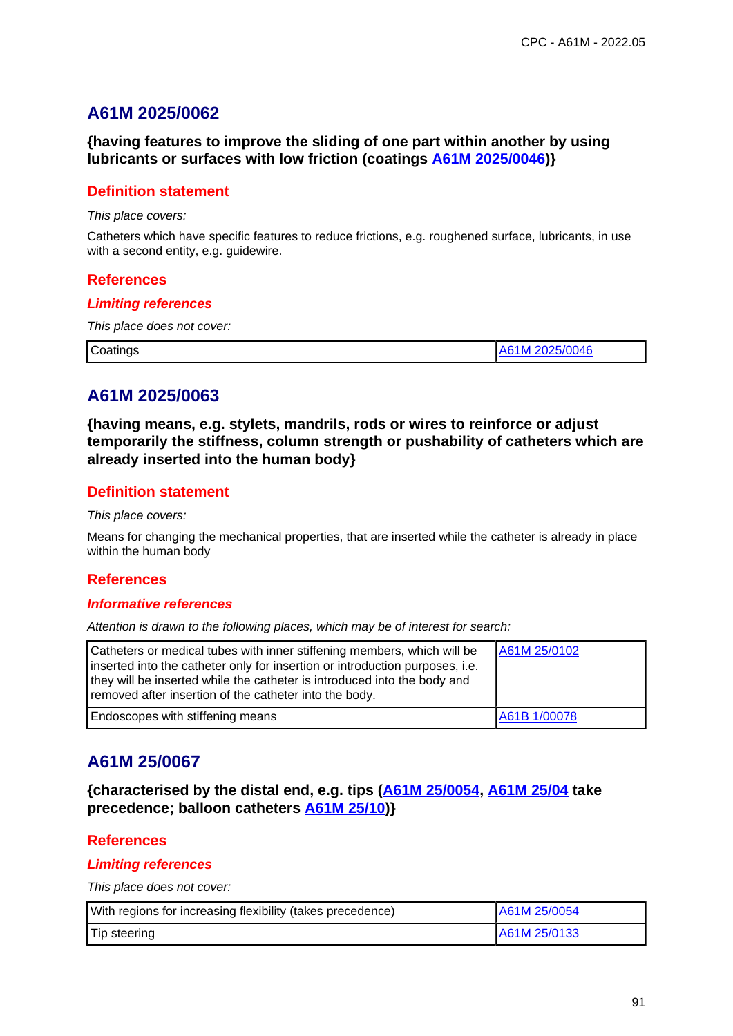# **A61M 2025/0062**

**{having features to improve the sliding of one part within another by using lubricants or surfaces with low friction (coatings A61M 2025/0046)}**

### **Definition statement**

This place covers:

Catheters which have specific features to reduce frictions, e.g. roughened surface, lubricants, in use with a second entity, e.g. guidewire.

### **References**

#### **Limiting references**

This place does not cover:

| $\sqrt{C}$<br>Coatings<br>$\overline{\phantom{0}}$ | - - -<br>''JU46. |
|----------------------------------------------------|------------------|

# **A61M 2025/0063**

**{having means, e.g. stylets, mandrils, rods or wires to reinforce or adjust temporarily the stiffness, column strength or pushability of catheters which are already inserted into the human body}**

### **Definition statement**

This place covers:

Means for changing the mechanical properties, that are inserted while the catheter is already in place within the human body

### **References**

#### **Informative references**

Attention is drawn to the following places, which may be of interest for search:

| Catheters or medical tubes with inner stiffening members, which will be<br>inserted into the catheter only for insertion or introduction purposes, i.e.<br>they will be inserted while the catheter is introduced into the body and<br>removed after insertion of the catheter into the body. | A61M 25/0102 |
|-----------------------------------------------------------------------------------------------------------------------------------------------------------------------------------------------------------------------------------------------------------------------------------------------|--------------|
| Endoscopes with stiffening means                                                                                                                                                                                                                                                              | A61B 1/00078 |

# **A61M 25/0067**

**{characterised by the distal end, e.g. tips (A61M 25/0054, A61M 25/04 take precedence; balloon catheters A61M 25/10)}**

## **References**

#### **Limiting references**

| With regions for increasing flexibility (takes precedence) | A61M 25/0054 |
|------------------------------------------------------------|--------------|
| Tip steering                                               | A61M 25/0133 |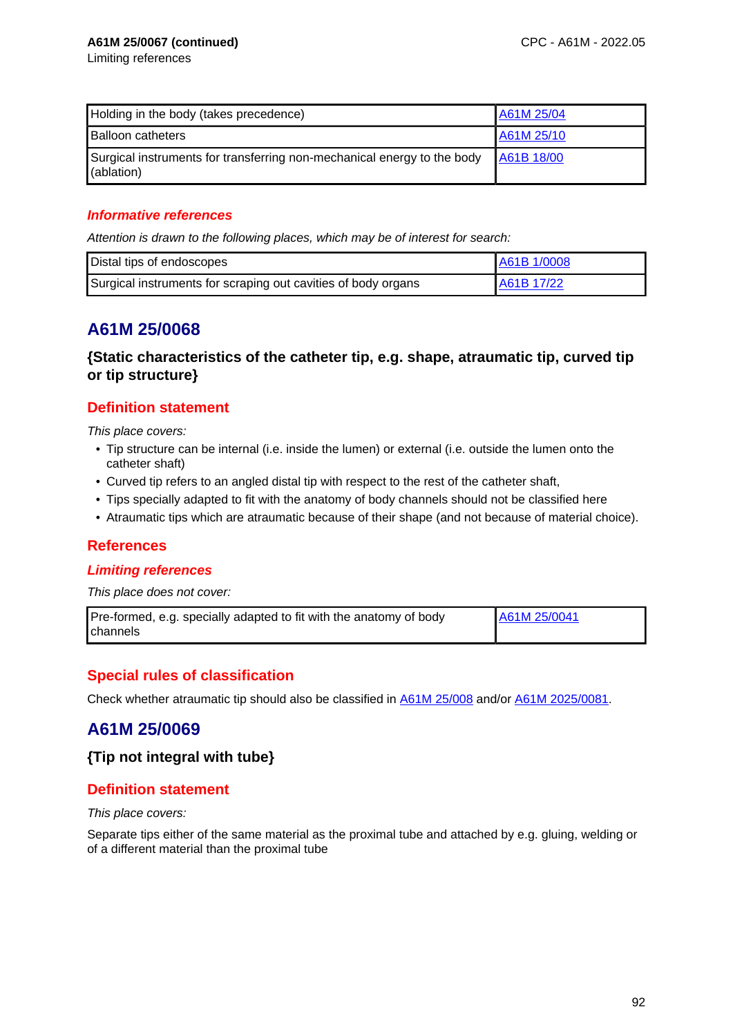| Holding in the body (takes precedence)                                                | A61M 25/04 |
|---------------------------------------------------------------------------------------|------------|
| <b>Balloon catheters</b>                                                              | A61M 25/10 |
| Surgical instruments for transferring non-mechanical energy to the body<br>(ablation) | A61B 18/00 |

### **Informative references**

Attention is drawn to the following places, which may be of interest for search:

| Distal tips of endoscopes                                     | A61B 1/0008 |
|---------------------------------------------------------------|-------------|
| Surgical instruments for scraping out cavities of body organs | A61B 17/22  |

# **A61M 25/0068**

**{Static characteristics of the catheter tip, e.g. shape, atraumatic tip, curved tip or tip structure}**

## **Definition statement**

This place covers:

- Tip structure can be internal (i.e. inside the lumen) or external (i.e. outside the lumen onto the catheter shaft)
- Curved tip refers to an angled distal tip with respect to the rest of the catheter shaft,
- Tips specially adapted to fit with the anatomy of body channels should not be classified here
- Atraumatic tips which are atraumatic because of their shape (and not because of material choice).

## **References**

#### **Limiting references**

This place does not cover:

| Pre-formed, e.g. specially adapted to fit with the anatomy of body | A61M 25/0041 |
|--------------------------------------------------------------------|--------------|
| Ichannels                                                          |              |

## **Special rules of classification**

Check whether atraumatic tip should also be classified in A61M 25/008 and/or A61M 2025/0081.

# **A61M 25/0069**

### **{Tip not integral with tube}**

## **Definition statement**

This place covers:

Separate tips either of the same material as the proximal tube and attached by e.g. gluing, welding or of a different material than the proximal tube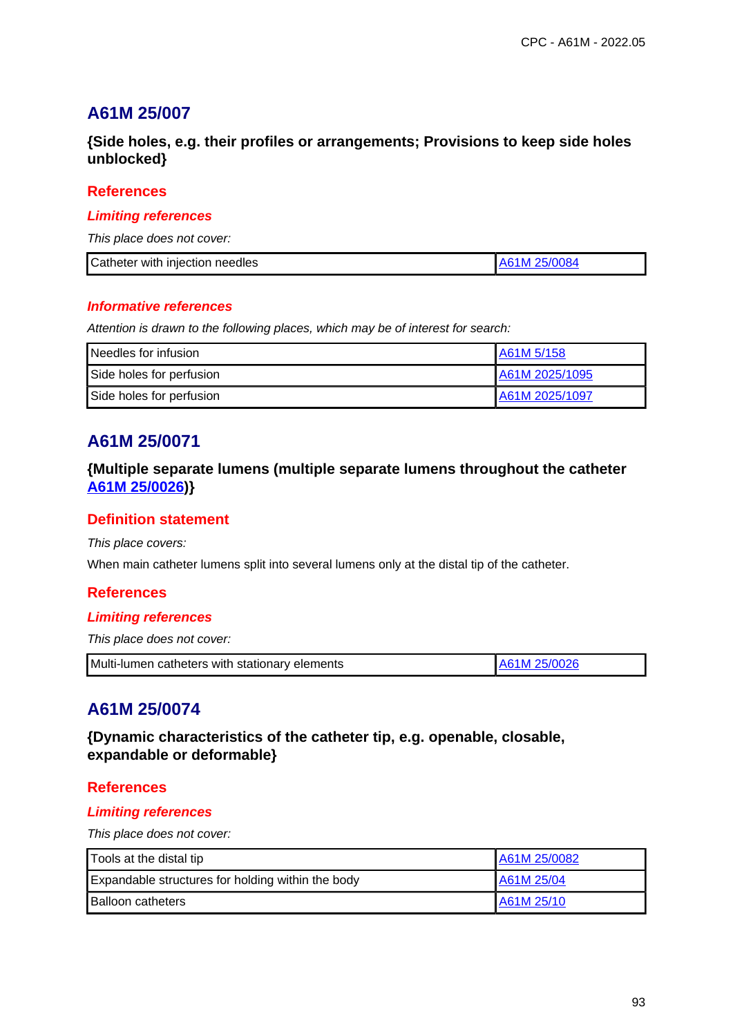**{Side holes, e.g. their profiles or arrangements; Provisions to keep side holes unblocked}**

### **References**

#### **Limiting references**

This place does not cover:

| Catheter with injection needles | <b>25/0084</b> |
|---------------------------------|----------------|

#### **Informative references**

Attention is drawn to the following places, which may be of interest for search:

| Needles for infusion     | I A61M 5/158   |
|--------------------------|----------------|
| Side holes for perfusion | A61M 2025/1095 |
| Side holes for perfusion | A61M 2025/1097 |

# **A61M 25/0071**

### **{Multiple separate lumens (multiple separate lumens throughout the catheter A61M 25/0026)}**

#### **Definition statement**

This place covers:

When main catheter lumens split into several lumens only at the distal tip of the catheter.

### **References**

#### **Limiting references**

This place does not cover:

| Multi-lumen catheters with stationary elements | A61M 25/0026 |
|------------------------------------------------|--------------|
|------------------------------------------------|--------------|

# **A61M 25/0074**

**{Dynamic characteristics of the catheter tip, e.g. openable, closable, expandable or deformable}**

### **References**

### **Limiting references**

| Tools at the distal tip                           | A61M 25/0082 |
|---------------------------------------------------|--------------|
| Expandable structures for holding within the body | LA61M 25/04  |
| <b>Balloon catheters</b>                          | A61M 25/10   |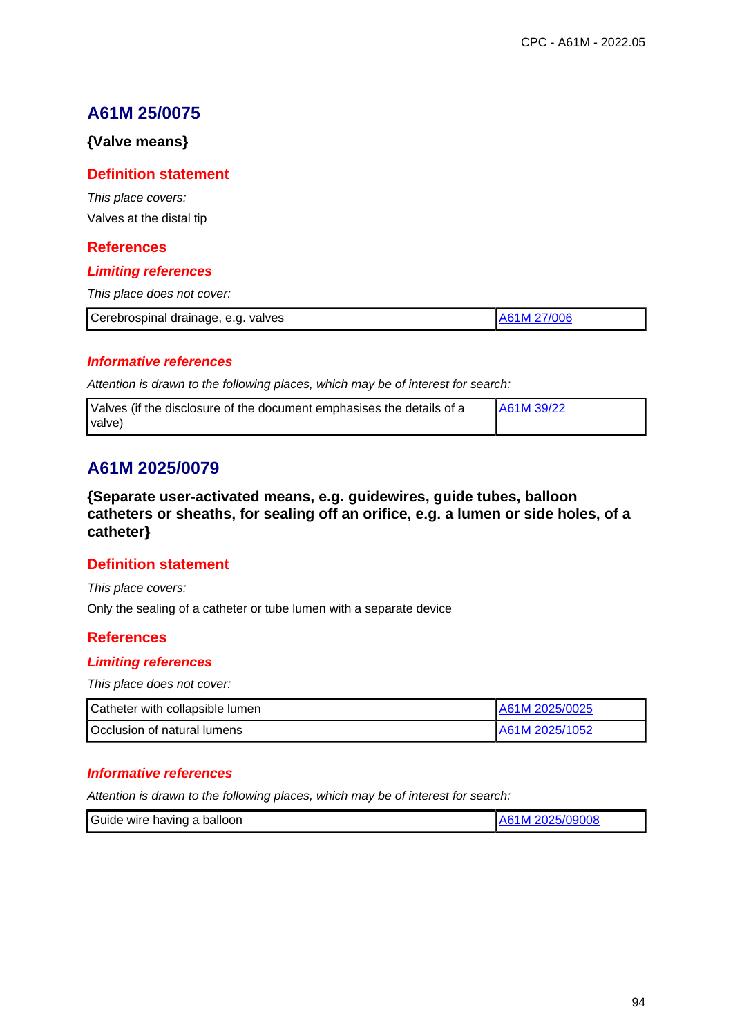### **{Valve means}**

### **Definition statement**

This place covers: Valves at the distal tip

### **References**

#### **Limiting references**

This place does not cover:

| Cerebrospinal drainage, e.g.<br>valves | 700 Y |
|----------------------------------------|-------|
|                                        |       |

#### **Informative references**

Attention is drawn to the following places, which may be of interest for search:

| Valves (if the disclosure of the document emphasises the details of a | A61M 39/22 |
|-----------------------------------------------------------------------|------------|
| valve)                                                                |            |

# **A61M 2025/0079**

**{Separate user-activated means, e.g. guidewires, guide tubes, balloon catheters or sheaths, for sealing off an orifice, e.g. a lumen or side holes, of a catheter}**

### **Definition statement**

This place covers:

Only the sealing of a catheter or tube lumen with a separate device

### **References**

#### **Limiting references**

This place does not cover:

| Catheter with collapsible lumen | A61M 2025/0025 |
|---------------------------------|----------------|
| Occlusion of natural lumens     | A61M 2025/1052 |

#### **Informative references**

| Guide wire having a balloon | A61M 2025/09008 |
|-----------------------------|-----------------|
|-----------------------------|-----------------|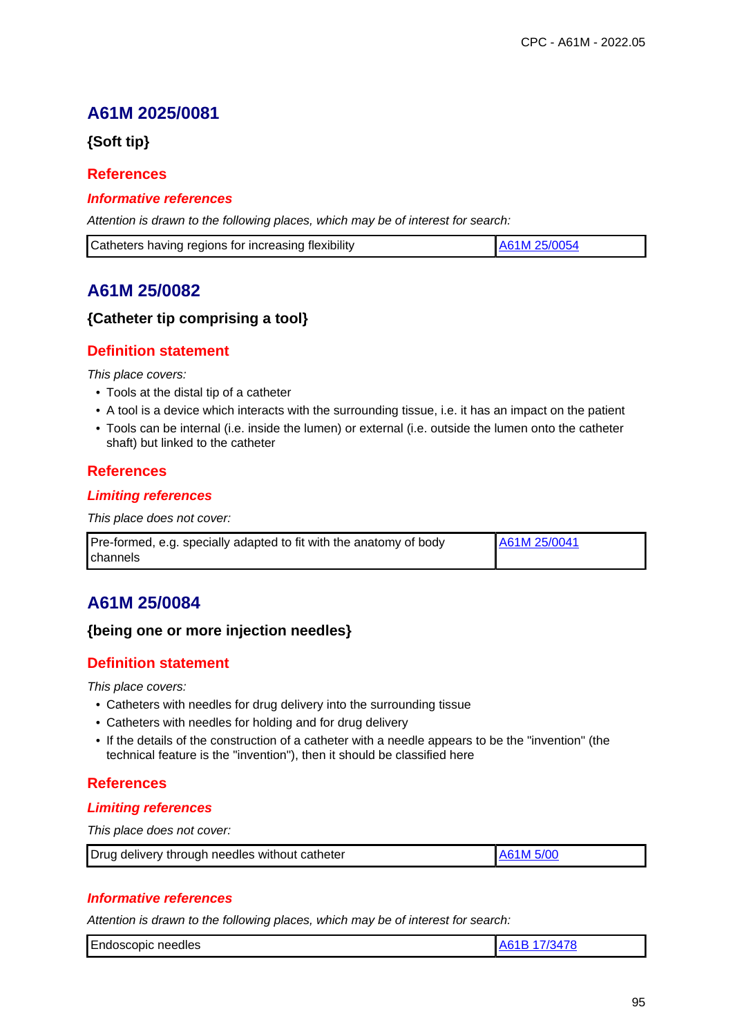# **A61M 2025/0081**

**{Soft tip}**

### **References**

#### **Informative references**

Attention is drawn to the following places, which may be of interest for search:

| Catheters having regions for increasing flexibility | LA61M 25/0054 |
|-----------------------------------------------------|---------------|
|-----------------------------------------------------|---------------|

# **A61M 25/0082**

### **{Catheter tip comprising a tool}**

### **Definition statement**

This place covers:

- Tools at the distal tip of a catheter
- A tool is a device which interacts with the surrounding tissue, i.e. it has an impact on the patient
- Tools can be internal (i.e. inside the lumen) or external (i.e. outside the lumen onto the catheter shaft) but linked to the catheter

### **References**

#### **Limiting references**

This place does not cover:

| Pre-formed, e.g. specially adapted to fit with the anatomy of body | A61M 25/0041 |
|--------------------------------------------------------------------|--------------|
| Ichannels                                                          |              |

# **A61M 25/0084**

### **{being one or more injection needles}**

### **Definition statement**

This place covers:

- Catheters with needles for drug delivery into the surrounding tissue
- Catheters with needles for holding and for drug delivery
- If the details of the construction of a catheter with a needle appears to be the "invention" (the technical feature is the "invention"), then it should be classified here

### **References**

#### **Limiting references**

This place does not cover:

| Drug delivery through needles without catheter | LA61M 5/00 |
|------------------------------------------------|------------|
|                                                |            |

### **Informative references**

| Endoscopic<br>needles |  |
|-----------------------|--|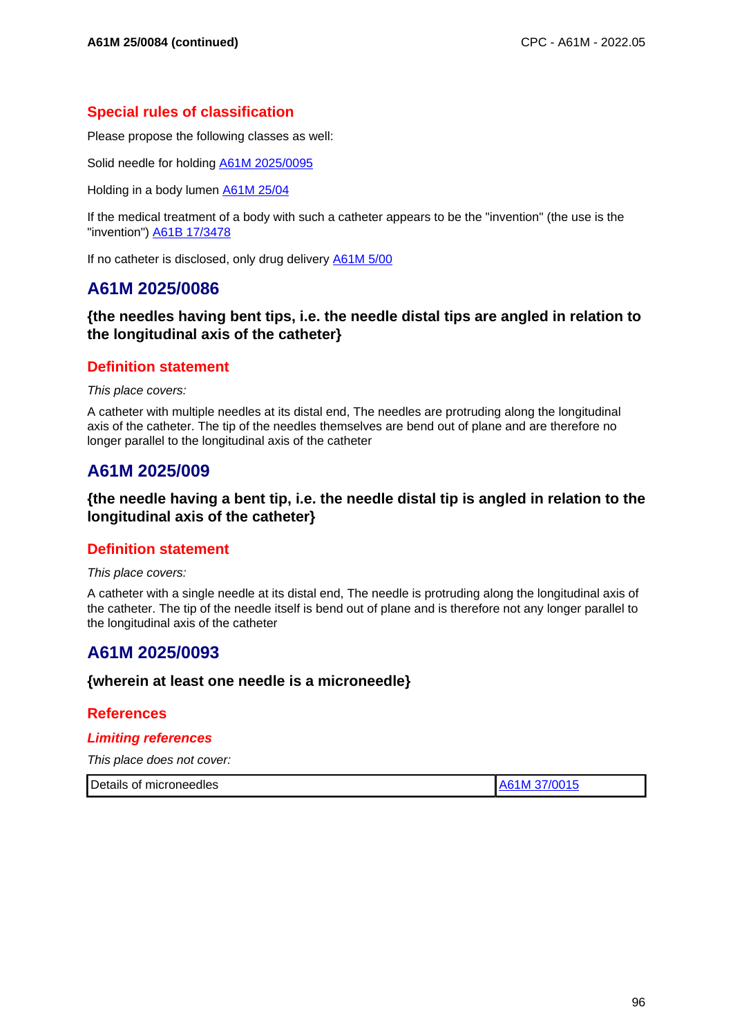## **Special rules of classification**

Please propose the following classes as well:

Solid needle for holding A61M 2025/0095

Holding in a body lumen A61M 25/04

If the medical treatment of a body with such a catheter appears to be the "invention" (the use is the "invention") A61B 17/3478

If no catheter is disclosed, only drug delivery A61M 5/00

# **A61M 2025/0086**

### **{the needles having bent tips, i.e. the needle distal tips are angled in relation to the longitudinal axis of the catheter}**

### **Definition statement**

This place covers:

A catheter with multiple needles at its distal end, The needles are protruding along the longitudinal axis of the catheter. The tip of the needles themselves are bend out of plane and are therefore no longer parallel to the longitudinal axis of the catheter

# **A61M 2025/009**

### **{the needle having a bent tip, i.e. the needle distal tip is angled in relation to the longitudinal axis of the catheter}**

## **Definition statement**

This place covers:

A catheter with a single needle at its distal end, The needle is protruding along the longitudinal axis of the catheter. The tip of the needle itself is bend out of plane and is therefore not any longer parallel to the longitudinal axis of the catheter

# **A61M 2025/0093**

### **{wherein at least one needle is a microneedle}**

### **References**

#### **Limiting references**

| Details of microneedles | A61M 37/0015 |
|-------------------------|--------------|
|-------------------------|--------------|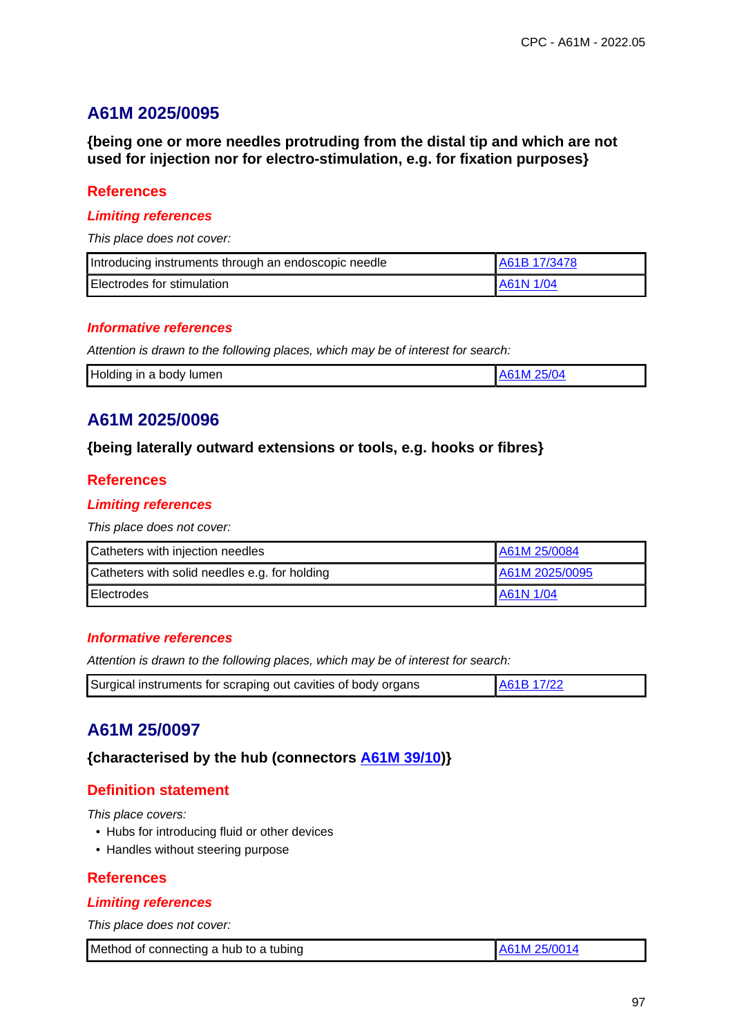# **A61M 2025/0095**

**{being one or more needles protruding from the distal tip and which are not used for injection nor for electro-stimulation, e.g. for fixation purposes}**

### **References**

#### **Limiting references**

This place does not cover:

| Introducing instruments through an endoscopic needle | A61B 17/3478 |
|------------------------------------------------------|--------------|
| <b>Electrodes for stimulation</b>                    | A61N 1/04    |

#### **Informative references**

Attention is drawn to the following places, which may be of interest for search:

|  | Holding in a body lumen | A61M 25/04 |  |
|--|-------------------------|------------|--|
|--|-------------------------|------------|--|

# **A61M 2025/0096**

### **{being laterally outward extensions or tools, e.g. hooks or fibres}**

### **References**

### **Limiting references**

This place does not cover:

| Catheters with injection needles              | A61M 25/0084   |
|-----------------------------------------------|----------------|
| Catheters with solid needles e.g. for holding | A61M 2025/0095 |
| <b>Electrodes</b>                             | A61N 1/04      |

### **Informative references**

Attention is drawn to the following places, which may be of interest for search:

|  | Surgical instruments for scraping out cavities of body organs | A61B 17/22 |
|--|---------------------------------------------------------------|------------|
|--|---------------------------------------------------------------|------------|

# **A61M 25/0097**

**{characterised by the hub (connectors A61M 39/10)}**

### **Definition statement**

This place covers:

- Hubs for introducing fluid or other devices
- Handles without steering purpose

### **References**

#### **Limiting references**

| Method of connecting a hub to a tubing | LA61M 25/0014 |
|----------------------------------------|---------------|
|----------------------------------------|---------------|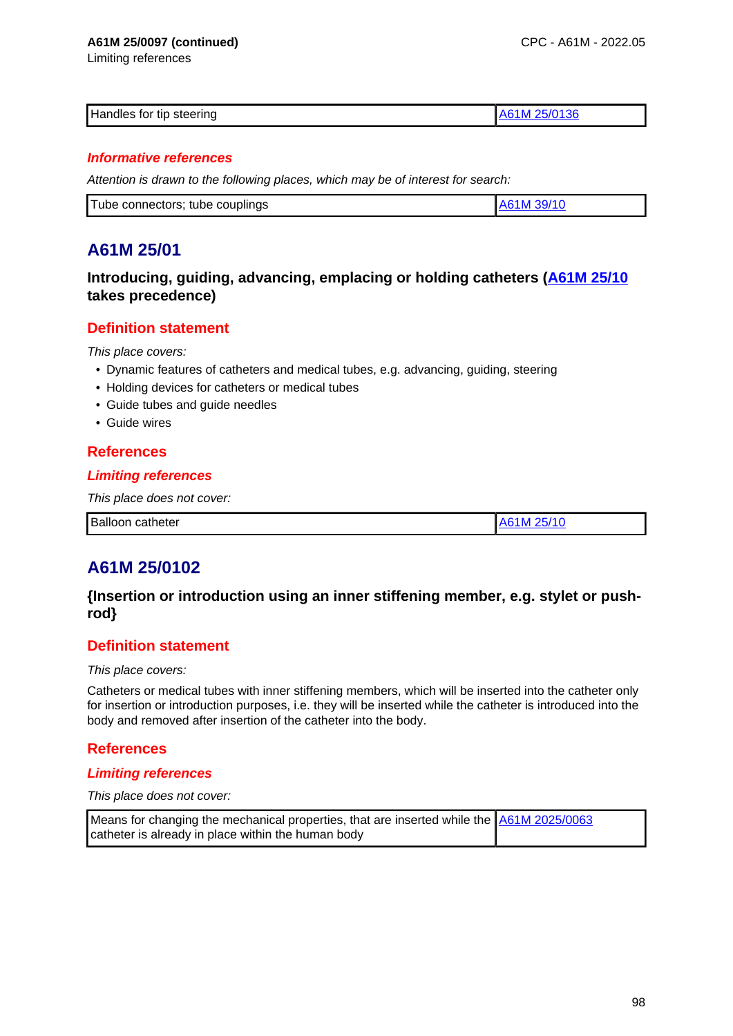#### **A61M 25/0097 (continued)**

Limiting references

| Handles for tip steering | . л.<br>61 M<br>ווה<br>Δr |
|--------------------------|---------------------------|
|                          |                           |

#### **Informative references**

Attention is drawn to the following places, which may be of interest for search:

# **A61M 25/01**

## **Introducing, guiding, advancing, emplacing or holding catheters (A61M 25/10 takes precedence)**

## **Definition statement**

This place covers:

- Dynamic features of catheters and medical tubes, e.g. advancing, guiding, steering
- Holding devices for catheters or medical tubes
- Guide tubes and guide needles
- Guide wires

### **References**

#### **Limiting references**

This place does not cover:

| Balloon<br>catheter |  |
|---------------------|--|
|                     |  |

# **A61M 25/0102**

## **{Insertion or introduction using an inner stiffening member, e.g. stylet or pushrod}**

### **Definition statement**

This place covers:

Catheters or medical tubes with inner stiffening members, which will be inserted into the catheter only for insertion or introduction purposes, i.e. they will be inserted while the catheter is introduced into the body and removed after insertion of the catheter into the body.

### **References**

### **Limiting references**

#### This place does not cover:

Means for changing the mechanical properties, that are inserted while the  $\frac{\Delta61M}{2025/0063}$ catheter is already in place within the human body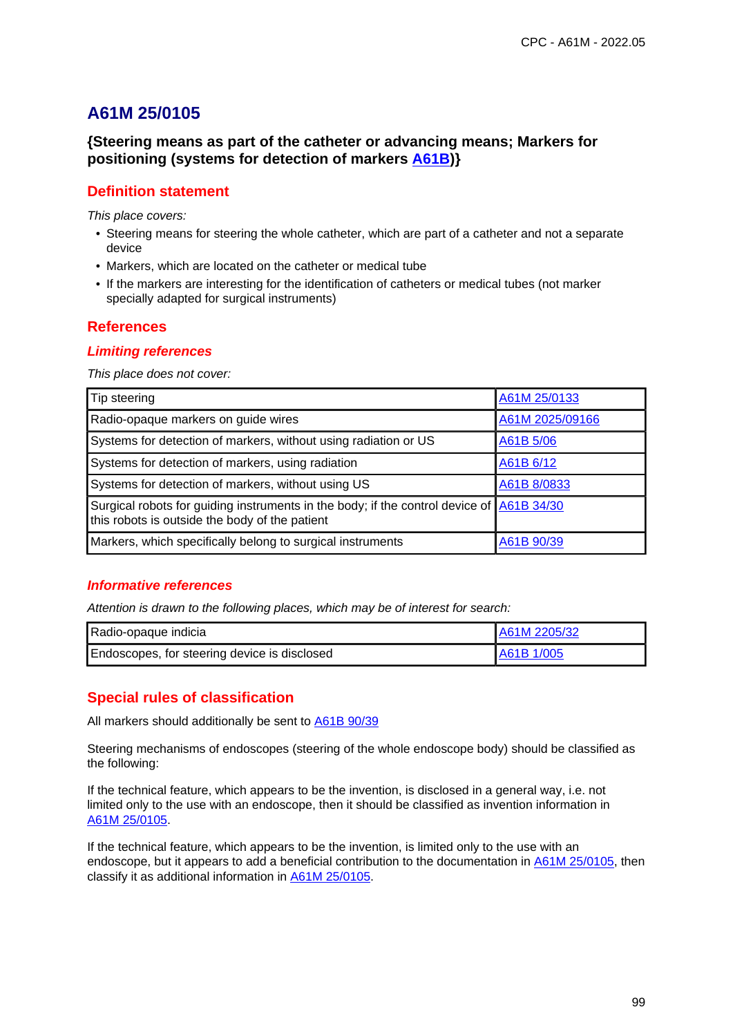## **{Steering means as part of the catheter or advancing means; Markers for positioning (systems for detection of markers A61B)}**

### **Definition statement**

This place covers:

- Steering means for steering the whole catheter, which are part of a catheter and not a separate device
- Markers, which are located on the catheter or medical tube
- If the markers are interesting for the identification of catheters or medical tubes (not marker specially adapted for surgical instruments)

### **References**

#### **Limiting references**

This place does not cover:

| Tip steering                                                                                                                               | A61M 25/0133    |
|--------------------------------------------------------------------------------------------------------------------------------------------|-----------------|
| Radio-opaque markers on guide wires                                                                                                        | A61M 2025/09166 |
| Systems for detection of markers, without using radiation or US                                                                            | A61B 5/06       |
| Systems for detection of markers, using radiation                                                                                          | A61B 6/12       |
| Systems for detection of markers, without using US                                                                                         | A61B 8/0833     |
| Surgical robots for guiding instruments in the body; if the control device of A61B 34/30<br>this robots is outside the body of the patient |                 |
| Markers, which specifically belong to surgical instruments                                                                                 | A61B 90/39      |

### **Informative references**

Attention is drawn to the following places, which may be of interest for search:

| Radio-opaque indicia                         | A61M 2205/32 |
|----------------------------------------------|--------------|
| Endoscopes, for steering device is disclosed | IA61B 1/005  |

## **Special rules of classification**

All markers should additionally be sent to A61B 90/39

Steering mechanisms of endoscopes (steering of the whole endoscope body) should be classified as the following:

If the technical feature, which appears to be the invention, is disclosed in a general way, i.e. not limited only to the use with an endoscope, then it should be classified as invention information in A61M 25/0105.

If the technical feature, which appears to be the invention, is limited only to the use with an endoscope, but it appears to add a beneficial contribution to the documentation in A61M 25/0105, then classify it as additional information in A61M 25/0105.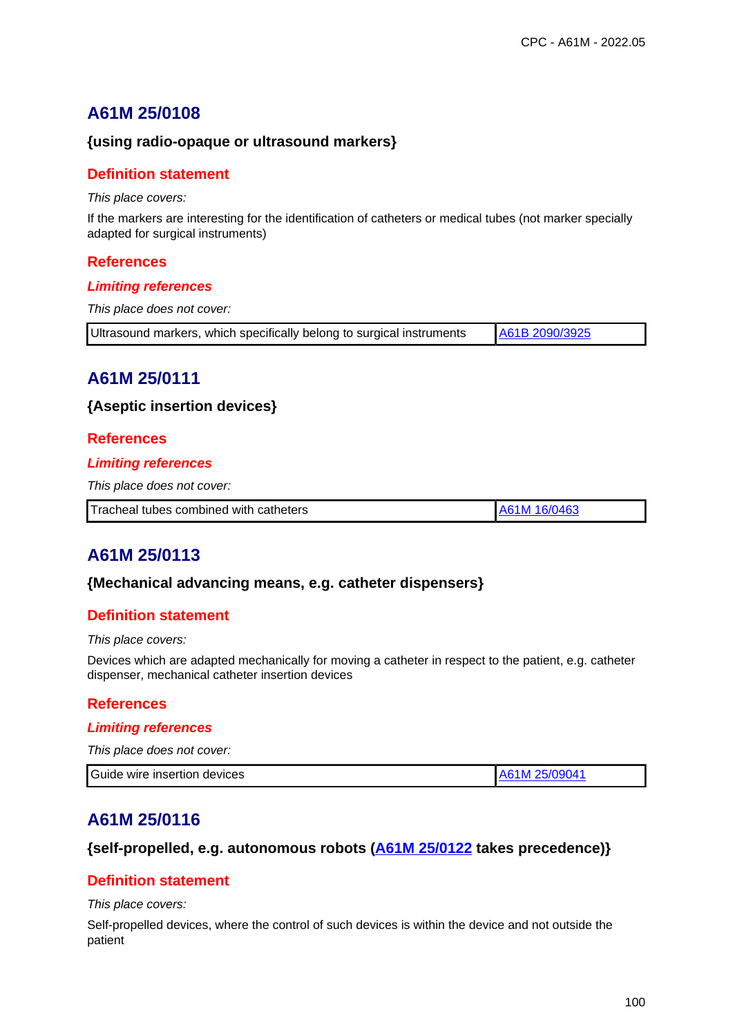### **{using radio-opaque or ultrasound markers}**

#### **Definition statement**

This place covers:

If the markers are interesting for the identification of catheters or medical tubes (not marker specially adapted for surgical instruments)

#### **References**

#### **Limiting references**

This place does not cover:

| Ultrasound markers, which specifically belong to surgical instruments | A61B 2090/3925 |
|-----------------------------------------------------------------------|----------------|
|-----------------------------------------------------------------------|----------------|

# **A61M 25/0111**

#### **{Aseptic insertion devices}**

#### **References**

#### **Limiting references**

This place does not cover:

| Tracheal tubes combined with catheters<br>16/0463 |
|---------------------------------------------------|
|---------------------------------------------------|

# **A61M 25/0113**

#### **{Mechanical advancing means, e.g. catheter dispensers}**

### **Definition statement**

#### This place covers:

Devices which are adapted mechanically for moving a catheter in respect to the patient, e.g. catheter dispenser, mechanical catheter insertion devices

#### **References**

#### **Limiting references**

| This place does not cover:   |               |
|------------------------------|---------------|
| Guide wire insertion devices | A61M 25/09041 |

# **A61M 25/0116**

#### **{self-propelled, e.g. autonomous robots (A61M 25/0122 takes precedence)}**

### **Definition statement**

#### This place covers:

Self-propelled devices, where the control of such devices is within the device and not outside the patient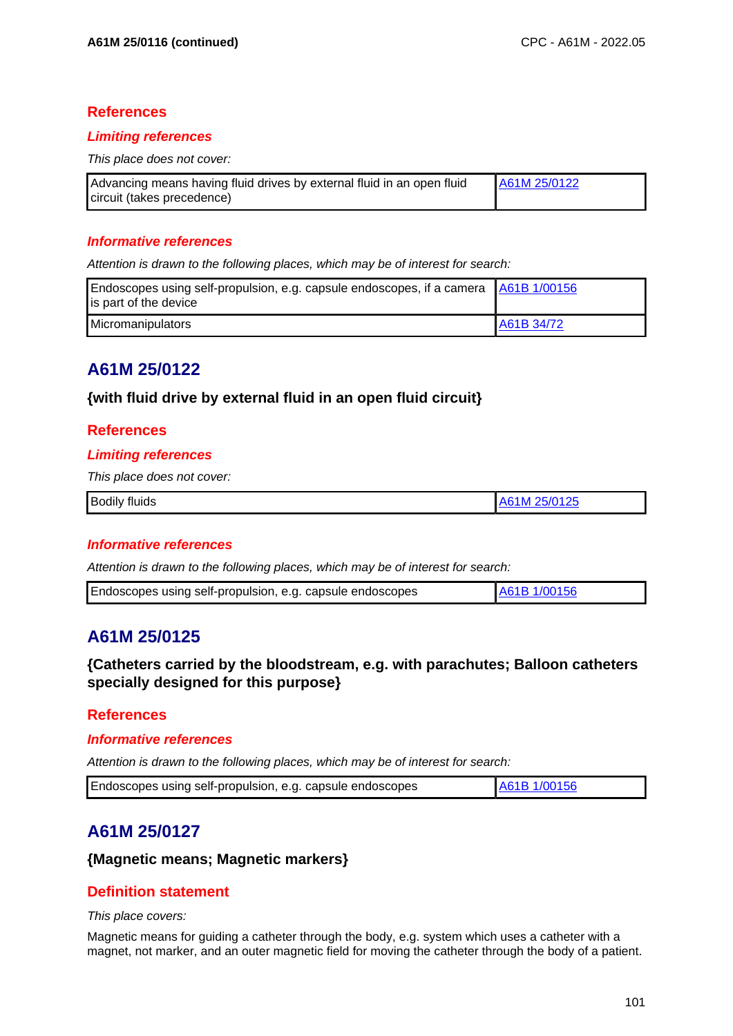### **References**

#### **Limiting references**

This place does not cover:

| Advancing means having fluid drives by external fluid in an open fluid | A61M 25/0122 |
|------------------------------------------------------------------------|--------------|
| circuit (takes precedence)                                             |              |

#### **Informative references**

Attention is drawn to the following places, which may be of interest for search:

| Endoscopes using self-propulsion, e.g. capsule endoscopes, if a camera $\left  \frac{\text{AG1B}}{\text{AG1B}} \right $<br>is part of the device |            |
|--------------------------------------------------------------------------------------------------------------------------------------------------|------------|
| Micromanipulators                                                                                                                                | A61B 34/72 |

# **A61M 25/0122**

**{with fluid drive by external fluid in an open fluid circuit}**

#### **References**

#### **Limiting references**

This place does not cover:

| <b>Bodily</b> | 25/0125 |
|---------------|---------|
| .             | AB3     |
| ∶tluıds       | l N     |
|               |         |

#### **Informative references**

Attention is drawn to the following places, which may be of interest for search:

| Endoscopes using self-propulsion, e.g. capsule endoscopes | A61B 1/00156 |
|-----------------------------------------------------------|--------------|
|-----------------------------------------------------------|--------------|

# **A61M 25/0125**

**{Catheters carried by the bloodstream, e.g. with parachutes; Balloon catheters specially designed for this purpose}**

### **References**

#### **Informative references**

Attention is drawn to the following places, which may be of interest for search:

| Endoscopes using self-propulsion, e.g. capsule endoscopes | A61B 1/00156 |
|-----------------------------------------------------------|--------------|
|-----------------------------------------------------------|--------------|

# **A61M 25/0127**

#### **{Magnetic means; Magnetic markers}**

### **Definition statement**

This place covers:

Magnetic means for guiding a catheter through the body, e.g. system which uses a catheter with a magnet, not marker, and an outer magnetic field for moving the catheter through the body of a patient.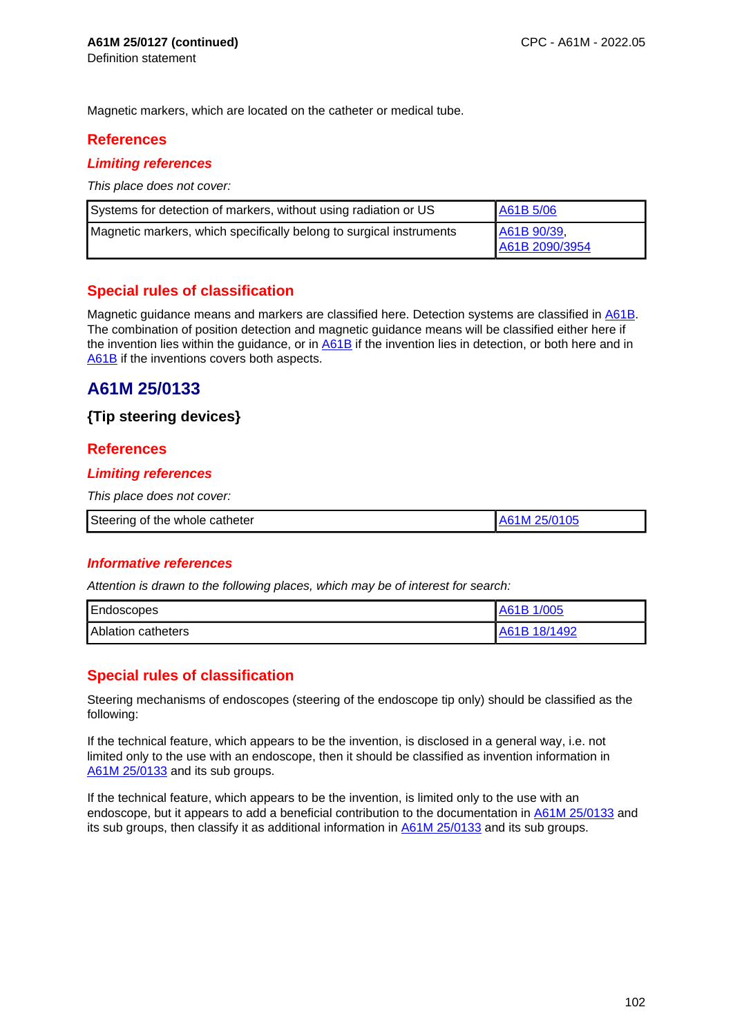Magnetic markers, which are located on the catheter or medical tube.

## **References**

### **Limiting references**

This place does not cover:

| Systems for detection of markers, without using radiation or US     | A61B 5/06                     |
|---------------------------------------------------------------------|-------------------------------|
| Magnetic markers, which specifically belong to surgical instruments | A61B 90/39,<br>A61B 2090/3954 |

## **Special rules of classification**

Magnetic guidance means and markers are classified here. Detection systems are classified in A61B. The combination of position detection and magnetic guidance means will be classified either here if the invention lies within the guidance, or in A61B if the invention lies in detection, or both here and in A61B if the inventions covers both aspects.

# **A61M 25/0133**

## **{Tip steering devices}**

## **References**

#### **Limiting references**

This place does not cover:

| Steering of the whole catheter<br>25/0105 |
|-------------------------------------------|
|-------------------------------------------|

### **Informative references**

Attention is drawn to the following places, which may be of interest for search:

| Endoscopes                | 1/005<br>A61B |
|---------------------------|---------------|
| <b>Ablation catheters</b> | A61B 18/1492  |

## **Special rules of classification**

Steering mechanisms of endoscopes (steering of the endoscope tip only) should be classified as the following:

If the technical feature, which appears to be the invention, is disclosed in a general way, i.e. not limited only to the use with an endoscope, then it should be classified as invention information in A61M 25/0133 and its sub groups.

If the technical feature, which appears to be the invention, is limited only to the use with an endoscope, but it appears to add a beneficial contribution to the documentation in A61M 25/0133 and its sub groups, then classify it as additional information in A61M 25/0133 and its sub groups.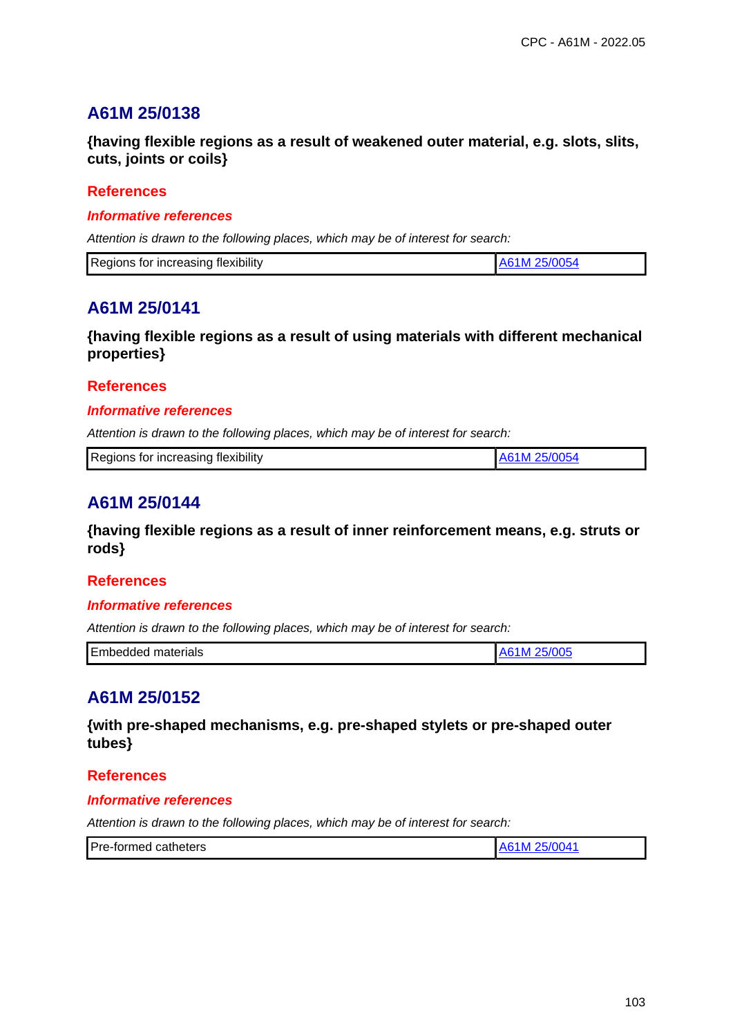**{having flexible regions as a result of weakened outer material, e.g. slots, slits, cuts, joints or coils}**

### **References**

#### **Informative references**

Attention is drawn to the following places, which may be of interest for search:

| Regions for increasing flexibility |  |
|------------------------------------|--|

# **A61M 25/0141**

**{having flexible regions as a result of using materials with different mechanical properties}**

### **References**

#### **Informative references**

Attention is drawn to the following places, which may be of interest for search:

| Regions for increasing flexibility |
|------------------------------------|
|------------------------------------|

# **A61M 25/0144**

**{having flexible regions as a result of inner reinforcement means, e.g. struts or rods}**

### **References**

#### **Informative references**

Attention is drawn to the following places, which may be of interest for search:

| Embedded<br>materials | . |
|-----------------------|---|

# **A61M 25/0152**

**{with pre-shaped mechanisms, e.g. pre-shaped stylets or pre-shaped outer tubes}**

### **References**

#### **Informative references**

| Pre-formed catheters | 5/004<br>່າ⊾.<br>1 M |
|----------------------|----------------------|
|----------------------|----------------------|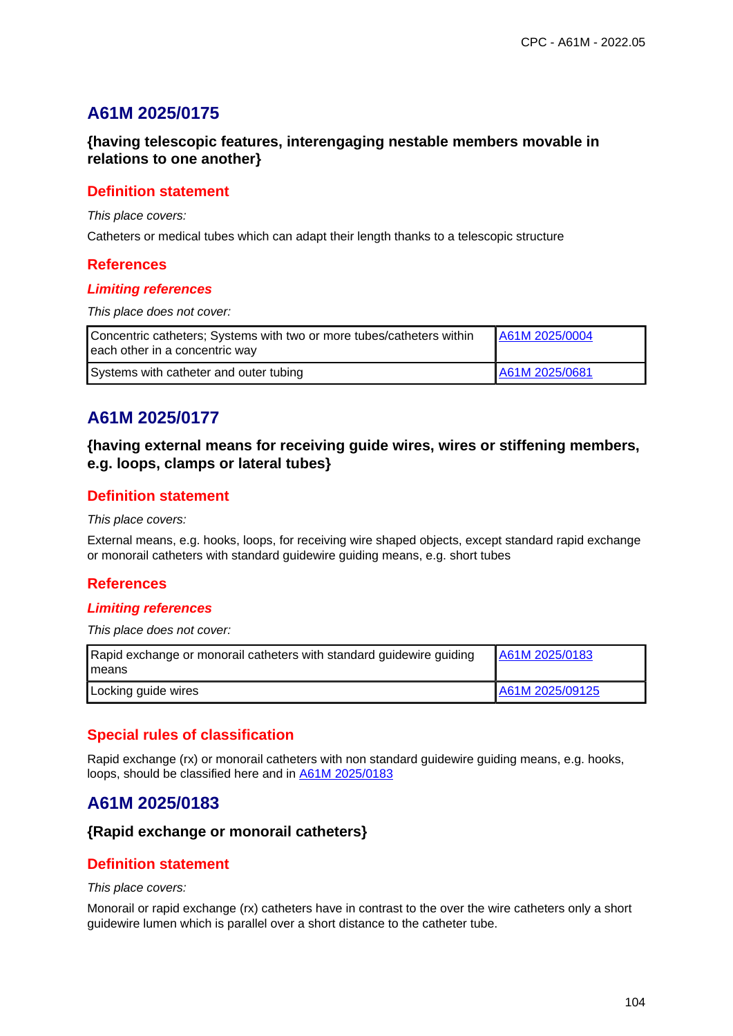# **A61M 2025/0175**

## **{having telescopic features, interengaging nestable members movable in relations to one another}**

### **Definition statement**

This place covers:

Catheters or medical tubes which can adapt their length thanks to a telescopic structure

### **References**

#### **Limiting references**

This place does not cover:

| Concentric catheters; Systems with two or more tubes/catheters within<br>each other in a concentric way | A61M 2025/0004 |
|---------------------------------------------------------------------------------------------------------|----------------|
| Systems with catheter and outer tubing                                                                  | A61M 2025/0681 |

# **A61M 2025/0177**

## **{having external means for receiving guide wires, wires or stiffening members, e.g. loops, clamps or lateral tubes}**

### **Definition statement**

#### This place covers:

External means, e.g. hooks, loops, for receiving wire shaped objects, except standard rapid exchange or monorail catheters with standard guidewire guiding means, e.g. short tubes

### **References**

#### **Limiting references**

This place does not cover:

| Rapid exchange or monorail catheters with standard guidewire guiding<br>l means | A61M 2025/0183  |
|---------------------------------------------------------------------------------|-----------------|
| Locking guide wires                                                             | A61M 2025/09125 |

## **Special rules of classification**

Rapid exchange (rx) or monorail catheters with non standard guidewire guiding means, e.g. hooks, loops, should be classified here and in A61M 2025/0183

# **A61M 2025/0183**

### **{Rapid exchange or monorail catheters}**

### **Definition statement**

#### This place covers:

Monorail or rapid exchange (rx) catheters have in contrast to the over the wire catheters only a short guidewire lumen which is parallel over a short distance to the catheter tube.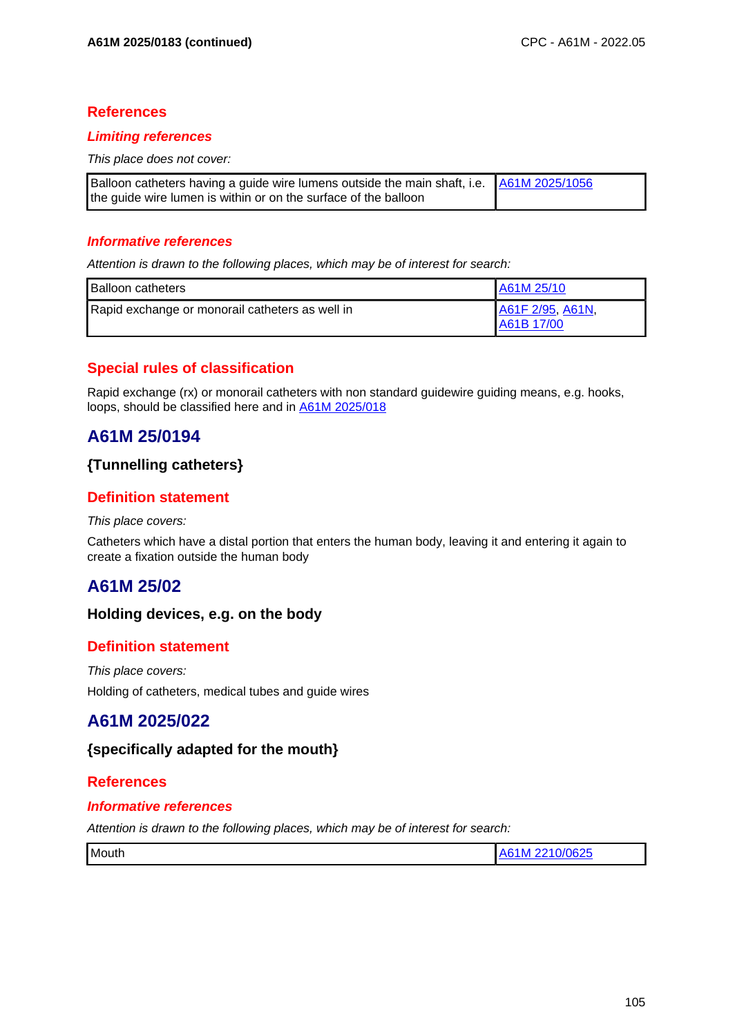### **References**

#### **Limiting references**

This place does not cover:

| Balloon catheters having a guide wire lumens outside the main shaft, i.e.   A61M 2025/1056 |  |
|--------------------------------------------------------------------------------------------|--|
| the guide wire lumen is within or on the surface of the balloon                            |  |

#### **Informative references**

Attention is drawn to the following places, which may be of interest for search:

| <b>Balloon catheters</b>                        | LA61M 25/10                     |
|-------------------------------------------------|---------------------------------|
| Rapid exchange or monorail catheters as well in | A61F 2/95, A61N,<br>IA61B 17/00 |

## **Special rules of classification**

Rapid exchange (rx) or monorail catheters with non standard guidewire guiding means, e.g. hooks, loops, should be classified here and in A61M 2025/018

# **A61M 25/0194**

### **{Tunnelling catheters}**

### **Definition statement**

#### This place covers:

Catheters which have a distal portion that enters the human body, leaving it and entering it again to create a fixation outside the human body

# **A61M 25/02**

### **Holding devices, e.g. on the body**

### **Definition statement**

This place covers: Holding of catheters, medical tubes and guide wires

# **A61M 2025/022**

### **{specifically adapted for the mouth}**

### **References**

#### **Informative references**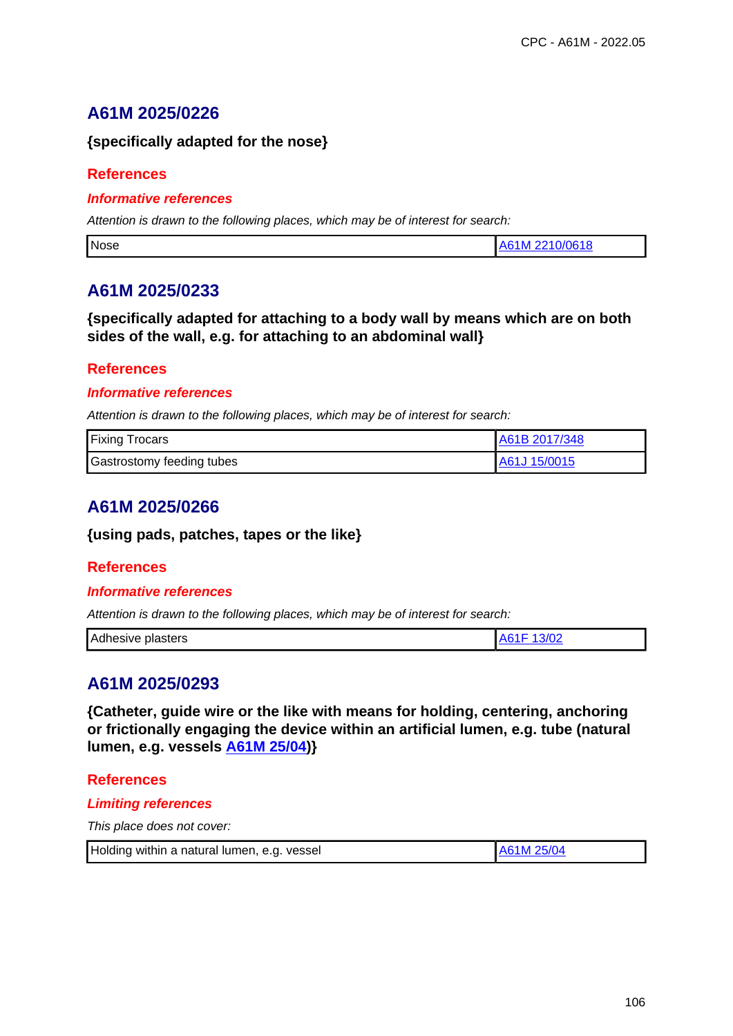# **A61M 2025/0226**

### **{specifically adapted for the nose}**

### **References**

### **Informative references**

Attention is drawn to the following places, which may be of interest for search:

| Nose | 0/0618<br>A6'<br>ס ו |
|------|----------------------|
|      |                      |

# **A61M 2025/0233**

### **{specifically adapted for attaching to a body wall by means which are on both sides of the wall, e.g. for attaching to an abdominal wall}**

### **References**

### **Informative references**

Attention is drawn to the following places, which may be of interest for search:

| <b>Fixing Trocars</b>            | A61B 2017/348 |
|----------------------------------|---------------|
| <b>Gastrostomy feeding tubes</b> | A61J 15/0015  |

# **A61M 2025/0266**

#### **{using pads, patches, tapes or the like}**

### **References**

#### **Informative references**

Attention is drawn to the following places, which may be of interest for search:

# **A61M 2025/0293**

**{Catheter, guide wire or the like with means for holding, centering, anchoring or frictionally engaging the device within an artificial lumen, e.g. tube (natural lumen, e.g. vessels A61M 25/04)}**

#### **References**

#### **Limiting references**

| Holding within a natural lumen, e.g. vessel | A61M 25/04 |
|---------------------------------------------|------------|
|---------------------------------------------|------------|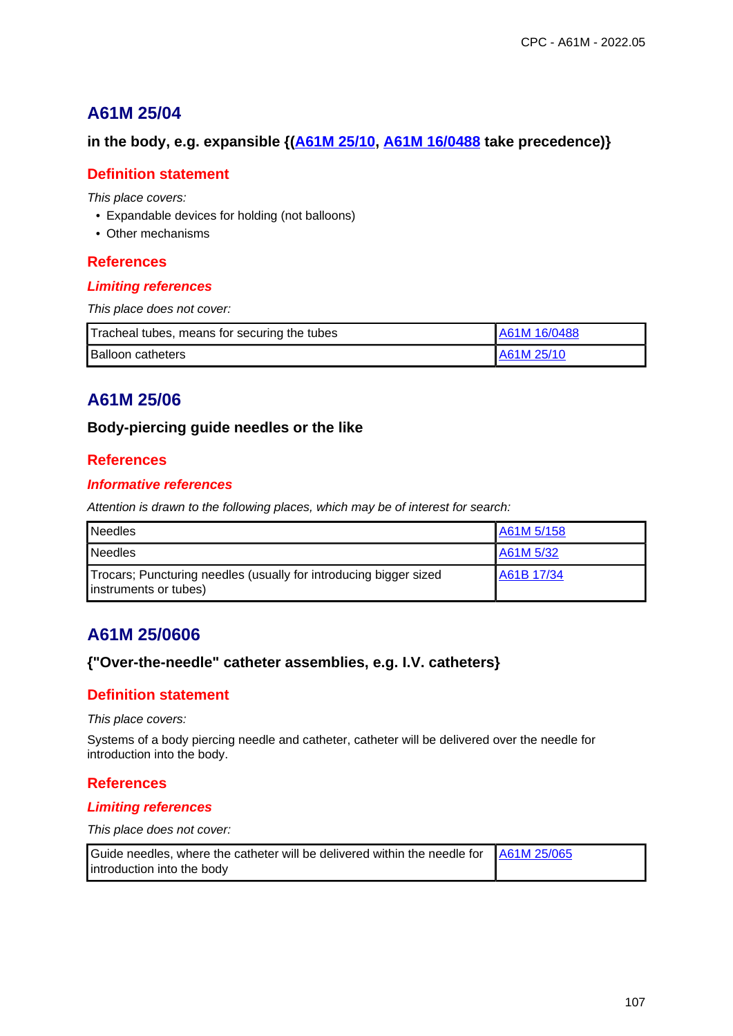### **in the body, e.g. expansible {(A61M 25/10, A61M 16/0488 take precedence)}**

### **Definition statement**

This place covers:

- Expandable devices for holding (not balloons)
- Other mechanisms

#### **References**

#### **Limiting references**

This place does not cover:

| Tracheal tubes, means for securing the tubes | A61M 16/0488 |
|----------------------------------------------|--------------|
| <b>Balloon catheters</b>                     | LA61M 25/10  |

# **A61M 25/06**

#### **Body-piercing guide needles or the like**

### **References**

#### **Informative references**

Attention is drawn to the following places, which may be of interest for search:

| <b>Needles</b>                                                                             | A61M 5/158 |
|--------------------------------------------------------------------------------------------|------------|
| <b>Needles</b>                                                                             | A61M 5/32  |
| Trocars; Puncturing needles (usually for introducing bigger sized<br>instruments or tubes) | A61B 17/34 |

# **A61M 25/0606**

### **{"Over-the-needle" catheter assemblies, e.g. I.V. catheters}**

### **Definition statement**

This place covers:

Systems of a body piercing needle and catheter, catheter will be delivered over the needle for introduction into the body.

### **References**

#### **Limiting references**

| Guide needles, where the catheter will be delivered within the needle for   A61M 25/065 |  |
|-----------------------------------------------------------------------------------------|--|
| introduction into the body                                                              |  |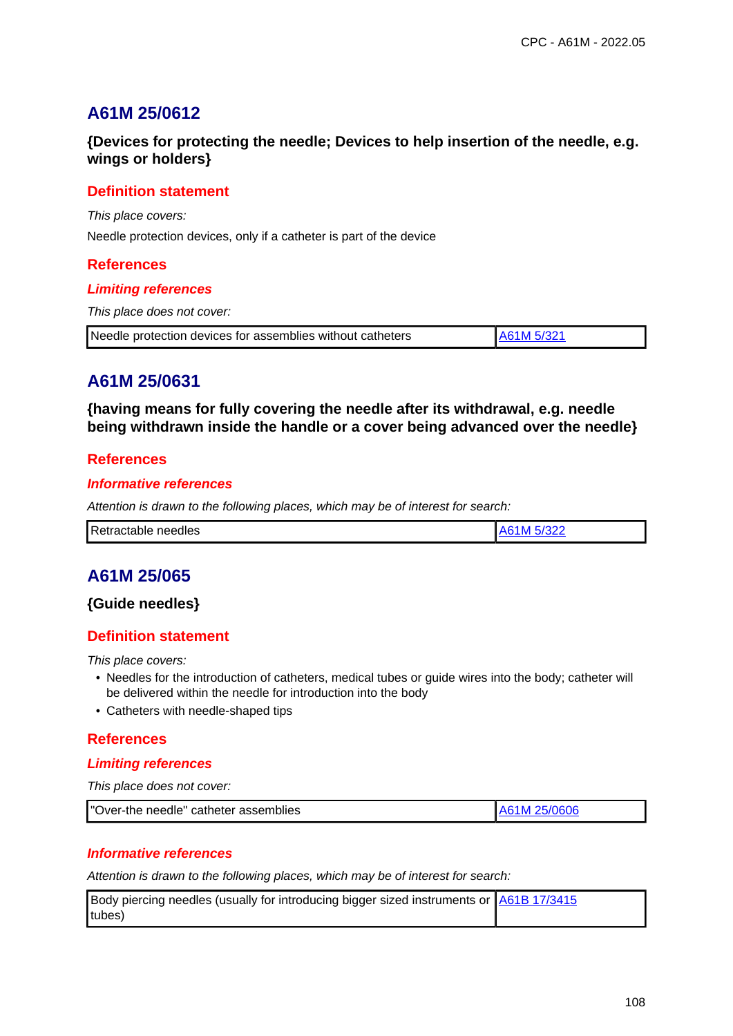## **{Devices for protecting the needle; Devices to help insertion of the needle, e.g. wings or holders}**

### **Definition statement**

This place covers:

Needle protection devices, only if a catheter is part of the device

#### **References**

#### **Limiting references**

This place does not cover:

| Needle protection devices for assemblies without catheters | A61M 5/321 |
|------------------------------------------------------------|------------|
|------------------------------------------------------------|------------|

# **A61M 25/0631**

**{having means for fully covering the needle after its withdrawal, e.g. needle being withdrawn inside the handle or a cover being advanced over the needle}**

### **References**

#### **Informative references**

Attention is drawn to the following places, which may be of interest for search:

| Retractable<br>$\sim$<br>needles |  |
|----------------------------------|--|
|                                  |  |

# **A61M 25/065**

### **{Guide needles}**

## **Definition statement**

This place covers:

- Needles for the introduction of catheters, medical tubes or guide wires into the body; catheter will be delivered within the needle for introduction into the body
- Catheters with needle-shaped tips

### **References**

#### **Limiting references**

This place does not cover:

| "Over-the needle" catheter assemblies | A61M 25/0606 |
|---------------------------------------|--------------|
|---------------------------------------|--------------|

#### **Informative references**

| Body piercing needles (usually for introducing bigger sized instruments or <b>A61B 17/3415</b> |  |
|------------------------------------------------------------------------------------------------|--|
| tubes)                                                                                         |  |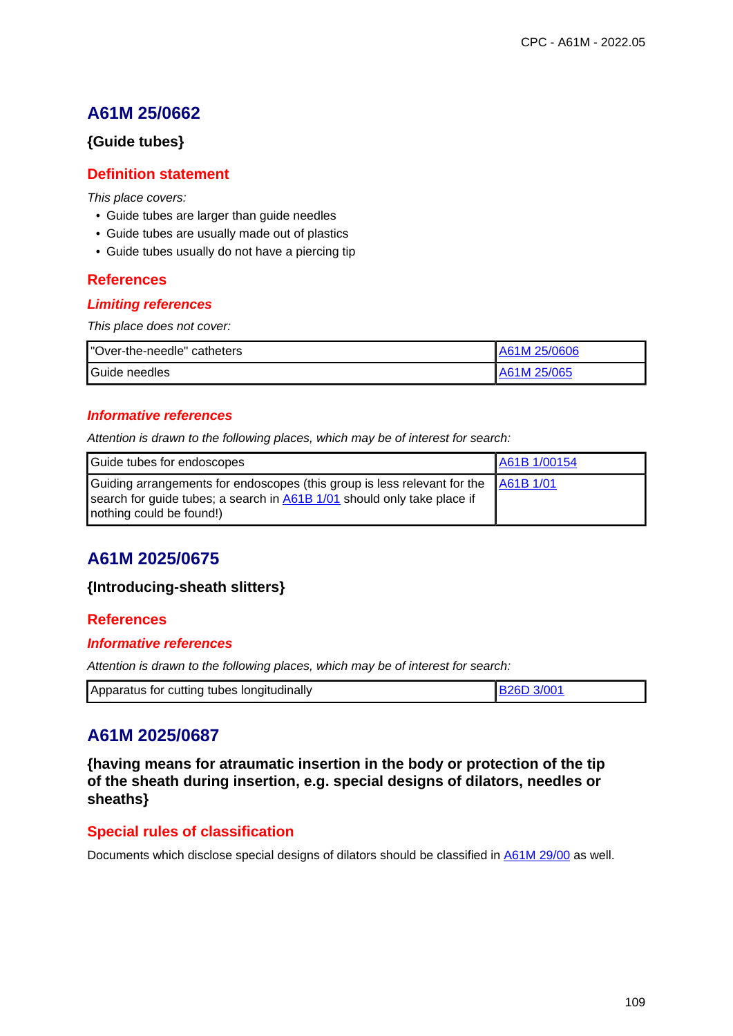### **{Guide tubes}**

### **Definition statement**

This place covers:

- Guide tubes are larger than guide needles
- Guide tubes are usually made out of plastics
- Guide tubes usually do not have a piercing tip

### **References**

#### **Limiting references**

This place does not cover:

| "Over-the-needle" catheters | A61M 25/0606 |
|-----------------------------|--------------|
| Guide needles               | A61M 25/065  |

### **Informative references**

Attention is drawn to the following places, which may be of interest for search:

| Guide tubes for endoscopes                                                                                                                                                                | A61B 1/00154 |
|-------------------------------------------------------------------------------------------------------------------------------------------------------------------------------------------|--------------|
| Guiding arrangements for endoscopes (this group is less relevant for the A61B 1/01<br>search for guide tubes; a search in A61B 1/01 should only take place if<br>nothing could be found!) |              |

# **A61M 2025/0675**

### **{Introducing-sheath slitters}**

### **References**

#### **Informative references**

Attention is drawn to the following places, which may be of interest for search:

| Apparatus for cutting tubes longitudinally |  |
|--------------------------------------------|--|

# **A61M 2025/0687**

**{having means for atraumatic insertion in the body or protection of the tip of the sheath during insertion, e.g. special designs of dilators, needles or sheaths}**

## **Special rules of classification**

Documents which disclose special designs of dilators should be classified in A61M 29/00 as well.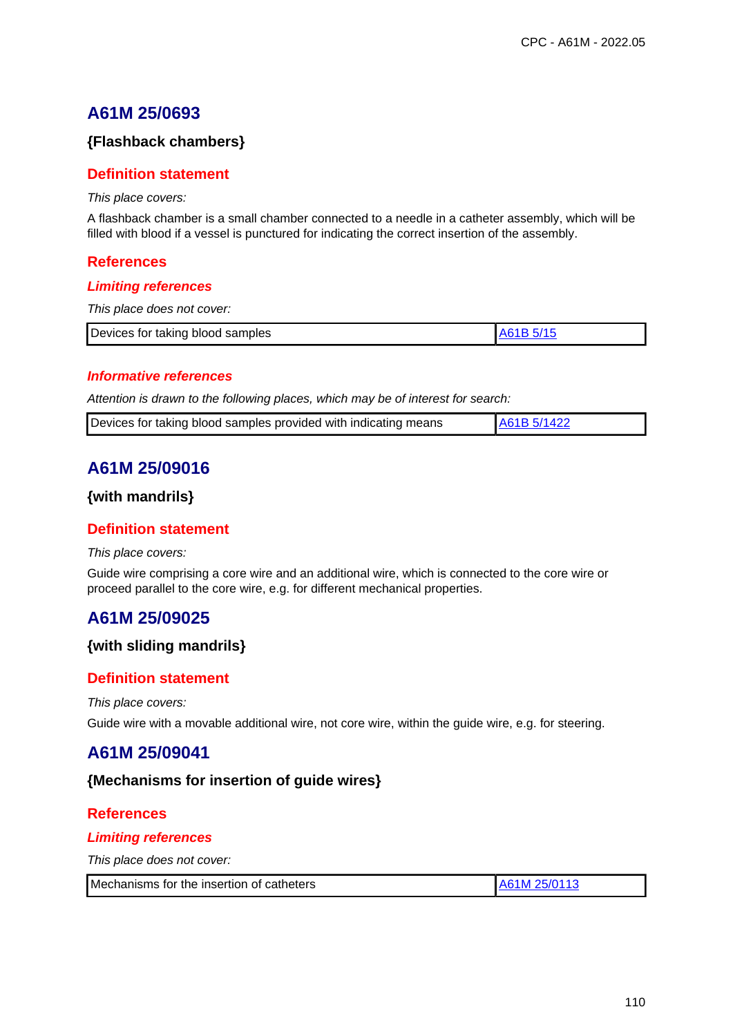## **{Flashback chambers}**

### **Definition statement**

This place covers:

A flashback chamber is a small chamber connected to a needle in a catheter assembly, which will be filled with blood if a vessel is punctured for indicating the correct insertion of the assembly.

#### **References**

#### **Limiting references**

This place does not cover:

|  | Devices for taking blood samples |  |
|--|----------------------------------|--|
|--|----------------------------------|--|

#### **Informative references**

Attention is drawn to the following places, which may be of interest for search:

|  | Devices for taking blood samples provided with indicating means | A61B 5/1422 |
|--|-----------------------------------------------------------------|-------------|
|--|-----------------------------------------------------------------|-------------|

## **A61M 25/09016**

#### **{with mandrils}**

### **Definition statement**

#### This place covers:

Guide wire comprising a core wire and an additional wire, which is connected to the core wire or proceed parallel to the core wire, e.g. for different mechanical properties.

## **A61M 25/09025**

#### **{with sliding mandrils}**

### **Definition statement**

#### This place covers:

Guide wire with a movable additional wire, not core wire, within the guide wire, e.g. for steering.

## **A61M 25/09041**

#### **{Mechanisms for insertion of guide wires}**

### **References**

#### **Limiting references**

This place does not cover:

| Mechanisms for the insertion of catheters | A61M 25/0113 |
|-------------------------------------------|--------------|
|-------------------------------------------|--------------|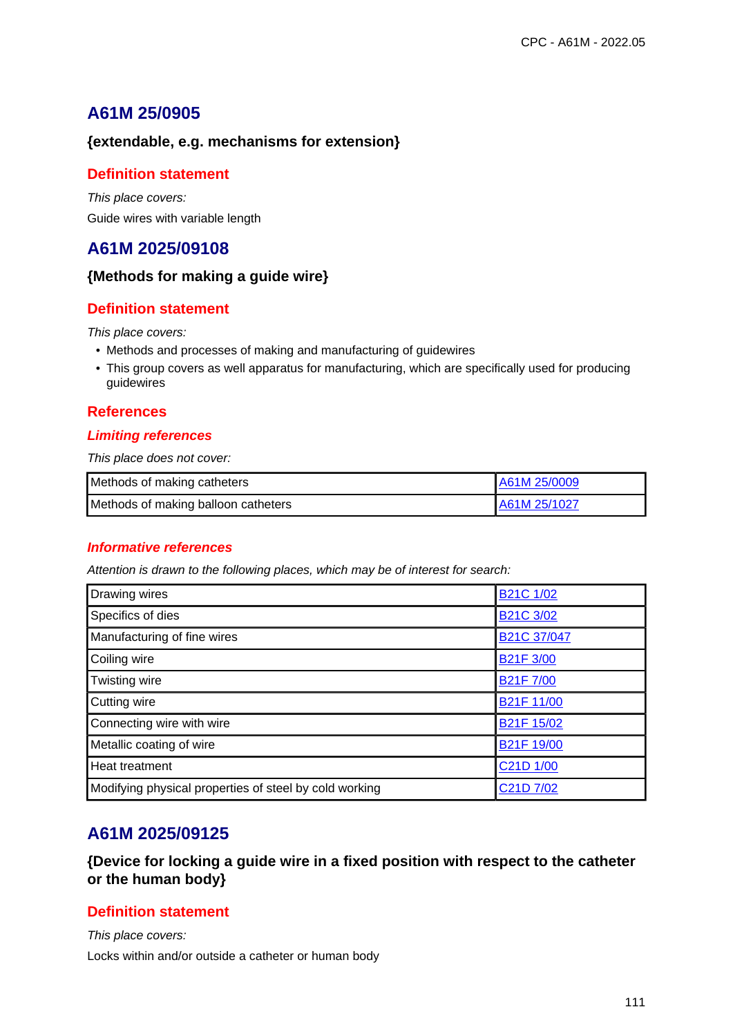## **{extendable, e.g. mechanisms for extension}**

## **Definition statement**

This place covers: Guide wires with variable length

# **A61M 2025/09108**

## **{Methods for making a guide wire}**

## **Definition statement**

This place covers:

- Methods and processes of making and manufacturing of guidewires
- This group covers as well apparatus for manufacturing, which are specifically used for producing guidewires

## **References**

## **Limiting references**

This place does not cover:

| Methods of making catheters         | A61M 25/0009 |
|-------------------------------------|--------------|
| Methods of making balloon catheters | A61M 25/1027 |

## **Informative references**

Attention is drawn to the following places, which may be of interest for search:

| Drawing wires                                          | B21C 1/02                         |
|--------------------------------------------------------|-----------------------------------|
| Specifics of dies                                      | B <sub>21</sub> C 3/02            |
| Manufacturing of fine wires                            | B <sub>21</sub> C 37/047          |
| Coiling wire                                           | <b>B21F 3/00</b>                  |
| Twisting wire                                          | <b>B21F7/00</b>                   |
| Cutting wire                                           | <b>B21F 11/00</b>                 |
| Connecting wire with wire                              | B <sub>21</sub> F 15/02           |
| Metallic coating of wire                               | B <sub>21</sub> F 19/00           |
| Heat treatment                                         | C <sub>21</sub> D <sub>1/00</sub> |
| Modifying physical properties of steel by cold working | C <sub>21</sub> D <sub>7/02</sub> |

# **A61M 2025/09125**

**{Device for locking a guide wire in a fixed position with respect to the catheter or the human body}**

## **Definition statement**

This place covers: Locks within and/or outside a catheter or human body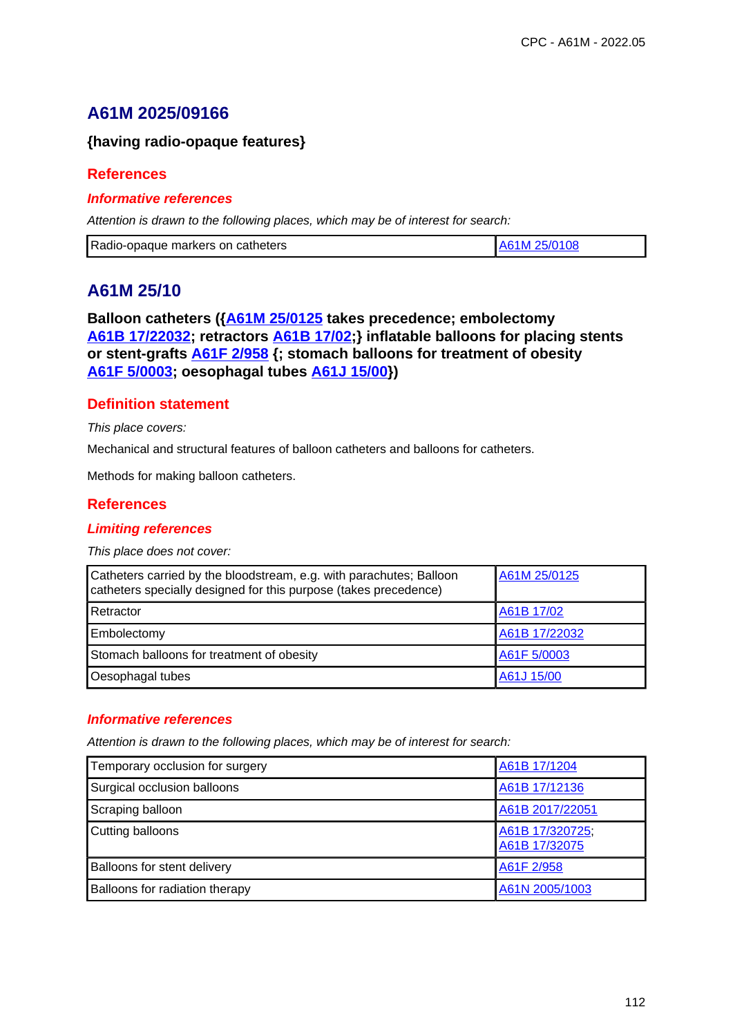# **A61M 2025/09166**

## **{having radio-opaque features}**

## **References**

### **Informative references**

Attention is drawn to the following places, which may be of interest for search:

|  | Radio-opaque markers on catheters | 25/0108<br>A61M |
|--|-----------------------------------|-----------------|
|--|-----------------------------------|-----------------|

# **A61M 25/10**

**Balloon catheters ({A61M 25/0125 takes precedence; embolectomy A61B 17/22032; retractors A61B 17/02;} inflatable balloons for placing stents or stent-grafts A61F 2/958 {; stomach balloons for treatment of obesity A61F 5/0003; oesophagal tubes A61J 15/00})**

## **Definition statement**

This place covers:

Mechanical and structural features of balloon catheters and balloons for catheters.

Methods for making balloon catheters.

## **References**

### **Limiting references**

This place does not cover:

| Catheters carried by the bloodstream, e.g. with parachutes; Balloon<br>catheters specially designed for this purpose (takes precedence) | A61M 25/0125  |
|-----------------------------------------------------------------------------------------------------------------------------------------|---------------|
| Retractor                                                                                                                               | A61B 17/02    |
| Embolectomy                                                                                                                             | A61B 17/22032 |
| Stomach balloons for treatment of obesity                                                                                               | A61F 5/0003   |
| Oesophagal tubes                                                                                                                        | A61J 15/00    |

## **Informative references**

| Temporary occlusion for surgery    | A61B 17/1204                     |
|------------------------------------|----------------------------------|
| Surgical occlusion balloons        | A61B 17/12136                    |
| Scraping balloon                   | A61B 2017/22051                  |
| Cutting balloons                   | A61B 17/320725,<br>A61B 17/32075 |
| <b>Balloons for stent delivery</b> | A61F 2/958                       |
| Balloons for radiation therapy     | A61N 2005/1003                   |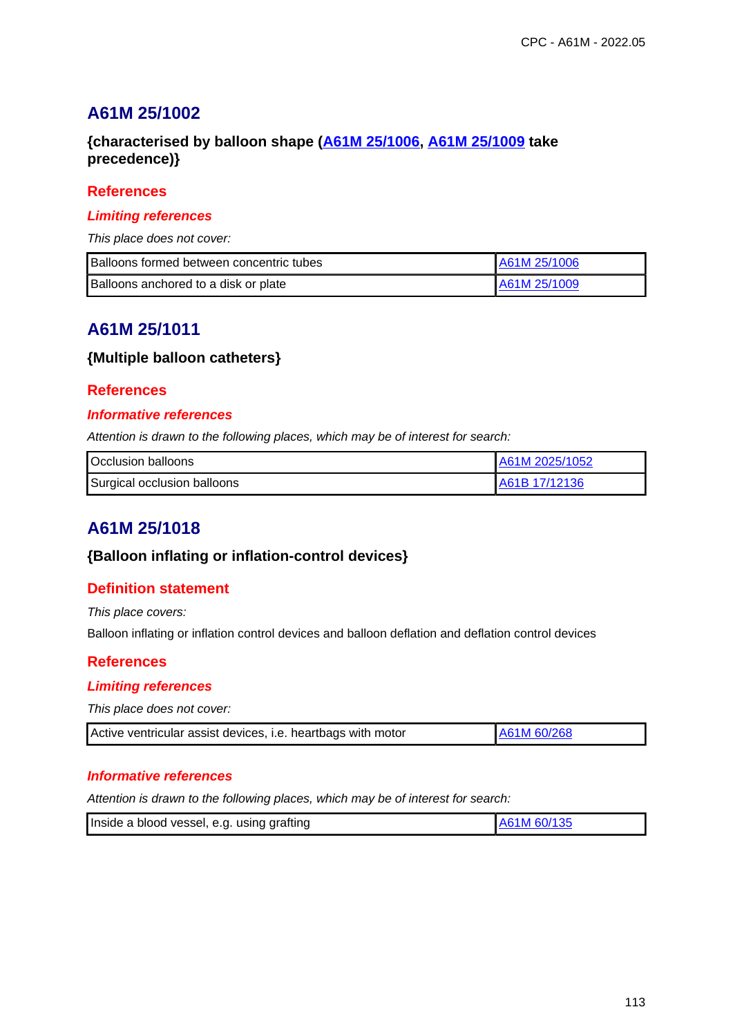## **{characterised by balloon shape (A61M 25/1006, A61M 25/1009 take precedence)}**

### **References**

#### **Limiting references**

This place does not cover:

| Balloons formed between concentric tubes | A61M 25/1006 |
|------------------------------------------|--------------|
| Balloons anchored to a disk or plate     | A61M 25/1009 |

## **A61M 25/1011**

## **{Multiple balloon catheters}**

#### **References**

#### **Informative references**

Attention is drawn to the following places, which may be of interest for search:

| Occlusion balloons          | A61M 2025/1052 |
|-----------------------------|----------------|
| Surgical occlusion balloons | LA61B 17/12136 |

# **A61M 25/1018**

### **{Balloon inflating or inflation-control devices}**

### **Definition statement**

This place covers:

Balloon inflating or inflation control devices and balloon deflation and deflation control devices

### **References**

#### **Limiting references**

This place does not cover:

| Active ventricular assist devices, i.e. heartbags with motor | A61M 60/268 |
|--------------------------------------------------------------|-------------|
|--------------------------------------------------------------|-------------|

#### **Informative references**

| Inside a blood vessel, e.g. using grafting | A61M 60/135 |
|--------------------------------------------|-------------|
|                                            |             |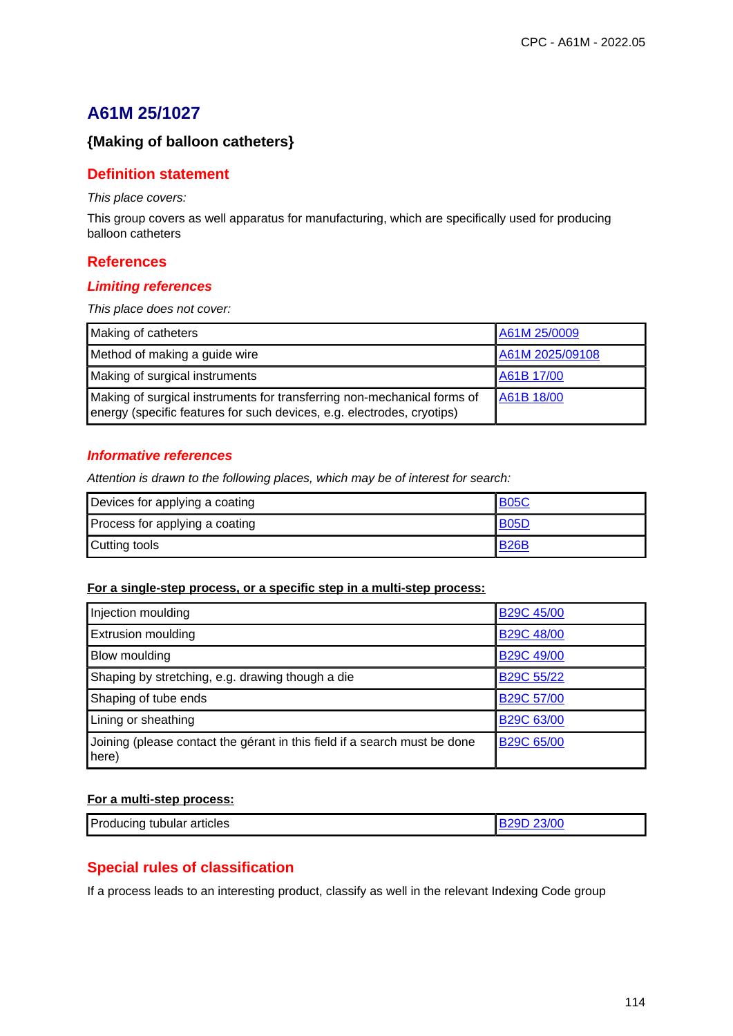## **{Making of balloon catheters}**

#### **Definition statement**

This place covers:

This group covers as well apparatus for manufacturing, which are specifically used for producing balloon catheters

#### **References**

#### **Limiting references**

This place does not cover:

| Making of catheters                                                                                                                               | A61M 25/0009    |
|---------------------------------------------------------------------------------------------------------------------------------------------------|-----------------|
| Method of making a guide wire                                                                                                                     | A61M 2025/09108 |
| Making of surgical instruments                                                                                                                    | A61B 17/00      |
| Making of surgical instruments for transferring non-mechanical forms of<br>energy (specific features for such devices, e.g. electrodes, cryotips) | A61B 18/00      |

#### **Informative references**

Attention is drawn to the following places, which may be of interest for search:

| Devices for applying a coating | <b>B05C</b> |
|--------------------------------|-------------|
| Process for applying a coating | <b>B05D</b> |
| Cutting tools                  | <b>B26B</b> |

#### **For a single-step process, or a specific step in a multi-step process:**

| Injection moulding                                                                 | <b>B29C 45/00</b>       |
|------------------------------------------------------------------------------------|-------------------------|
| <b>Extrusion moulding</b>                                                          | <b>B29C 48/00</b>       |
| Blow moulding                                                                      | <b>B29C 49/00</b>       |
| Shaping by stretching, e.g. drawing though a die                                   | B <sub>29</sub> C 55/22 |
| Shaping of tube ends                                                               | <b>B29C 57/00</b>       |
| Lining or sheathing                                                                | B29C 63/00              |
| Joining (please contact the gérant in this field if a search must be done<br>here) | B29C 65/00              |

#### **For a multi-step process:**

| Producing tubular articles<br>23/00 |  |
|-------------------------------------|--|
|-------------------------------------|--|

### **Special rules of classification**

If a process leads to an interesting product, classify as well in the relevant Indexing Code group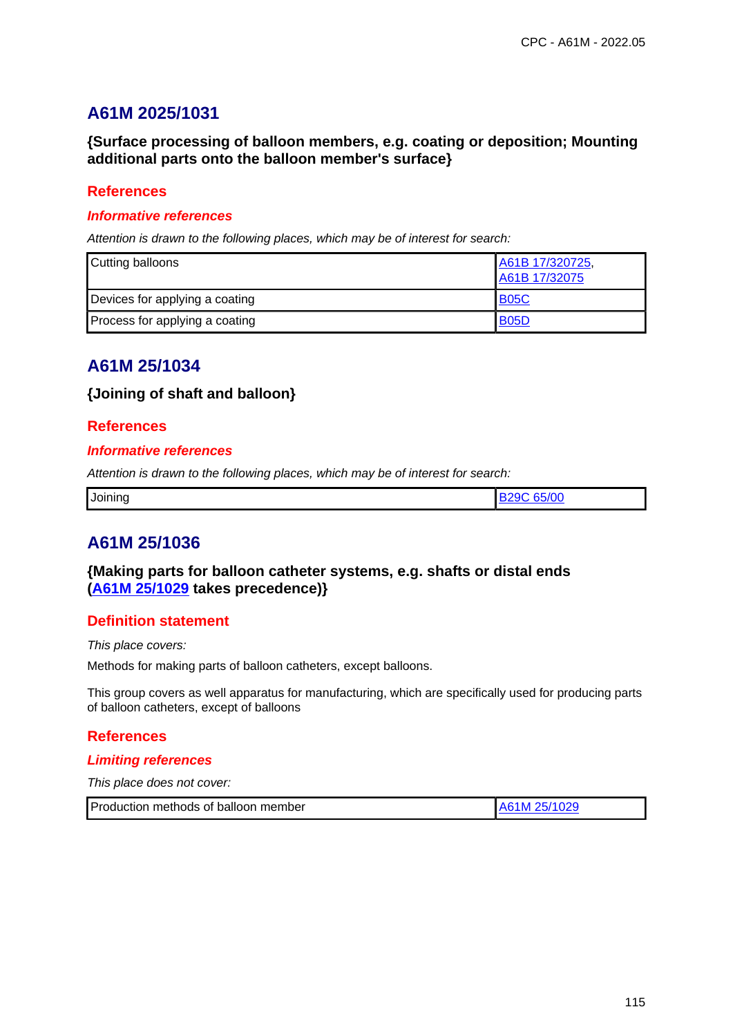# **A61M 2025/1031**

**{Surface processing of balloon members, e.g. coating or deposition; Mounting additional parts onto the balloon member's surface}**

### **References**

#### **Informative references**

Attention is drawn to the following places, which may be of interest for search:

| Cutting balloons               | A61B 17/320725,<br>A61B 17/32075 |
|--------------------------------|----------------------------------|
| Devices for applying a coating | <b>B05C</b>                      |
| Process for applying a coating | <b>B05D</b>                      |

## **A61M 25/1034**

### **{Joining of shaft and balloon}**

#### **References**

#### **Informative references**

Attention is drawn to the following places, which may be of interest for search:

| T/20<br>Joining<br>. |  |
|----------------------|--|
|----------------------|--|

## **A61M 25/1036**

## **{Making parts for balloon catheter systems, e.g. shafts or distal ends (A61M 25/1029 takes precedence)}**

### **Definition statement**

This place covers:

Methods for making parts of balloon catheters, except balloons.

This group covers as well apparatus for manufacturing, which are specifically used for producing parts of balloon catheters, except of balloons

#### **References**

#### **Limiting references**

This place does not cover:

| Production methods of balloon member | A61M 25/1029 |
|--------------------------------------|--------------|
|--------------------------------------|--------------|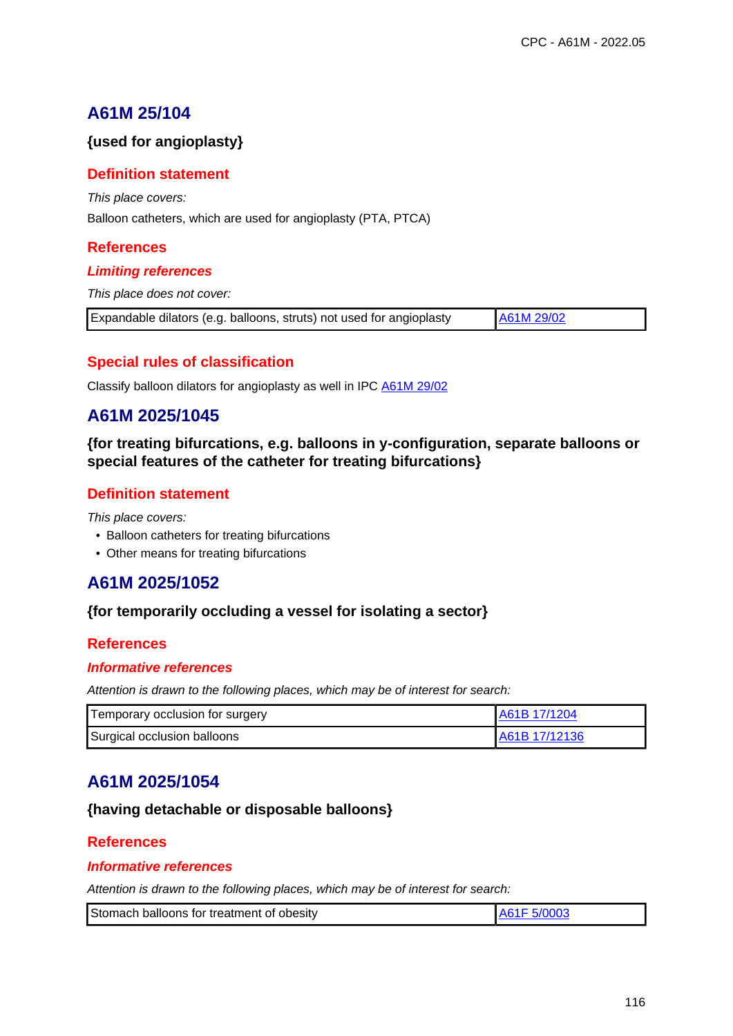## **{used for angioplasty}**

## **Definition statement**

This place covers:

Balloon catheters, which are used for angioplasty (PTA, PTCA)

## **References**

## **Limiting references**

This place does not cover:

| Expandable dilators (e.g. balloons, struts) not used for angioplasty | A61M 29/02 |
|----------------------------------------------------------------------|------------|
|                                                                      |            |

## **Special rules of classification**

Classify balloon dilators for angioplasty as well in IPC A61M 29/02

# **A61M 2025/1045**

**{for treating bifurcations, e.g. balloons in y-configuration, separate balloons or special features of the catheter for treating bifurcations}**

## **Definition statement**

This place covers:

- Balloon catheters for treating bifurcations
- Other means for treating bifurcations

# **A61M 2025/1052**

## **{for temporarily occluding a vessel for isolating a sector}**

## **References**

### **Informative references**

Attention is drawn to the following places, which may be of interest for search:

| Temporary occlusion for surgery | IA61B 17/1204  |
|---------------------------------|----------------|
| Surgical occlusion balloons     | LA61B 17/12136 |

# **A61M 2025/1054**

## **{having detachable or disposable balloons}**

## **References**

### **Informative references**

| Stomach balloons for treatment of obesity |  |
|-------------------------------------------|--|
|                                           |  |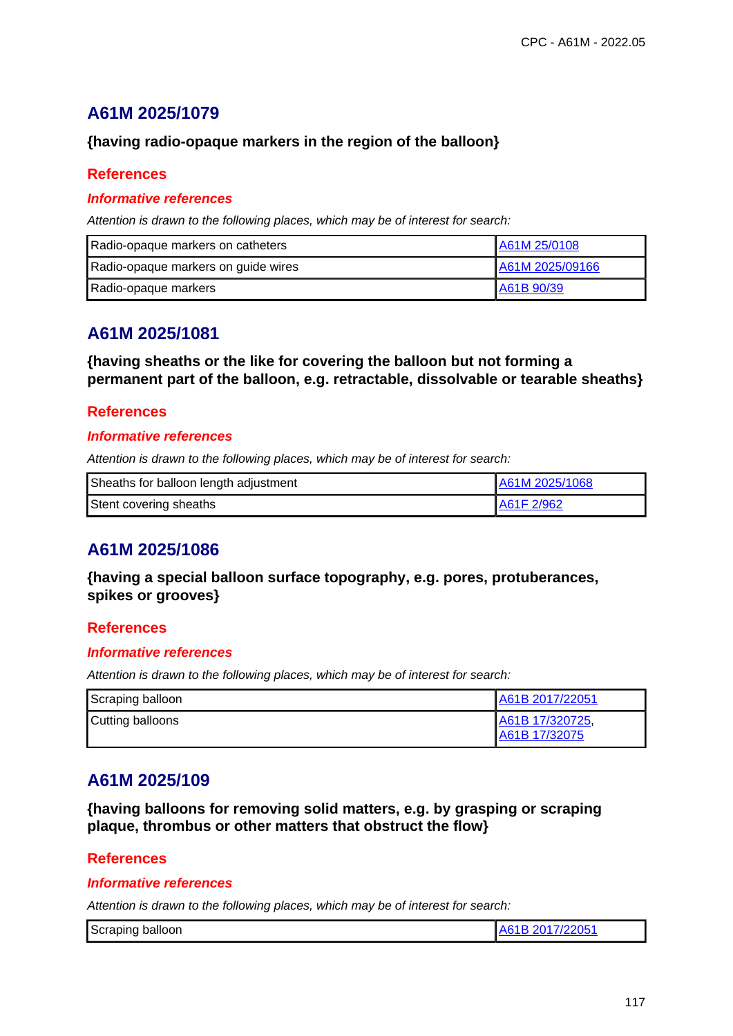# **A61M 2025/1079**

## **{having radio-opaque markers in the region of the balloon}**

## **References**

### **Informative references**

Attention is drawn to the following places, which may be of interest for search:

| Radio-opaque markers on catheters   | A61M 25/0108    |
|-------------------------------------|-----------------|
| Radio-opaque markers on guide wires | A61M 2025/09166 |
| Radio-opaque markers                | LA61B 90/39     |

# **A61M 2025/1081**

**{having sheaths or the like for covering the balloon but not forming a permanent part of the balloon, e.g. retractable, dissolvable or tearable sheaths}**

## **References**

### **Informative references**

Attention is drawn to the following places, which may be of interest for search:

| Sheaths for balloon length adjustment | A61M 2025/1068 |
|---------------------------------------|----------------|
| Stent covering sheaths                | A61F 2/962     |

# **A61M 2025/1086**

**{having a special balloon surface topography, e.g. pores, protuberances, spikes or grooves}**

### **References**

### **Informative references**

Attention is drawn to the following places, which may be of interest for search:

| Scraping balloon | A61B 2017/22051                  |
|------------------|----------------------------------|
| Cutting balloons | A61B 17/320725,<br>A61B 17/32075 |

# **A61M 2025/109**

**{having balloons for removing solid matters, e.g. by grasping or scraping plaque, thrombus or other matters that obstruct the flow}**

## **References**

#### **Informative references**

| Scraping balloon | A61B 2017/22051 |
|------------------|-----------------|
|------------------|-----------------|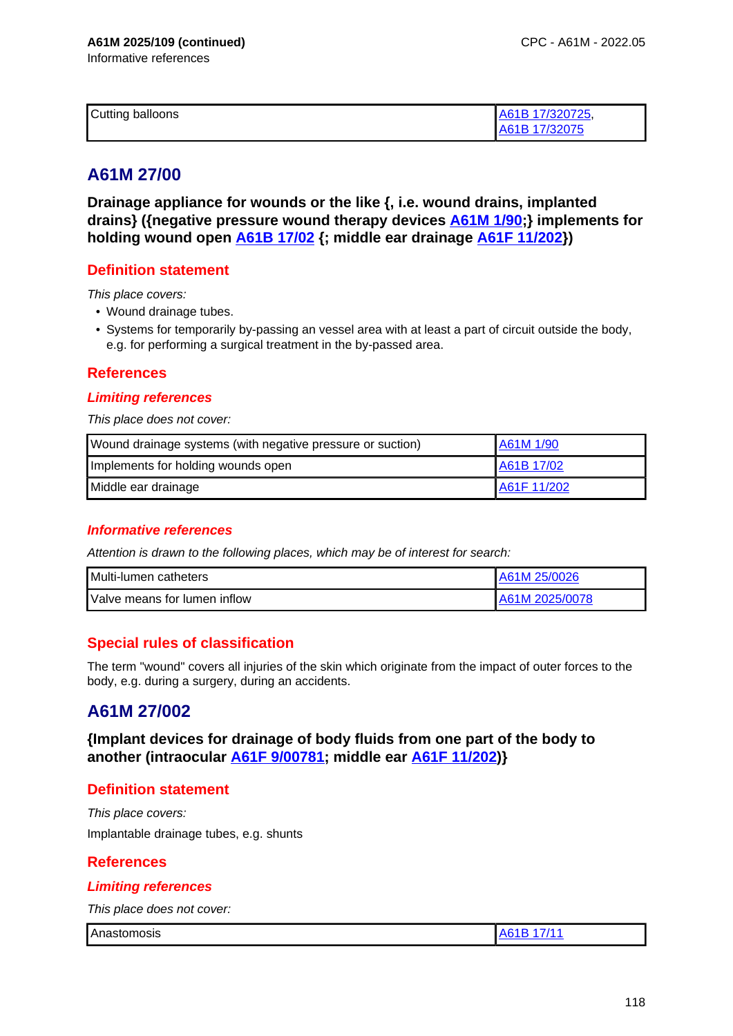| Cutting balloons | A61B 17/320725, |
|------------------|-----------------|
|                  | A61B 17/32075   |

# **A61M 27/00**

**Drainage appliance for wounds or the like {, i.e. wound drains, implanted drains} ({negative pressure wound therapy devices A61M 1/90;} implements for holding wound open A61B 17/02 {; middle ear drainage A61F 11/202})**

## **Definition statement**

This place covers:

- Wound drainage tubes.
- Systems for temporarily by-passing an vessel area with at least a part of circuit outside the body, e.g. for performing a surgical treatment in the by-passed area.

## **References**

#### **Limiting references**

This place does not cover:

| Wound drainage systems (with negative pressure or suction) | A61M 1/90   |
|------------------------------------------------------------|-------------|
| Implements for holding wounds open                         | A61B 17/02  |
| Middle ear drainage                                        | A61F 11/202 |

### **Informative references**

Attention is drawn to the following places, which may be of interest for search:

| l Multi-lumen catheters             | A61M 25/0026   |
|-------------------------------------|----------------|
| <b>Nalve means for lumen inflow</b> | A61M 2025/0078 |

## **Special rules of classification**

The term "wound" covers all injuries of the skin which originate from the impact of outer forces to the body, e.g. during a surgery, during an accidents.

## **A61M 27/002**

**{Implant devices for drainage of body fluids from one part of the body to another (intraocular A61F 9/00781; middle ear A61F 11/202)}**

### **Definition statement**

This place covers: Implantable drainage tubes, e.g. shunts

### **References**

### **Limiting references**

This place does not cover:

Anastomosis Anastomosis A61B 17/11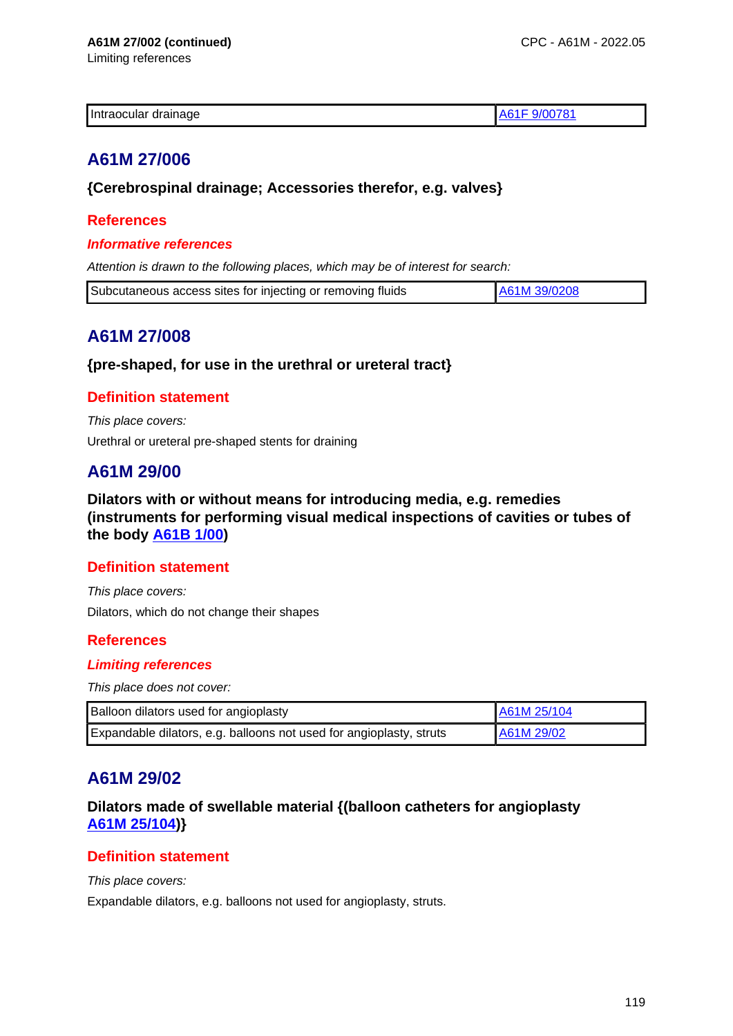| Intraocular drainage |  |
|----------------------|--|
|                      |  |

# **A61M 27/006**

## **{Cerebrospinal drainage; Accessories therefor, e.g. valves}**

## **References**

#### **Informative references**

Attention is drawn to the following places, which may be of interest for search:

| Subcutaneous access sites for injecting or removing fluids | A61M 39/0208 |
|------------------------------------------------------------|--------------|
|                                                            |              |

## **A61M 27/008**

### **{pre-shaped, for use in the urethral or ureteral tract}**

## **Definition statement**

This place covers:

Urethral or ureteral pre-shaped stents for draining

## **A61M 29/00**

**Dilators with or without means for introducing media, e.g. remedies (instruments for performing visual medical inspections of cavities or tubes of the body A61B 1/00)**

### **Definition statement**

This place covers: Dilators, which do not change their shapes

## **References**

### **Limiting references**

This place does not cover:

| Balloon dilators used for angioplasty                               | A61M 25/104 |
|---------------------------------------------------------------------|-------------|
| Expandable dilators, e.g. balloons not used for angioplasty, struts | A61M 29/02  |

# **A61M 29/02**

## **Dilators made of swellable material {(balloon catheters for angioplasty A61M 25/104)}**

## **Definition statement**

This place covers:

Expandable dilators, e.g. balloons not used for angioplasty, struts.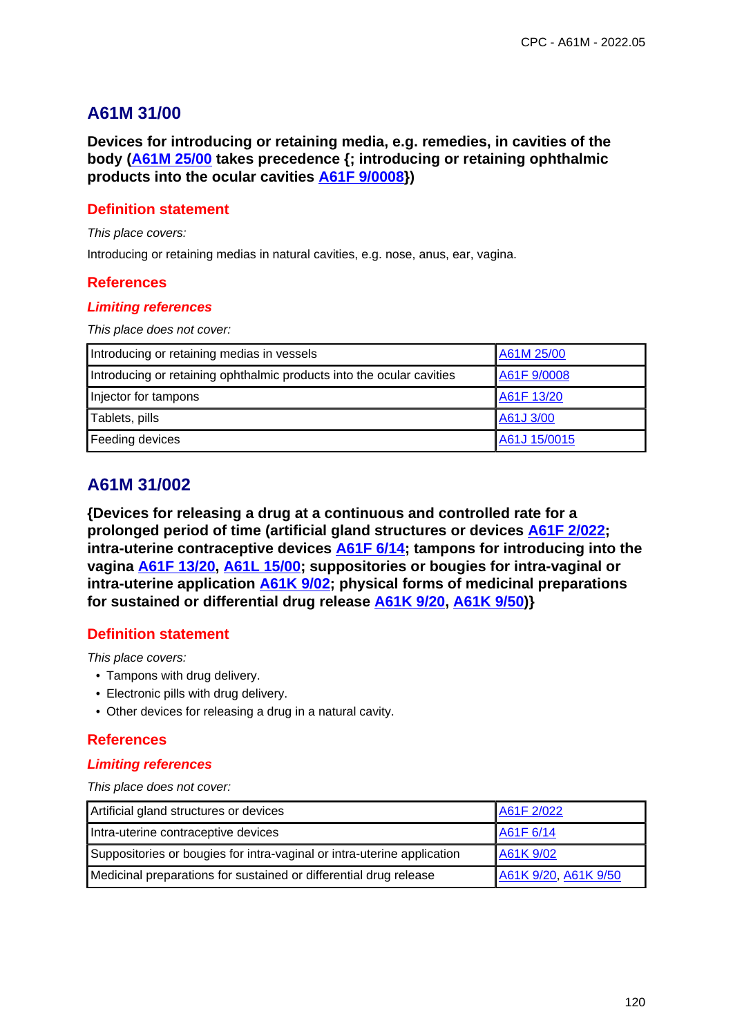## **A61M 31/00**

**Devices for introducing or retaining media, e.g. remedies, in cavities of the body (A61M 25/00 takes precedence {; introducing or retaining ophthalmic products into the ocular cavities A61F 9/0008})**

## **Definition statement**

This place covers:

Introducing or retaining medias in natural cavities, e.g. nose, anus, ear, vagina.

### **References**

#### **Limiting references**

This place does not cover:

| Introducing or retaining medias in vessels                            | A61M 25/00   |
|-----------------------------------------------------------------------|--------------|
| Introducing or retaining ophthalmic products into the ocular cavities | A61F 9/0008  |
| Injector for tampons                                                  | A61F 13/20   |
| Tablets, pills                                                        | A61J 3/00    |
| Feeding devices                                                       | A61J 15/0015 |

# **A61M 31/002**

**{Devices for releasing a drug at a continuous and controlled rate for a prolonged period of time (artificial gland structures or devices A61F 2/022; intra-uterine contraceptive devices A61F 6/14; tampons for introducing into the vagina A61F 13/20, A61L 15/00; suppositories or bougies for intra-vaginal or intra-uterine application A61K 9/02; physical forms of medicinal preparations for sustained or differential drug release A61K 9/20, A61K 9/50)}**

## **Definition statement**

This place covers:

- Tampons with drug delivery.
- Electronic pills with drug delivery.
- Other devices for releasing a drug in a natural cavity.

### **References**

#### **Limiting references**

This place does not cover:

| Artificial gland structures or devices                                  | A61F 2/022           |
|-------------------------------------------------------------------------|----------------------|
| Intra-uterine contraceptive devices                                     | A61F 6/14            |
| Suppositories or bougies for intra-vaginal or intra-uterine application | A61K 9/02            |
| Medicinal preparations for sustained or differential drug release       | A61K 9/20, A61K 9/50 |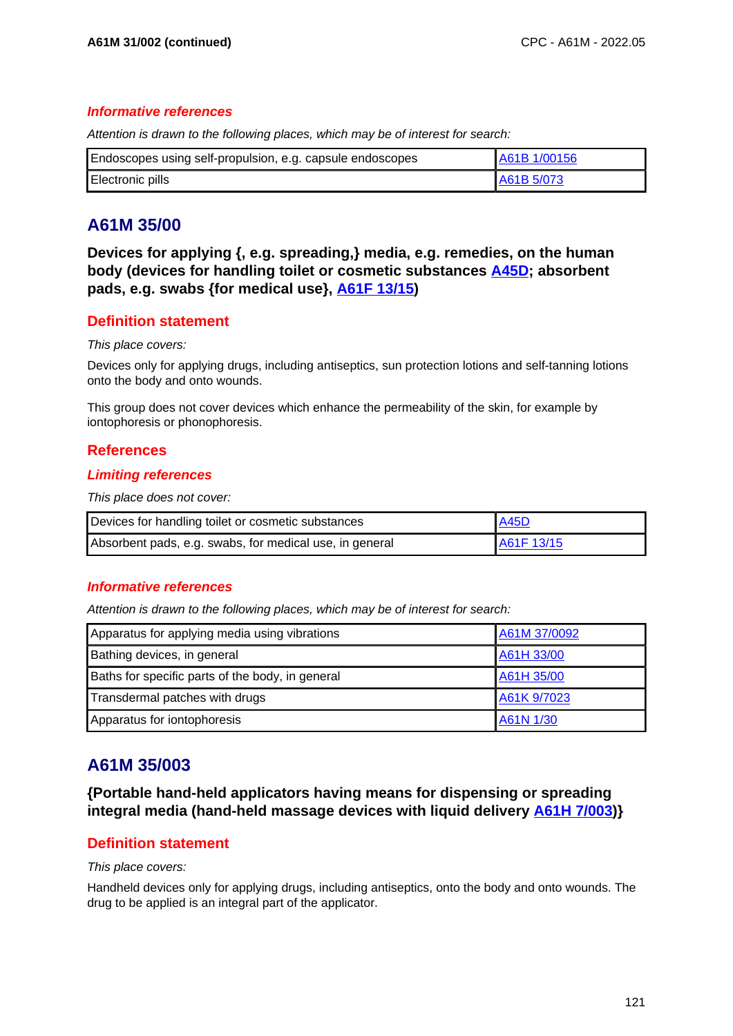#### **Informative references**

Attention is drawn to the following places, which may be of interest for search:

| Endoscopes using self-propulsion, e.g. capsule endoscopes | A61B 1/00156 |
|-----------------------------------------------------------|--------------|
| Electronic pills                                          | A61B 5/073   |

# **A61M 35/00**

**Devices for applying {, e.g. spreading,} media, e.g. remedies, on the human body (devices for handling toilet or cosmetic substances A45D; absorbent pads, e.g. swabs {for medical use}, A61F 13/15)**

## **Definition statement**

#### This place covers:

Devices only for applying drugs, including antiseptics, sun protection lotions and self-tanning lotions onto the body and onto wounds.

This group does not cover devices which enhance the permeability of the skin, for example by iontophoresis or phonophoresis.

## **References**

#### **Limiting references**

This place does not cover:

| Devices for handling toilet or cosmetic substances      | <b>A45D</b> |
|---------------------------------------------------------|-------------|
| Absorbent pads, e.g. swabs, for medical use, in general | A61F 13/15  |

#### **Informative references**

Attention is drawn to the following places, which may be of interest for search:

| Apparatus for applying media using vibrations    | A61M 37/0092 |
|--------------------------------------------------|--------------|
| Bathing devices, in general                      | A61H 33/00   |
| Baths for specific parts of the body, in general | A61H 35/00   |
| Transdermal patches with drugs                   | A61K 9/7023  |
| Apparatus for iontophoresis                      | A61N 1/30    |

# **A61M 35/003**

**{Portable hand-held applicators having means for dispensing or spreading integral media (hand-held massage devices with liquid delivery A61H 7/003)}**

## **Definition statement**

#### This place covers:

Handheld devices only for applying drugs, including antiseptics, onto the body and onto wounds. The drug to be applied is an integral part of the applicator.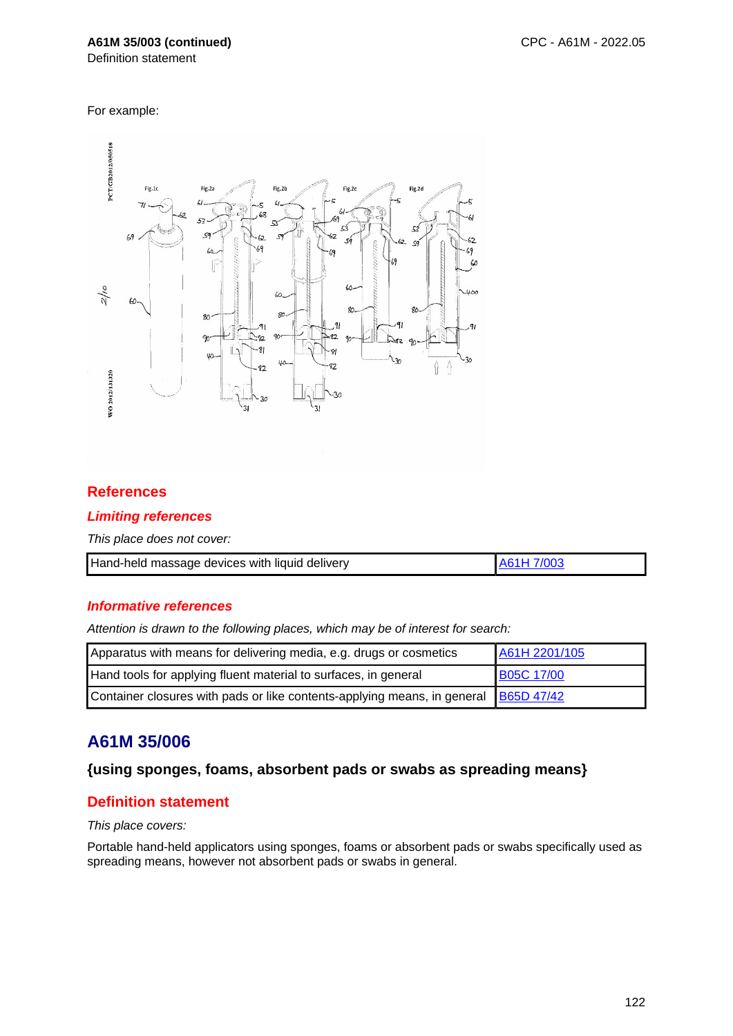### **A61M 35/003 (continued)**

Definition statement

For example:



## **References**

#### **Limiting references**

This place does not cover:

| Hand-held massage devices with liquid delivery | LA61H 7/003 |
|------------------------------------------------|-------------|

#### **Informative references**

Attention is drawn to the following places, which may be of interest for search:

| Apparatus with means for delivering media, e.g. drugs or cosmetics                    | A61H 2201/105     |
|---------------------------------------------------------------------------------------|-------------------|
| Hand tools for applying fluent material to surfaces, in general                       | <b>B05C 17/00</b> |
| Container closures with pads or like contents-applying means, in general   B65D 47/42 |                   |

# **A61M 35/006**

### **{using sponges, foams, absorbent pads or swabs as spreading means}**

## **Definition statement**

This place covers:

Portable hand-held applicators using sponges, foams or absorbent pads or swabs specifically used as spreading means, however not absorbent pads or swabs in general.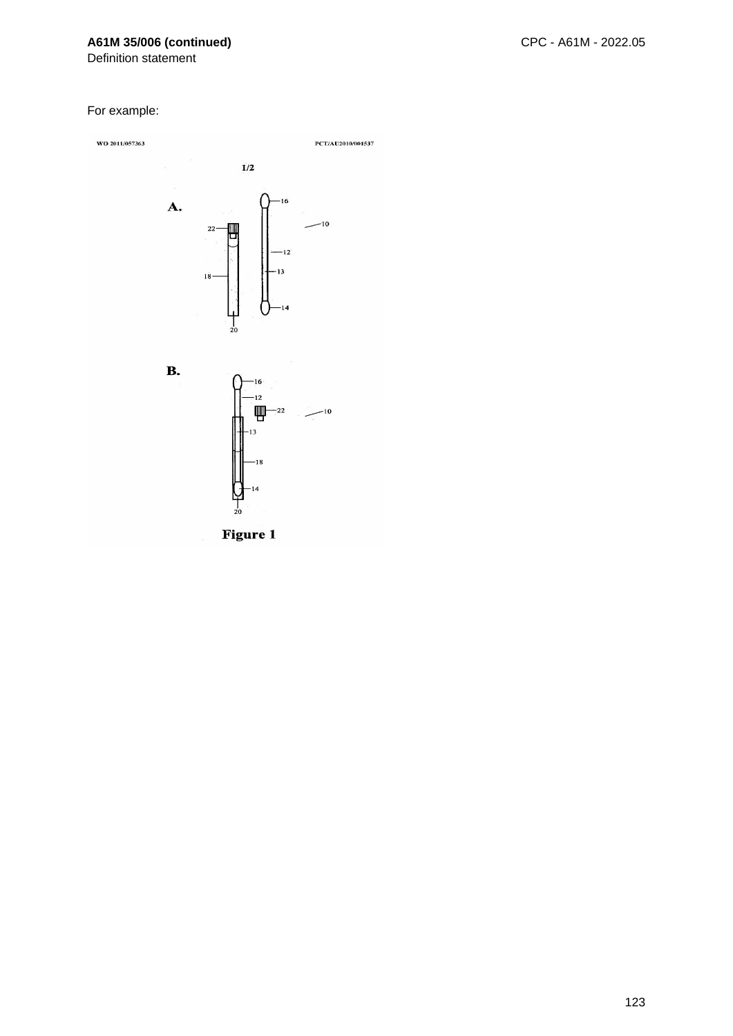## **A61M 35/006 (continued)**

Definition statement

#### For example:

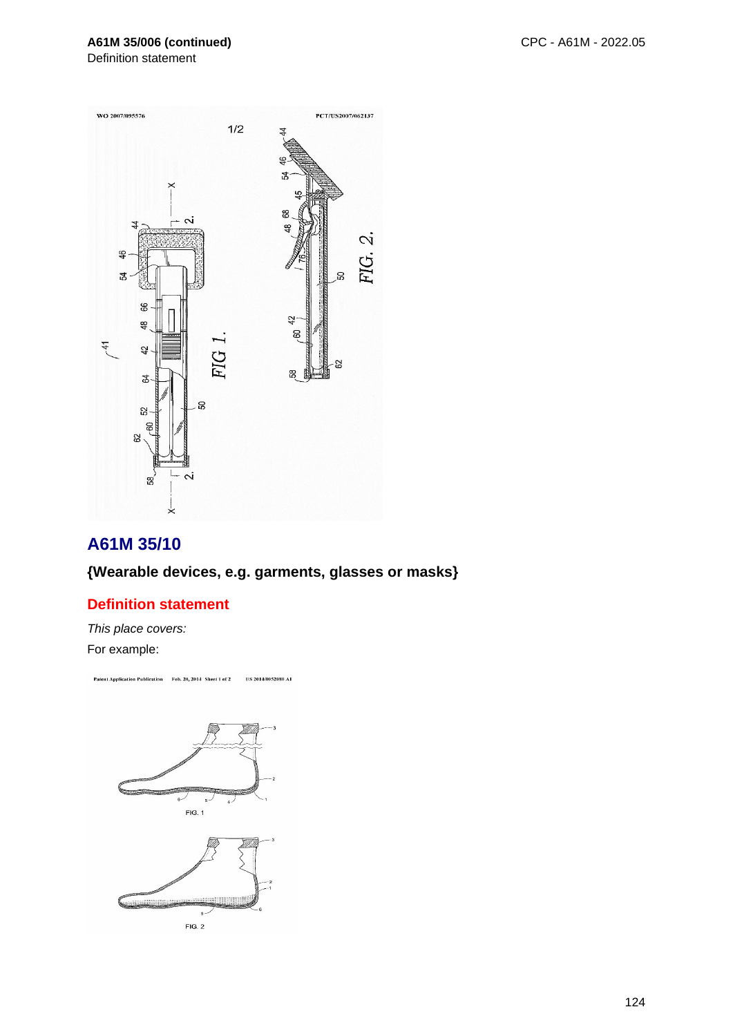## **A61M 35/006 (continued)**

Definition statement



# **A61M 35/10**

## **{Wearable devices, e.g. garments, glasses or masks}**

## **Definition statement**

This place covers: For example:

Patent Application Publication Feb. 20, 2014 Sheet 1 of 2 US 2014/0052080 AT

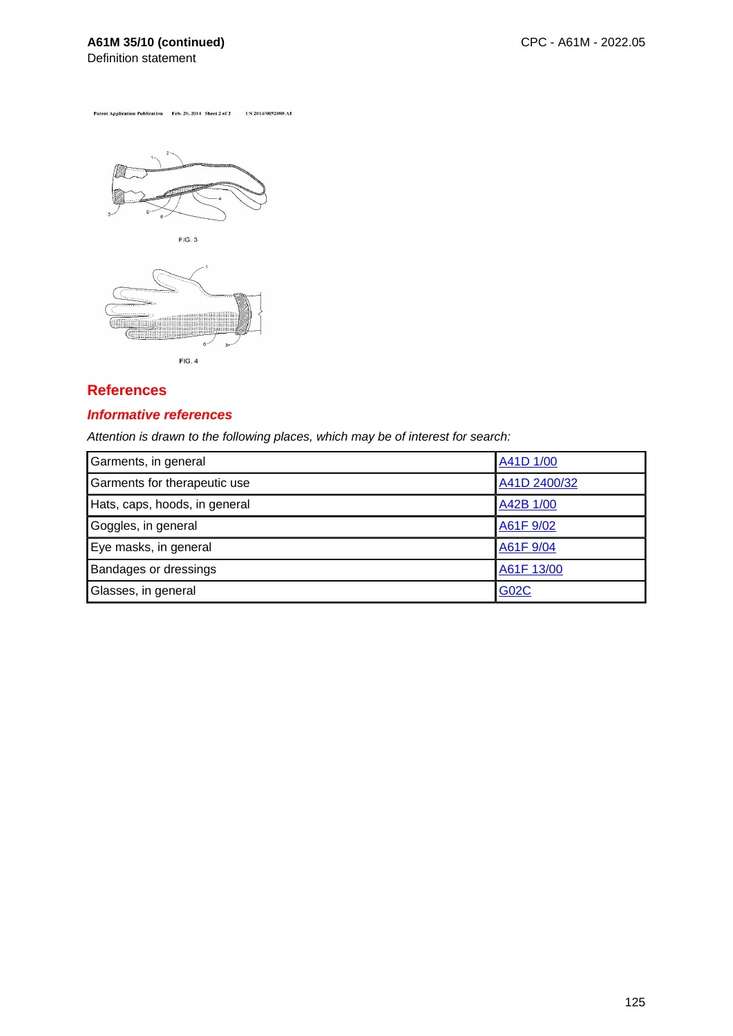# **A61M 35/10 (continued)**

Definition statement

Patent Application Publication Feb. 20, 2014 Sheet 2 of 2 US 2014/0052080 A1



## **References**

#### **Informative references**

| Garments, in general          | A41D 1/00    |
|-------------------------------|--------------|
| Garments for therapeutic use  | A41D 2400/32 |
| Hats, caps, hoods, in general | A42B 1/00    |
| Goggles, in general           | A61F 9/02    |
| Eye masks, in general         | A61F 9/04    |
| <b>Bandages or dressings</b>  | A61F 13/00   |
| Glasses, in general           | <b>G02C</b>  |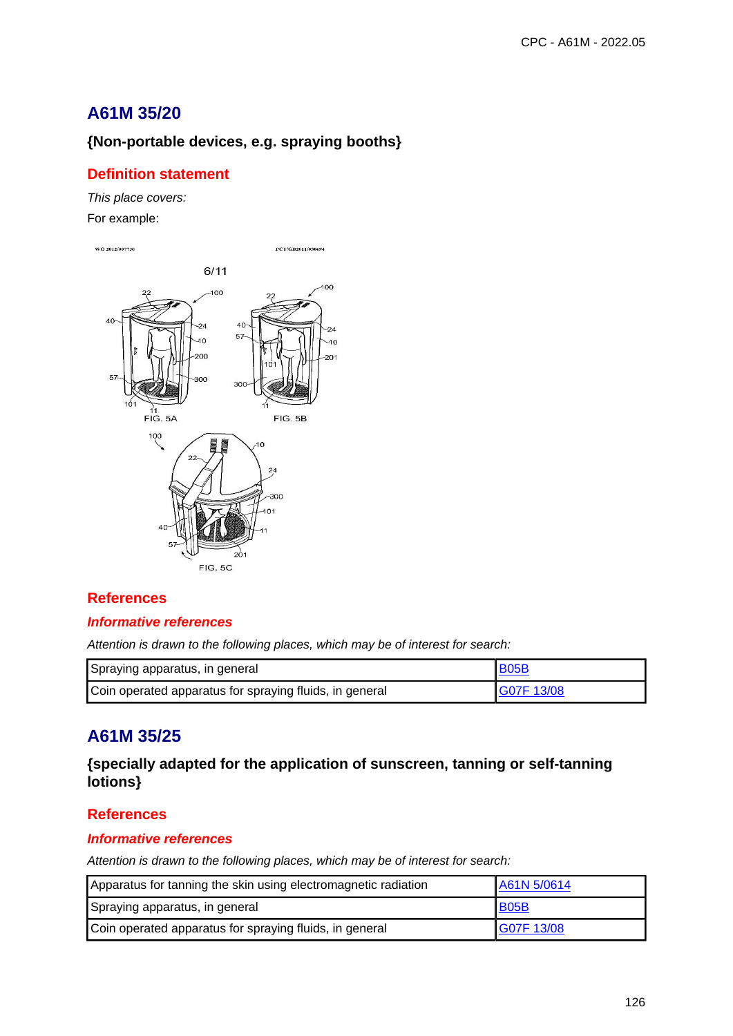# **A61M 35/20**

## **{Non-portable devices, e.g. spraying booths}**

## **Definition statement**

This place covers: For example:



## **References**

#### **Informative references**

Attention is drawn to the following places, which may be of interest for search:

| Spraying apparatus, in general                          | <b>B05B</b> |
|---------------------------------------------------------|-------------|
| Coin operated apparatus for spraying fluids, in general | G07F 13/08  |

# **A61M 35/25**

## **{specially adapted for the application of sunscreen, tanning or self-tanning lotions}**

## **References**

### **Informative references**

| Apparatus for tanning the skin using electromagnetic radiation | A61N 5/0614 |
|----------------------------------------------------------------|-------------|
| Spraying apparatus, in general                                 | <b>B05B</b> |
| Coin operated apparatus for spraying fluids, in general        | G07F 13/08  |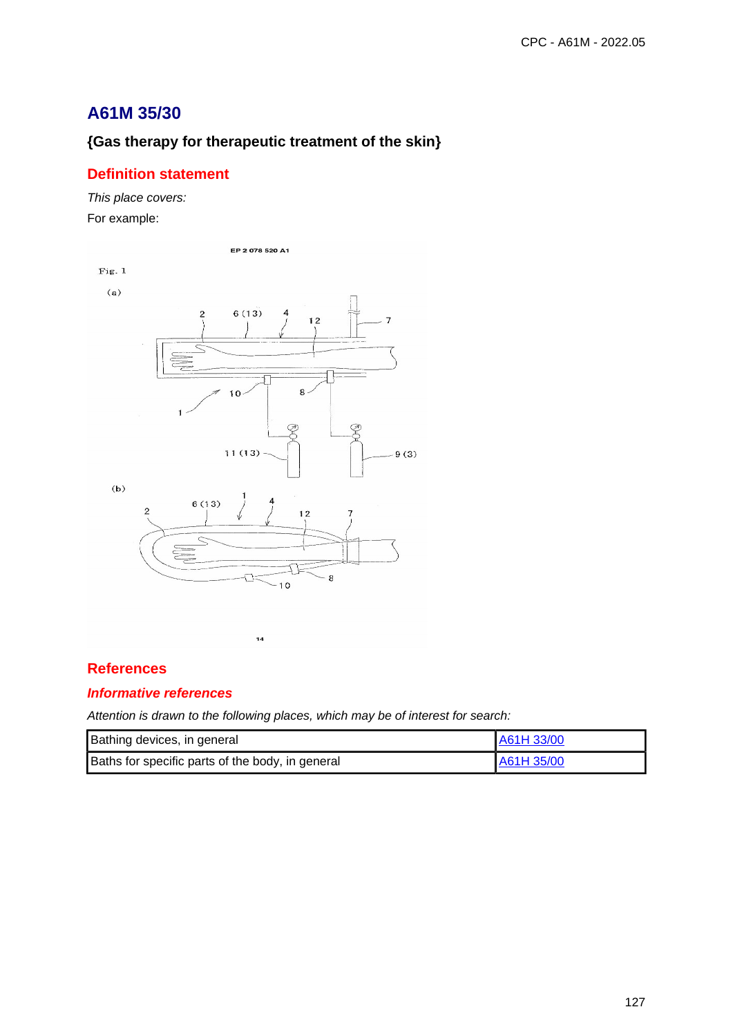# **A61M 35/30**

# **{Gas therapy for therapeutic treatment of the skin}**

## **Definition statement**

This place covers: For example:



## **References**

## **Informative references**

| Bathing devices, in general                      | A61H 33/00 |
|--------------------------------------------------|------------|
| Baths for specific parts of the body, in general | A61H 35/00 |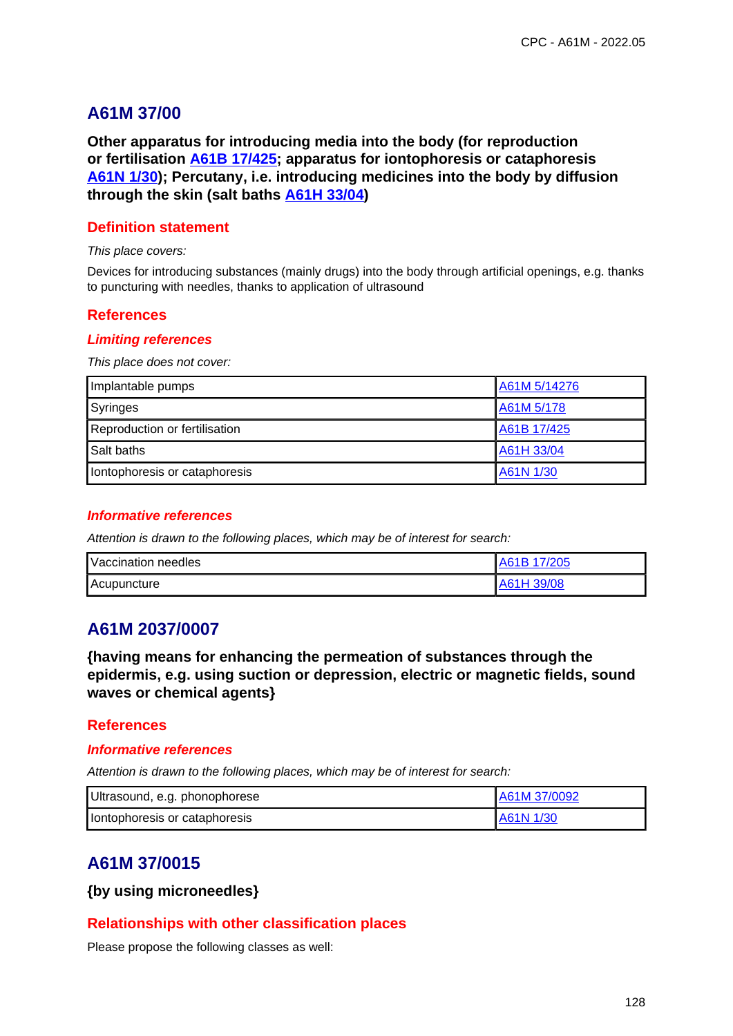## **A61M 37/00**

**Other apparatus for introducing media into the body (for reproduction or fertilisation A61B 17/425; apparatus for iontophoresis or cataphoresis A61N 1/30); Percutany, i.e. introducing medicines into the body by diffusion through the skin (salt baths A61H 33/04)**

### **Definition statement**

This place covers:

Devices for introducing substances (mainly drugs) into the body through artificial openings, e.g. thanks to puncturing with needles, thanks to application of ultrasound

## **References**

#### **Limiting references**

This place does not cover:

| Implantable pumps             | A61M 5/14276 |
|-------------------------------|--------------|
| Syringes                      | A61M 5/178   |
| Reproduction or fertilisation | A61B 17/425  |
| Salt baths                    | A61H 33/04   |
| Iontophoresis or cataphoresis | A61N 1/30    |

#### **Informative references**

Attention is drawn to the following places, which may be of interest for search:

| Vaccination needles | A61B 17/205 |
|---------------------|-------------|
| Acupuncture         | A61H 39/08  |

## **A61M 2037/0007**

**{having means for enhancing the permeation of substances through the epidermis, e.g. using suction or depression, electric or magnetic fields, sound waves or chemical agents}**

### **References**

#### **Informative references**

Attention is drawn to the following places, which may be of interest for search:

| Ultrasound, e.g. phonophorese | A61M 37/0092 |
|-------------------------------|--------------|
| Iontophoresis or cataphoresis | IA61N 1/30   |

# **A61M 37/0015**

**{by using microneedles}**

### **Relationships with other classification places**

Please propose the following classes as well: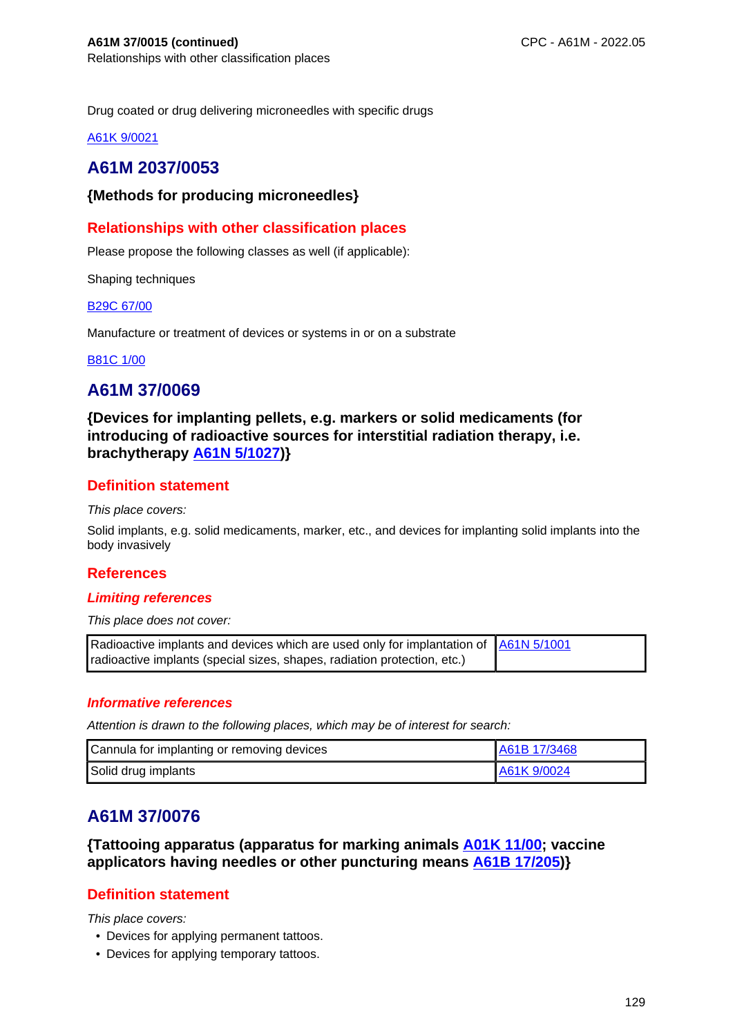Drug coated or drug delivering microneedles with specific drugs

A61K 9/0021

# **A61M 2037/0053**

### **{Methods for producing microneedles}**

## **Relationships with other classification places**

Please propose the following classes as well (if applicable):

Shaping techniques

#### B29C 67/00

Manufacture or treatment of devices or systems in or on a substrate

#### B81C 1/00

## **A61M 37/0069**

**{Devices for implanting pellets, e.g. markers or solid medicaments (for introducing of radioactive sources for interstitial radiation therapy, i.e. brachytherapy A61N 5/1027)}**

## **Definition statement**

This place covers:

Solid implants, e.g. solid medicaments, marker, etc., and devices for implanting solid implants into the body invasively

### **References**

### **Limiting references**

This place does not cover:

| Radioactive implants and devices which are used only for implantation of   A61N 5/1001 |  |
|----------------------------------------------------------------------------------------|--|
| radioactive implants (special sizes, shapes, radiation protection, etc.)               |  |

#### **Informative references**

Attention is drawn to the following places, which may be of interest for search:

| Cannula for implanting or removing devices | IA61B 17/3468 |
|--------------------------------------------|---------------|
| Solid drug implants                        | A61K 9/0024   |

# **A61M 37/0076**

**{Tattooing apparatus (apparatus for marking animals A01K 11/00; vaccine applicators having needles or other puncturing means A61B 17/205)}**

## **Definition statement**

This place covers:

- Devices for applying permanent tattoos.
- Devices for applying temporary tattoos.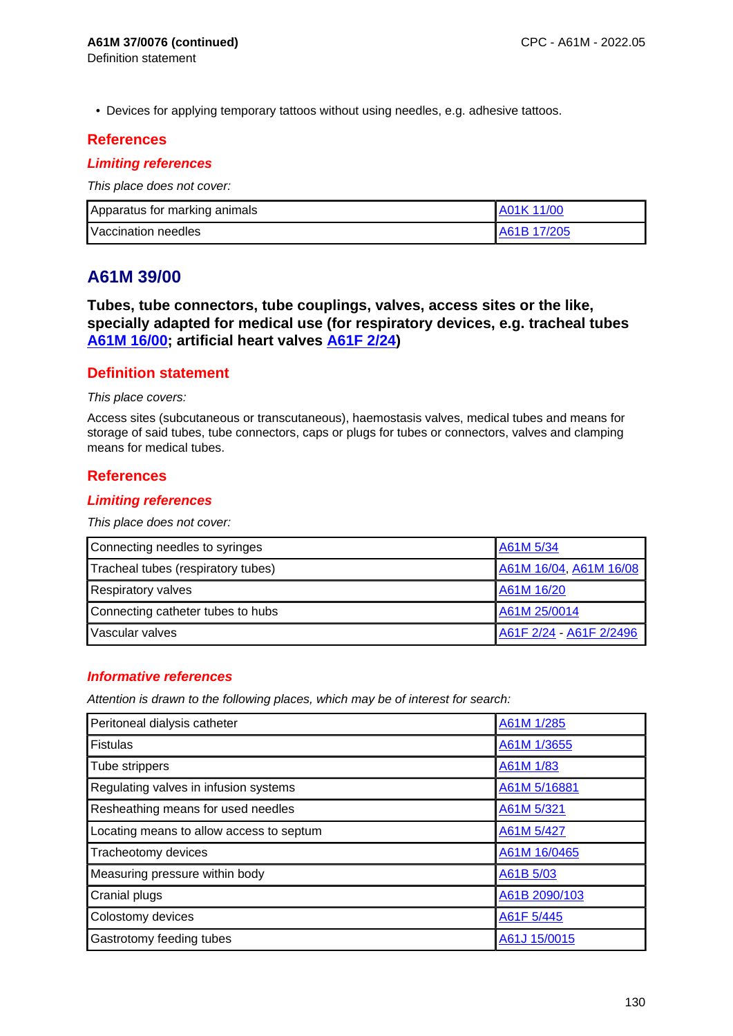• Devices for applying temporary tattoos without using needles, e.g. adhesive tattoos.

## **References**

### **Limiting references**

This place does not cover:

| Apparatus for marking animals | <b>A01K 11/00</b>  |
|-------------------------------|--------------------|
| Vaccination needles           | <b>A61B 17/205</b> |

# **A61M 39/00**

**Tubes, tube connectors, tube couplings, valves, access sites or the like, specially adapted for medical use (for respiratory devices, e.g. tracheal tubes A61M 16/00; artificial heart valves A61F 2/24)**

## **Definition statement**

#### This place covers:

Access sites (subcutaneous or transcutaneous), haemostasis valves, medical tubes and means for storage of said tubes, tube connectors, caps or plugs for tubes or connectors, valves and clamping means for medical tubes.

### **References**

#### **Limiting references**

This place does not cover:

| Connecting needles to syringes     | A61M 5/34               |
|------------------------------------|-------------------------|
| Tracheal tubes (respiratory tubes) | A61M 16/04, A61M 16/08  |
| <b>Respiratory valves</b>          | A61M 16/20              |
| Connecting catheter tubes to hubs  | A61M 25/0014            |
| Vascular valves                    | A61F 2/24 - A61F 2/2496 |

### **Informative references**

| Peritoneal dialysis catheter             | A61M 1/285    |
|------------------------------------------|---------------|
| <b>Fistulas</b>                          | A61M 1/3655   |
| Tube strippers                           | A61M 1/83     |
| Regulating valves in infusion systems    | A61M 5/16881  |
| Resheathing means for used needles       | A61M 5/321    |
| Locating means to allow access to septum | A61M 5/427    |
| Tracheotomy devices                      | A61M 16/0465  |
| Measuring pressure within body           | A61B 5/03     |
| <b>Cranial plugs</b>                     | A61B 2090/103 |
| Colostomy devices                        | A61F 5/445    |
| Gastrotomy feeding tubes                 | A61J 15/0015  |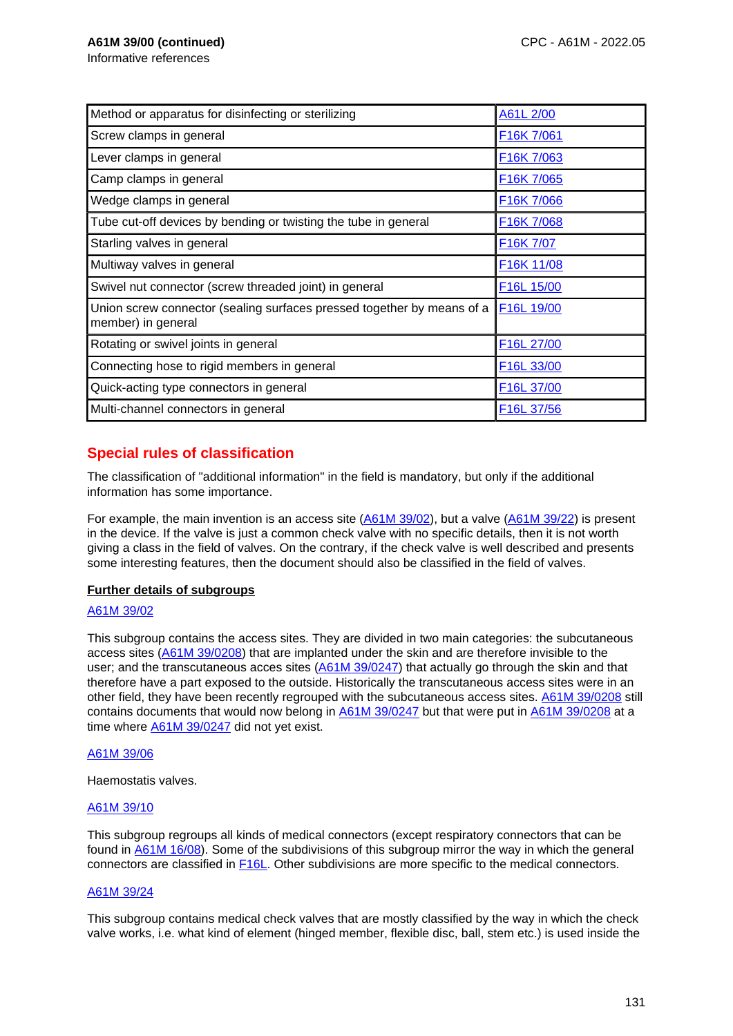Informative references

| Method or apparatus for disinfecting or sterilizing                                          | A61L 2/00                           |
|----------------------------------------------------------------------------------------------|-------------------------------------|
| Screw clamps in general                                                                      | F16K 7/061                          |
| Lever clamps in general                                                                      | F16K 7/063                          |
| Camp clamps in general                                                                       | F16K 7/065                          |
| Wedge clamps in general                                                                      | F <sub>16</sub> K 7/066             |
| Tube cut-off devices by bending or twisting the tube in general                              | F16K 7/068                          |
| Starling valves in general                                                                   | F <sub>16</sub> K 7/07              |
| Multiway valves in general                                                                   | F <sub>16</sub> K 11/08             |
| Swivel nut connector (screw threaded joint) in general                                       | F <sub>16</sub> L <sub>15</sub> /00 |
| Union screw connector (sealing surfaces pressed together by means of a<br>member) in general | F <sub>16</sub> L <sub>19/00</sub>  |
| Rotating or swivel joints in general                                                         | F16L 27/00                          |
| Connecting hose to rigid members in general                                                  | F16L 33/00                          |
| Quick-acting type connectors in general                                                      | F16L 37/00                          |
| Multi-channel connectors in general                                                          | F <sub>16</sub> L 37/56             |

## **Special rules of classification**

The classification of "additional information" in the field is mandatory, but only if the additional information has some importance.

For example, the main invention is an access site (A61M 39/02), but a valve (A61M 39/22) is present in the device. If the valve is just a common check valve with no specific details, then it is not worth giving a class in the field of valves. On the contrary, if the check valve is well described and presents some interesting features, then the document should also be classified in the field of valves.

#### **Further details of subgroups**

#### A61M 39/02

This subgroup contains the access sites. They are divided in two main categories: the subcutaneous access sites (A61M 39/0208) that are implanted under the skin and are therefore invisible to the user; and the transcutaneous acces sites (A61M 39/0247) that actually go through the skin and that therefore have a part exposed to the outside. Historically the transcutaneous access sites were in an other field, they have been recently regrouped with the subcutaneous access sites. A61M 39/0208 still contains documents that would now belong in A61M 39/0247 but that were put in A61M 39/0208 at a time where A61M 39/0247 did not yet exist.

#### A61M 39/06

Haemostatis valves.

#### A61M 39/10

This subgroup regroups all kinds of medical connectors (except respiratory connectors that can be found in A61M 16/08). Some of the subdivisions of this subgroup mirror the way in which the general connectors are classified in F16L. Other subdivisions are more specific to the medical connectors.

#### A61M 39/24

This subgroup contains medical check valves that are mostly classified by the way in which the check valve works, i.e. what kind of element (hinged member, flexible disc, ball, stem etc.) is used inside the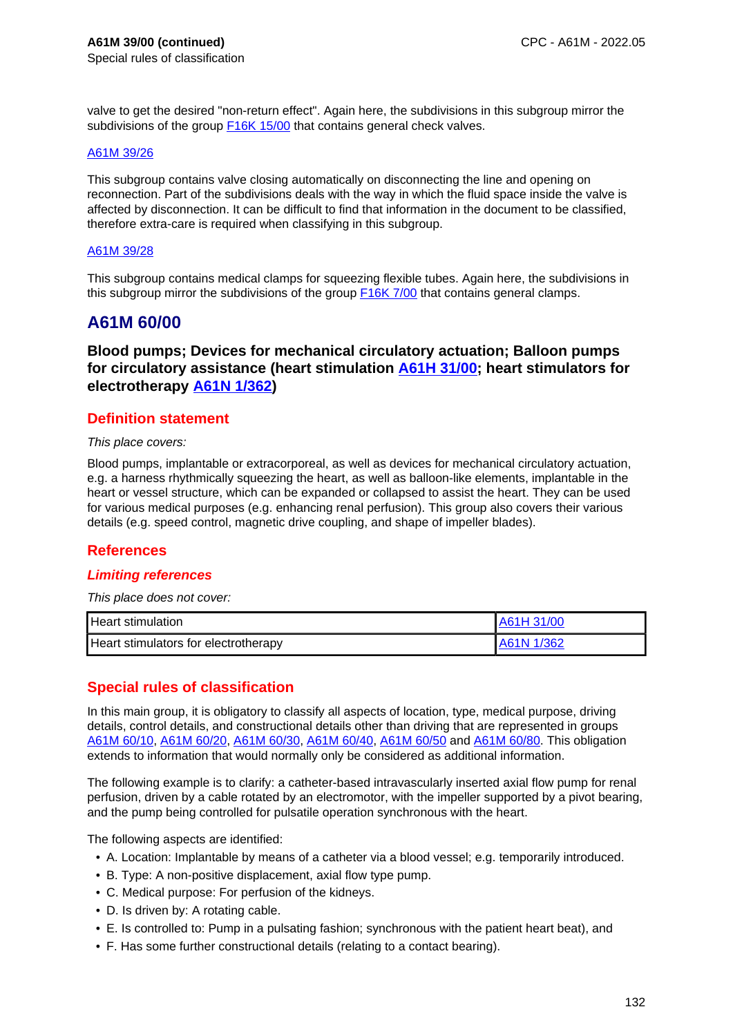valve to get the desired "non-return effect". Again here, the subdivisions in this subgroup mirror the subdivisions of the group **F16K 15/00** that contains general check valves.

#### A61M 39/26

This subgroup contains valve closing automatically on disconnecting the line and opening on reconnection. Part of the subdivisions deals with the way in which the fluid space inside the valve is affected by disconnection. It can be difficult to find that information in the document to be classified, therefore extra-care is required when classifying in this subgroup.

#### A61M 39/28

This subgroup contains medical clamps for squeezing flexible tubes. Again here, the subdivisions in this subgroup mirror the subdivisions of the group F16K 7/00 that contains general clamps.

## **A61M 60/00**

**Blood pumps; Devices for mechanical circulatory actuation; Balloon pumps for circulatory assistance (heart stimulation A61H 31/00; heart stimulators for electrotherapy A61N 1/362)**

### **Definition statement**

#### This place covers:

Blood pumps, implantable or extracorporeal, as well as devices for mechanical circulatory actuation, e.g. a harness rhythmically squeezing the heart, as well as balloon-like elements, implantable in the heart or vessel structure, which can be expanded or collapsed to assist the heart. They can be used for various medical purposes (e.g. enhancing renal perfusion). This group also covers their various details (e.g. speed control, magnetic drive coupling, and shape of impeller blades).

### **References**

#### **Limiting references**

This place does not cover:

| l Heart stimulation.                 | A61H 31/00  |
|--------------------------------------|-------------|
| Heart stimulators for electrotherapy | LA61N 1/362 |

### **Special rules of classification**

In this main group, it is obligatory to classify all aspects of location, type, medical purpose, driving details, control details, and constructional details other than driving that are represented in groups A61M 60/10, A61M 60/20, A61M 60/30, A61M 60/40, A61M 60/50 and A61M 60/80. This obligation extends to information that would normally only be considered as additional information.

The following example is to clarify: a catheter-based intravascularly inserted axial flow pump for renal perfusion, driven by a cable rotated by an electromotor, with the impeller supported by a pivot bearing, and the pump being controlled for pulsatile operation synchronous with the heart.

The following aspects are identified:

- A. Location: Implantable by means of a catheter via a blood vessel; e.g. temporarily introduced.
- B. Type: A non-positive displacement, axial flow type pump.
- C. Medical purpose: For perfusion of the kidneys.
- D. Is driven by: A rotating cable.
- E. Is controlled to: Pump in a pulsating fashion; synchronous with the patient heart beat), and
- F. Has some further constructional details (relating to a contact bearing).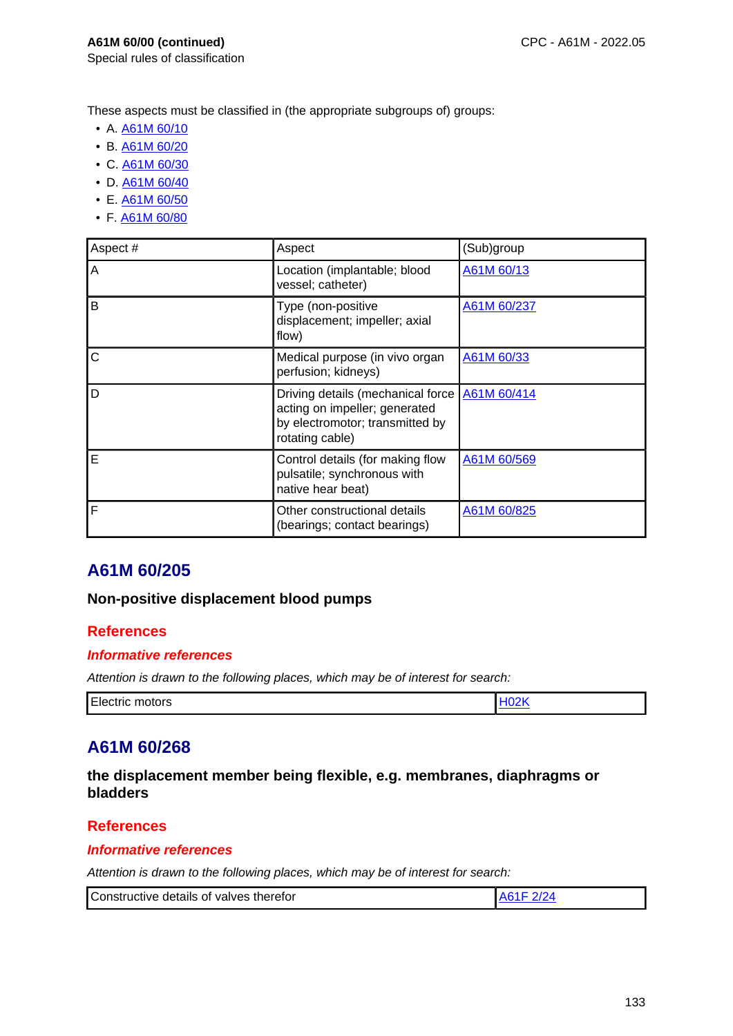Special rules of classification

These aspects must be classified in (the appropriate subgroups of) groups:

- A. A61M 60/10
- B. A61M 60/20
- C. A61M 60/30
- D. A61M 60/40
- E. A61M 60/50
- F. A61M 60/80

| Aspect # | Aspect                                                                                                                   | (Sub)group  |
|----------|--------------------------------------------------------------------------------------------------------------------------|-------------|
| Α        | Location (implantable; blood<br>vessel; catheter)                                                                        | A61M 60/13  |
| B        | Type (non-positive<br>displacement; impeller; axial<br>flow)                                                             | A61M 60/237 |
| C        | Medical purpose (in vivo organ<br>perfusion; kidneys)                                                                    | A61M 60/33  |
| D        | Driving details (mechanical force<br>acting on impeller; generated<br>by electromotor; transmitted by<br>rotating cable) | A61M 60/414 |
| E        | Control details (for making flow<br>pulsatile; synchronous with<br>native hear beat)                                     | A61M 60/569 |
| F        | Other constructional details<br>(bearings; contact bearings)                                                             | A61M 60/825 |

# **A61M 60/205**

### **Non-positive displacement blood pumps**

## **References**

### **Informative references**

Attention is drawn to the following places, which may be of interest for search:

| Electric motors |  |
|-----------------|--|

## **A61M 60/268**

**the displacement member being flexible, e.g. membranes, diaphragms or bladders**

### **References**

### **Informative references**

| Constructive details of valves therefor |  |
|-----------------------------------------|--|
|-----------------------------------------|--|